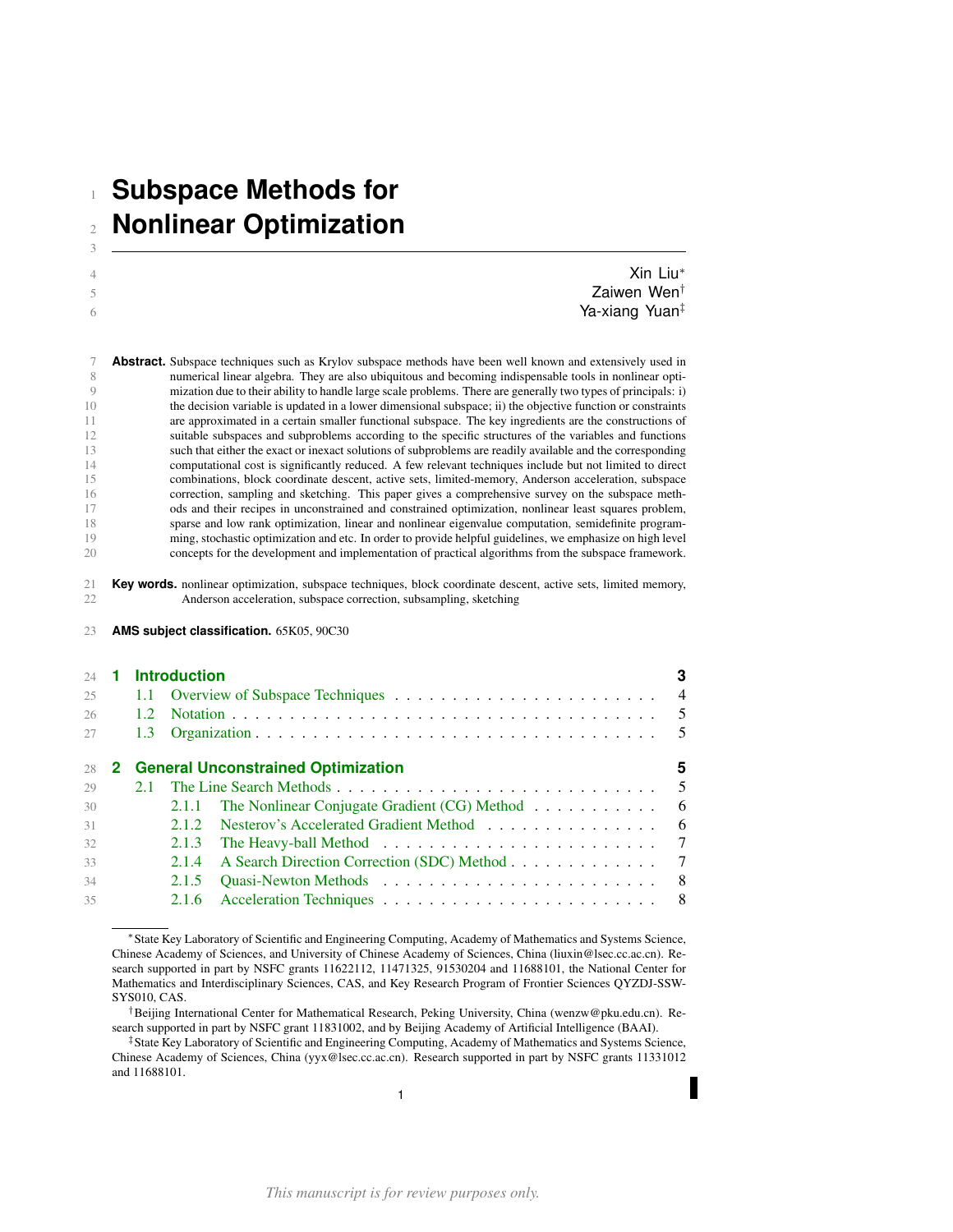# **Subspace Methods for Nonlinear Optimization**

| Xin Liu*                   |
|----------------------------|
| Zaiwen Wen <sup>t</sup>    |
| Ya-xiang Yuan <sup>‡</sup> |
|                            |

 **Abstract.** Subspace techniques such as Krylov subspace methods have been well known and extensively used in numerical linear algebra. They are also ubiquitous and becoming indispensable tools in nonlinear opti- mization due to their ability to handle large scale problems. There are generally two types of principals: i) the decision variable is updated in a lower dimensional subspace; ii) the objective function or constraints are approximated in a certain smaller functional subspace. The key ingredients are the constructions of suitable subspaces and subproblems according to the specific structures of the variables and functions such that either the exact or inexact solutions of subproblems are readily available and the corresponding computational cost is significantly reduced. A few relevant techniques include but not limited to direct combinations, block coordinate descent, active sets, limited-memory, Anderson acceleration, subspace correction, sampling and sketching. This paper gives a comprehensive survey on the subspace meth- ods and their recipes in unconstrained and constrained optimization, nonlinear least squares problem, 18 sparse and low rank optimization, linear and nonlinear eigenvalue computation, semidefinite programming, stochastic optimization and etc. In order to provide helpful guidelines, we emphasize on high level ming, stochastic optimization and etc. In order to provide helpful guidelines, we emphasize on high level concepts for the development and implementation of practical algorithms from the subspace framework.

**Key words.** nonlinear optimization, subspace techniques, block coordinate descent, active sets, limited memory, 22 **Anderson acceleration**, subspace correction, subsampling, sketching Anderson acceleration, subspace correction, subsampling, sketching

**AMS subject classification.** 65K05, 90C30

| 24 |                  | <b>Introduction</b>                                                            | 3              |
|----|------------------|--------------------------------------------------------------------------------|----------------|
| 25 |                  |                                                                                |                |
| 26 | $1.2^{\circ}$    |                                                                                | $\overline{5}$ |
| 27 | 1.3 <sup>7</sup> |                                                                                |                |
| 28 |                  | 2 General Unconstrained Optimization                                           | 5              |
| 29 | 2.1              | The Line Search Methods                                                        | $\overline{5}$ |
| 30 |                  | The Nonlinear Conjugate Gradient $(CG)$ Method $\ldots \ldots \ldots$<br>2.1.1 | - 6            |
| 31 |                  | Nesterov's Accelerated Gradient Method<br>2.1.2                                | - 6            |
| 32 |                  | 2.1.3                                                                          | $\overline{7}$ |
| 33 |                  | A Search Direction Correction (SDC) Method 7<br>2.1.4                          |                |
| 34 |                  | 2.1.5                                                                          |                |
| 35 |                  | 2.1.6                                                                          |                |

<sup>∗</sup>State Key Laboratory of Scientific and Engineering Computing, Academy of Mathematics and Systems Science, Chinese Academy of Sciences, and University of Chinese Academy of Sciences, China (liuxin@lsec.cc.ac.cn). Research supported in part by NSFC grants 11622112, 11471325, 91530204 and 11688101, the National Center for Mathematics and Interdisciplinary Sciences, CAS, and Key Research Program of Frontier Sciences QYZDJ-SSW-SYS010, CAS.

†Beijing International Center for Mathematical Research, Peking University, China (wenzw@pku.edu.cn). Research supported in part by NSFC grant 11831002, and by Beijing Academy of Artificial Intelligence (BAAI).

‡State Key Laboratory of Scientific and Engineering Computing, Academy of Mathematics and Systems Science, Chinese Academy of Sciences, China (yyx@lsec.cc.ac.cn). Research supported in part by NSFC grants 11331012 and 11688101.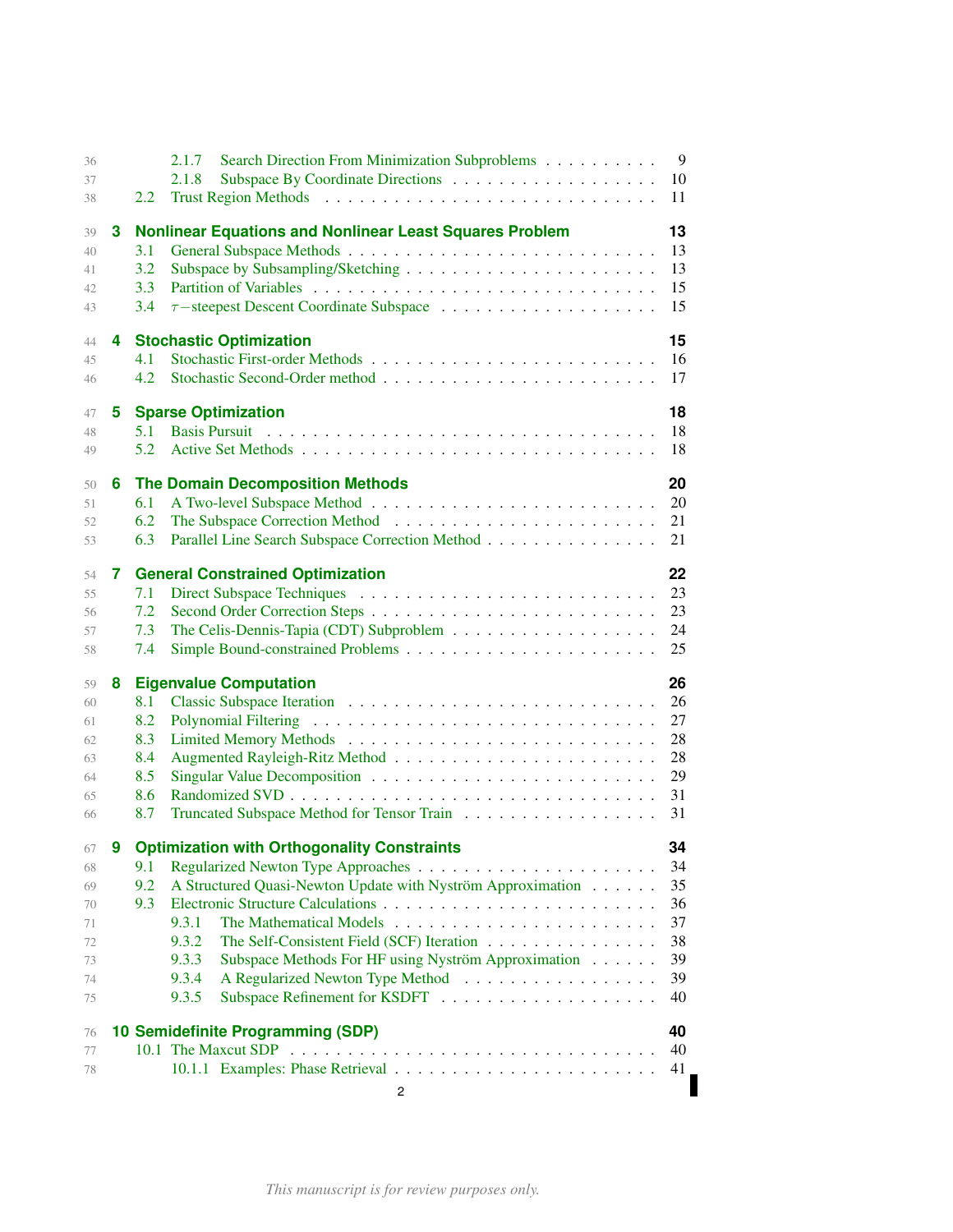| 36 |   |     | Search Direction From Minimization Subproblems<br>2.1.7        | 9  |
|----|---|-----|----------------------------------------------------------------|----|
| 37 |   |     | 2.1.8                                                          | 10 |
| 38 |   | 2.2 |                                                                | 11 |
| 39 | 3 |     | <b>Nonlinear Equations and Nonlinear Least Squares Problem</b> | 13 |
| 40 |   | 3.1 |                                                                | 13 |
| 41 |   | 3.2 |                                                                | 13 |
| 42 |   | 3.3 |                                                                | 15 |
| 43 |   | 3.4 |                                                                | 15 |
| 44 | 4 |     | <b>Stochastic Optimization</b>                                 | 15 |
| 45 |   | 4.1 |                                                                | 16 |
| 46 |   | 4.2 |                                                                | 17 |
| 47 | 5 |     | <b>Sparse Optimization</b>                                     | 18 |
| 48 |   | 5.1 |                                                                | 18 |
| 49 |   | 5.2 |                                                                | 18 |
| 50 | 6 |     | <b>The Domain Decomposition Methods</b>                        | 20 |
| 51 |   | 6.1 |                                                                | 20 |
| 52 |   | 6.2 |                                                                | 21 |
| 53 |   | 6.3 | Parallel Line Search Subspace Correction Method                | 21 |
| 54 | 7 |     | <b>General Constrained Optimization</b>                        | 22 |
| 55 |   | 7.1 |                                                                | 23 |
| 56 |   | 7.2 |                                                                | 23 |
| 57 |   | 7.3 |                                                                | 24 |
| 58 |   | 7.4 |                                                                | 25 |
| 59 | 8 |     | <b>Eigenvalue Computation</b>                                  | 26 |
| 60 |   | 8.1 |                                                                | 26 |
| 61 |   | 8.2 |                                                                | 27 |
| 62 |   | 8.3 |                                                                | 28 |
| 63 |   | 8.4 |                                                                | 28 |
| 64 |   | 8.5 |                                                                | 29 |
| 65 |   | 8.6 |                                                                | 31 |
| 66 |   | 8.7 |                                                                | 31 |
| 67 |   |     | 9 Optimization with Orthogonality Constraints                  | 34 |
| 68 |   | 9.1 |                                                                | 34 |
| 69 |   | 9.2 | A Structured Quasi-Newton Update with Nyström Approximation    | 35 |
| 70 |   | 9.3 |                                                                | 36 |
| 71 |   |     | 9.3.1                                                          | 37 |
| 72 |   |     | 9.3.2<br>The Self-Consistent Field (SCF) Iteration             | 38 |
| 73 |   |     | 9.3.3<br>Subspace Methods For HF using Nyström Approximation   | 39 |
| 74 |   |     | 9.3.4<br>A Regularized Newton Type Method                      | 39 |
| 75 |   |     | 9.3.5                                                          | 40 |
| 76 |   |     | 10 Semidefinite Programming (SDP)                              | 40 |
| 77 |   |     |                                                                | 40 |
| 78 |   |     |                                                                | 41 |
|    |   |     | 2                                                              |    |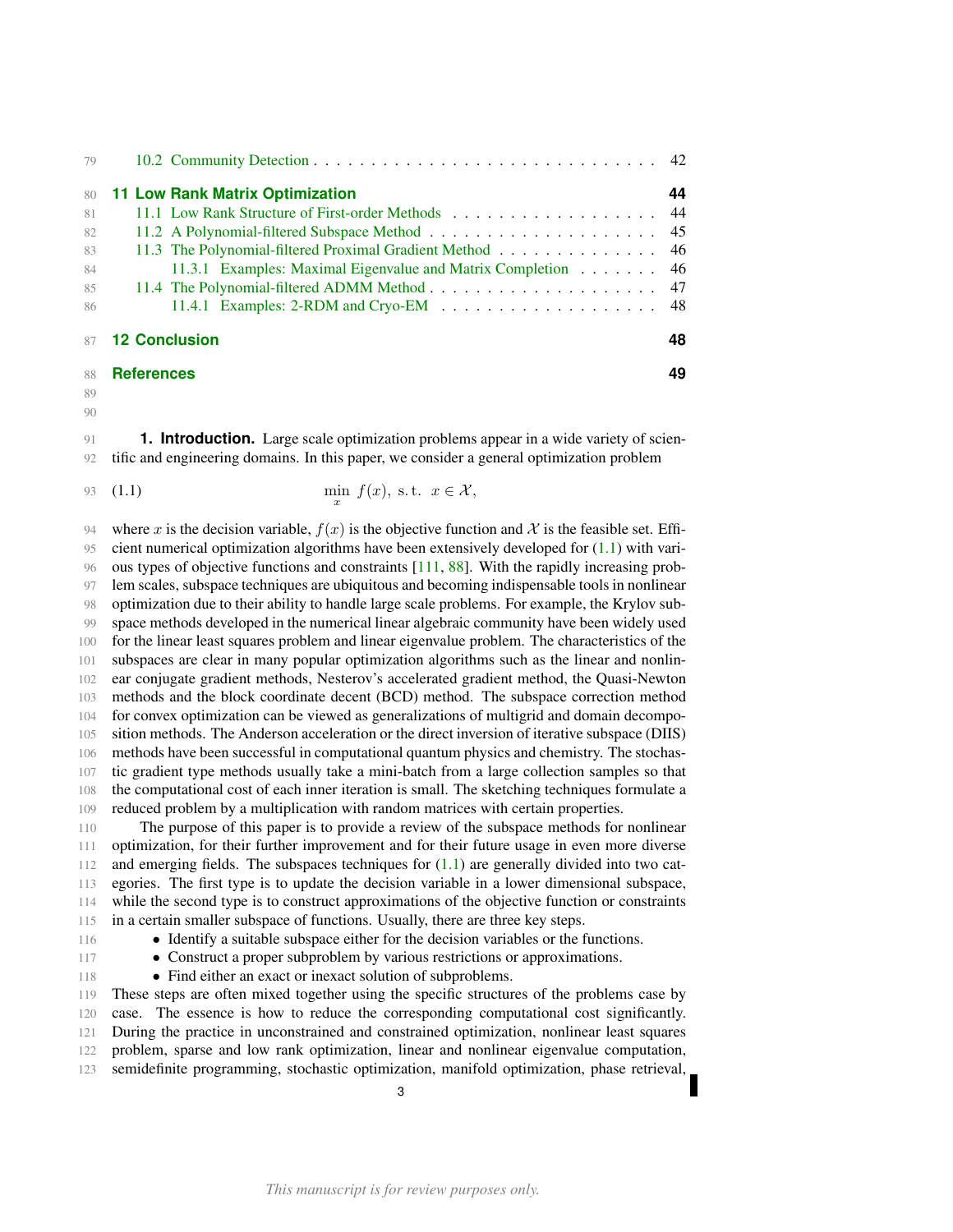| 79   |                                                                                |    |
|------|--------------------------------------------------------------------------------|----|
| 80   | <b>11 Low Rank Matrix Optimization</b>                                         | 44 |
| 81   | 11.1 Low Rank Structure of First-order Methods 44                              |    |
| 82   |                                                                                |    |
| 83   | 11.3 The Polynomial-filtered Proximal Gradient Method 46                       |    |
| - 84 | 11.3.1 Examples: Maximal Eigenvalue and Matrix Completion 46                   |    |
| 85   |                                                                                |    |
| -86  | 11.4.1 Examples: 2-RDM and Cryo-EM $\dots \dots \dots \dots \dots \dots \dots$ |    |
|      | 87 <b>12 Conclusion</b>                                                        | 48 |
|      |                                                                                |    |

#### **[References](#page-47-1) 49**

<span id="page-2-1"></span>

#### $9<sub>0</sub>$

<span id="page-2-0"></span> **1. Introduction.** Large scale optimization problems appear in a wide variety of scien-tific and engineering domains. In this paper, we consider a general optimization problem

93 (1.1) 
$$
\min_{x} f(x), \text{ s.t. } x \in \mathcal{X},
$$

94 where x is the decision variable,  $f(x)$  is the objective function and X is the feasible set. Effi- cient numerical optimization algorithms have been extensively developed for [\(1.1\)](#page-2-1) with vari- ous types of objective functions and constraints [\[111,](#page-51-0) [88\]](#page-51-1). With the rapidly increasing prob- lem scales, subspace techniques are ubiquitous and becoming indispensable tools in nonlinear optimization due to their ability to handle large scale problems. For example, the Krylov sub- space methods developed in the numerical linear algebraic community have been widely used for the linear least squares problem and linear eigenvalue problem. The characteristics of the subspaces are clear in many popular optimization algorithms such as the linear and nonlin- ear conjugate gradient methods, Nesterov's accelerated gradient method, the Quasi-Newton methods and the block coordinate decent (BCD) method. The subspace correction method for convex optimization can be viewed as generalizations of multigrid and domain decompo- sition methods. The Anderson acceleration or the direct inversion of iterative subspace (DIIS) methods have been successful in computational quantum physics and chemistry. The stochas- tic gradient type methods usually take a mini-batch from a large collection samples so that the computational cost of each inner iteration is small. The sketching techniques formulate a reduced problem by a multiplication with random matrices with certain properties.

 The purpose of this paper is to provide a review of the subspace methods for nonlinear optimization, for their further improvement and for their future usage in even more diverse 112 and emerging fields. The subspaces techniques for  $(1.1)$  are generally divided into two cat- egories. The first type is to update the decision variable in a lower dimensional subspace, while the second type is to construct approximations of the objective function or constraints in a certain smaller subspace of functions. Usually, there are three key steps.

- Identify a suitable subspace either for the decision variables or the functions.
- Construct a proper subproblem by various restrictions or approximations.
- 118 Find either an exact or inexact solution of subproblems.

 These steps are often mixed together using the specific structures of the problems case by case. The essence is how to reduce the corresponding computational cost significantly. During the practice in unconstrained and constrained optimization, nonlinear least squares problem, sparse and low rank optimization, linear and nonlinear eigenvalue computation, semidefinite programming, stochastic optimization, manifold optimization, phase retrieval,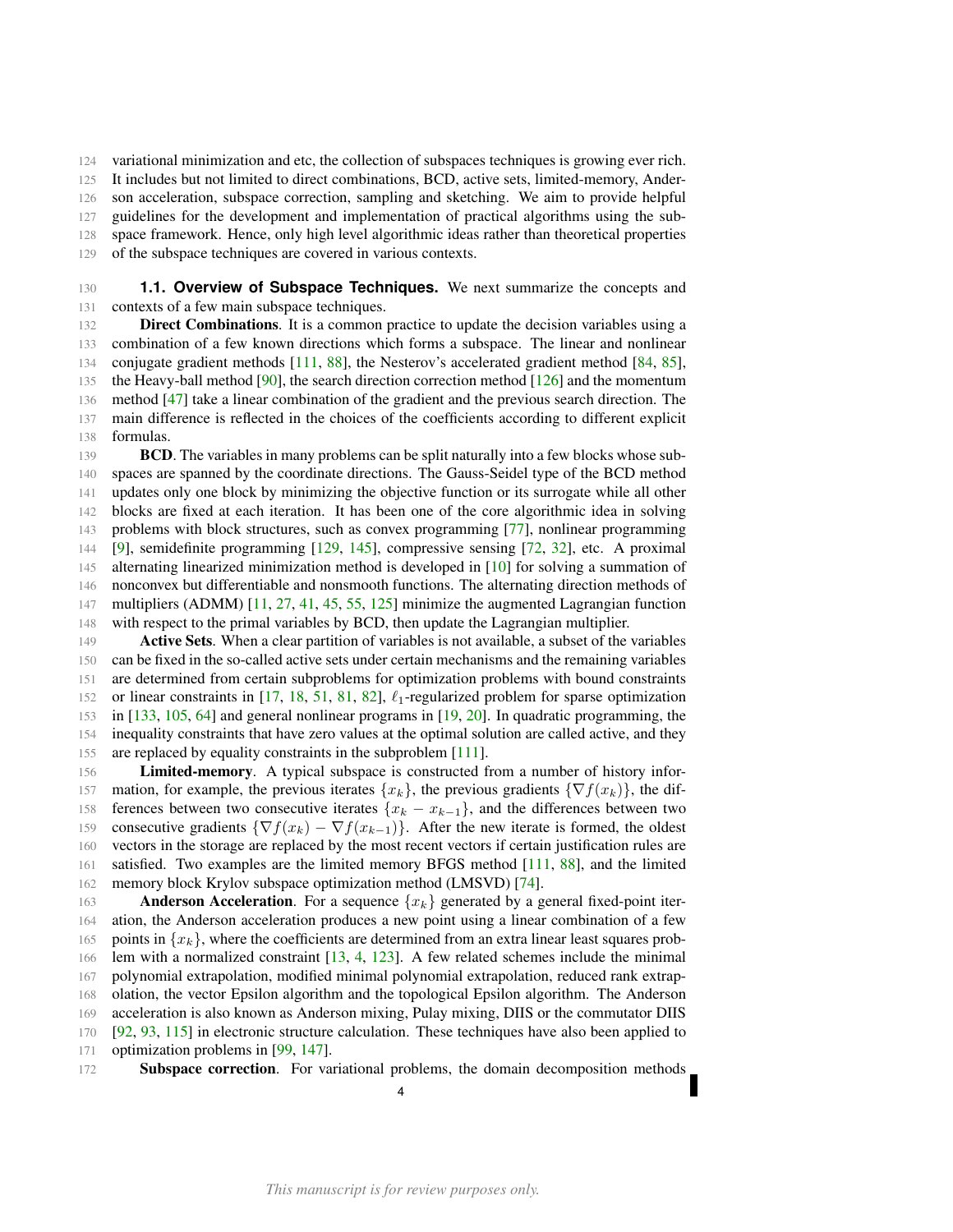variational minimization and etc, the collection of subspaces techniques is growing ever rich.

It includes but not limited to direct combinations, BCD, active sets, limited-memory, Ander-

son acceleration, subspace correction, sampling and sketching. We aim to provide helpful

guidelines for the development and implementation of practical algorithms using the sub-

space framework. Hence, only high level algorithmic ideas rather than theoretical properties

of the subspace techniques are covered in various contexts.

<span id="page-3-0"></span> **1.1. Overview of Subspace Techniques.** We next summarize the concepts and contexts of a few main subspace techniques.

**Direct Combinations**. It is a common practice to update the decision variables using a combination of a few known directions which forms a subspace. The linear and nonlinear 134 conjugate gradient methods [\[111,](#page-51-0) [88\]](#page-51-1), the Nesterov's accelerated gradient method [\[84,](#page-51-2) [85\]](#page-51-3), 135 the Heavy-ball method [\[90\]](#page-51-4), the search direction correction method  $[126]$  and the momentum method [\[47\]](#page-49-0) take a linear combination of the gradient and the previous search direction. The main difference is reflected in the choices of the coefficients according to different explicit formulas.

**BCD**. The variables in many problems can be split naturally into a few blocks whose sub- spaces are spanned by the coordinate directions. The Gauss-Seidel type of the BCD method updates only one block by minimizing the objective function or its surrogate while all other blocks are fixed at each iteration. It has been one of the core algorithmic idea in solving problems with block structures, such as convex programming [\[77\]](#page-50-0), nonlinear programming [\[9\]](#page-48-0), semidefinite programming [\[129,](#page-52-1) [145\]](#page-53-0), compressive sensing [\[72,](#page-50-1) [32\]](#page-49-1), etc. A proximal alternating linearized minimization method is developed in [\[10\]](#page-48-1) for solving a summation of nonconvex but differentiable and nonsmooth functions. The alternating direction methods of multipliers (ADMM) [\[11,](#page-48-2) [27,](#page-49-2) [41,](#page-49-3) [45,](#page-49-4) [55,](#page-50-2) [125\]](#page-52-2) minimize the augmented Lagrangian function with respect to the primal variables by BCD, then update the Lagrangian multiplier.

**Active Sets.** When a clear partition of variables is not available, a subset of the variables can be fixed in the so-called active sets under certain mechanisms and the remaining variables are determined from certain subproblems for optimization problems with bound constraints 152 or linear constraints in [\[17,](#page-48-3) [18,](#page-48-4) [51,](#page-49-5) [81,](#page-50-3) [82\]](#page-50-4),  $\ell_1$ -regularized problem for sparse optimization in [\[133,](#page-52-3) [105,](#page-51-5) [64\]](#page-50-5) and general nonlinear programs in [\[19,](#page-48-5) [20\]](#page-48-6). In quadratic programming, the inequality constraints that have zero values at the optimal solution are called active, and they are replaced by equality constraints in the subproblem [\[111\]](#page-51-0).

**Limited-memory**. A typical subspace is constructed from a number of history infor-157 mation, for example, the previous iterates  $\{x_k\}$ , the previous gradients  $\{\nabla f(x_k)\}\)$ , the dif-158 ferences between two consecutive iterates  ${x_k - x_{k-1}}$ , and the differences between two 159 consecutive gradients  ${\nabla f(x_k) - \nabla f(x_{k-1})}.$  After the new iterate is formed, the oldest vectors in the storage are replaced by the most recent vectors if certain justification rules are satisfied. Two examples are the limited memory BFGS method [\[111,](#page-51-0) [88\]](#page-51-1), and the limited memory block Krylov subspace optimization method (LMSVD) [\[74\]](#page-50-6).

**Anderson Acceleration**. For a sequence  $\{x_k\}$  generated by a general fixed-point iter- ation, the Anderson acceleration produces a new point using a linear combination of a few 165 points in  $\{x_k\}$ , where the coefficients are determined from an extra linear least squares prob- lem with a normalized constraint [\[13,](#page-48-7) [4,](#page-48-8) [123\]](#page-52-4). A few related schemes include the minimal polynomial extrapolation, modified minimal polynomial extrapolation, reduced rank extrap- olation, the vector Epsilon algorithm and the topological Epsilon algorithm. The Anderson acceleration is also known as Anderson mixing, Pulay mixing, DIIS or the commutator DIIS [\[92,](#page-51-6) [93,](#page-51-7) [115\]](#page-52-5) in electronic structure calculation. These techniques have also been applied to optimization problems in [\[99,](#page-51-8) [147\]](#page-53-1).

Subspace correction. For variational problems, the domain decomposition methods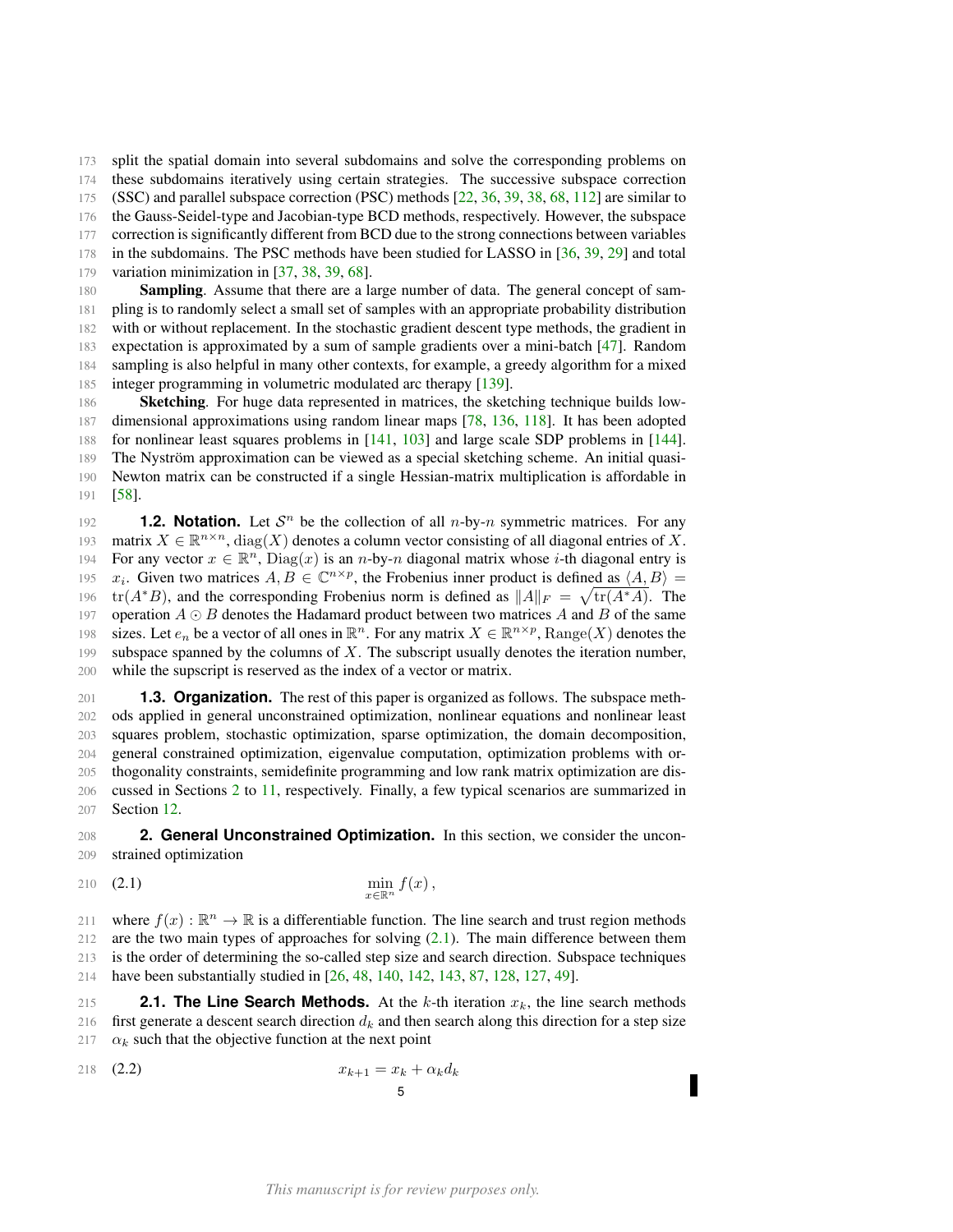173 split the spatial domain into several subdomains and solve the corresponding problems on

174 these subdomains iteratively using certain strategies. The successive subspace correction

175 (SSC) and parallel subspace correction (PSC) methods [\[22,](#page-48-9) [36,](#page-49-6) [39,](#page-49-7) [38,](#page-49-8) [68,](#page-50-7) [112\]](#page-51-9) are similar to

176 the Gauss-Seidel-type and Jacobian-type BCD methods, respectively. However, the subspace

177 correction is significantly different from BCD due to the strong connections between variables 178 in the subdomains. The PSC methods have been studied for LASSO in [\[36,](#page-49-6) [39,](#page-49-7) [29\]](#page-49-9) and total

179 variation minimization in [\[37,](#page-49-10) [38,](#page-49-8) [39,](#page-49-7) [68\]](#page-50-7).

**Sampling.** Assume that there are a large number of data. The general concept of sam- pling is to randomly select a small set of samples with an appropriate probability distribution with or without replacement. In the stochastic gradient descent type methods, the gradient in expectation is approximated by a sum of sample gradients over a mini-batch [\[47\]](#page-49-0). Random sampling is also helpful in many other contexts, for example, a greedy algorithm for a mixed 185 integer programming in volumetric modulated arc therapy [\[139\]](#page-52-6).

186 Sketching. For huge data represented in matrices, the sketching technique builds low-187 dimensional approximations using random linear maps [\[78,](#page-50-8) [136,](#page-52-7) [118\]](#page-52-8). It has been adopted 188 for nonlinear least squares problems in [\[141,](#page-52-9) [103\]](#page-51-10) and large scale SDP problems in [\[144\]](#page-53-2). 189 The Nyström approximation can be viewed as a special sketching scheme. An initial quasi-190 Newton matrix can be constructed if a single Hessian-matrix multiplication is affordable in 191 [\[58\]](#page-50-9).

<span id="page-4-0"></span>192 **1.2. Notation.** Let  $S<sup>n</sup>$  be the collection of all n-by-n symmetric matrices. For any 193 matrix  $X \in \mathbb{R}^{n \times n}$ , diag(X) denotes a column vector consisting of all diagonal entries of X. 194 For any vector  $x \in \mathbb{R}^n$ ,  $Diag(x)$  is an *n*-by-*n* diagonal matrix whose *i*-th diagonal entry is 195  $x_i$ . Given two matrices  $A, B \in \mathbb{C}^{n \times p}$ , the Frobenius inner product is defined as  $\langle A, B \rangle =$ 196 tr( $A^*B$ ), and the corresponding Frobenius norm is defined as  $||A||_F = \sqrt{\text{tr}(A^*A)}$ . The 197 operation  $A \odot B$  denotes the Hadamard product between two matrices A and B of the same 198 sizes. Let  $e_n$  be a vector of all ones in  $\mathbb{R}^n$ . For any matrix  $X \in \mathbb{R}^{n \times p}$ , Range $(X)$  denotes the 199 subspace spanned by the columns of  $X$ . The subscript usually denotes the iteration number, 200 while the supscript is reserved as the index of a vector or matrix.

<span id="page-4-1"></span> **1.3. Organization.** The rest of this paper is organized as follows. The subspace meth- ods applied in general unconstrained optimization, nonlinear equations and nonlinear least squares problem, stochastic optimization, sparse optimization, the domain decomposition, general constrained optimization, eigenvalue computation, optimization problems with or- thogonality constraints, semidefinite programming and low rank matrix optimization are dis- cussed in Sections [2](#page-4-2) to [11,](#page-43-0) respectively. Finally, a few typical scenarios are summarized in Section [12.](#page-47-1)

<span id="page-4-2"></span>208 **2. General Unconstrained Optimization.** In this section, we consider the uncon-209 strained optimization

# <span id="page-4-4"></span>210 (2.1)  $\min_{x \in \mathbb{R}^n} f(x)$ ,

211 where  $f(x): \mathbb{R}^n \to \mathbb{R}$  is a differentiable function. The line search and trust region methods are the two main types of approaches for solving  $(2.1)$ . The main difference between them is the order of determining the so-called step size and search direction. Subspace techniques have been substantially studied in [\[26,](#page-49-11) [48,](#page-49-12) [140,](#page-52-10) [142,](#page-53-3) [143,](#page-53-4) [87,](#page-51-11) [128,](#page-52-11) [127,](#page-52-12) [49\]](#page-49-13).

<span id="page-4-3"></span>215 **2.1. The Line Search Methods.** At the  $k$ -th iteration  $x_k$ , the line search methods 216 first generate a descent search direction  $d_k$  and then search along this direction for a step size 217  $\alpha_k$  such that the objective function at the next point

<span id="page-4-5"></span>218 (2.2)  $x_{k+1} = x_k + \alpha_k d_k$ 5

Г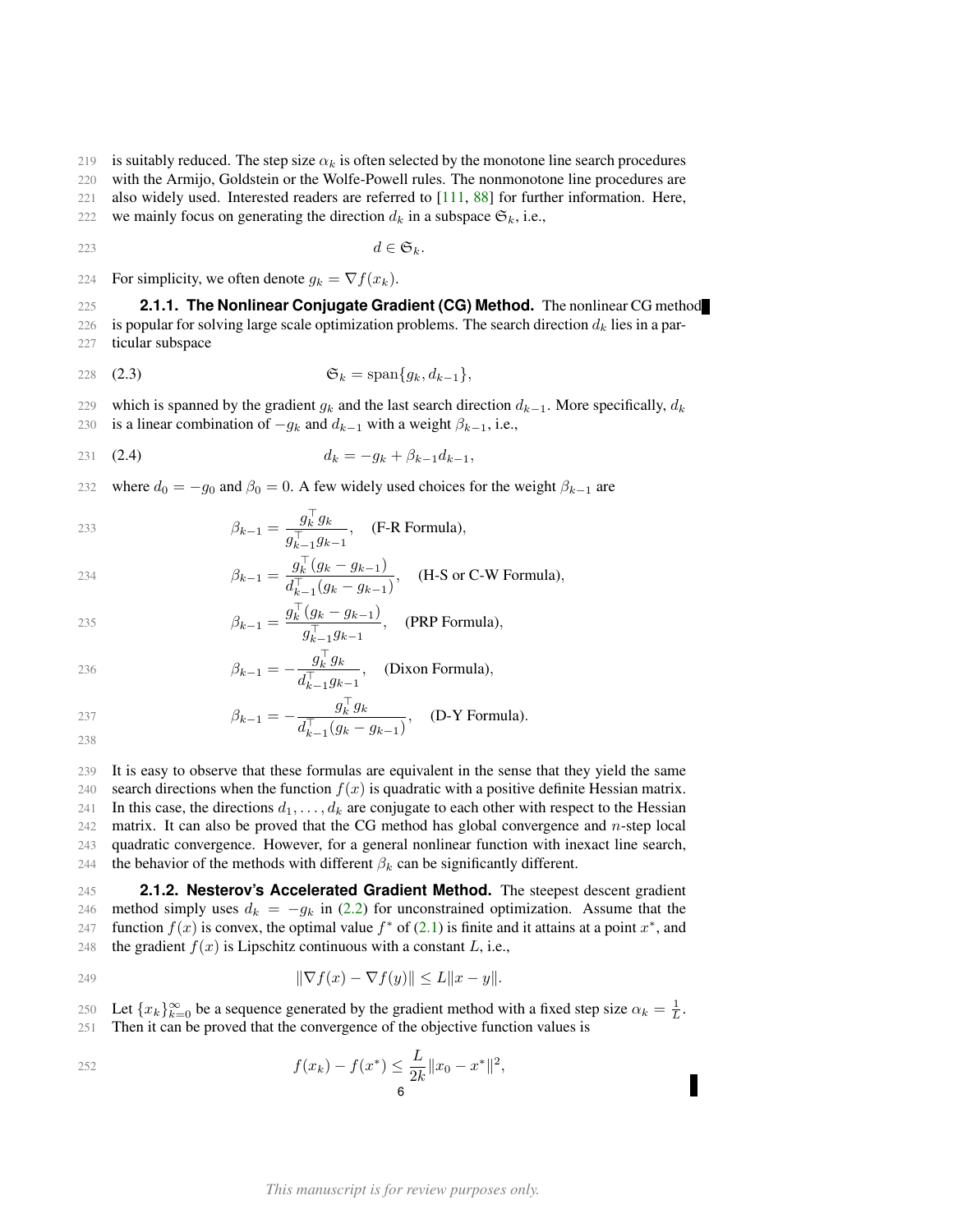219 is suitably reduced. The step size  $\alpha_k$  is often selected by the monotone line search procedures

220 with the Armijo, Goldstein or the Wolfe-Powell rules. The nonmonotone line procedures are

221 also widely used. Interested readers are referred to [\[111,](#page-51-0) [88\]](#page-51-1) for further information. Here,

222 we mainly focus on generating the direction  $d_k$  in a subspace  $\mathfrak{S}_k$ , i.e.,

223 d ∈  $\mathfrak{S}_k$ .

224 For simplicity, we often denote  $g_k = \nabla f(x_k)$ .

<span id="page-5-0"></span>225 **2.1.1. The Nonlinear Conjugate Gradient (CG) Method.** The nonlinear CG method 226 is popular for solving large scale optimization problems. The search direction  $d_k$  lies in a par-227 ticular subspace

$$
\mathfrak{S}_k = \text{span}\{g_k, d_{k-1}\},\
$$

229 which is spanned by the gradient  $g_k$  and the last search direction  $d_{k-1}$ . More specifically,  $d_k$ 

230 is a linear combination of  $-g_k$  and  $d_{k-1}$  with a weight  $\beta_{k-1}$ , i.e.,

<span id="page-5-2"></span>231 (2.4) 
$$
d_k = -g_k + \beta_{k-1} d_{k-1},
$$

232 where  $d_0 = -g_0$  and  $\beta_0 = 0$ . A few widely used choices for the weight  $\beta_{k-1}$  are

$$
\beta_{k-1} = \frac{g_k^{\top} g_k}{g_{k-1}^{\top} g_{k-1}}, \quad \text{(F-R Formula)},
$$

234 
$$
\beta_{k-1} = \frac{g_k^{\top} (g_k - g_{k-1})}{d_{k-1}^{\top} (g_k - g_{k-1})}, \quad (\text{H-S or C-W Formula}),
$$

235 
$$
\beta_{k-1} = \frac{g_k^{\top} (g_k - g_{k-1})}{g_{k-1}^{\top} g_{k-1}}, \quad \text{(PRP Formula)},
$$

236 
$$
\beta_{k-1} = -\frac{g_k^{\top} g_k}{d_{k-1}^{\top} g_{k-1}}, \quad \text{(Dixon Formula)},
$$

$$
\beta_{k-1} = -\frac{g_k^{\top} g_k}{d_{k-1}^{\top} (g_k - g_{k-1})}, \quad \text{(D-Y Formula)}.
$$

238

239 It is easy to observe that these formulas are equivalent in the sense that they yield the same 240 search directions when the function  $f(x)$  is quadratic with a positive definite Hessian matrix. 241 In this case, the directions  $d_1, \ldots, d_k$  are conjugate to each other with respect to the Hessian 242 matrix. It can also be proved that the CG method has global convergence and  $n$ -step local 243 quadratic convergence. However, for a general nonlinear function with inexact line search, 244 the behavior of the methods with different  $\beta_k$  can be significantly different.

<span id="page-5-1"></span>245 **2.1.2. Nesterov's Accelerated Gradient Method.** The steepest descent gradient 246 method simply uses  $d_k = -g_k$  in [\(2.2\)](#page-4-5) for unconstrained optimization. Assume that the 247 function  $f(x)$  is convex, the optimal value  $f^*$  of [\(2.1\)](#page-4-4) is finite and it attains at a point  $x^*$ , and 248 the gradient  $f(x)$  is Lipschitz continuous with a constant L, i.e.,

$$
\|\nabla f(x) - \nabla f(y)\| \le L\|x - y\|.
$$

250 Let  $\{x_k\}_{k=0}^{\infty}$  be a sequence generated by the gradient method with a fixed step size  $\alpha_k = \frac{1}{L}$ . 251 Then it can be proved that the convergence of the objective function values is

252 
$$
f(x_k) - f(x^*) \leq \frac{L}{2k} ||x_0 - x^*||^2,
$$
6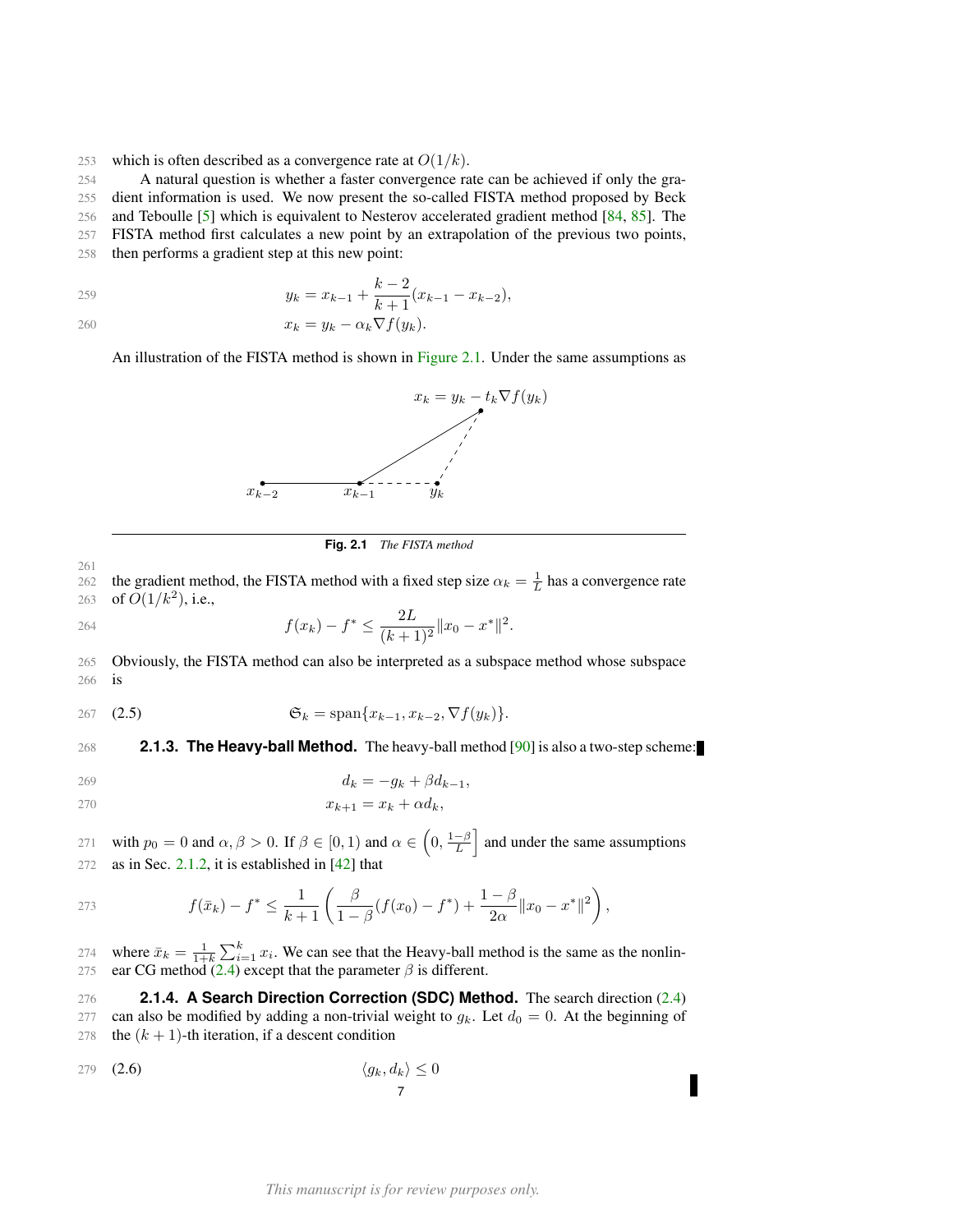253 which is often described as a convergence rate at  $O(1/k)$ .

254 A natural question is whether a faster convergence rate can be achieved if only the gra-

255 dient information is used. We now present the so-called FISTA method proposed by Beck

256 and Teboulle [\[5\]](#page-48-10) which is equivalent to Nesterov accelerated gradient method [\[84,](#page-51-2) [85\]](#page-51-3). The 257 FISTA method first calculates a new point by an extrapolation of the previous two points,

258 then performs a gradient step at this new point:

$$
y_k = x_{k-1} + \frac{k-2}{k+1}(x_{k-1} - x_{k-2}),
$$

 $x_k = y_k - \alpha_k \nabla f(y_k).$ 

<span id="page-6-2"></span>An illustration of the FISTA method is shown in [Figure 2.1.](#page-6-2) Under the same assumptions as



**Fig. 2.1** *The FISTA method*

261 262 the gradient method, the FISTA method with a fixed step size  $\alpha_k = \frac{1}{L}$  has a convergence rate 263 of  $O(1/k^2)$ , i.e.,

264 
$$
f(x_k) - f^* \leq \frac{2L}{(k+1)^2} \|x_0 - x^*\|^2.
$$

265 Obviously, the FISTA method can also be interpreted as a subspace method whose subspace 266 is

$$
\mathfrak{S}_k = \text{span}\{x_{k-1}, x_{k-2}, \nabla f(y_k)\}.
$$

<span id="page-6-0"></span>268 **2.1.3. The Heavy-ball Method.** The heavy-ball method [\[90\]](#page-51-4) is also a two-step scheme:

$$
d_k = -g_k + \beta d_{k-1},
$$

$$
x_{k+1} = x_k + \alpha d_k,
$$

271 with  $p_0 = 0$  and  $\alpha, \beta > 0$ . If  $\beta \in [0, 1)$  and  $\alpha \in \left(0, \frac{1-\beta}{L}\right]$  and under the same assumptions 272 as in Sec. [2.1.2,](#page-5-1) it is established in [\[42\]](#page-49-14) that

273 
$$
f(\bar{x}_k) - f^* \leq \frac{1}{k+1} \left( \frac{\beta}{1-\beta} (f(x_0) - f^*) + \frac{1-\beta}{2\alpha} ||x_0 - x^*||^2 \right),
$$

274 where  $\bar{x}_k = \frac{1}{1+k} \sum_{i=1}^k x_i$ . We can see that the Heavy-ball method is the same as the nonlin-275 ear CG method [\(2.4\)](#page-5-2) except that the parameter  $\beta$  is different.

<span id="page-6-1"></span>276 **2.1.4. A Search Direction Correction (SDC) Method.** The search direction [\(2.4\)](#page-5-2) 277 can also be modified by adding a non-trivial weight to  $g_k$ . Let  $d_0 = 0$ . At the beginning of 278 the  $(k + 1)$ -th iteration, if a descent condition

<span id="page-6-3"></span>
$$
\langle g_k, d_k \rangle \le 0
$$
\n
$$
\langle g_k, d_k \rangle \le 0
$$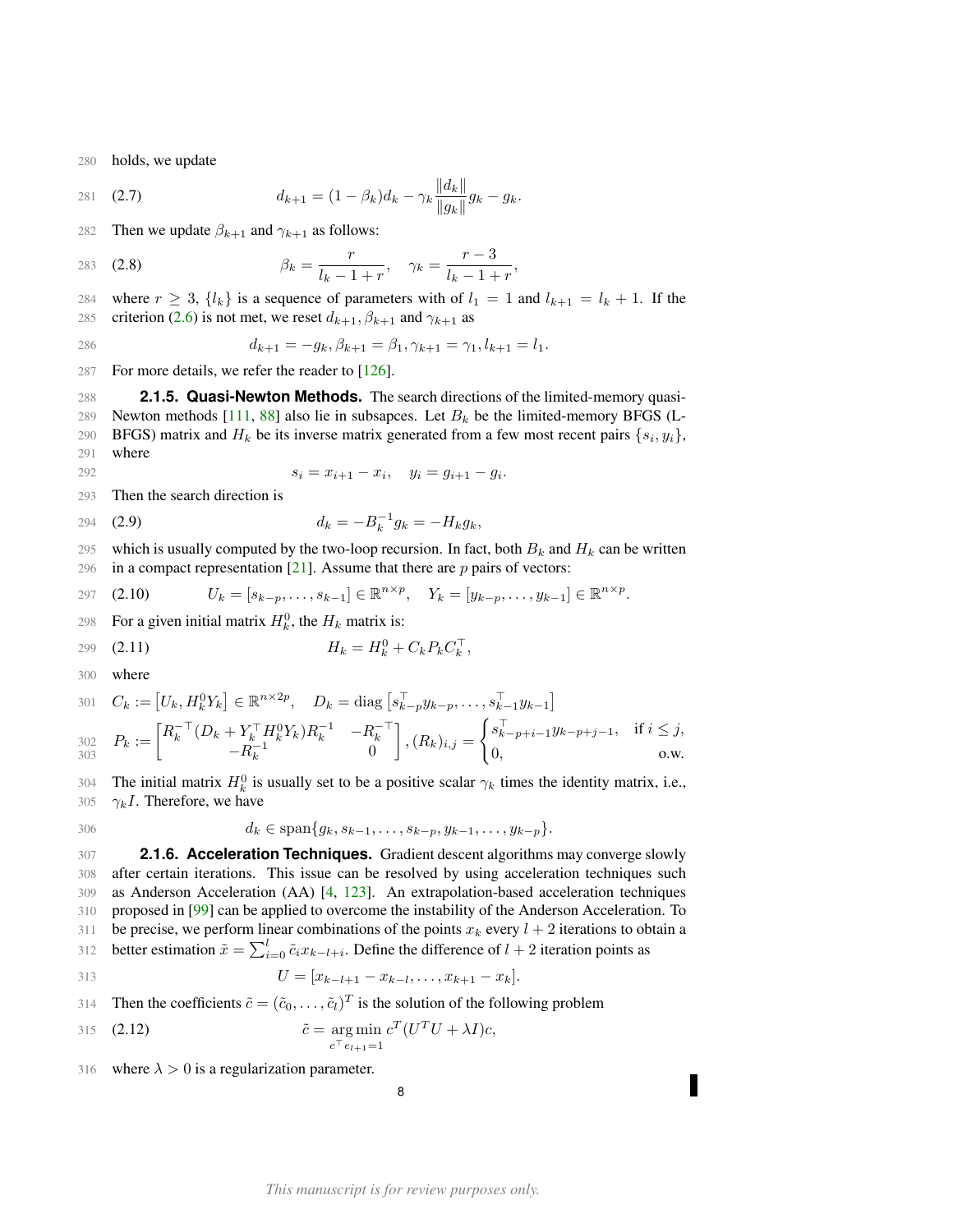280 holds, we update

281 (2.7) 
$$
d_{k+1} = (1 - \beta_k) d_k - \gamma_k \frac{\|d_k\|}{\|g_k\|} g_k - g_k.
$$

282 Then we update  $\beta_{k+1}$  and  $\gamma_{k+1}$  as follows:

283 **(2.8)** 
$$
\beta_k = \frac{r}{l_k - 1 + r}, \quad \gamma_k = \frac{r - 3}{l_k - 1 + r},
$$

284 where  $r \geq 3$ ,  $\{l_k\}$  is a sequence of parameters with of  $l_1 = 1$  and  $l_{k+1} = l_k + 1$ . If the 285 criterion [\(2.6\)](#page-6-3) is not met, we reset  $d_{k+1}$ ,  $\beta_{k+1}$  and  $\gamma_{k+1}$  as

286 
$$
d_{k+1} = -g_k, \beta_{k+1} = \beta_1, \gamma_{k+1} = \gamma_1, l_{k+1} = l_1.
$$

287 For more details, we refer the reader to [\[126\]](#page-52-0).

<span id="page-7-0"></span>288 **2.1.5. Quasi-Newton Methods.** The search directions of the limited-memory quasi-289 Newton methods [\[111,](#page-51-0) [88\]](#page-51-1) also lie in subsapces. Let  $B_k$  be the limited-memory BFGS (L-290 BFGS) matrix and  $H_k$  be its inverse matrix generated from a few most recent pairs  $\{s_i, y_i\}$ , 291 where

292 
$$
s_i = x_{i+1} - x_i, \quad y_i = g_{i+1} - g_i.
$$

293 Then the search direction is

$$
d_k = -B_k^{-1}g_k = -H_kg_k,
$$

295 which is usually computed by the two-loop recursion. In fact, both  $B_k$  and  $H_k$  can be written 296 in a compact representation  $[21]$ . Assume that there are p pairs of vectors:

297 (2.10) 
$$
U_k = [s_{k-p}, \ldots, s_{k-1}] \in \mathbb{R}^{n \times p}, \quad Y_k = [y_{k-p}, \ldots, y_{k-1}] \in \mathbb{R}^{n \times p}.
$$

298 For a given initial matrix  $H_k^0$ , the  $H_k$  matrix is:

299 (2.11) 
$$
H_k = H_k^0 + C_k P_k C_k^{\top},
$$

300 where

301 
$$
C_k := [U_k, H_k^0 Y_k] \in \mathbb{R}^{n \times 2p}
$$
,  $D_k = \text{diag}\left[s_{k-p}^{\top} y_{k-p}, \dots, s_{k-1}^{\top} y_{k-1}\right]$   
\n302  $P_k := \begin{bmatrix} R_k^{-\top} (D_k + Y_k^{\top} H_k^0 Y_k) R_k^{-1} & -R_k^{-\top} \\ -R_k^{-1} & 0 \end{bmatrix}$ ,  $(R_k)_{i,j} = \begin{cases} s_{k-p+i-1}^{\top} y_{k-p+j-1}, & \text{if } i \leq j, \\ 0, & \text{o.w.} \end{cases}$ 

304 The initial matrix  $H_k^0$  is usually set to be a positive scalar  $\gamma_k$  times the identity matrix, i.e., 305  $\gamma_k I$ . Therefore, we have

$$
30(
$$

306 
$$
d_k \in \text{span}\{g_k, s_{k-1}, \ldots, s_{k-p}, y_{k-1}, \ldots, y_{k-p}\}.
$$

<span id="page-7-1"></span> **2.1.6. Acceleration Techniques.** Gradient descent algorithms may converge slowly after certain iterations. This issue can be resolved by using acceleration techniques such as Anderson Acceleration (AA) [\[4,](#page-48-8) [123\]](#page-52-4). An extrapolation-based acceleration techniques proposed in [\[99\]](#page-51-8) can be applied to overcome the instability of the Anderson Acceleration. To 311 be precise, we perform linear combinations of the points  $x_k$  every  $l + 2$  iterations to obtain a 312 better estimation  $\tilde{x} = \sum_{i=0}^{l} \tilde{c}_i x_{k-l+i}$ . Define the difference of  $l + 2$  iteration points as

313 
$$
U = [x_{k-l+1} - x_{k-l}, \dots, x_{k+1} - x_k].
$$

314 Then the coefficients  $\tilde{c} = (\tilde{c}_0, \dots, \tilde{c}_l)^T$  is the solution of the following problem

315 (2.12) 
$$
\tilde{c} = \underset{c^{\top}e_{l+1}=1}{\arg \min} c^T (U^T U + \lambda I) c,
$$

316 where  $\lambda > 0$  is a regularization parameter.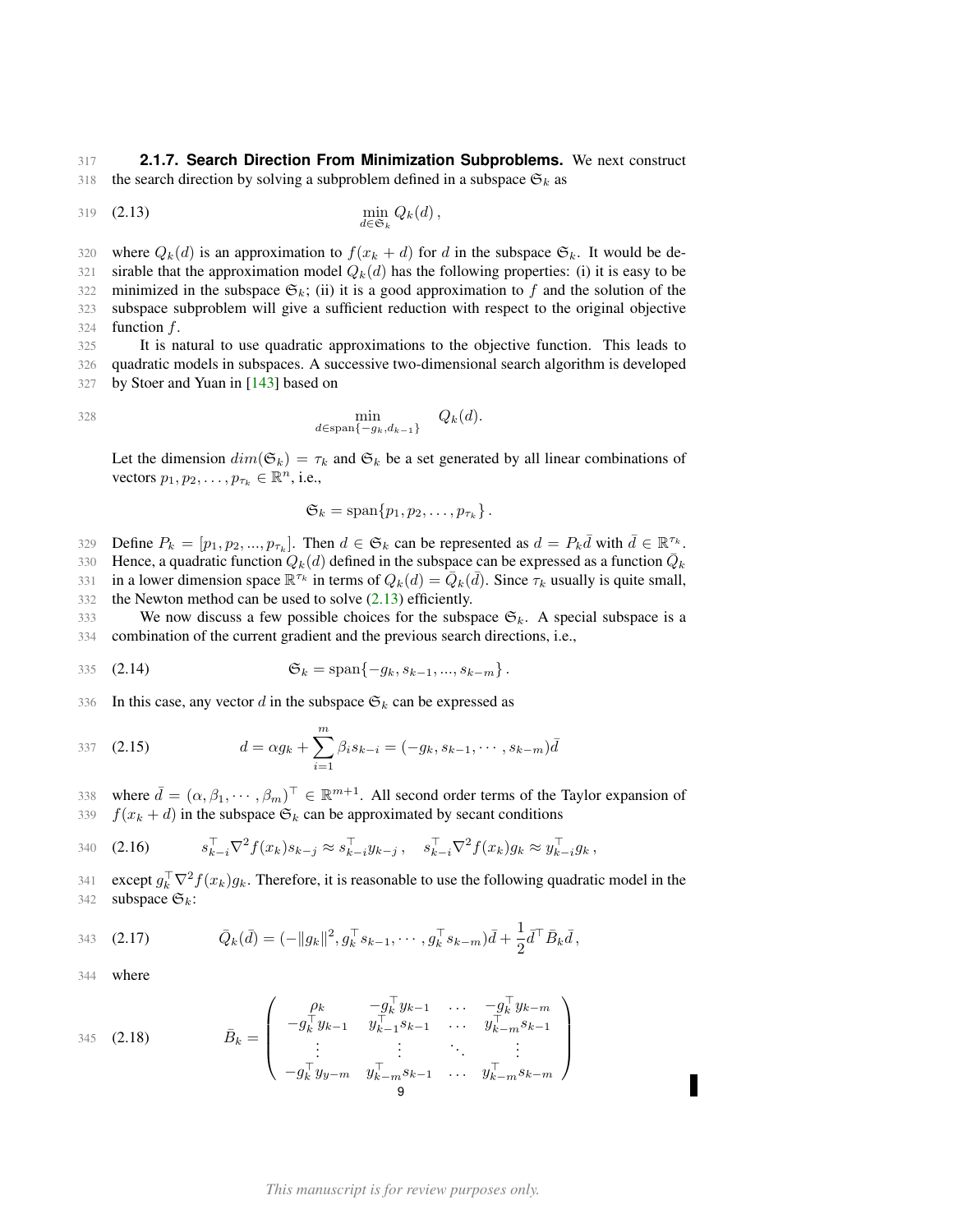<span id="page-8-0"></span>317 **2.1.7. Search Direction From Minimization Subproblems.** We next construct 318 the search direction by solving a subproblem defined in a subspace  $\mathfrak{S}_k$  as

<span id="page-8-1"></span>
$$
\min_{d \in \mathfrak{S}_k} Q_k(d), \qquad \min_{k \in \mathfrak{S}_k} Q_k(d),
$$

320 where  $Q_k(d)$  is an approximation to  $f(x_k + d)$  for d in the subspace  $\mathfrak{S}_k$ . It would be de-321 sirable that the approximation model  $Q_k(d)$  has the following properties: (i) it is easy to be 322 minimized in the subspace  $\mathfrak{S}_k$ ; (ii) it is a good approximation to f and the solution of the 323 subspace subproblem will give a sufficient reduction with respect to the original objective 324 function  $f$ .

325 It is natural to use quadratic approximations to the objective function. This leads to 326 quadratic models in subspaces. A successive two-dimensional search algorithm is developed 327 by Stoer and Yuan in [\[143\]](#page-53-4) based on

$$
\min_{d \in \text{span}\{-g_k, d_{k-1}\}} Q_k(d).
$$

Let the dimension  $dim(\mathfrak{S}_k) = \tau_k$  and  $\mathfrak{S}_k$  be a set generated by all linear combinations of vectors  $p_1, p_2, \ldots, p_{\tau_k} \in \mathbb{R}^n$ , i.e.,

<span id="page-8-2"></span>
$$
\mathfrak{S}_k=\mathrm{span}\{p_1,p_2,\ldots,p_{\tau_k}\}\,.
$$

329 Define  $P_k = [p_1, p_2, ..., p_{\tau_k}]$ . Then  $d \in \mathfrak{S}_k$  can be represented as  $d = P_k \overline{d}$  with  $\overline{d} \in \mathbb{R}^{\tau_k}$ . 330 Hence, a quadratic function  $Q_k(d)$  defined in the subspace can be expressed as a function  $\overline{Q}_k$ 

331 in a lower dimension space  $\mathbb{R}^{\tau_k}$  in terms of  $Q_k(d) = \overline{Q}_k(\overline{d})$ . Since  $\tau_k$  usually is quite small,

332 the Newton method can be used to solve [\(2.13\)](#page-8-1) efficiently.

333 We now discuss a few possible choices for the subspace  $\mathfrak{S}_k$ . A special subspace is a 334 combination of the current gradient and the previous search directions, i.e.,

335 (2.14) 
$$
\mathfrak{S}_k = \text{span}\{-g_k, s_{k-1}, ..., s_{k-m}\}.
$$

336 In this case, any vector d in the subspace  $\mathfrak{S}_k$  can be expressed as

337 (2.15) 
$$
d = \alpha g_k + \sum_{i=1}^{m} \beta_i s_{k-i} = (-g_k, s_{k-1}, \cdots, s_{k-m}) \bar{d}
$$

338 where  $\bar{d} = (\alpha, \beta_1, \dots, \beta_m)^\top \in \mathbb{R}^{m+1}$ . All second order terms of the Taylor expansion of 339  $f(x_k + d)$  in the subspace  $\mathfrak{S}_k$  can be approximated by secant conditions

340 (2.16) 
$$
s_{k-i}^{\top} \nabla^2 f(x_k) s_{k-j} \approx s_{k-i}^{\top} y_{k-j}, \quad s_{k-i}^{\top} \nabla^2 f(x_k) g_k \approx y_{k-i}^{\top} g_k,
$$

341 except  $g_k^{\top} \nabla^2 f(x_k) g_k$ . Therefore, it is reasonable to use the following quadratic model in the 342 subspace  $\mathfrak{S}_k$ :

343 (2.17) 
$$
\bar{Q}_k(\bar{d}) = (-\|g_k\|^2, g_k^\top s_{k-1}, \cdots, g_k^\top s_{k-m})\bar{d} + \frac{1}{2}\bar{d}^\top \bar{B}_k \bar{d},
$$

344 where

345 (2.18) 
$$
\bar{B}_k = \begin{pmatrix} \rho_k & -g_k^{\top} y_{k-1} & \cdots & -g_k^{\top} y_{k-m} \\ -g_k^{\top} y_{k-1} & y_{k-1}^{\top} s_{k-1} & \cdots & y_{k-m}^{\top} s_{k-1} \\ \vdots & \vdots & \ddots & \vdots \\ -g_k^{\top} y_{y-m} & y_{k-m}^{\top} s_{k-1} & \cdots & y_{k-m}^{\top} s_{k-m} \end{pmatrix}
$$

#### *This manuscript is for review purposes only.*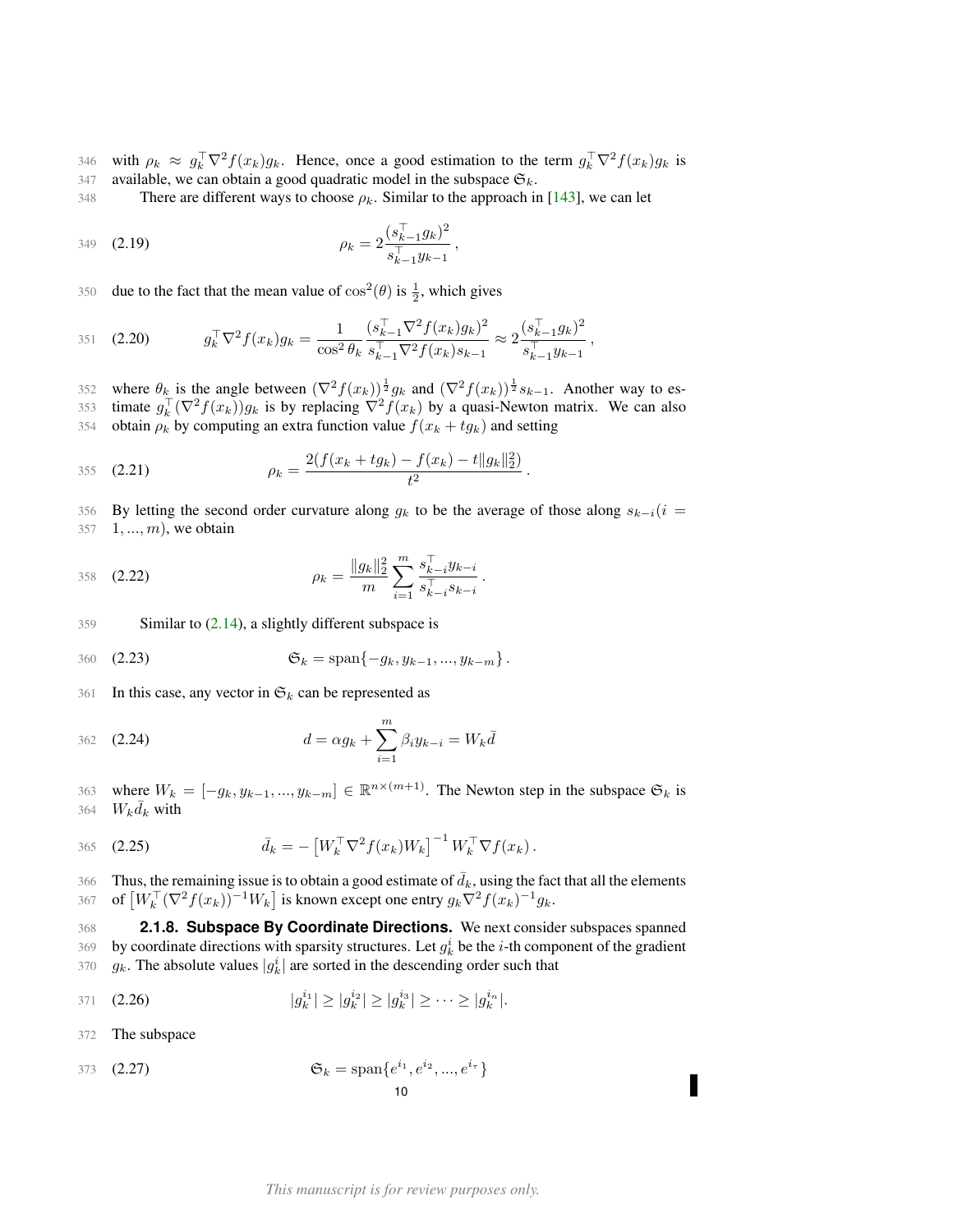346 with  $\rho_k \approx g_k^{\top} \nabla^2 f(x_k) g_k$ . Hence, once a good estimation to the term  $g_k^{\top} \nabla^2 f(x_k) g_k$  is 347 available, we can obtain a good quadratic model in the subspace  $\mathfrak{S}_k$ .

348 There are different ways to choose  $\rho_k$ . Similar to the approach in [\[143\]](#page-53-4), we can let

349 (2.19) 
$$
\rho_k = 2 \frac{(s_{k-1}^{\mathsf{T}} g_k)^2}{s_{k-1}^{\mathsf{T}} y_{k-1}},
$$

350 due to the fact that the mean value of  $\cos^2(\theta)$  is  $\frac{1}{2}$ , which gives

351 (2.20) 
$$
g_k^{\top} \nabla^2 f(x_k) g_k = \frac{1}{\cos^2 \theta_k} \frac{(s_{k-1}^{\top} \nabla^2 f(x_k) g_k)^2}{s_{k-1}^{\top} \nabla^2 f(x_k) s_{k-1}} \approx 2 \frac{(s_{k-1}^{\top} g_k)^2}{s_{k-1}^{\top} g_{k-1}},
$$

352 where  $\theta_k$  is the angle between  $(\nabla^2 f(x_k))^{\frac{1}{2}} g_k$  and  $(\nabla^2 f(x_k))^{\frac{1}{2}} s_{k-1}$ . Another way to es-353 timate  $g_k^{\top}(\nabla^2 f(x_k))g_k$  is by replacing  $\nabla^2 f(x_k)$  by a quasi-Newton matrix. We can also 354 obtain  $\rho_k$  by computing an extra function value  $f(x_k + tg_k)$  and setting

355 (2.21) 
$$
\rho_k = \frac{2(f(x_k + t g_k) - f(x_k) - t \|g_k\|_2^2)}{t^2}.
$$

356 By letting the second order curvature along  $g_k$  to be the average of those along  $s_{k-i}(i =$ 357 1, ..., m), we obtain

358 (2.22) 
$$
\rho_k = \frac{\|g_k\|_2^2}{m} \sum_{i=1}^m \frac{s_{k-i}^{\top} y_{k-i}}{s_{k-i}^{\top} s_{k-i}}.
$$

359 Similar to  $(2.14)$ , a slightly different subspace is

360 (2.23) 
$$
\mathfrak{S}_k = \text{span}\{-g_k, y_{k-1}, ..., y_{k-m}\}.
$$

361 In this case, any vector in  $\mathfrak{S}_k$  can be represented as

362 (2.24) 
$$
d = \alpha g_k + \sum_{i=1}^{m} \beta_i y_{k-i} = W_k \bar{d}
$$

363 where  $W_k = [-g_k, y_{k-1}, ..., y_{k-m}] \in \mathbb{R}^{n \times (m+1)}$ . The Newton step in the subspace  $\mathfrak{S}_k$  is 364  $W_k \overline{d}_k$  with

365 (2.25) 
$$
\bar{d}_k = -\left[W_k^\top \nabla^2 f(x_k) W_k\right]^{-1} W_k^\top \nabla f(x_k).
$$

Thus, the remaining issue is to obtain a good estimate of  $\bar{d}_k$ , using the fact that all the elements 367 of  $\left[W_k^\top (\nabla^2 f(x_k))^{-1} W_k\right]$  is known except one entry  $g_k \nabla^2 f(x_k)^{-1} g_k$ .

<span id="page-9-0"></span>368 **2.1.8. Subspace By Coordinate Directions.** We next consider subspaces spanned 369 by coordinate directions with sparsity structures. Let  $g_k^i$  be the *i*-th component of the gradient 370  $g_k$ . The absolute values  $|g_k^i|$  are sorted in the descending order such that

371 (2.26) 
$$
|g_k^{i_1}| \ge |g_k^{i_2}| \ge |g_k^{i_3}| \ge \cdots \ge |g_k^{i_n}|.
$$

372 The subspace

373 (2.27) 
$$
\mathfrak{S}_k = \text{span}\{e^{i_1}, e^{i_2}, ..., e^{i_r}\}\
$$
10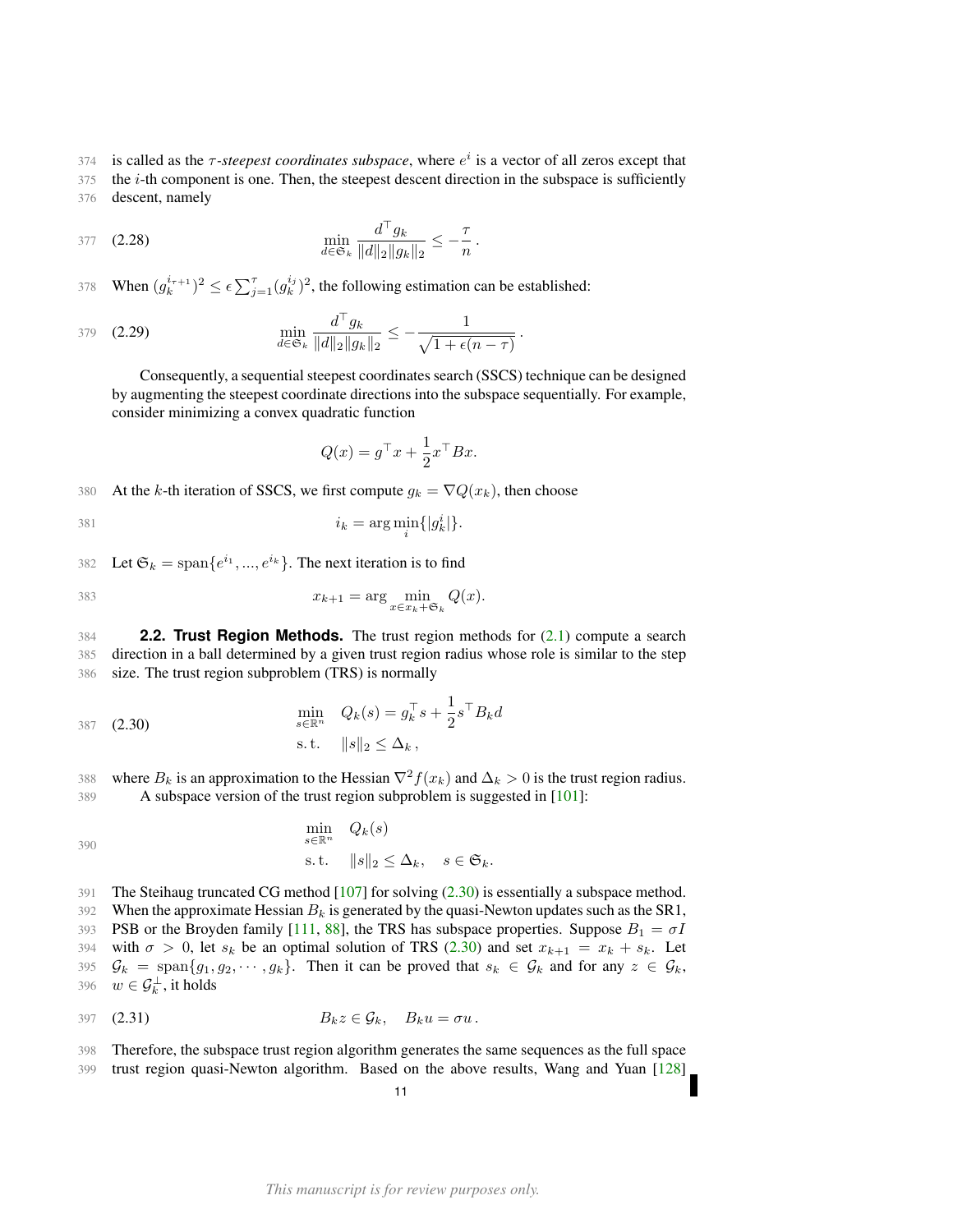374 is called as the  $\tau$ -steepest coordinates subspace, where  $e^i$  is a vector of all zeros except that

375 the *i*-th component is one. Then, the steepest descent direction in the subspace is sufficiently 376 descent, namely

377 (2.28) 
$$
\min_{d \in \mathfrak{S}_k} \frac{d^{\top} g_k}{\|d\|_2 \|g_k\|_2} \leq -\frac{\tau}{n}.
$$

378 When  $(g_k^{i_{\tau+1}})^2 \leq \epsilon \sum_{j=1}^{\tau} (g_k^{i_j})^2$ , the following estimation can be established:

379 (2.29) 
$$
\min_{d \in \mathfrak{S}_k} \frac{d^{\top} g_k}{\|d\|_2 \|g_k\|_2} \leq -\frac{1}{\sqrt{1 + \epsilon(n - \tau)}}.
$$

Consequently, a sequential steepest coordinates search (SSCS) technique can be designed by augmenting the steepest coordinate directions into the subspace sequentially. For example, consider minimizing a convex quadratic function

$$
Q(x) = g^{\top}x + \frac{1}{2}x^{\top}Bx.
$$

380 At the k-th iteration of SSCS, we first compute  $g_k = \nabla Q(x_k)$ , then choose

$$
i_k = \arg\min_i \{|g_k^i|\}.
$$

382 Let  $\mathfrak{S}_k = \text{span}\{e^{i_1}, ..., e^{i_k}\}\.$  The next iteration is to find

$$
x_{k+1} = \arg\min_{x \in x_k + \mathfrak{S}_k} Q(x).
$$

<span id="page-10-0"></span>384 **2.2. Trust Region Methods.** The trust region methods for [\(2.1\)](#page-4-4) compute a search 385 direction in a ball determined by a given trust region radius whose role is similar to the step 386 size. The trust region subproblem (TRS) is normally

<span id="page-10-1"></span>387 (2.30)  
\n
$$
\min_{s \in \mathbb{R}^n} Q_k(s) = g_k^\top s + \frac{1}{2} s^\top B_k d
$$
\n
$$
\text{s.t.} \quad ||s||_2 \le \Delta_k \,,
$$

388 where  $B_k$  is an approximation to the Hessian  $\nabla^2 f(x_k)$  and  $\Delta_k > 0$  is the trust region radius. 389 A subspace version of the trust region subproblem is suggested in [\[101\]](#page-51-12):

$$
\min_{s \in \mathbb{R}^n} Q_k(s)
$$
\n
$$
\text{s.t.} \quad ||s||_2 \le \Delta_k, \quad s \in \mathfrak{S}_k.
$$

391 The Steihaug truncated CG method [\[107\]](#page-51-13) for solving [\(2.30\)](#page-10-1) is essentially a subspace method. 392 When the approximate Hessian  $B_k$  is generated by the quasi-Newton updates such as the SR1, 393 PSB or the Broyden family [\[111,](#page-51-0) [88\]](#page-51-1), the TRS has subspace properties. Suppose  $B_1 = \sigma I$ 394 with  $\sigma > 0$ , let  $s_k$  be an optimal solution of TRS [\(2.30\)](#page-10-1) and set  $x_{k+1} = x_k + s_k$ . Let 395  $\mathcal{G}_k = \text{span}\{g_1, g_2, \dots, g_k\}.$  Then it can be proved that  $s_k \in \mathcal{G}_k$  and for any  $z \in \mathcal{G}_k$ , 396  $w \in \mathcal{G}_k^{\perp}$ , it holds

$$
B_k z \in \mathcal{G}_k, \quad B_k u = \sigma u.
$$

398 Therefore, the subspace trust region algorithm generates the same sequences as the full space 399 trust region quasi-Newton algorithm. Based on the above results, Wang and Yuan [\[128\]](#page-52-11)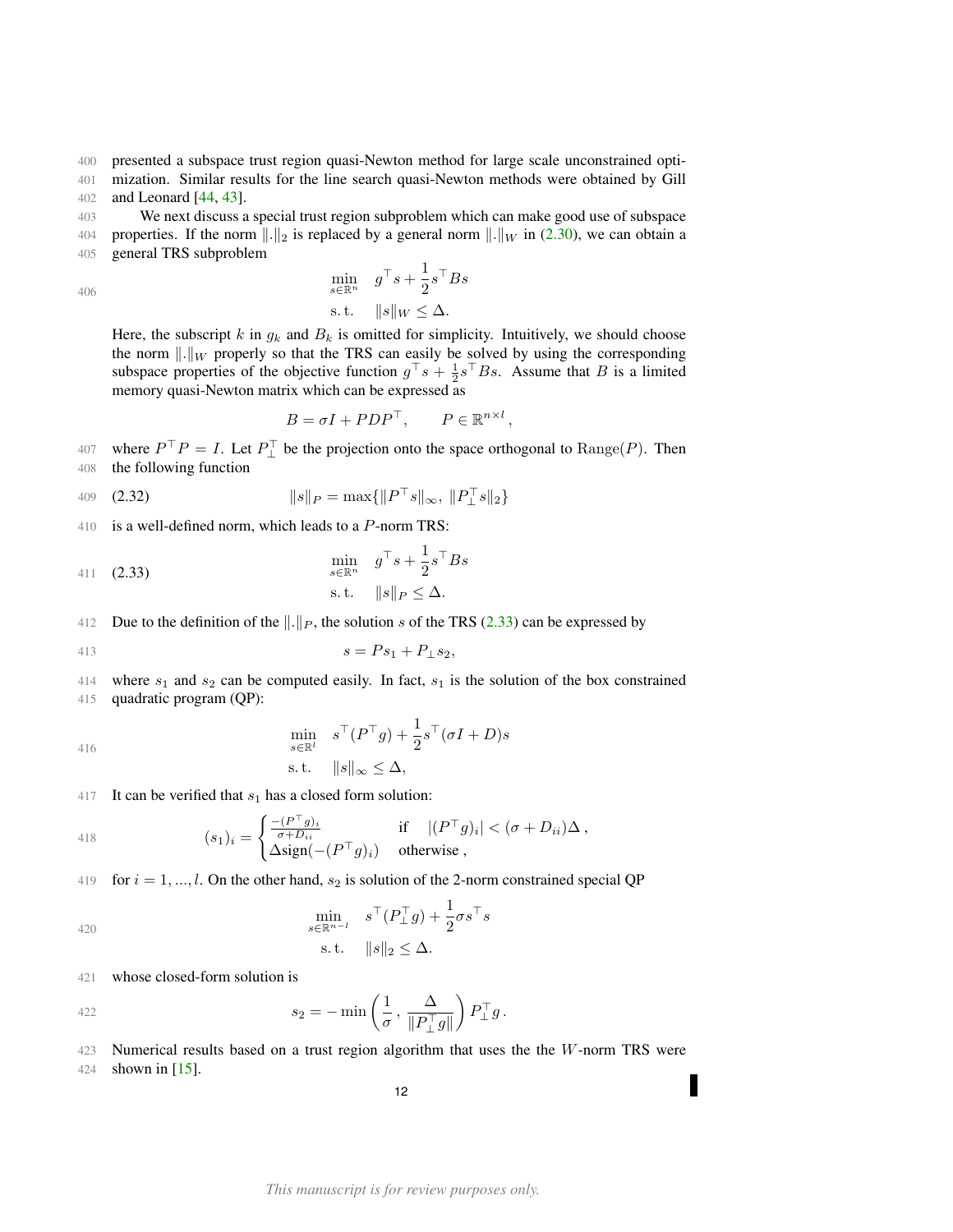400 presented a subspace trust region quasi-Newton method for large scale unconstrained opti-401 mization. Similar results for the line search quasi-Newton methods were obtained by Gill

402 and Leonard [\[44,](#page-49-15) [43\]](#page-49-16).

403 We next discuss a special trust region subproblem which can make good use of subspace 404 properties. If the norm  $\|\cdot\|_2$  is replaced by a general norm  $\|\cdot\|_W$  in [\(2.30\)](#page-10-1), we can obtain a 405 general TRS subproblem

406

$$
\min_{s \in \mathbb{R}^n} \quad g^\top s + \frac{1}{2} s^\top B s \n\text{s.t.} \quad ||s||_W \leq \Delta.
$$

Here, the subscript k in  $g_k$  and  $B_k$  is omitted for simplicity. Intuitively, we should choose the norm  $\Vert .\Vert_W$  properly so that the TRS can easily be solved by using the corresponding subspace properties of the objective function  $g^{\top} s + \frac{1}{2} s^{\top} B s$ . Assume that B is a limited memory quasi-Newton matrix which can be expressed as

<span id="page-11-0"></span>
$$
B = \sigma I + P D P^{\top}, \qquad P \in \mathbb{R}^{n \times l},
$$

407 where  $P^{\top}P = I$ . Let  $P_{\perp}^{\top}$  be the projection onto the space orthogonal to  $\text{Range}(P)$ . Then 408 the following function

409 (2.32) 
$$
||s||_P = \max{||P^\top s||_\infty, ||P_\perp^\top s||_2}
$$

410 is a well-defined norm, which leads to a P-norm TRS:

411 (2.33) 
$$
\begin{aligned}\n\min_{s \in \mathbb{R}^n} \quad g^\top s + \frac{1}{2} s^\top B s \\
\text{s.t.} \quad \|s\|_P \leq \Delta.\n\end{aligned}
$$

412 Due to the definition of the  $\|\cdot\|_P$ , the solution s of the TRS [\(2.33\)](#page-11-0) can be expressed by

413 
$$
s = Ps_1 + P_{\perp} s_2,
$$

414 where  $s_1$  and  $s_2$  can be computed easily. In fact,  $s_1$  is the solution of the box constrained 415 quadratic program (QP):

$$
416 \\
$$

$$
\min_{s \in \mathbb{R}^l} s^\top (P^\top g) + \frac{1}{2} s^\top (\sigma I + D) s
$$
  
s.t.  $||s||_{\infty} \leq \Delta$ ,

417 It can be verified that  $s_1$  has a closed form solution:

418 
$$
(s_1)_i = \begin{cases} \frac{-(P^\top g)_i}{\sigma + D_{ii}} & \text{if} \quad |(P^\top g)_i| < (\sigma + D_{ii})\Delta, \\ \Delta \text{sign}(-(P^\top g)_i) & \text{otherwise} \end{cases}
$$

419 for  $i = 1, ..., l$ . On the other hand,  $s_2$  is solution of the 2-norm constrained special QP

420  
\n
$$
\min_{s \in \mathbb{R}^{n-l}} s^{\top} (P_{\perp}^{\top} g) + \frac{1}{2} \sigma s^{\top} s
$$
\n
$$
\text{s.t.} \quad ||s||_2 \leq \Delta.
$$

421 whose closed-form solution is

422 
$$
s_2 = -\min\left(\frac{1}{\sigma}, \frac{\Delta}{\|P_\perp^\top g\|}\right) P_\perp^\top g.
$$

 $423$  Numerical results based on a trust region algorithm that uses the the W-norm TRS were

424 shown in [\[15\]](#page-48-12).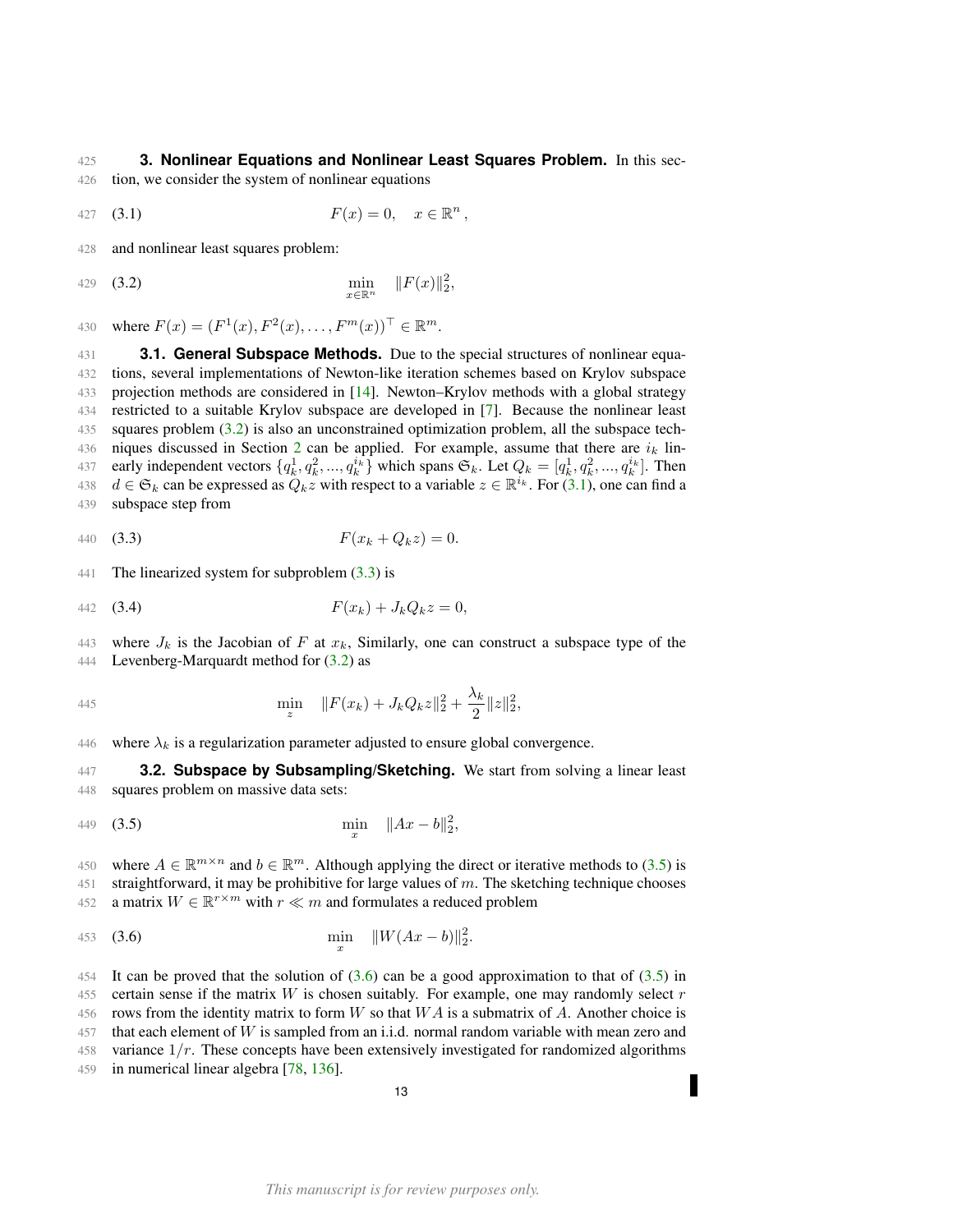### <span id="page-12-0"></span>425 **3. Nonlinear Equations and Nonlinear Least Squares Problem.** In this sec-

- 426 tion, we consider the system of nonlinear equations
- <span id="page-12-4"></span>427 (3.1)  $F(x) = 0, \quad x \in \mathbb{R}^n,$

428 and nonlinear least squares problem:

<span id="page-12-3"></span>429 (3.2) 
$$
\min_{x \in \mathbb{R}^n} \|F(x)\|_2^2,
$$

430 where  $F(x) = (F^1(x), F^2(x), \dots, F^m(x))^{\top} \in \mathbb{R}^m$ .

<span id="page-12-1"></span> **3.1. General Subspace Methods.** Due to the special structures of nonlinear equa- tions, several implementations of Newton-like iteration schemes based on Krylov subspace projection methods are considered in [\[14\]](#page-48-13). Newton–Krylov methods with a global strategy restricted to a suitable Krylov subspace are developed in [\[7\]](#page-48-14). Because the nonlinear least squares problem [\(3.2\)](#page-12-3) is also an unconstrained optimization problem, all the subspace tech-436 niques discussed in Section [2](#page-4-2) can be applied. For example, assume that there are  $i_k$  lin-437 early independent vectors  $\{q_k^1, q_k^2, ..., q_k^{i_k}\}$  which spans  $\mathfrak{S}_k$ . Let  $Q_k = [q_k^1, q_k^2, ..., q_k^{i_k}]$ . Then  $d \in \mathfrak{S}_k$  can be expressed as  $Q_k z$  with respect to a variable  $z \in \mathbb{R}^{i_k}$ . For [\(3.1\)](#page-12-4), one can find a subspace step from

<span id="page-12-5"></span>440 (3.3) 
$$
F(x_k + Q_k z) = 0.
$$

441 The linearized system for subproblem  $(3.3)$  is

442 (3.4) 
$$
F(x_k) + J_k Q_k z = 0,
$$

443 where  $J_k$  is the Jacobian of F at  $x_k$ , Similarly, one can construct a subspace type of the 444 Levenberg-Marquardt method for [\(3.2\)](#page-12-3) as

445 
$$
\min_{z} \quad \|F(x_k) + J_k Q_k z\|_2^2 + \frac{\lambda_k}{2} \|z\|_2^2,
$$

446 where  $\lambda_k$  is a regularization parameter adjusted to ensure global convergence.

<span id="page-12-2"></span>447 **3.2. Subspace by Subsampling/Sketching.** We start from solving a linear least 448 squares problem on massive data sets:

<span id="page-12-6"></span>449 (3.5) 
$$
\min_{x} \quad \|Ax - b\|_2^2,
$$

450 where  $A \in \mathbb{R}^{m \times n}$  and  $b \in \mathbb{R}^m$ . Although applying the direct or iterative methods to [\(3.5\)](#page-12-6) is 451 straightforward, it may be prohibitive for large values of m. The sketching technique chooses 452 a matrix  $W \in \mathbb{R}^{r \times m}$  with  $r \ll m$  and formulates a reduced problem

<span id="page-12-7"></span>453 (3.6) 
$$
\min_{x} \quad ||W(Ax-b)||_{2}^{2}.
$$

454 It can be proved that the solution of  $(3.6)$  can be a good approximation to that of  $(3.5)$  in 455 certain sense if the matrix  $W$  is chosen suitably. For example, one may randomly select  $r$ 456 rows from the identity matrix to form W so that  $WA$  is a submatrix of A. Another choice is 457 that each element of W is sampled from an i.i.d. normal random variable with mean zero and 458 variance  $1/r$ . These concepts have been extensively investigated for randomized algorithms 459 in numerical linear algebra [\[78,](#page-50-8) [136\]](#page-52-7).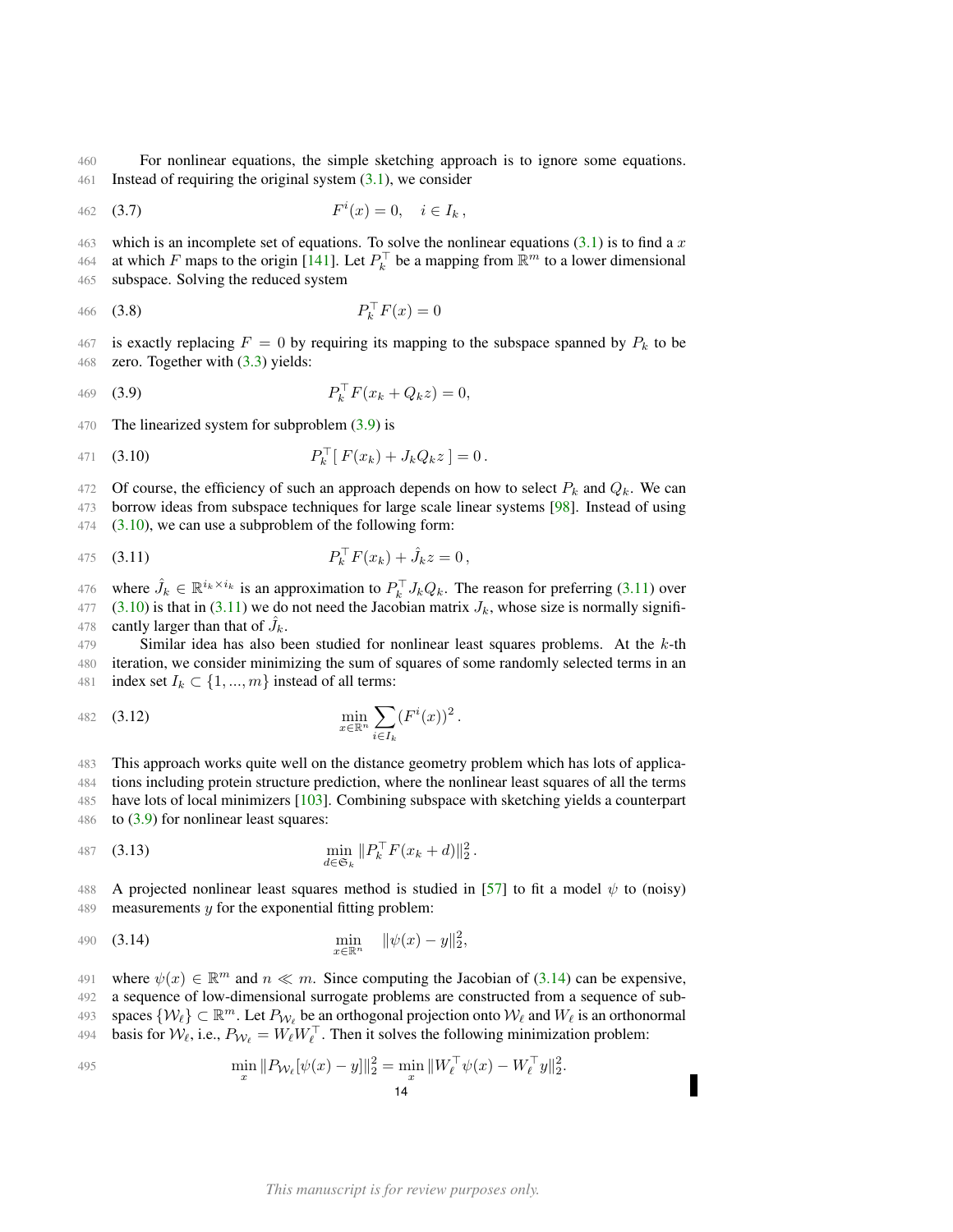460 For nonlinear equations, the simple sketching approach is to ignore some equations. 461 Instead of requiring the original system [\(3.1\)](#page-12-4), we consider

462 (3.7) 
$$
F^{i}(x) = 0, \quad i \in I_{k},
$$

463 which is an incomplete set of equations. To solve the nonlinear equations [\(3.1\)](#page-12-4) is to find a x 464 at which F maps to the origin [\[141\]](#page-52-9). Let  $P_k^{\top}$  be a mapping from  $\mathbb{R}^m$  to a lower dimensional 465 subspace. Solving the reduced system

466 (3.8) 
$$
P_k^{\top} F(x) = 0
$$

467 is exactly replacing  $F = 0$  by requiring its mapping to the subspace spanned by  $P_k$  to be 468 zero. Together with [\(3.3\)](#page-12-5) yields:

<span id="page-13-0"></span>
$$
P_k^{\top} F(x_k + Q_k z) = 0,
$$
 (3.9)

470 The linearized system for subproblem  $(3.9)$  is

<span id="page-13-1"></span>471 (3.10) 
$$
P_k^{\top} [F(x_k) + J_k Q_k z] = 0.
$$

472 Of course, the efficiency of such an approach depends on how to select  $P_k$  and  $Q_k$ . We can

473 borrow ideas from subspace techniques for large scale linear systems [\[98\]](#page-51-14). Instead of using  $474$   $(3.10)$ , we can use a subproblem of the following form:

<span id="page-13-2"></span>475 (3.11) 
$$
P_k^{\top} F(x_k) + \hat{J}_k z = 0,
$$

476 where  $\hat{J}_k \in \mathbb{R}^{i_k \times i_k}$  is an approximation to  $P_k^{\top} J_k Q_k$ . The reason for preferring [\(3.11\)](#page-13-2) over 477 [\(3.10\)](#page-13-1) is that in [\(3.11\)](#page-13-2) we do not need the Jacobian matrix  $J_k$ , whose size is normally signifi-478 cantly larger than that of  $J_k$ .

479 Similar idea has also been studied for nonlinear least squares problems. At the  $k$ -th 480 iteration, we consider minimizing the sum of squares of some randomly selected terms in an 481 index set  $I_k \subset \{1, ..., m\}$  instead of all terms:

482 (3.12) 
$$
\min_{x \in \mathbb{R}^n} \sum_{i \in I_k} (F^i(x))^2.
$$

 This approach works quite well on the distance geometry problem which has lots of applica- tions including protein structure prediction, where the nonlinear least squares of all the terms have lots of local minimizers [\[103\]](#page-51-10). Combining subspace with sketching yields a counterpart 486 to  $(3.9)$  for nonlinear least squares:

487 (3.13) 
$$
\min_{d \in \mathfrak{S}_k} ||P_k^{\top} F(x_k + d)||_2^2.
$$

488 A projected nonlinear least squares method is studied in [\[57\]](#page-50-10) to fit a model  $\psi$  to (noisy) 489 measurements  $y$  for the exponential fitting problem:

<span id="page-13-3"></span>490 (3.14) 
$$
\min_{x \in \mathbb{R}^n} \quad ||\psi(x) - y||_2^2,
$$

491 where  $\psi(x) \in \mathbb{R}^m$  and  $n \ll m$ . Since computing the Jacobian of [\(3.14\)](#page-13-3) can be expensive,

492 a sequence of low-dimensional surrogate problems are constructed from a sequence of sub-

493 spaces  $\{W_\ell\} \subset \mathbb{R}^m$ . Let  $P_{W_\ell}$  be an orthogonal projection onto  $W_\ell$  and  $W_\ell$  is an orthonormal

494 basis for  $W_{\ell}$ , i.e.,  $P_{W_{\ell}} = W_{\ell} W_{\ell}^{\top}$ . Then it solves the following minimization problem:

$$
\min_{x} \|P_{\mathcal{W}_{\ell}}[\psi(x) - y]\|_{2}^{2} = \min_{x} \|W_{\ell}^{\top}\psi(x) - W_{\ell}^{\top}y\|_{2}^{2}.
$$

Г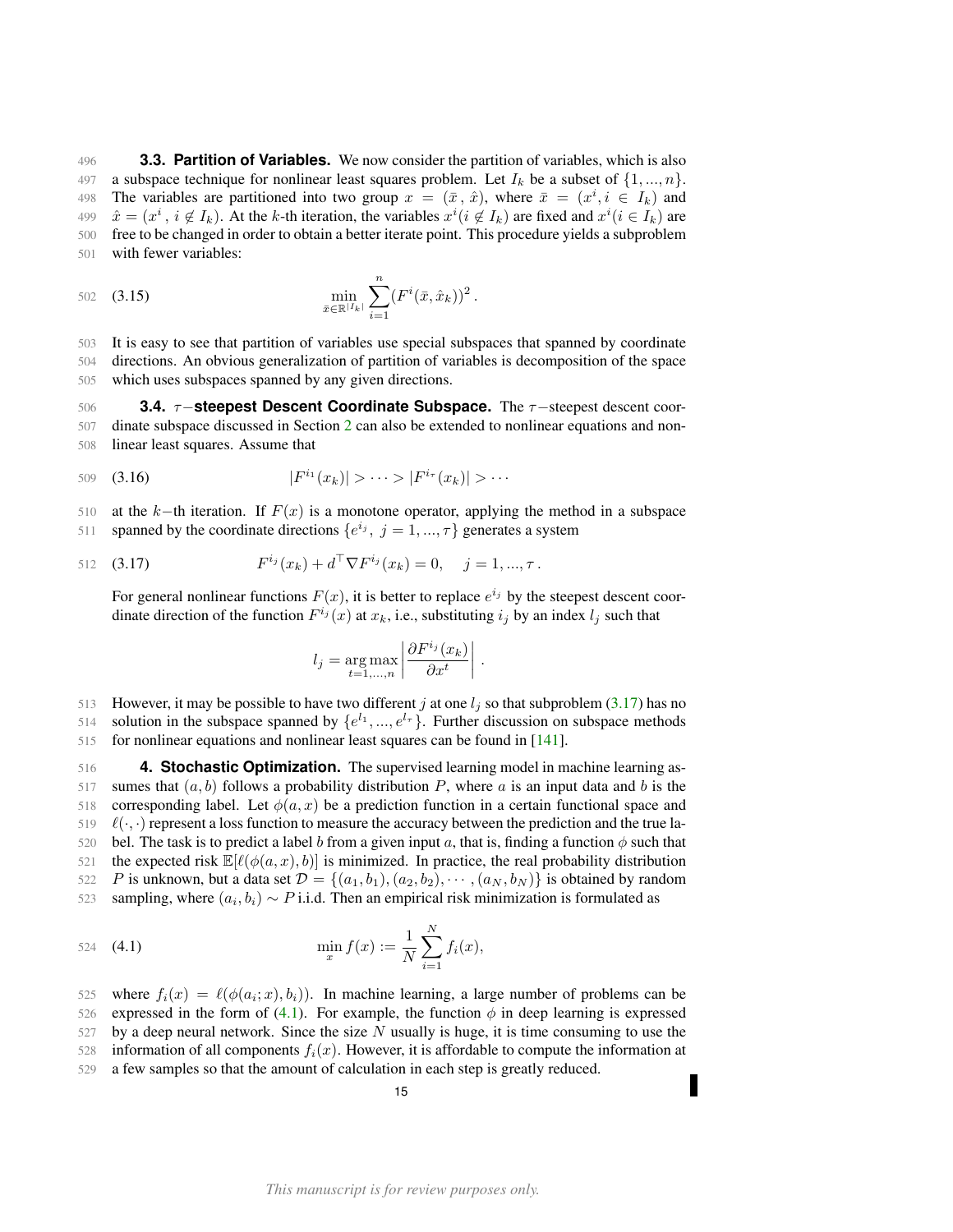<span id="page-14-0"></span> **3.3. Partition of Variables.** We now consider the partition of variables, which is also 497 a subspace technique for nonlinear least squares problem. Let  $I_k$  be a subset of  $\{1, ..., n\}$ . 498 The variables are partitioned into two group  $x = (\bar{x}, \hat{x})$ , where  $\bar{x} = (x^i, i \in I_k)$  and  $\hat{x} = (x^i, i \notin I_k)$ . At the k-th iteration, the variables  $x^i (i \notin I_k)$  are fixed and  $x^i (i \in I_k)$  are free to be changed in order to obtain a better iterate point. This procedure yields a subproblem with fewer variables:

502 (3.15) 
$$
\min_{\bar{x} \in \mathbb{R}^{|I_k|}} \sum_{i=1}^n (F^i(\bar{x}, \hat{x}_k))^2.
$$

503 It is easy to see that partition of variables use special subspaces that spanned by coordinate 504 directions. An obvious generalization of partition of variables is decomposition of the space 505 which uses subspaces spanned by any given directions.

<span id="page-14-1"></span>506 **3.4.** τ−**steepest Descent Coordinate Subspace.** The τ−steepest descent coor-507 dinate subspace discussed in Section [2](#page-4-2) can also be extended to nonlinear equations and non-508 linear least squares. Assume that

509 (3.16) 
$$
|F^{i_1}(x_k)| > \cdots > |F^{i_\tau}(x_k)| > \cdots
$$

510 at the k−th iteration. If  $F(x)$  is a monotone operator, applying the method in a subspace 511 spanned by the coordinate directions  $\{e^{i_j}, j = 1, ..., \tau\}$  generates a system

512 (3.17) 
$$
F^{i_j}(x_k) + d^{\top} \nabla F^{i_j}(x_k) = 0, \quad j = 1, ..., \tau.
$$

For general nonlinear functions  $F(x)$ , it is better to replace  $e^{i_j}$  by the steepest descent coordinate direction of the function  $F^{i_j}(x)$  at  $x_k$ , i.e., substituting  $i_j$  by an index  $l_j$  such that

<span id="page-14-3"></span>
$$
l_j = \underset{t=1,\ldots,n}{\arg \max} \left| \frac{\partial F^{i_j}(x_k)}{\partial x^t} \right|.
$$

513 However, it may be possible to have two different j at one  $l_j$  so that subproblem [\(3.17\)](#page-14-3) has no

514 solution in the subspace spanned by  $\{e^{l_1},...,e^{l_r}\}\$ . Further discussion on subspace methods 515 for nonlinear equations and nonlinear least squares can be found in [\[141\]](#page-52-9).

<span id="page-14-2"></span>516 **4. Stochastic Optimization.** The supervised learning model in machine learning as-517 sumes that  $(a, b)$  follows a probability distribution P, where a is an input data and b is the 518 corresponding label. Let  $\phi(a, x)$  be a prediction function in a certain functional space and

519  $\ell(\cdot, \cdot)$  represent a loss function to measure the accuracy between the prediction and the true la-

520 bel. The task is to predict a label b from a given input a, that is, finding a function  $\phi$  such that 521 the expected risk  $\mathbb{E}[\ell(\phi(a, x), b)]$  is minimized. In practice, the real probability distribution

522 P is unknown, but a data set  $\mathcal{D} = \{(a_1, b_1), (a_2, b_2), \cdots, (a_N, b_N)\}\$ is obtained by random

sampling, where  $(a_i, b_i) \sim P$  i.i.d. Then an empirical risk minimization is formulated as

<span id="page-14-4"></span>524 (4.1) 
$$
\min_{x} f(x) := \frac{1}{N} \sum_{i=1}^{N} f_i(x),
$$

525 where  $f_i(x) = \ell(\phi(a_i; x), b_i)$ . In machine learning, a large number of problems can be 526 expressed in the form of [\(4.1\)](#page-14-4). For example, the function  $\phi$  in deep learning is expressed  $527$  by a deep neural network. Since the size N usually is huge, it is time consuming to use the 528 information of all components  $f_i(x)$ . However, it is affordable to compute the information at 529 a few samples so that the amount of calculation in each step is greatly reduced.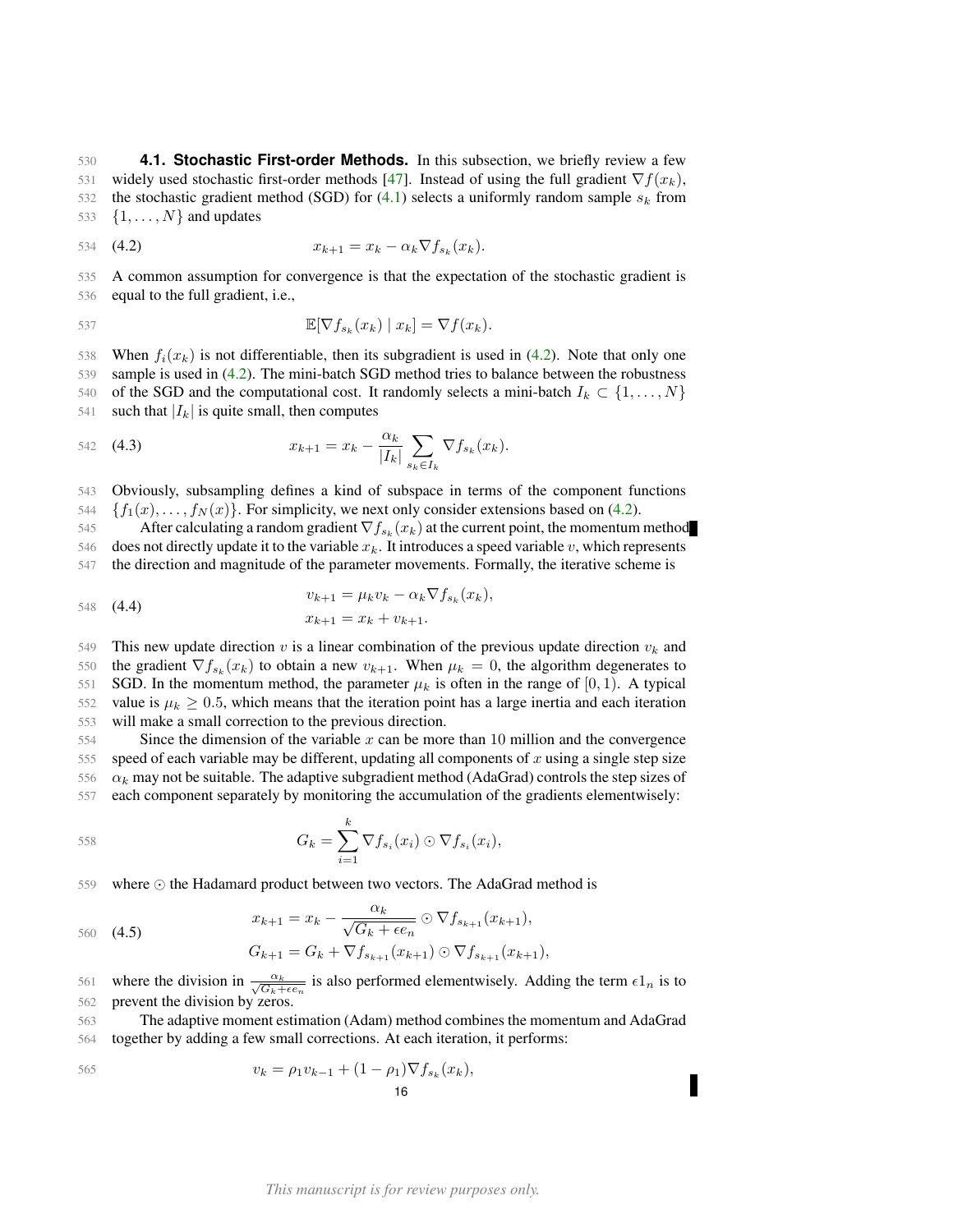<span id="page-15-0"></span>530 **4.1. Stochastic First-order Methods.** In this subsection, we briefly review a few 531 widely used stochastic first-order methods [\[47\]](#page-49-0). Instead of using the full gradient  $\nabla f(x_k)$ , 532 the stochastic gradient method (SGD) for [\(4.1\)](#page-14-4) selects a uniformly random sample  $s_k$  from 533  $\{1, \ldots, N\}$  and updates

<span id="page-15-1"></span>534 (4.2)  $x_{k+1} = x_k - \alpha_k \nabla f_{s_k}(x_k).$ 

535 A common assumption for convergence is that the expectation of the stochastic gradient is 536 equal to the full gradient, i.e.,

$$
\mathbb{E}[\nabla f_{s_k}(x_k) \mid x_k] = \nabla f(x_k).
$$

538 When  $f_i(x_k)$  is not differentiable, then its subgradient is used in [\(4.2\)](#page-15-1). Note that only one 539 sample is used in [\(4.2\)](#page-15-1). The mini-batch SGD method tries to balance between the robustness 540 of the SGD and the computational cost. It randomly selects a mini-batch  $I_k \subset \{1, \ldots, N\}$ 541 such that  $|I_k|$  is quite small, then computes

542 (4.3) 
$$
x_{k+1} = x_k - \frac{\alpha_k}{|I_k|} \sum_{s_k \in I_k} \nabla f_{s_k}(x_k).
$$

543 Obviously, subsampling defines a kind of subspace in terms of the component functions  $\{f_1(x), \ldots, f_N(x)\}\$ . For simplicity, we next only consider extensions based on [\(4.2\)](#page-15-1).

545 After calculating a random gradient  $\nabla f_{s_k}(x_k)$  at the current point, the momentum method 546 does not directly update it to the variable  $x_k$ . It introduces a speed variable v, which represents 547 the direction and magnitude of the parameter movements. Formally, the iterative scheme is

548 **(4.4)** 
$$
v_{k+1} = \mu_k v_k - \alpha_k \nabla f_{s_k}(x_k),
$$

$$
x_{k+1} = x_k + v_{k+1}.
$$

549 This new update direction v is a linear combination of the previous update direction  $v_k$  and 550 the gradient  $\nabla f_{s_k}(x_k)$  to obtain a new  $v_{k+1}$ . When  $\mu_k = 0$ , the algorithm degenerates to 551 SGD. In the momentum method, the parameter  $\mu_k$  is often in the range of [0, 1). A typical 552 value is  $\mu_k \geq 0.5$ , which means that the iteration point has a large inertia and each iteration 553 will make a small correction to the previous direction.

554 Since the dimension of the variable x can be more than 10 million and the convergence 555 speed of each variable may be different, updating all components of x using a single step size 556  $\alpha_k$  may not be suitable. The adaptive subgradient method (AdaGrad) controls the step sizes of 557 each component separately by monitoring the accumulation of the gradients elementwisely:

558 
$$
G_k = \sum_{i=1}^k \nabla f_{s_i}(x_i) \odot \nabla f_{s_i}(x_i),
$$

559 where  $\odot$  the Hadamard product between two vectors. The AdaGrad method is

$$
x_{k+1} = x_k - \frac{\alpha_k}{\sqrt{G_k + \epsilon e_n}} \odot \nabla f_{s_{k+1}}(x_{k+1}),
$$
  
\n
$$
G_{k+1} = G_k + \nabla f_{s_{k+1}}(x_{k+1}) \odot \nabla f_{s_{k+1}}(x_{k+1}),
$$

561 where the division in  $\frac{\alpha_k}{\sqrt{G_k+\epsilon e_n}}$  is also performed elementwisely. Adding the term  $\epsilon 1_n$  is to 562 prevent the division by zeros.

563 The adaptive moment estimation (Adam) method combines the momentum and AdaGrad 564 together by adding a few small corrections. At each iteration, it performs:

$$
v_k = \rho_1 v_{k-1} + (1 - \rho_1) \nabla f_{s_k}(x_k),
$$
  
16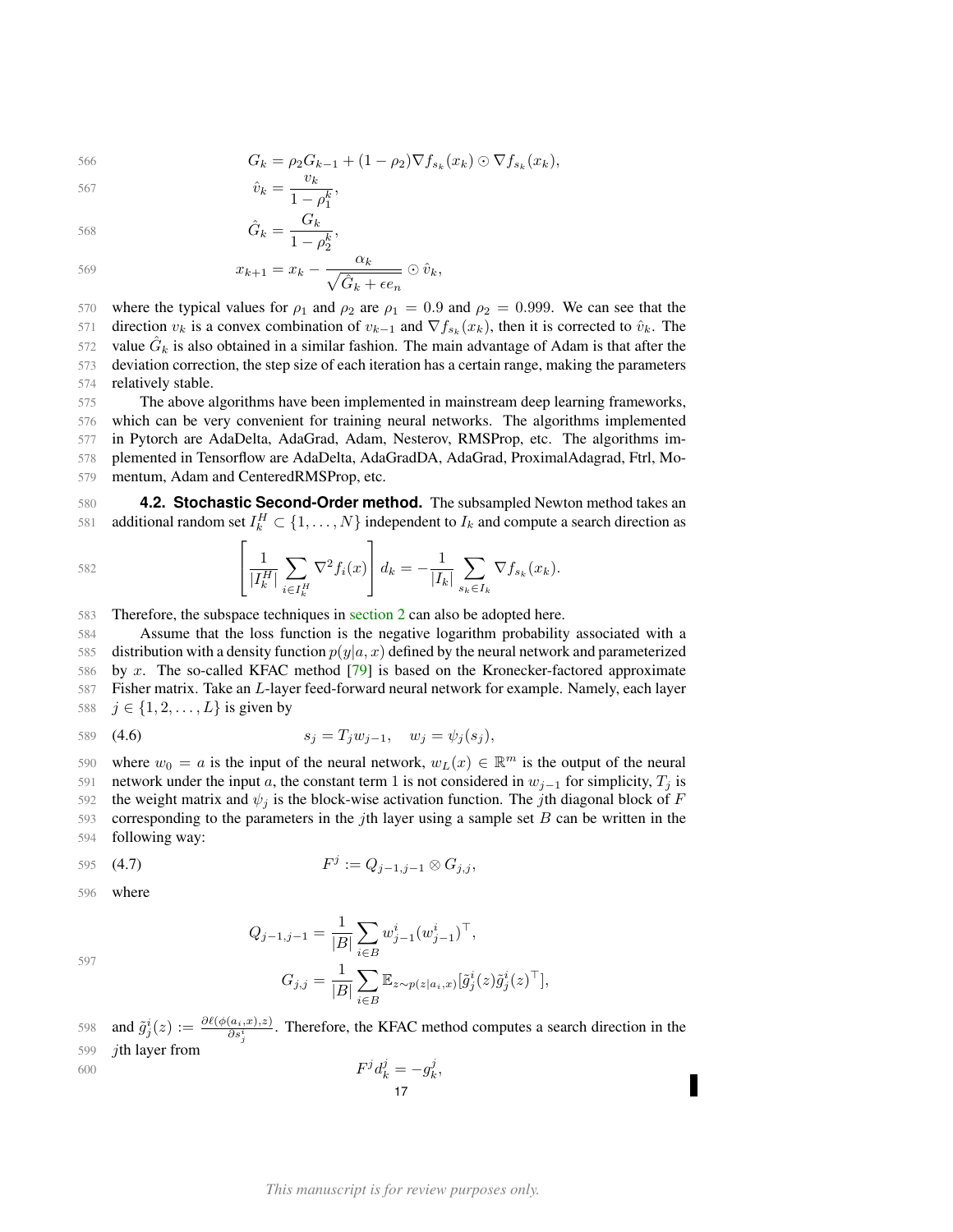566 
$$
G_k = \rho_2 G_{k-1} + (1 - \rho_2) \nabla f_{s_k}(x_k) \odot \nabla f_{s_k}(x_k),
$$

 $1 - \rho_2^k$ 

$$
\hat{v}_k = \frac{v_k}{1 - e^k},
$$

$$
\hat{G}_k = \frac{1 - \rho_1^k}{1 - \rho_1^k},
$$
  
568  

$$
\hat{G}_k = \frac{G_k}{1 - \frac{k}{k}},
$$

$$
\mathcal{L}_{\mathcal{L}_{\mathcal{L}}}
$$

$$
x_{k+1} = x_k - \frac{\alpha_k}{\sqrt{\hat{G}_k + \epsilon e_n}} \odot \hat{v}_k,
$$

570 where the typical values for  $\rho_1$  and  $\rho_2$  are  $\rho_1 = 0.9$  and  $\rho_2 = 0.999$ . We can see that the 571 direction  $v_k$  is a convex combination of  $v_{k-1}$  and  $\nabla f_{s_k}(x_k)$ , then it is corrected to  $\hat{v}_k$ . The  $\overline{572}$  value  $G_k$  is also obtained in a similar fashion. The main advantage of Adam is that after the 573 deviation correction, the step size of each iteration has a certain range, making the parameters 574 relatively stable.

 The above algorithms have been implemented in mainstream deep learning frameworks, which can be very convenient for training neural networks. The algorithms implemented in Pytorch are AdaDelta, AdaGrad, Adam, Nesterov, RMSProp, etc. The algorithms im- plemented in Tensorflow are AdaDelta, AdaGradDA, AdaGrad, ProximalAdagrad, Ftrl, Mo-mentum, Adam and CenteredRMSProp, etc.

<span id="page-16-0"></span>580 **4.2. Stochastic Second-Order method.** The subsampled Newton method takes an 581 additional random set  $I_k^H \subset \{1, \ldots, N\}$  independent to  $I_k$  and compute a search direction as

582 
$$
\left[\frac{1}{|I_{k}^{H}|}\sum_{i\in I_{k}^{H}}\nabla^{2} f_{i}(x)\right]d_{k} = -\frac{1}{|I_{k}|}\sum_{s_{k}\in I_{k}}\nabla f_{s_{k}}(x_{k}).
$$

583 Therefore, the subspace techniques in [section 2](#page-4-2) can also be adopted here.

 Assume that the loss function is the negative logarithm probability associated with a 585 distribution with a density function  $p(y|a, x)$  defined by the neural network and parameterized by x. The so-called KFAC method [\[79\]](#page-50-11) is based on the Kronecker-factored approximate Fisher matrix. Take an L-layer feed-forward neural network for example. Namely, each layer  $j \in \{1, 2, ..., L\}$  is given by

589 (4.6) 
$$
s_j = T_j w_{j-1}, \quad w_j = \psi_j(s_j),
$$

590 where  $w_0 = a$  is the input of the neural network,  $w_L(x) \in \mathbb{R}^m$  is the output of the neural 591 network under the input a, the constant term 1 is not considered in  $w_{i-1}$  for simplicity,  $T_i$  is 592 the weight matrix and  $\psi_i$  is the block-wise activation function. The jth diagonal block of F 593 corresponding to the parameters in the jth layer using a sample set  $B$  can be written in the 594 following way:

595 (4.7) 
$$
F^j := Q_{j-1,j-1} \otimes G_{j,j},
$$

596 where

597

$$
Q_{j-1,j-1} = \frac{1}{|B|} \sum_{i \in B} w_{j-1}^i (w_{j-1}^i)^\top,
$$
  

$$
G_{j,j} = \frac{1}{|B|} \sum_{i \in B} \mathbb{E}_{z \sim p(z|a_i,x)} [\tilde{g}_j^i(z)\tilde{g}_j^i(z)^\top],
$$

 $\delta^{ij}$  and  $\tilde{g}^i_j(z) := \frac{\partial \ell(\phi(a_i, x), z)}{\partial s^i_j}$ . Therefore, the KFAC method computes a search direction in the 599 jth layer from j j j 600  $F^{\jmath}d_k^{\jmath} = -g_k^{\jmath}$ ,

$$
F^j d_k^j = -g_k^j,
$$
17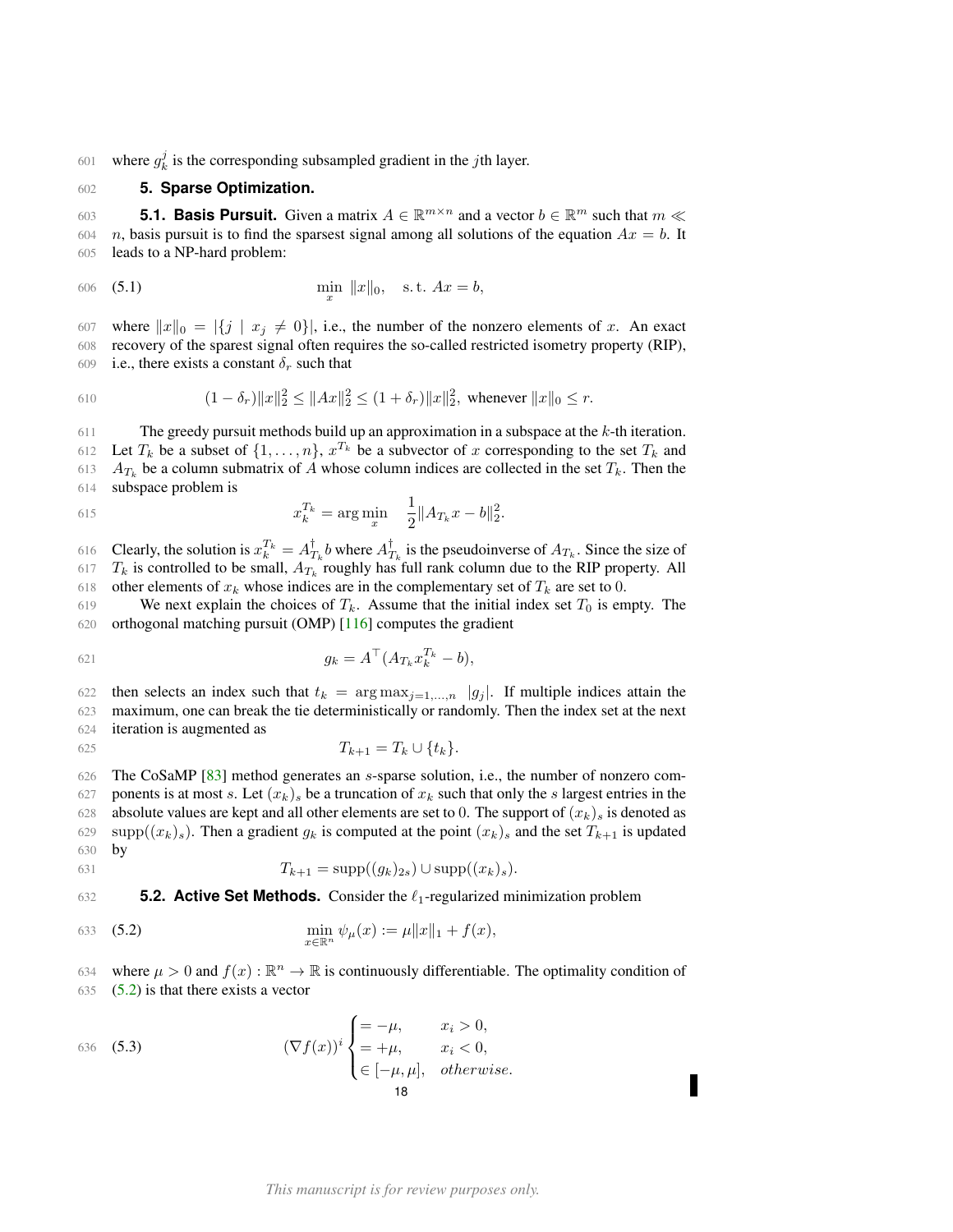601 where  $g_k^j$  is the corresponding subsampled gradient in the jth layer.

# <span id="page-17-0"></span>602 **5. Sparse Optimization.**

<span id="page-17-1"></span>603 **5.1. Basis Pursuit.** Given a matrix  $A \in \mathbb{R}^{m \times n}$  and a vector  $b \in \mathbb{R}^m$  such that  $m \ll$ 604 n, basis pursuit is to find the sparsest signal among all solutions of the equation  $Ax = b$ . It 605 leads to a NP-hard problem:

606 (5.1) 
$$
\min_{x} \|x\|_0, \quad \text{s.t. } Ax = b,
$$

607 where  $||x||_0 = |\{j | x_j \neq 0\}|$ , i.e., the number of the nonzero elements of x. An exact 608 recovery of the sparest signal often requires the so-called restricted isometry property (RIP), 609 i.e., there exists a constant  $\delta_r$  such that

610 
$$
(1 - \delta_r) \|x\|_2^2 \le \|Ax\|_2^2 \le (1 + \delta_r) \|x\|_2^2, \text{ whenever } \|x\|_0 \le r.
$$

611 The greedy pursuit methods build up an approximation in a subspace at the  $k$ -th iteration. 612 Let  $T_k$  be a subset of  $\{1, \ldots, n\}$ ,  $x^{T_k}$  be a subvector of x corresponding to the set  $T_k$  and 613  $A_{T_k}$  be a column submatrix of A whose column indices are collected in the set  $T_k$ . Then the 614 subspace problem is

615 
$$
x_k^{T_k} = \arg \min_x \quad \frac{1}{2} \|A_{T_k} x - b\|_2^2.
$$

616 Clearly, the solution is  $x_k^{T_k} = A_{T_k}^{\dagger}$  b where  $A_{T_k}^{\dagger}$  is the pseudoinverse of  $A_{T_k}$ . Since the size of 617  $T_k$  is controlled to be small,  $A_{T_k}$  roughly has full rank column due to the RIP property. All 618 other elements of  $x_k$  whose indices are in the complementary set of  $T_k$  are set to 0.

619 We next explain the choices of  $T_k$ . Assume that the initial index set  $T_0$  is empty. The 620 orthogonal matching pursuit (OMP) [\[116\]](#page-52-13) computes the gradient

621 
$$
g_k = A^{\top} (A_{T_k} x_k^{T_k} - b),
$$

622 then selects an index such that  $t_k = \arg \max_{j=1,...,n} |g_j|$ . If multiple indices attain the 623 maximum, one can break the tie deterministically or randomly. Then the index set at the next 624 iteration is augmented as

625 
$$
T_{k+1} = T_k \cup \{t_k\}.
$$

626 The CoSaMP [\[83\]](#page-50-12) method generates an s-sparse solution, i.e., the number of nonzero com-627 ponents is at most s. Let  $(x_k)$  be a truncation of  $x_k$  such that only the s largest entries in the 628 absolute values are kept and all other elements are set to 0. The support of  $(x_k)_s$  is denoted as 629 supp $((x_k)_s)$ . Then a gradient  $g_k$  is computed at the point  $(x_k)_s$  and the set  $T_{k+1}$  is updated 630 by

631 
$$
T_{k+1} = \text{supp}((g_k)_{2s}) \cup \text{supp}((x_k)_s).
$$

<span id="page-17-2"></span>632 **5.2. Active Set Methods.** Consider the  $\ell_1$ -regularized minimization problem

<span id="page-17-3"></span>633 (5.2) 
$$
\min_{x \in \mathbb{R}^n} \psi_{\mu}(x) := \mu \|x\|_1 + f(x),
$$

634 where  $\mu > 0$  and  $f(x) : \mathbb{R}^n \to \mathbb{R}$  is continuously differentiable. The optimality condition of 635  $(5.2)$  is that there exists a vector

(5.3) 
$$
(\nabla f(x))^{i} \begin{cases} = -\mu, & x_{i} > 0, \\ = +\mu, & x_{i} < 0, \\ \in [-\mu, \mu], & otherwise. \end{cases}
$$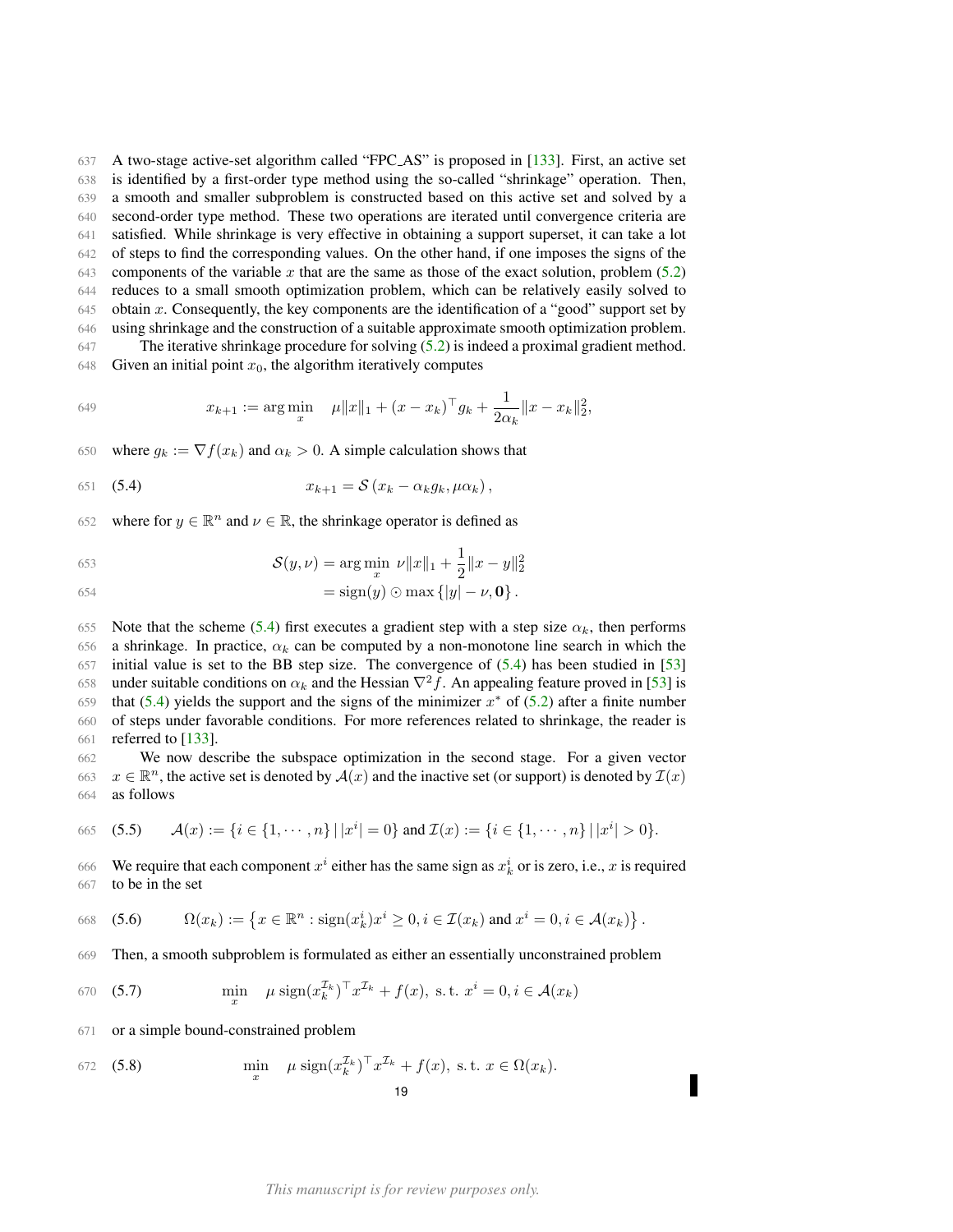A two-stage active-set algorithm called "FPC AS" is proposed in [\[133\]](#page-52-3). First, an active set is identified by a first-order type method using the so-called "shrinkage" operation. Then, a smooth and smaller subproblem is constructed based on this active set and solved by a second-order type method. These two operations are iterated until convergence criteria are satisfied. While shrinkage is very effective in obtaining a support superset, it can take a lot of steps to find the corresponding values. On the other hand, if one imposes the signs of the 643 components of the variable x that are the same as those of the exact solution, problem  $(5.2)$  reduces to a small smooth optimization problem, which can be relatively easily solved to 645 obtain x. Consequently, the key components are the identification of a "good" support set by using shrinkage and the construction of a suitable approximate smooth optimization problem. The iterative shrinkage procedure for solving [\(5.2\)](#page-17-3) is indeed a proximal gradient method.

648 Given an initial point  $x_0$ , the algorithm iteratively computes

649 
$$
x_{k+1} := \arg\min_{x} \quad \mu \|x\|_1 + (x - x_k)^\top g_k + \frac{1}{2\alpha_k} \|x - x_k\|_2^2,
$$

650 where  $g_k := \nabla f(x_k)$  and  $\alpha_k > 0$ . A simple calculation shows that

<span id="page-18-0"></span>
$$
x_{k+1} = \mathcal{S}\left(x_k - \alpha_k g_k, \mu \alpha_k\right),
$$

652 where for  $y \in \mathbb{R}^n$  and  $\nu \in \mathbb{R}$ , the shrinkage operator is defined as

653 
$$
\mathcal{S}(y,\nu) = \arg\min_{x} \ \nu \|x\|_1 + \frac{1}{2} \|x - y\|_2^2
$$

$$
= \operatorname{sign}(y) \odot \max\{|y| - \nu, \mathbf{0}\}.
$$

655 Note that the scheme [\(5.4\)](#page-18-0) first executes a gradient step with a step size  $\alpha_k$ , then performs 656 a shrinkage. In practice,  $\alpha_k$  can be computed by a non-monotone line search in which the 657 initial value is set to the BB step size. The convergence of [\(5.4\)](#page-18-0) has been studied in [\[53\]](#page-49-17) 658 under suitable conditions on  $\alpha_k$  and the Hessian  $\nabla^2 f$ . An appealing feature proved in [\[53\]](#page-49-17) is 659 that [\(5.4\)](#page-18-0) yields the support and the signs of the minimizer  $x^*$  of [\(5.2\)](#page-17-3) after a finite number 660 of steps under favorable conditions. For more references related to shrinkage, the reader is 661 referred to [\[133\]](#page-52-3).

662 We now describe the subspace optimization in the second stage. For a given vector 663  $x \in \mathbb{R}^n$ , the active set is denoted by  $\mathcal{A}(x)$  and the inactive set (or support) is denoted by  $\mathcal{I}(x)$ 664 as follows

665 (5.5) 
$$
\mathcal{A}(x) := \{i \in \{1, \cdots, n\} \mid |x^i| = 0\} \text{ and } \mathcal{I}(x) := \{i \in \{1, \cdots, n\} \mid |x^i| > 0\}.
$$

666 We require that each component  $x^i$  either has the same sign as  $x^i_k$  or is zero, i.e., x is required 667 to be in the set

$$
\text{668} \quad \text{(5.6)} \qquad \Omega(x_k) := \left\{ x \in \mathbb{R}^n : \text{sign}(x_k^i) x^i \ge 0, i \in \mathcal{I}(x_k) \text{ and } x^i = 0, i \in \mathcal{A}(x_k) \right\}.
$$

669 Then, a smooth subproblem is formulated as either an essentially unconstrained problem

<span id="page-18-1"></span>
$$
\text{(5.7)} \quad \min_{x} \quad \mu \, \text{sign}(x_k^{\mathcal{I}_k})^\top x^{\mathcal{I}_k} + f(x), \text{ s.t. } x^i = 0, i \in \mathcal{A}(x_k)
$$

671 or a simple bound-constrained problem

<span id="page-18-2"></span>672 (5.8) 
$$
\min_{x} \mu \operatorname{sign}(x_k^{\mathcal{I}_k})^{\top} x^{\mathcal{I}_k} + f(x), \text{ s.t. } x \in \Omega(x_k).
$$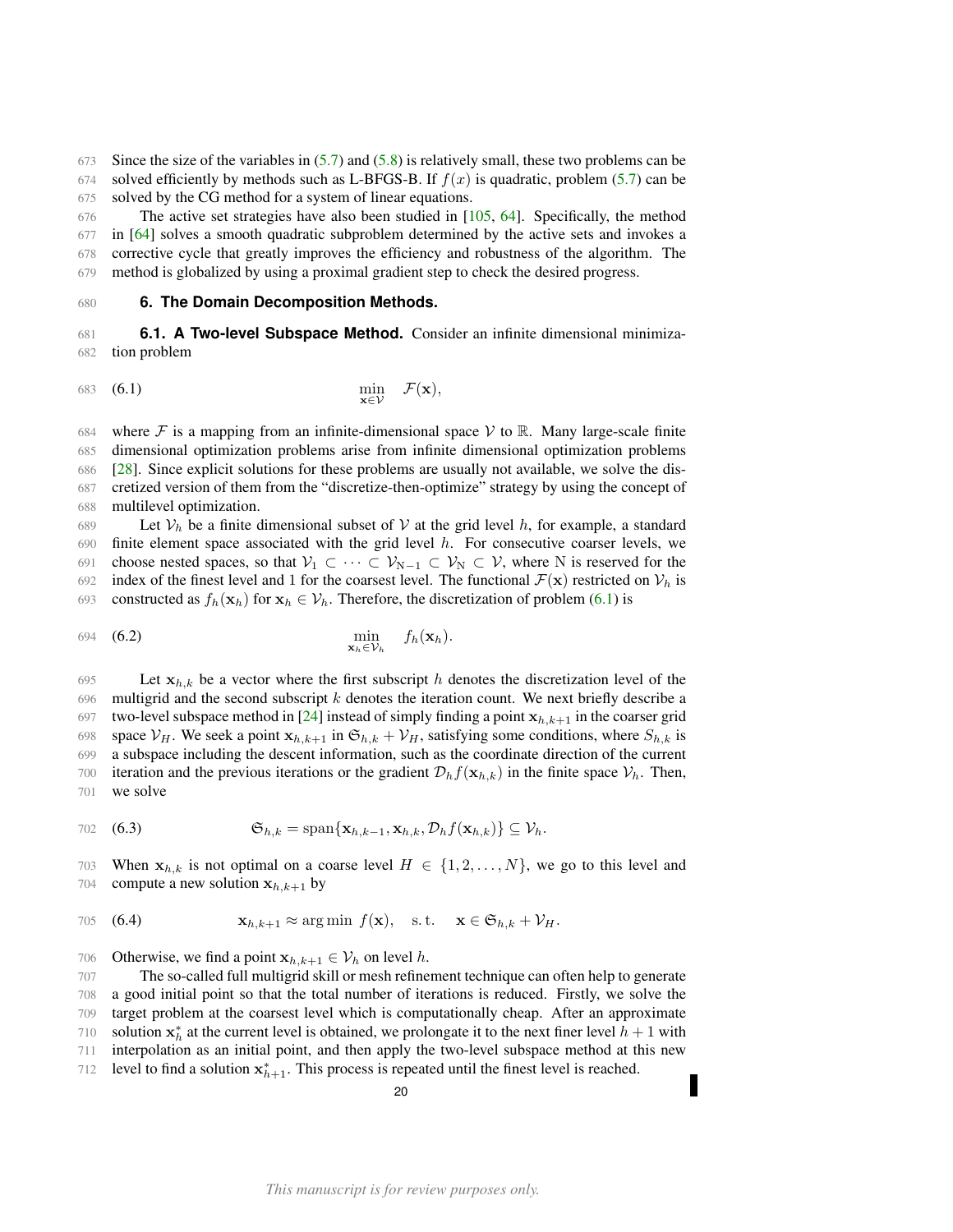673 Since the size of the variables in  $(5.7)$  and  $(5.8)$  is relatively small, these two problems can be 674 solved efficiently by methods such as L-BFGS-B. If  $f(x)$  is quadratic, problem [\(5.7\)](#page-18-1) can be 675 solved by the CG method for a system of linear equations.

 The active set strategies have also been studied in [\[105,](#page-51-5) [64\]](#page-50-5). Specifically, the method in [\[64\]](#page-50-5) solves a smooth quadratic subproblem determined by the active sets and invokes a corrective cycle that greatly improves the efficiency and robustness of the algorithm. The method is globalized by using a proximal gradient step to check the desired progress.

#### <span id="page-19-0"></span>680 **6. The Domain Decomposition Methods.**

<span id="page-19-1"></span>681 **6.1. A Two-level Subspace Method.** Consider an infinite dimensional minimiza-682 tion problem

<span id="page-19-2"></span>
$$
\min_{\mathbf{x} \in \mathcal{V}} \quad \mathcal{F}(\mathbf{x}),
$$

684 where F is a mapping from an infinite-dimensional space V to R. Many large-scale finite dimensional optimization problems arise from infinite dimensional optimization problems [\[28\]](#page-49-18). Since explicit solutions for these problems are usually not available, we solve the dis- cretized version of them from the "discretize-then-optimize" strategy by using the concept of multilevel optimization.

689 Let  $V_h$  be a finite dimensional subset of V at the grid level h, for example, a standard 690 finite element space associated with the grid level  $h$ . For consecutive coarser levels, we 691 choose nested spaces, so that  $V_1 \subset \cdots \subset V_{N-1} \subset V_N \subset V$ , where N is reserved for the 692 index of the finest level and 1 for the coarsest level. The functional  $\mathcal{F}(\mathbf{x})$  restricted on  $\mathcal{V}_h$  is 693 constructed as  $f_h(\mathbf{x}_h)$  for  $\mathbf{x}_h \in \mathcal{V}_h$ . Therefore, the discretization of problem [\(6.1\)](#page-19-2) is

694 (6.2) 
$$
\min_{\mathbf{x}_h \in \mathcal{V}_h} f_h(\mathbf{x}_h).
$$

695 Let  $x_{h,k}$  be a vector where the first subscript h denotes the discretization level of the 696 multigrid and the second subscript  $k$  denotes the iteration count. We next briefly describe a 697 two-level subspace method in [\[24\]](#page-48-15) instead of simply finding a point  $x_{h,k+1}$  in the coarser grid 698 space  $V_H$ . We seek a point  $x_{h,k+1}$  in  $\mathfrak{S}_{h,k} + V_H$ , satisfying some conditions, where  $S_{h,k}$  is 699 a subspace including the descent information, such as the coordinate direction of the current 700 iteration and the previous iterations or the gradient  $\mathcal{D}_h f(\mathbf{x}_{h,k})$  in the finite space  $\mathcal{V}_h$ . Then, 701 we solve

$$
\text{702} \quad (6.3) \quad \mathfrak{S}_{h,k} = \text{span}\{\mathbf{x}_{h,k-1}, \mathbf{x}_{h,k}, \mathcal{D}_h f(\mathbf{x}_{h,k})\} \subseteq \mathcal{V}_h.
$$

703 When  $x_{h,k}$  is not optimal on a coarse level  $H \in \{1, 2, ..., N\}$ , we go to this level and 704 compute a new solution  $x_{h,k+1}$  by

705 (6.4) 
$$
\mathbf{x}_{h,k+1} \approx \arg \min f(\mathbf{x}), \quad \text{s.t.} \quad \mathbf{x} \in \mathfrak{S}_{h,k} + \mathcal{V}_H.
$$

706 Otherwise, we find a point  $x_{h,k+1} \in V_h$  on level h.

 The so-called full multigrid skill or mesh refinement technique can often help to generate a good initial point so that the total number of iterations is reduced. Firstly, we solve the target problem at the coarsest level which is computationally cheap. After an approximate 710 solution  $x_h^*$  at the current level is obtained, we prolongate it to the next finer level  $h + 1$  with interpolation as an initial point, and then apply the two-level subspace method at this new 712 level to find a solution  $x_{h+1}^*$ . This process is repeated until the finest level is reached.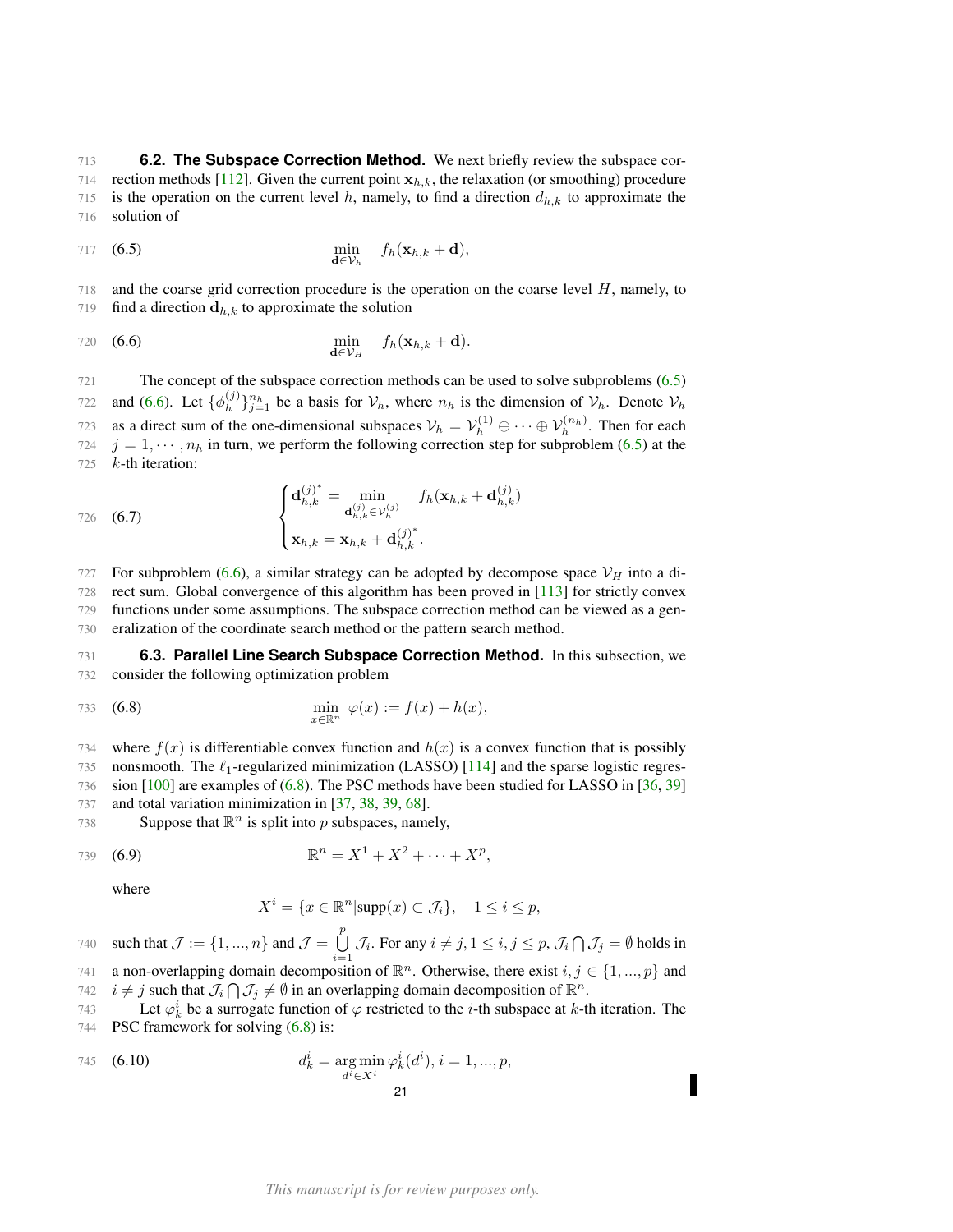<span id="page-20-0"></span>713 **6.2. The Subspace Correction Method.** We next briefly review the subspace cor-714 rection methods [\[112\]](#page-51-9). Given the current point  $x_{h,k}$ , the relaxation (or smoothing) procedure 715 is the operation on the current level h, namely, to find a direction  $d_{h,k}$  to approximate the 716 solution of

<span id="page-20-2"></span>
$$
\min_{\mathbf{d}\in\mathcal{V}_h} \quad f_h(\mathbf{x}_{h,k}+\mathbf{d}),
$$

718 and the coarse grid correction procedure is the operation on the coarse level H, namely, to 719 find a direction  $\mathbf{d}_{h,k}$  to approximate the solution

<span id="page-20-3"></span>
$$
\min_{\mathbf{d}\in\mathcal{V}_H} f_h(\mathbf{x}_{h,k}+\mathbf{d}).
$$

721 The concept of the subspace correction methods can be used to solve subproblems [\(6.5\)](#page-20-2) and [\(6.6\)](#page-20-3). Let  $\{\phi_h^{(j)}\}$ 722 and (6.6). Let  $\{\phi_h^{(j)}\}_{j=1}^{n_h}$  be a basis for  $\mathcal{V}_h$ , where  $n_h$  is the dimension of  $\mathcal{V}_h$ . Denote  $\mathcal{V}_h$ 723 as a direct sum of the one-dimensional subspaces  $V_h = V_h^{(1)} \oplus \cdots \oplus V_h^{(n_h)}$ . Then for each 724  $j = 1, \dots, n_h$  in turn, we perform the following correction step for subproblem [\(6.5\)](#page-20-2) at the  $725$  k-th iteration:

726 (6.7) 
$$
\begin{cases} \mathbf{d}_{h,k}^{(j)^*} = \min_{\mathbf{d}_{h,k}^{(j)} \in \mathcal{V}_h^{(j)}} f_h(\mathbf{x}_{h,k} + \mathbf{d}_{h,k}^{(j)}) \\ \mathbf{x}_{h,k} = \mathbf{x}_{h,k} + \mathbf{d}_{h,k}^{(j)^*}. \end{cases}
$$

727 For subproblem [\(6.6\)](#page-20-3), a similar strategy can be adopted by decompose space  $V_H$  into a di-728 rect sum. Global convergence of this algorithm has been proved in [\[113\]](#page-51-15) for strictly convex 729 functions under some assumptions. The subspace correction method can be viewed as a gen-

730 eralization of the coordinate search method or the pattern search method.

<span id="page-20-1"></span>731 **6.3. Parallel Line Search Subspace Correction Method.** In this subsection, we 732 consider the following optimization problem

$$
\min_{x \in \mathbb{R}^n} \varphi(x) := f(x) + h(x),
$$

734 where  $f(x)$  is differentiable convex function and  $h(x)$  is a convex function that is possibly 735 nonsmooth. The  $\ell_1$ -regularized minimization (LASSO) [\[114\]](#page-52-14) and the sparse logistic regres-736 sion [\[100\]](#page-51-16) are examples of [\(6.8\)](#page-20-4). The PSC methods have been studied for LASSO in [\[36,](#page-49-6) [39\]](#page-49-7) 737 and total variation minimization in [\[37,](#page-49-10) [38,](#page-49-8) [39,](#page-49-7) [68\]](#page-50-7).

738 Suppose that  $\mathbb{R}^n$  is split into p subspaces, namely,

739 **(6.9)** 
$$
\mathbb{R}^n = X^1 + X^2 + \cdots + X^p,
$$

where

<span id="page-20-5"></span><span id="page-20-4"></span>
$$
X^i = \{ x \in \mathbb{R}^n | \text{supp}(x) \subset \mathcal{J}_i \}, \quad 1 \le i \le p,
$$

such that  $\mathcal{J} := \{1, ..., n\}$  and  $\mathcal{J} = \bigcup^{p}$ 740 such that  $\mathcal{J} := \{1, ..., n\}$  and  $\mathcal{J} = \bigcup_{i=1} \mathcal{J}_i$ . For any  $i \neq j, 1 \leq i, j \leq p$ ,  $\mathcal{J}_i \cap \mathcal{J}_j = \emptyset$  holds in 741 a non-overlapping domain decomposition of  $\mathbb{R}^n$ . Otherwise, there exist  $i, j \in \{1, ..., p\}$  and

742  $i \neq j$  such that  $\mathcal{J}_i \cap \mathcal{J}_j \neq \emptyset$  in an overlapping domain decomposition of  $\mathbb{R}^n$ .

743 Let  $\varphi_k^i$  be a surrogate function of  $\varphi$  restricted to the *i*-th subspace at *k*-th iteration. The 744 PSC framework for solving  $(6.8)$  is:

745 (6.10) 
$$
d_k^i = \underset{d^i \in X^i}{\arg \min} \varphi_k^i(d^i), i = 1, ..., p,
$$
21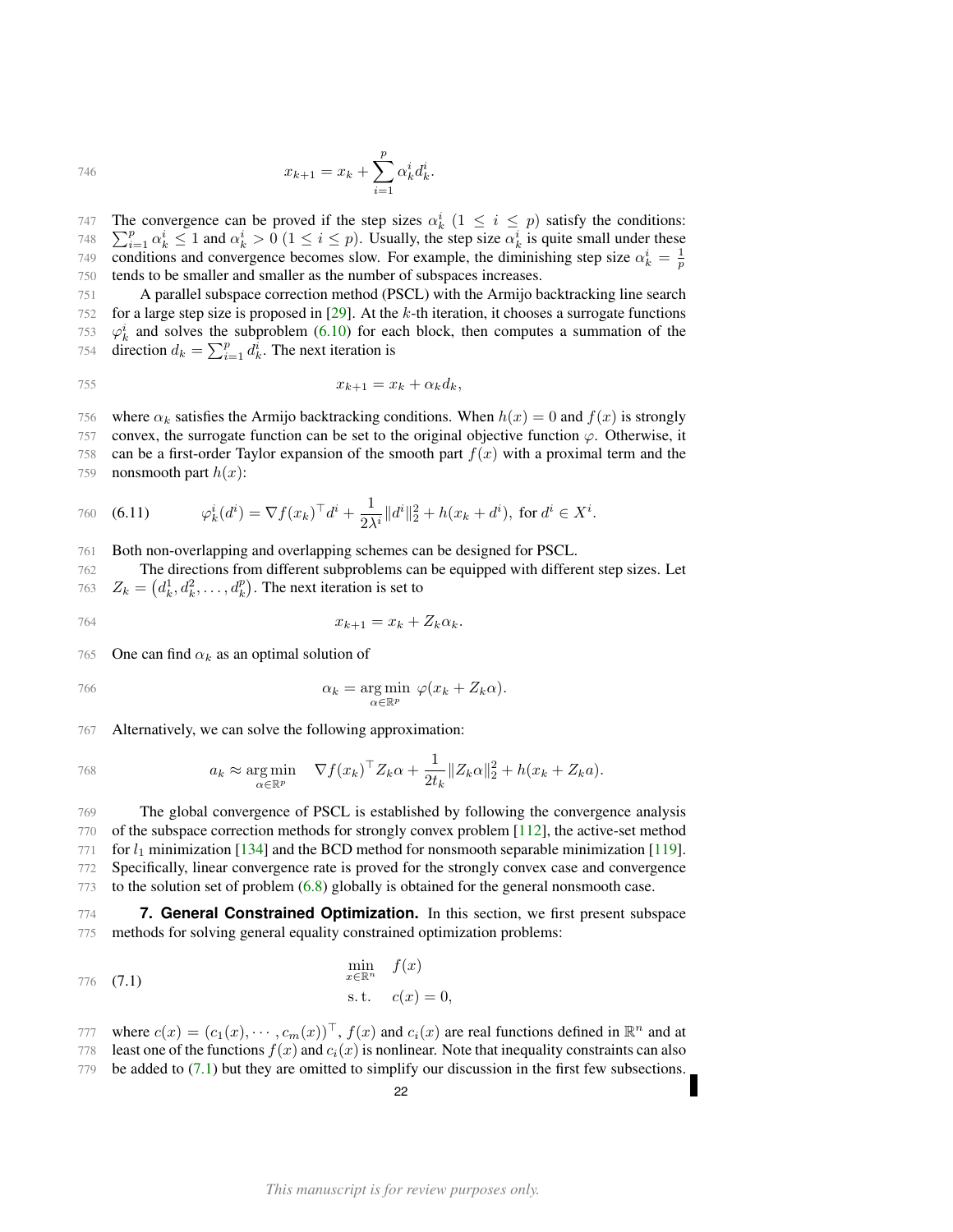746 
$$
x_{k+1} = x_k + \sum_{i=1}^p \alpha_k^i d_k^i.
$$

The convergence can be proved if the step sizes  $\alpha_k^i$   $(1 \leq i \leq p)$  satisfy the conditions: 747 748  $\sum_{i=1}^p \alpha_k^i \le 1$  and  $\alpha_k^i > 0$   $(1 \le i \le p)$ . Usually, the step size  $\alpha_k^i$  is quite small under these conditions and convergence becomes slow. For example, the diminishing step size  $\alpha_k^i = \frac{1}{p}$ 749 750 tends to be smaller and smaller as the number of subspaces increases.

 A parallel subspace correction method (PSCL) with the Armijo backtracking line search for a large step size is proposed in [\[29\]](#page-49-9). At the k-th iteration, it chooses a surrogate functions  $\varphi_k^i$  and solves the subproblem [\(6.10\)](#page-20-5) for each block, then computes a summation of the 754 direction  $d_k = \sum_{i=1}^p d_k^{\hat{i}}$ . The next iteration is

$$
x_{k+1} = x_k + \alpha_k d_k,
$$

756 where  $\alpha_k$  satisfies the Armijo backtracking conditions. When  $h(x) = 0$  and  $f(x)$  is strongly 757 convex, the surrogate function can be set to the original objective function  $\varphi$ . Otherwise, it 758 can be a first-order Taylor expansion of the smooth part  $f(x)$  with a proximal term and the

759 nonsmooth part  $h(x)$ :

760 (6.11) 
$$
\varphi_k^i(d^i) = \nabla f(x_k)^\top d^i + \frac{1}{2\lambda^i} ||d^i||_2^2 + h(x_k + d^i), \text{ for } d^i \in X^i.
$$

761 Both non-overlapping and overlapping schemes can be designed for PSCL.

762 The directions from different subproblems can be equipped with different step sizes. Let 763  $Z_k = (d_k^1, d_k^2, \dots, d_k^p)$ . The next iteration is set to

$$
x_{k+1} = x_k + Z_k \alpha_k.
$$

765 One can find  $\alpha_k$  as an optimal solution of

$$
\alpha_k = \underset{\alpha \in \mathbb{R}^p}{\arg \min} \ \varphi(x_k + Z_k \alpha).
$$

767 Alternatively, we can solve the following approximation:

768 
$$
a_k \approx \underset{\alpha \in \mathbb{R}^p}{\arg \min} \quad \nabla f(x_k)^\top Z_k \alpha + \frac{1}{2t_k} \|Z_k \alpha\|_2^2 + h(x_k + Z_k a).
$$

 The global convergence of PSCL is established by following the convergence analysis of the subspace correction methods for strongly convex problem [\[112\]](#page-51-9), the active-set method 771 for  $l_1$  minimization [\[134\]](#page-52-15) and the BCD method for nonsmooth separable minimization [\[119\]](#page-52-16). Specifically, linear convergence rate is proved for the strongly convex case and convergence to the solution set of problem [\(6.8\)](#page-20-4) globally is obtained for the general nonsmooth case.

<span id="page-21-0"></span>774 **7. General Constrained Optimization.** In this section, we first present subspace 775 methods for solving general equality constrained optimization problems:

<span id="page-21-1"></span>776 (7.1) 
$$
\min_{x \in \mathbb{R}^n} f(x) = 0,
$$
 s.t.  $c(x) = 0$ ,

- 777 where  $c(x) = (c_1(x), \dots, c_m(x))^\top$ ,  $f(x)$  and  $c_i(x)$  are real functions defined in  $\mathbb{R}^n$  and at
- 778 least one of the functions  $f(x)$  and  $c_i(x)$  is nonlinear. Note that inequality constraints can also
- 779 be added to [\(7.1\)](#page-21-1) but they are omitted to simplify our discussion in the first few subsections.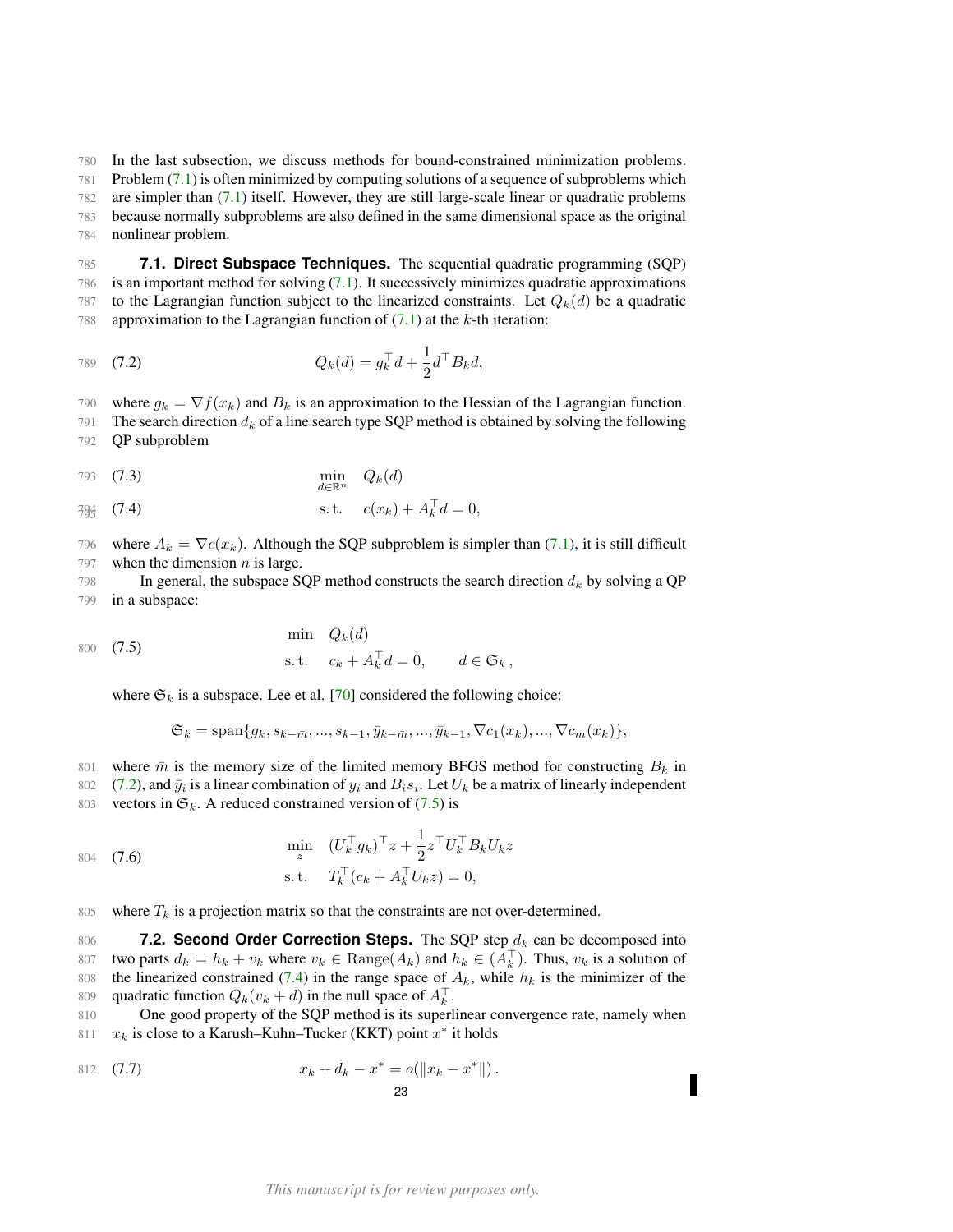780 In the last subsection, we discuss methods for bound-constrained minimization problems. 781 Problem [\(7.1\)](#page-21-1) is often minimized by computing solutions of a sequence of subproblems which 782 are simpler than [\(7.1\)](#page-21-1) itself. However, they are still large-scale linear or quadratic problems

783 because normally subproblems are also defined in the same dimensional space as the original 784 nonlinear problem.

<span id="page-22-0"></span>785 **7.1. Direct Subspace Techniques.** The sequential quadratic programming (SQP) 786 is an important method for solving [\(7.1\)](#page-21-1). It successively minimizes quadratic approximations 787 to the Lagrangian function subject to the linearized constraints. Let  $Q_k(d)$  be a quadratic 788 approximation to the Lagrangian function of  $(7.1)$  at the k-th iteration:

<span id="page-22-2"></span>789 (7.2) 
$$
Q_k(d) = g_k^{\top} d + \frac{1}{2} d^{\top} B_k d,
$$

790 where  $g_k = \nabla f(x_k)$  and  $B_k$  is an approximation to the Hessian of the Lagrangian function.

791 The search direction  $d_k$  of a line search type SQP method is obtained by solving the following 792 QP subproblem

$$
\min_{d \in \mathbb{R}^n} \quad Q_k(d)
$$

<span id="page-22-4"></span>
$$
\frac{794}{795} \quad (7.4) \quad s.t. \quad c(x_k) + A_k^\top d = 0,
$$

796 where  $A_k = \nabla c(x_k)$ . Although the SQP subproblem is simpler than [\(7.1\)](#page-21-1), it is still difficult 797 when the dimension  $n$  is large.

798 In general, the subspace SQP method constructs the search direction  $d_k$  by solving a QP 799 in a subspace:

$$
\begin{aligned}\n\text{min} \quad Q_k(d) \\
\text{s.t.} \quad c_k + A_k^\top d = 0, \qquad d \in \mathfrak{S}_k,\n\end{aligned}
$$

where  $\mathfrak{S}_k$  is a subspace. Lee et al. [\[70\]](#page-50-13) considered the following choice:

<span id="page-22-3"></span>
$$
\mathfrak{S}_k = \text{span}\{g_k, s_{k-\bar{m}}, ..., s_{k-1}, \bar{y}_{k-\bar{m}}, ..., \bar{y}_{k-1}, \nabla c_1(x_k), ..., \nabla c_m(x_k)\},
$$

801 where 
$$
\bar{m}
$$
 is the memory size of the limited memory BFGS method for constructing  $B_k$  in

802 [\(7.2\)](#page-22-2), and  $\bar{y}_i$  is a linear combination of  $y_i$  and  $B_i s_i$ . Let  $U_k$  be a matrix of linearly independent 803 vectors in  $\mathfrak{S}_k$ . A reduced constrained version of [\(7.5\)](#page-22-3) is

804 (7.6)  
\n
$$
\min_{z} \quad (U_{k}^{\top} g_{k})^{\top} z + \frac{1}{2} z^{\top} U_{k}^{\top} B_{k} U_{k} z
$$
\n
$$
\text{s.t.} \quad T_{k}^{\top} (c_{k} + A_{k}^{\top} U_{k} z) = 0,
$$

805 where  $T_k$  is a projection matrix so that the constraints are not over-determined.

<span id="page-22-1"></span>806 **7.2. Second Order Correction Steps.** The SQP step  $d_k$  can be decomposed into 807 two parts  $d_k = h_k + v_k$  where  $v_k \in \text{Range}(A_k)$  and  $h_k \in (A_k)$ . Thus,  $v_k$  is a solution of 808 the linearized constrained [\(7.4\)](#page-22-4) in the range space of  $A_k$ , while  $h_k$  is the minimizer of the 809 quadratic function  $Q_k(v_k + d)$  in the null space of  $A_k^{\top}$ .

810 One good property of the SQP method is its superlinear convergence rate, namely when 811  $x_k$  is close to a Karush–Kuhn–Tucker (KKT) point  $x^*$  it holds

<span id="page-22-5"></span>812 (7.7) 
$$
x_k + d_k - x^* = o(||x_k - x^*||).
$$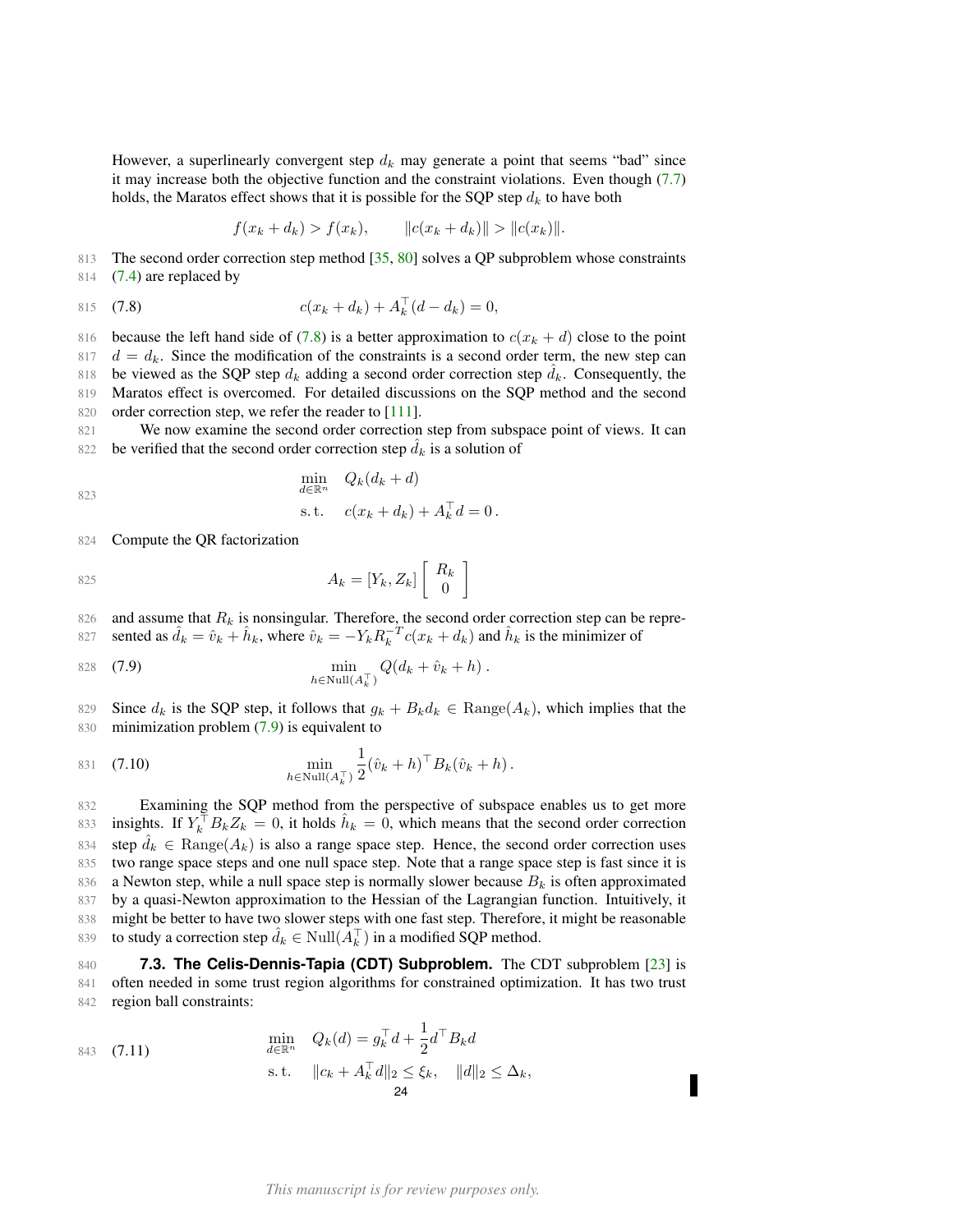However, a superlinearly convergent step  $d_k$  may generate a point that seems "bad" since it may increase both the objective function and the constraint violations. Even though [\(7.7\)](#page-22-5) holds, the Maratos effect shows that it is possible for the SQP step  $d_k$  to have both

<span id="page-23-1"></span>
$$
f(x_k + d_k) > f(x_k), \qquad ||c(x_k + d_k)|| > ||c(x_k)||.
$$

813 The second order correction step method [\[35,](#page-49-19) [80\]](#page-50-14) solves a QP subproblem whose constraints 814 [\(7.4\)](#page-22-4) are replaced by

815 (7.8) 
$$
c(x_k + d_k) + A_k^{\top} (d - d_k) = 0,
$$

816 because the left hand side of [\(7.8\)](#page-23-1) is a better approximation to  $c(x_k + d)$  close to the point  $817 \, d = d_k$ . Since the modification of the constraints is a second order term, the new step can 818 be viewed as the SQP step  $d_k$  adding a second order correction step  $\hat{d}_k$ . Consequently, the 819 Maratos effect is overcomed. For detailed discussions on the SQP method and the second 820 order correction step, we refer the reader to [\[111\]](#page-51-0).

821 We now examine the second order correction step from subspace point of views. It can 822 be verified that the second order correction step  $d_k$  is a solution of

 $\min_{d \in \mathbb{R}^n} \quad Q_k(d_k + d)$ s.t.  $c(x_k + d_k) + A_k^{\top} d = 0$ . 823

824 Compute the QR factorization

(7.11)

843

$$
A_k = [Y_k, Z_k] \left[ \begin{array}{c} R_k \\ 0 \end{array} \right]
$$

826 and assume that  $R_k$  is nonsingular. Therefore, the second order correction step can be represented as  $\hat{d}_k = \hat{v}_k + \hat{h}_k$ , where  $\hat{v}_k = -Y_k R_k^{-T} c(x_k + d_k)$  and  $\hat{h}_k$  is the minimizer of

<span id="page-23-2"></span>828 (7.9) 
$$
\min_{h \in \text{Null}(A_k^{\top})} Q(d_k + \hat{v}_k + h).
$$

829 Since  $d_k$  is the SQP step, it follows that  $g_k + B_k d_k \in \text{Range}(A_k)$ , which implies that the 830 minimization problem [\(7.9\)](#page-23-2) is equivalent to

831 (7.10) 
$$
\min_{h \in \text{Null}(A_k^{\top})} \frac{1}{2} (\hat{v}_k + h)^{\top} B_k (\hat{v}_k + h).
$$

832 Examining the SQP method from the perspective of subspace enables us to get more 833 insights. If  $Y_k^{\top} B_k Z_k = 0$ , it holds  $\hat{h}_k = 0$ , which means that the second order correction 834 step  $d_k \in \text{Range}(A_k)$  is also a range space step. Hence, the second order correction uses 835 two range space steps and one null space step. Note that a range space step is fast since it is 836 a Newton step, while a null space step is normally slower because  $B_k$  is often approximated 837 by a quasi-Newton approximation to the Hessian of the Lagrangian function. Intuitively, it 838 might be better to have two slower steps with one fast step. Therefore, it might be reasonable 839 to study a correction step  $\hat{d}_k \in Null(\tilde{A}_k^{\top})$  in a modified SQP method.

<span id="page-23-0"></span>840 **7.3. The Celis-Dennis-Tapia (CDT) Subproblem.** The CDT subproblem [\[23\]](#page-48-16) is 841 often needed in some trust region algorithms for constrained optimization. It has two trust 842 region ball constraints:

$$
\min_{d \in \mathbb{R}^n} \quad Q_k(d) = g_k^\top d + \frac{1}{2} d^\top B_k d
$$
\n
$$
\text{s.t.} \quad \|c_k + A_k^\top d\|_2 \le \xi_k, \quad \|d\|_2 \le \Delta_k,
$$
\n
$$
\ge 4
$$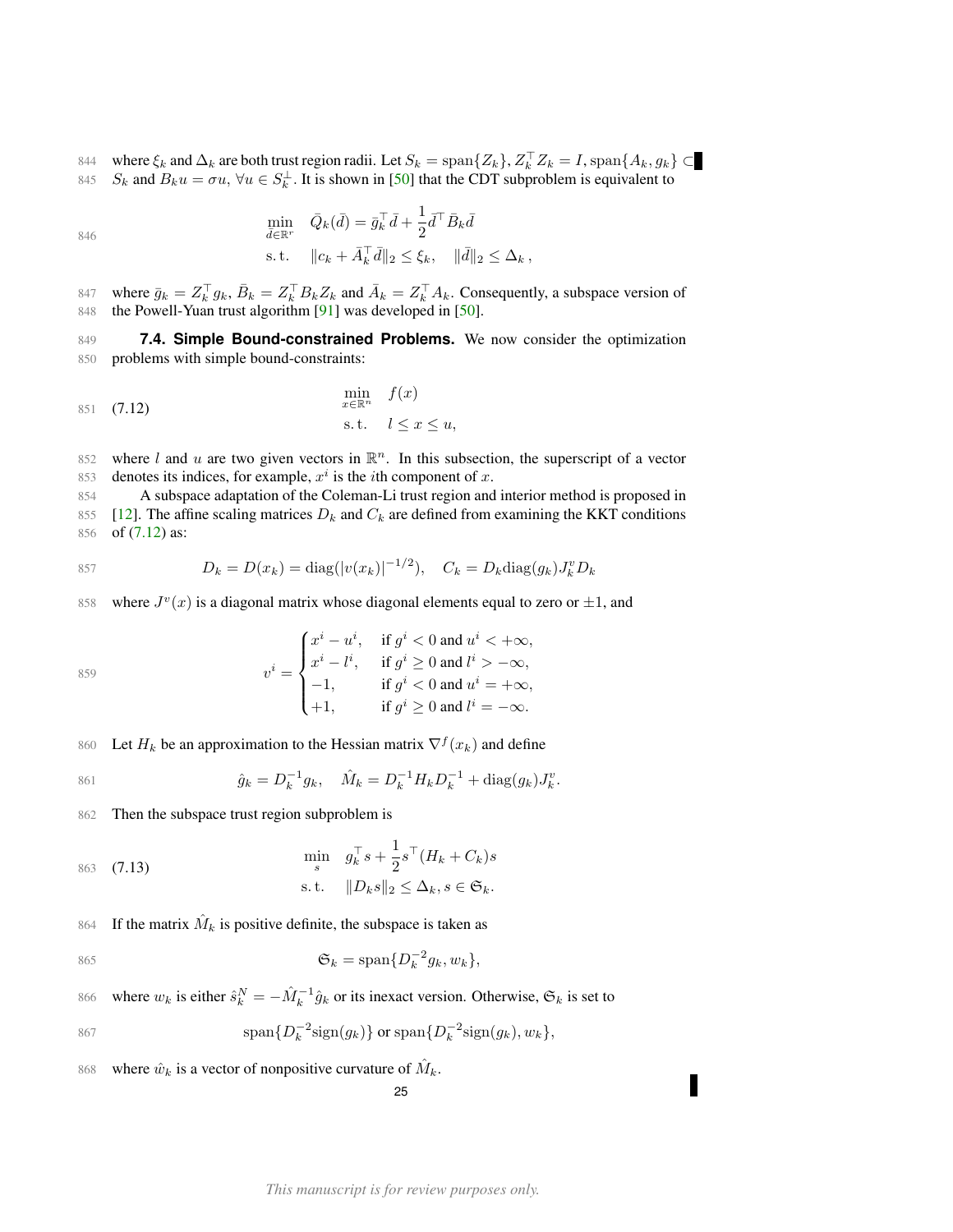844 where  $\xi_k$  and  $\Delta_k$  are both trust region radii. Let  $S_k = \text{span}\{Z_k\}$ ,  $Z_k^\top Z_k = I$ ,  $\text{span}\{A_k, g_k\} \subset$ 845  $S_k$  and  $B_k u = \sigma u$ ,  $\forall u \in S_k^{\perp}$ . It is shown in [\[50\]](#page-49-20) that the CDT subproblem is equivalent to

846  
\n
$$
\min_{\bar{d}\in\mathbb{R}^r} \quad \bar{Q}_k(\bar{d}) = \bar{g}_k^\top \bar{d} + \frac{1}{2} \bar{d}^\top \bar{B}_k \bar{d}
$$
\n
$$
\text{s.t.} \quad ||c_k + \bar{A}_k^\top \bar{d}||_2 \le \xi_k, \quad ||\bar{d}||_2 \le \Delta_k,
$$

847 where  $\bar{g}_k = Z_k^{\top} g_k$ ,  $\bar{B}_k = Z_k^{\top} B_k Z_k$  and  $\bar{A}_k = Z_k^{\top} A_k$ . Consequently, a subspace version of 848 the Powell-Yuan trust algorithm [\[91\]](#page-51-17) was developed in [\[50\]](#page-49-20).

<span id="page-24-0"></span>849 **7.4. Simple Bound-constrained Problems.** We now consider the optimization 850 problems with simple bound-constraints:

<span id="page-24-1"></span>
$$
\begin{array}{ll}\n\text{min} & f(x) \\
\text{s.t.} & l \le x \le u,\n\end{array}
$$

852 where l and u are two given vectors in  $\mathbb{R}^n$ . In this subsection, the superscript of a vector 853 denotes its indices, for example,  $x^i$  is the *i*th component of x.

854 A subspace adaptation of the Coleman-Li trust region and interior method is proposed in 855 [\[12\]](#page-48-17). The affine scaling matrices  $D_k$  and  $C_k$  are defined from examining the KKT conditions 856 of [\(7.12\)](#page-24-1) as:

$$
B_{k} = D(x_{k}) = \text{diag}(|v(x_{k})|^{-1/2}), \quad C_{k} = D_{k}\text{diag}(g_{k})J_{k}^{v}D_{k}
$$

858 where  $J^v(x)$  is a diagonal matrix whose diagonal elements equal to zero or  $\pm 1$ , and

$$
v^i = \begin{cases} x^i - u^i, & \text{if } g^i < 0 \text{ and } u^i < +\infty, \\ x^i - l^i, & \text{if } g^i \ge 0 \text{ and } l^i > -\infty, \\ -1, & \text{if } g^i < 0 \text{ and } u^i = +\infty, \\ +1, & \text{if } g^i \ge 0 \text{ and } l^i = -\infty. \end{cases}
$$

860 Let  $H_k$  be an approximation to the Hessian matrix  $\nabla^f(x_k)$  and define

861 
$$
\hat{g}_k = D_k^{-1} g_k, \quad \hat{M}_k = D_k^{-1} H_k D_k^{-1} + \text{diag}(g_k) J_k^v.
$$

862 Then the subspace trust region subproblem is

$$
\begin{aligned}\n\text{min} \quad & g_k^\top s + \frac{1}{2} s^\top (H_k + C_k) s \\
\text{s.t.} \quad & \|D_k s\|_2 \le \Delta_k, s \in \mathfrak{S}_k.\n\end{aligned}
$$

864 If the matrix  $\hat{M}_k$  is positive definite, the subspace is taken as

$$
\mathfrak{S}_k = \text{span}\{D_k^{-2}g_k, w_k\},\
$$

866 where  $w_k$  is either  $\hat{s}_k^N = -\hat{M}_k^{-1}\hat{g}_k$  or its inexact version. Otherwise,  $\mathfrak{S}_k$  is set to

$$
\text{span}\{D_k^{-2}\text{sign}(g_k)\}\text{ or }\text{span}\{D_k^{-2}\text{sign}(g_k),w_k\},\
$$

868 where  $\hat{w}_k$  is a vector of nonpositive curvature of  $\hat{M}_k$ .

25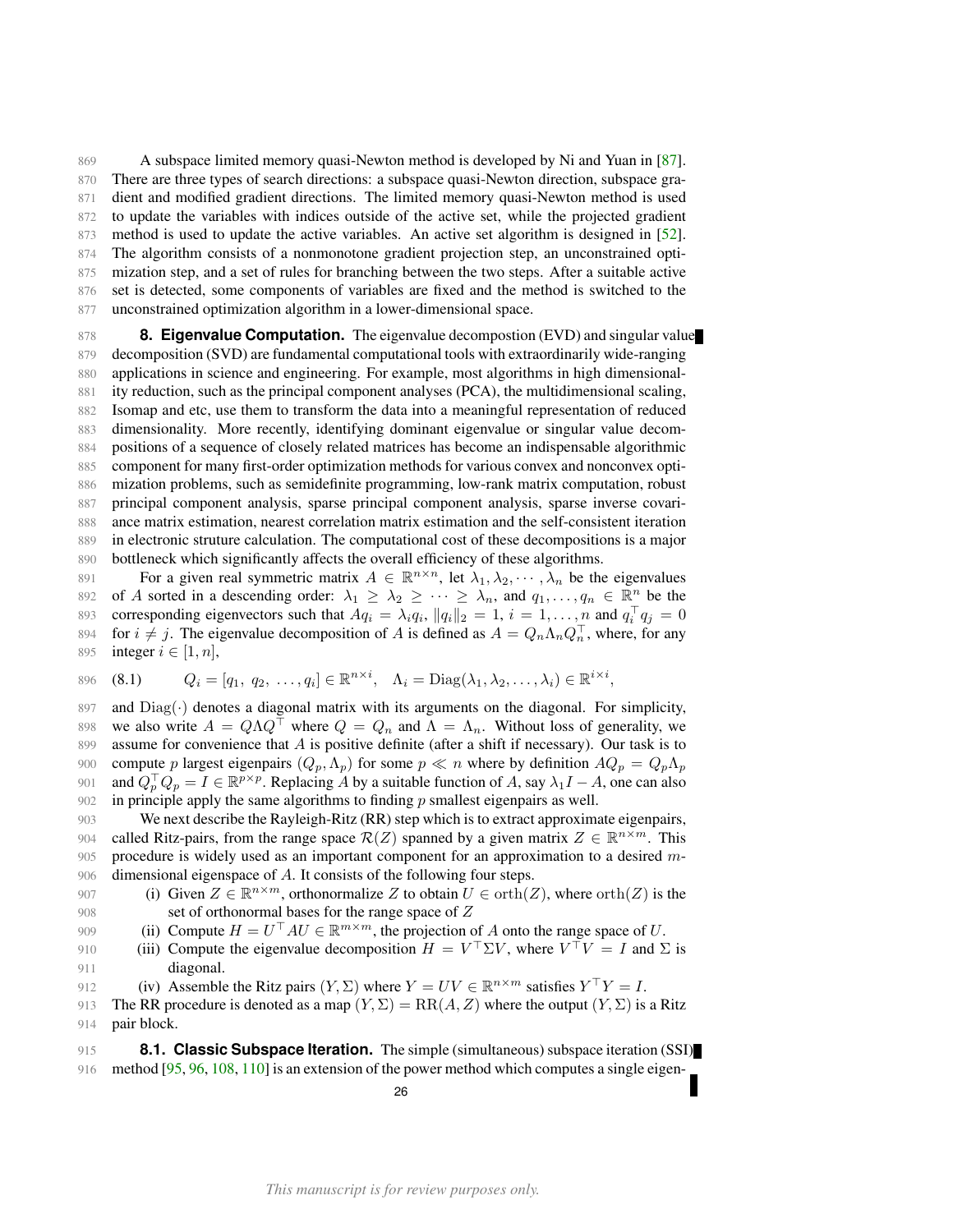A subspace limited memory quasi-Newton method is developed by Ni and Yuan in [\[87\]](#page-51-11). There are three types of search directions: a subspace quasi-Newton direction, subspace gra- dient and modified gradient directions. The limited memory quasi-Newton method is used to update the variables with indices outside of the active set, while the projected gradient 873 method is used to update the active variables. An active set algorithm is designed in [\[52\]](#page-49-21). The algorithm consists of a nonmonotone gradient projection step, an unconstrained opti-875 mization step, and a set of rules for branching between the two steps. After a suitable active set is detected, some components of variables are fixed and the method is switched to the unconstrained optimization algorithm in a lower-dimensional space.

<span id="page-25-0"></span> **8. Eigenvalue Computation.** The eigenvalue decompostion (EVD) and singular value decomposition (SVD) are fundamental computational tools with extraordinarily wide-ranging applications in science and engineering. For example, most algorithms in high dimensional- ity reduction, such as the principal component analyses (PCA), the multidimensional scaling, Isomap and etc, use them to transform the data into a meaningful representation of reduced dimensionality. More recently, identifying dominant eigenvalue or singular value decom- positions of a sequence of closely related matrices has become an indispensable algorithmic component for many first-order optimization methods for various convex and nonconvex opti- mization problems, such as semidefinite programming, low-rank matrix computation, robust principal component analysis, sparse principal component analysis, sparse inverse covari- ance matrix estimation, nearest correlation matrix estimation and the self-consistent iteration in electronic struture calculation. The computational cost of these decompositions is a major bottleneck which significantly affects the overall efficiency of these algorithms.

For a given real symmetric matrix  $A \in \mathbb{R}^{n \times n}$ , let  $\lambda_1, \lambda_2, \dots, \lambda_n$  be the eigenvalues 892 of A sorted in a descending order:  $\lambda_1 \geq \lambda_2 \geq \cdots \geq \lambda_n$ , and  $q_1, \ldots, q_n \in \mathbb{R}^n$  be the 893 corresponding eigenvectors such that  $Aq_i = \lambda_i q_i$ ,  $||q_i||_2 = 1$ ,  $i = 1, \dots, n$  and  $q_i^T q_j = 0$ 894 for  $i \neq j$ . The eigenvalue decomposition of A is defined as  $A = Q_n \Lambda_n Q_n^{\top}$ , where, for any 895 integer  $i \in [1, n]$ ,

<span id="page-25-2"></span>896 (8.1) 
$$
Q_i = [q_1, q_2, \dots, q_i] \in \mathbb{R}^{n \times i}, \quad \Lambda_i = \text{Diag}(\lambda_1, \lambda_2, \dots, \lambda_i) \in \mathbb{R}^{i \times i},
$$

897 and  $Diag(\cdot)$  denotes a diagonal matrix with its arguments on the diagonal. For simplicity, 898 we also write  $A = Q\Lambda Q^{\top}$  where  $Q = Q_n$  and  $\Lambda = \Lambda_n$ . Without loss of generality, we 899 assume for convenience that A is positive definite (after a shift if necessary). Our task is to 900 compute p largest eigenpairs  $(Q_p, \Lambda_p)$  for some  $p \ll n$  where by definition  $AQ_p = Q_p \Lambda_p$ 901 and  $Q_p^{\top} Q_p = I \in \mathbb{R}^{p \times p}$ . Replacing A by a suitable function of A, say  $\lambda_1 I - A$ , one can also 902 in principle apply the same algorithms to finding  $p$  smallest eigenpairs as well.

 We next describe the Rayleigh-Ritz (RR) step which is to extract approximate eigenpairs, 904 called Ritz-pairs, from the range space  $\mathcal{R}(Z)$  spanned by a given matrix  $Z \in \mathbb{R}^{n \times m}$ . This procedure is widely used as an important component for an approximation to a desired m-dimensional eigenspace of A. It consists of the following four steps.

- 907 (i) Given  $Z \in \mathbb{R}^{n \times m}$ , orthonormalize Z to obtain  $U \in \text{orth}(Z)$ , where  $\text{orth}(Z)$  is the 908 set of orthonormal bases for the range space of Z
- 909 (ii) Compute  $H = U^{\top} A U \in \mathbb{R}^{m \times m}$ , the projection of A onto the range space of U.
- 910 (iii) Compute the eigenvalue decomposition  $H = V^{\top} \Sigma V$ , where  $V^{\top} V = I$  and  $\Sigma$  is 911 diagonal.
- 912 (iv) Assemble the Ritz pairs  $(Y, \Sigma)$  where  $Y = UV \in \mathbb{R}^{n \times m}$  satisfies  $Y^{\top}Y = I$ .
- 913 The RR procedure is denoted as a map  $(Y, \Sigma) = RR(A, Z)$  where the output  $(Y, \Sigma)$  is a Ritz 914 pair block.

<span id="page-25-1"></span>915 **8.1. Classic Subspace Iteration.** The simple (simultaneous) subspace iteration (SSI) 916 method [\[95,](#page-51-18) [96,](#page-51-19) [108,](#page-51-20) [110\]](#page-51-21) is an extension of the power method which computes a single eigen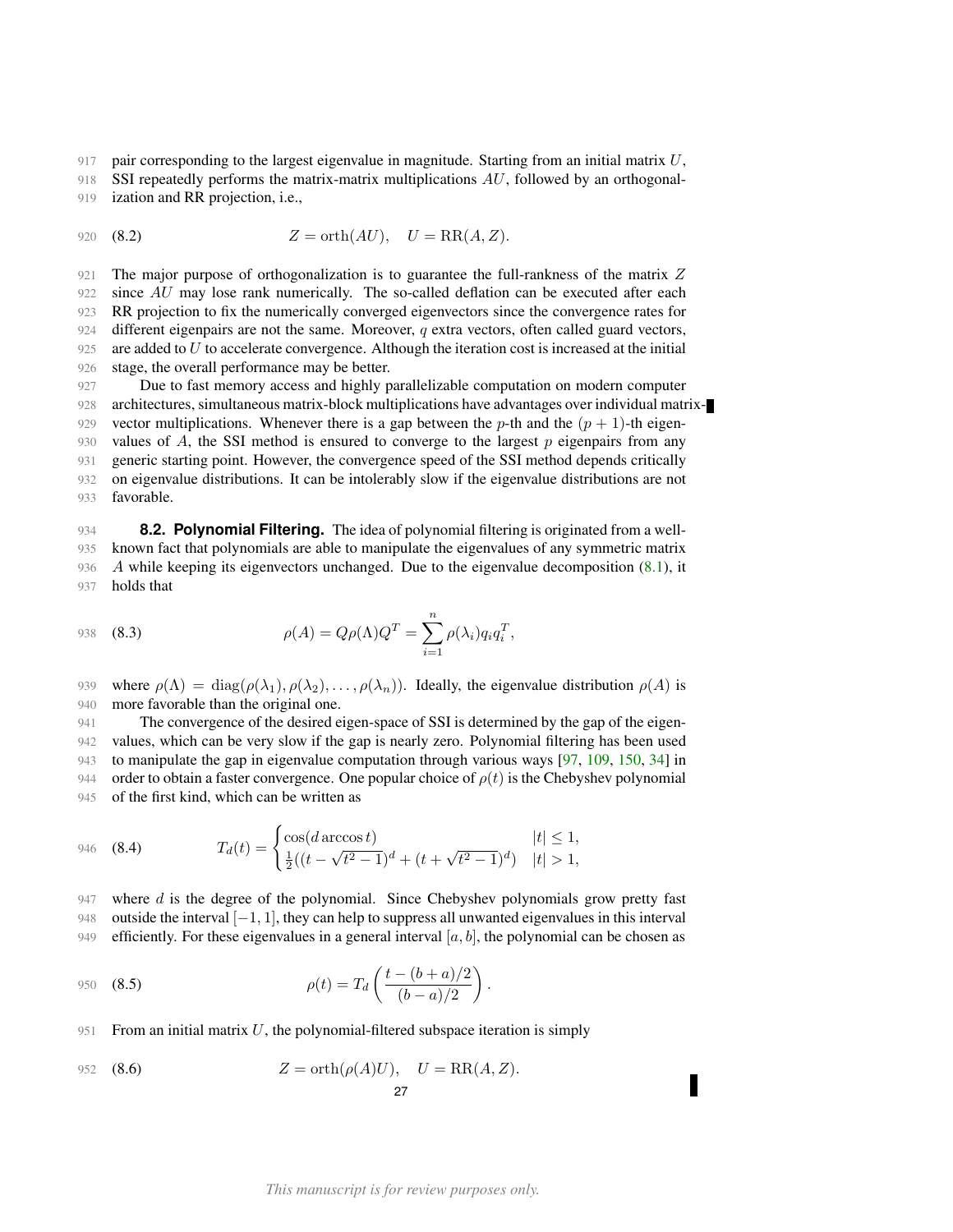917 pair corresponding to the largest eigenvalue in magnitude. Starting from an initial matrix  $U$ ,

918 SSI repeatedly performs the matrix-matrix multiplications  $AU$ , followed by an orthogonal-919 ization and RR projection, i.e.,

<span id="page-26-2"></span>920 (8.2) 
$$
Z = \text{orth}(AU), U = \text{RR}(A, Z).
$$

921 The major purpose of orthogonalization is to guarantee the full-rankness of the matrix Z 922 since AU may lose rank numerically. The so-called deflation can be executed after each 923 RR projection to fix the numerically converged eigenvectors since the convergence rates for 924 different eigenpairs are not the same. Moreover,  $q$  extra vectors, often called guard vectors, 925 are added to  $U$  to accelerate convergence. Although the iteration cost is increased at the initial 926 stage, the overall performance may be better.

 Due to fast memory access and highly parallelizable computation on modern computer architectures, simultaneous matrix-block multiplications have advantages over individual matrix-929 vector multiplications. Whenever there is a gap between the p-th and the  $(p + 1)$ -th eigen-930 values of  $A$ , the SSI method is ensured to converge to the largest  $p$  eigenpairs from any generic starting point. However, the convergence speed of the SSI method depends critically on eigenvalue distributions. It can be intolerably slow if the eigenvalue distributions are not favorable.

<span id="page-26-0"></span> **8.2. Polynomial Filtering.** The idea of polynomial filtering is originated from a well- known fact that polynomials are able to manipulate the eigenvalues of any symmetric matrix 936 A while keeping its eigenvectors unchanged. Due to the eigenvalue decomposition  $(8.1)$ , it holds that

<span id="page-26-1"></span>938 (8.3) 
$$
\rho(A) = Q\rho(\Lambda)Q^{T} = \sum_{i=1}^{n} \rho(\lambda_{i})q_{i}q_{i}^{T},
$$

939 where  $\rho(\Lambda) = \text{diag}(\rho(\lambda_1), \rho(\lambda_2), \dots, \rho(\lambda_n))$ . Ideally, the eigenvalue distribution  $\rho(A)$  is 940 more favorable than the original one.

 The convergence of the desired eigen-space of SSI is determined by the gap of the eigen- values, which can be very slow if the gap is nearly zero. Polynomial filtering has been used to manipulate the gap in eigenvalue computation through various ways [\[97,](#page-51-22) [109,](#page-51-23) [150,](#page-53-5) [34\]](#page-49-22) in 944 order to obtain a faster convergence. One popular choice of  $\rho(t)$  is the Chebyshev polynomial of the first kind, which can be written as

946 (8.4) 
$$
T_d(t) = \begin{cases} \cos(d \arccos t) & |t| \leq 1, \\ \frac{1}{2}((t - \sqrt{t^2 - 1})^d + (t + \sqrt{t^2 - 1})^d) & |t| > 1, \end{cases}
$$

 $947$  where d is the degree of the polynomial. Since Chebyshev polynomials grow pretty fast 948 outside the interval  $[-1, 1]$ , they can help to suppress all unwanted eigenvalues in this interval 949 efficiently. For these eigenvalues in a general interval  $[a, b]$ , the polynomial can be chosen as

<span id="page-26-3"></span>950 (8.5) 
$$
\rho(t) = T_d \left( \frac{t - (b + a)/2}{(b - a)/2} \right).
$$

951 From an initial matrix  $U$ , the polynomial-filtered subspace iteration is simply

<span id="page-26-4"></span>952 (8.6) 
$$
Z = \operatorname{orth}(\rho(A)U), \quad U = \operatorname{RR}(A, Z).
$$
27

Г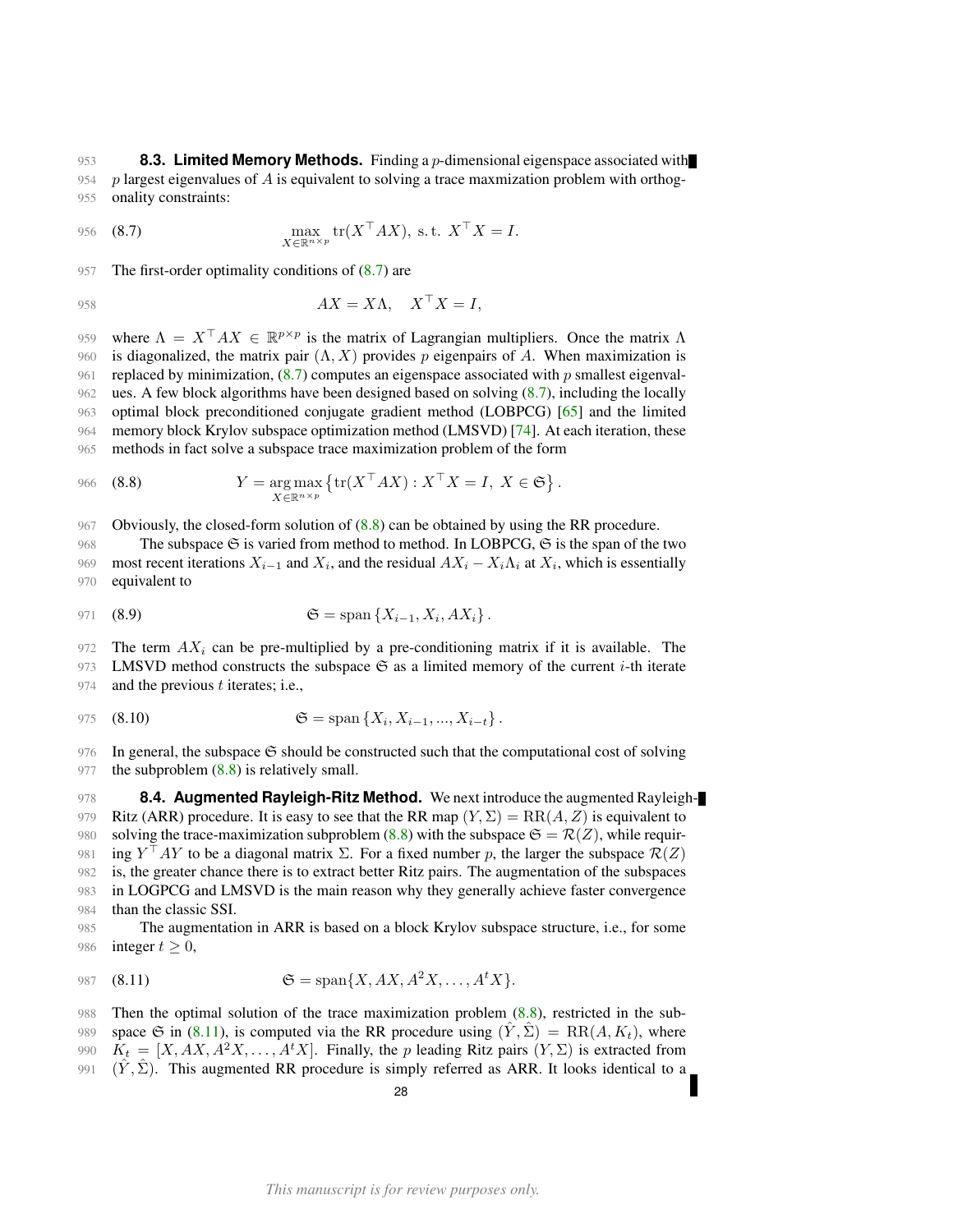<span id="page-27-0"></span>953 **8.3. Limited Memory Methods.** Finding a p-dimensional eigenspace associated with 954 p largest eigenvalues of  $A$  is equivalent to solving a trace maxmization problem with orthog-955 onality constraints:

<span id="page-27-2"></span>956 (8.7) 
$$
\max_{X \in \mathbb{R}^{n \times p}} \text{tr}(X^{\top} A X), \text{ s.t. } X^{\top} X = I.
$$

957 The first-order optimality conditions of  $(8.7)$  are

$$
AX = X\Lambda, \quad X^{\top}X = I,
$$

959 where  $\Lambda = X^{\top} A X \in \mathbb{R}^{p \times p}$  is the matrix of Lagrangian multipliers. Once the matrix  $\Lambda$ 960 is diagonalized, the matrix pair  $(\Lambda, X)$  provides p eigenpairs of A. When maximization is 961 replaced by minimization,  $(8.7)$  computes an eigenspace associated with p smallest eigenval-962 ues. A few block algorithms have been designed based on solving [\(8.7\)](#page-27-2), including the locally 963 optimal block preconditioned conjugate gradient method (LOBPCG) [\[65\]](#page-50-15) and the limited 964 memory block Krylov subspace optimization method (LMSVD) [\[74\]](#page-50-6). At each iteration, these 965 methods in fact solve a subspace trace maximization problem of the form

<span id="page-27-3"></span>966 (8.8) 
$$
Y = \underset{X \in \mathbb{R}^{n \times p}}{\arg \max} \left\{ \text{tr}(X^\top A X) : X^\top X = I, X \in \mathfrak{S} \right\}.
$$

967 Obviously, the closed-form solution of [\(8.8\)](#page-27-3) can be obtained by using the RR procedure.

968 The subspace  $\mathfrak S$  is varied from method to method. In LOBPCG,  $\mathfrak S$  is the span of the two 969 most recent iterations  $X_{i-1}$  and  $X_i$ , and the residual  $AX_i - X_i \Lambda_i$  at  $X_i$ , which is essentially 970 equivalent to

971 (8.9) 
$$
\mathfrak{S} = \text{span} \{ X_{i-1}, X_i, AX_i \}.
$$

972 The term  $AX_i$  can be pre-multiplied by a pre-conditioning matrix if it is available. The 973 LMSVD method constructs the subspace  $\mathfrak{S}$  as a limited memory of the current *i*-th iterate 974 and the previous  $t$  iterates; i.e.,

<span id="page-27-5"></span>975 (8.10) 
$$
\mathfrak{S} = \text{span}\left\{X_i, X_{i-1}, ..., X_{i-t}\right\}.
$$

976 In general, the subspace  $\mathfrak S$  should be constructed such that the computational cost of solving 977 the subproblem  $(8.8)$  is relatively small.

<span id="page-27-1"></span>978 **8.4. Augmented Rayleigh-Ritz Method.** We next introduce the augmented Rayleigh-979 Ritz (ARR) procedure. It is easy to see that the RR map  $(Y, \Sigma) = \text{RR}(A, Z)$  is equivalent to 980 solving the trace-maximization subproblem [\(8.8\)](#page-27-3) with the subspace  $\mathfrak{S} = \mathcal{R}(Z)$ , while requir-981 ing  $Y^{\top}AY$  to be a diagonal matrix  $\Sigma$ . For a fixed number p, the larger the subspace  $\mathcal{R}(Z)$ 982 is, the greater chance there is to extract better Ritz pairs. The augmentation of the subspaces 983 in LOGPCG and LMSVD is the main reason why they generally achieve faster convergence 984 than the classic SSI.

985 The augmentation in ARR is based on a block Krylov subspace structure, i.e., for some 986 integer  $t \geq 0$ ,

<span id="page-27-4"></span>987 (8.11) 
$$
\mathfrak{S} = \text{span}\{X, AX, A^2X, \dots, A^tX\}.
$$

 Then the optimal solution of the trace maximization problem [\(8.8\)](#page-27-3), restricted in the sub-989 space G in [\(8.11\)](#page-27-4), is computed via the RR procedure using  $(\hat{Y}, \hat{\Sigma}) = \text{RR}(A, K_t)$ , where  $K_t = [X, AX, A^2X, \dots, A^tX]$ . Finally, the p leading Ritz pairs  $(Y, \Sigma)$  is extracted from  $(\hat{Y}, \hat{\Sigma})$ . This augmented RR procedure is simply referred as ARR. It looks identical to a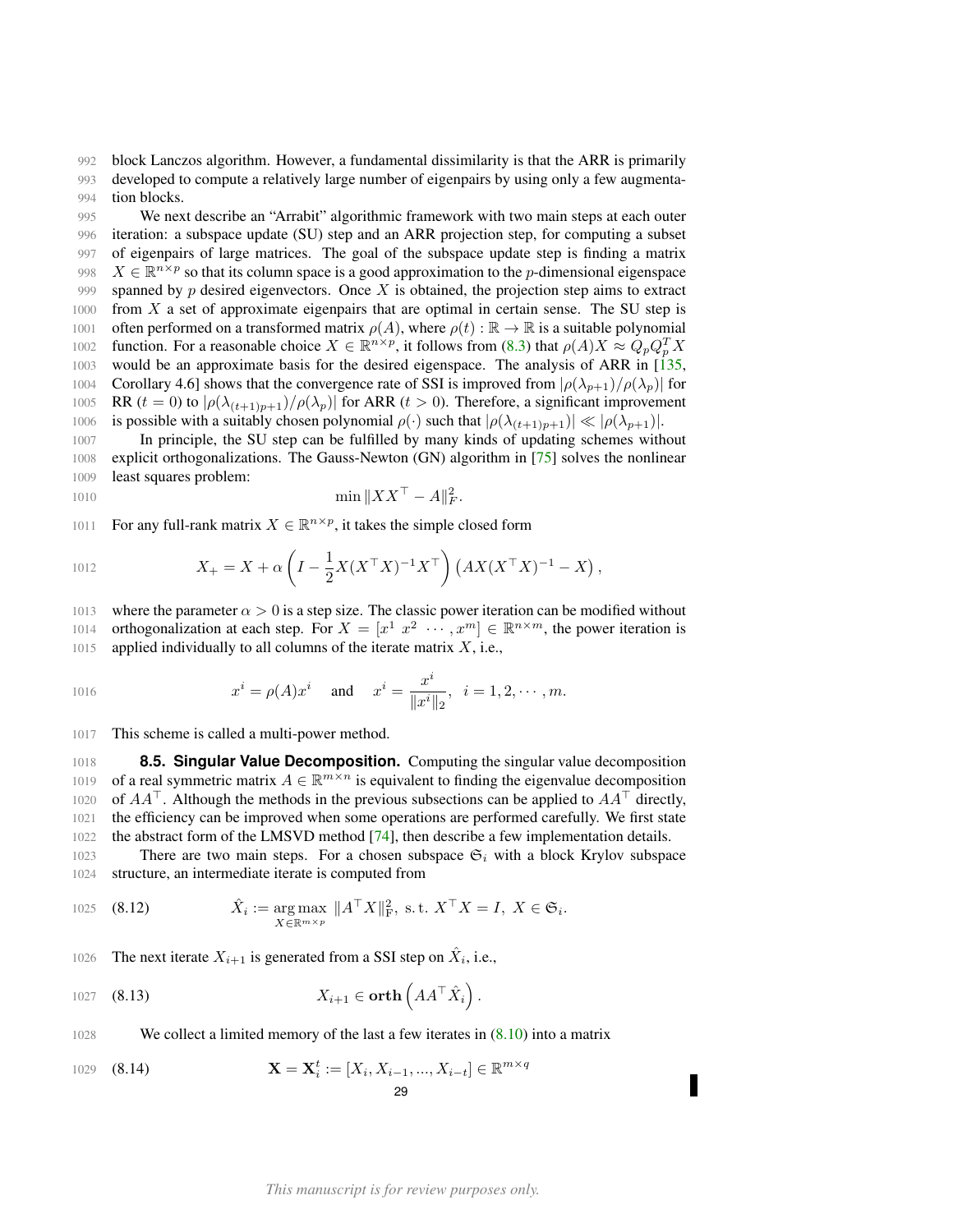992 block Lanczos algorithm. However, a fundamental dissimilarity is that the ARR is primarily 993 developed to compute a relatively large number of eigenpairs by using only a few augmenta-994 tion blocks.

995 We next describe an "Arrabit" algorithmic framework with two main steps at each outer 996 iteration: a subspace update (SU) step and an ARR projection step, for computing a subset 997 of eigenpairs of large matrices. The goal of the subspace update step is finding a matrix 998  $X \in \mathbb{R}^{n \times p}$  so that its column space is a good approximation to the p-dimensional eigenspace 999 spanned by p desired eigenvectors. Once  $X$  is obtained, the projection step aims to extract  $1000$  from X a set of approximate eigenpairs that are optimal in certain sense. The SU step is 1001 often performed on a transformed matrix  $\rho(A)$ , where  $\rho(t): \mathbb{R} \to \mathbb{R}$  is a suitable polynomial 1002 function. For a reasonable choice  $X \in \mathbb{R}^{n \times p}$ , it follows from [\(8.3\)](#page-26-1) that  $\rho(A)X \approx Q_p Q_p^T X$ 1003 would be an approximate basis for the desired eigenspace. The analysis of ARR in [\[135,](#page-52-17) 1004 Corollary 4.6] shows that the convergence rate of SSI is improved from  $|\rho(\lambda_{p+1})/\rho(\lambda_p)|$  for 1005 RR (t = 0) to  $|\rho(\lambda_{(t+1)p+1})/\rho(\lambda_p)|$  for ARR (t > 0). Therefore, a significant improvement 1006 is possible with a suitably chosen polynomial  $\rho(\cdot)$  such that  $|\rho(\lambda_{(t+1)p+1})| \ll |\rho(\lambda_{p+1})|$ .

1007 In principle, the SU step can be fulfilled by many kinds of updating schemes without 1008 explicit orthogonalizations. The Gauss-Newton (GN) algorithm in [\[75\]](#page-50-16) solves the nonlinear 1009 least squares problem:

1010 
$$
\min \|XX^{\top} - A\|_F^2.
$$

1011 For any full-rank matrix  $X \in \mathbb{R}^{n \times p}$ , it takes the simple closed form

1012 
$$
X_{+} = X + \alpha \left( I - \frac{1}{2} X (X^{\top} X)^{-1} X^{\top} \right) \left( A X (X^{\top} X)^{-1} - X \right),
$$

1013 where the parameter  $\alpha > 0$  is a step size. The classic power iteration can be modified without 1014 orthogonalization at each step. For  $X = [x^1 \ x^2 \ \cdots \ x^m] \in \mathbb{R}^{n \times m}$ , the power iteration is 1015 applied individually to all columns of the iterate matrix  $X$ , i.e.,

1016 
$$
x^{i} = \rho(A)x^{i}
$$
 and  $x^{i} = \frac{x^{i}}{\|x^{i}\|_{2}}, i = 1, 2, \cdots, m.$ 

1017 This scheme is called a multi-power method.

<span id="page-28-0"></span>1018 **8.5. Singular Value Decomposition.** Computing the singular value decomposition 1019 of a real symmetric matrix  $A \in \mathbb{R}^{m \times n}$  is equivalent to finding the eigenvalue decomposition 1020 of  $AA^{\dagger}$ . Although the methods in the previous subsections can be applied to  $AA^{\dagger}$  directly, 1021 the efficiency can be improved when some operations are performed carefully. We first state 1022 the abstract form of the LMSVD method [\[74\]](#page-50-6), then describe a few implementation details.

1023 There are two main steps. For a chosen subspace  $\mathfrak{S}_i$  with a block Krylov subspace 1024 structure, an intermediate iterate is computed from

<span id="page-28-1"></span>1025 (8.12) 
$$
\hat{X}_i := \underset{X \in \mathbb{R}^{m \times p}}{\arg \max} \|A^\top X\|_{\text{F}}^2, \text{ s.t. } X^\top X = I, X \in \mathfrak{S}_i.
$$

1026 The next iterate  $X_{i+1}$  is generated from a SSI step on  $\hat{X}_i$ , i.e.,

1027 **(8.13)** 
$$
X_{i+1} \in \text{orth}\left(AA^\top \hat{X}_i\right).
$$

1028 We collect a limited memory of the last a few iterates in  $(8.10)$  into a matrix

1029 (8.14) 
$$
\mathbf{X} = \mathbf{X}_{i}^{t} := [X_{i}, X_{i-1}, ..., X_{i-t}] \in \mathbb{R}^{m \times q}
$$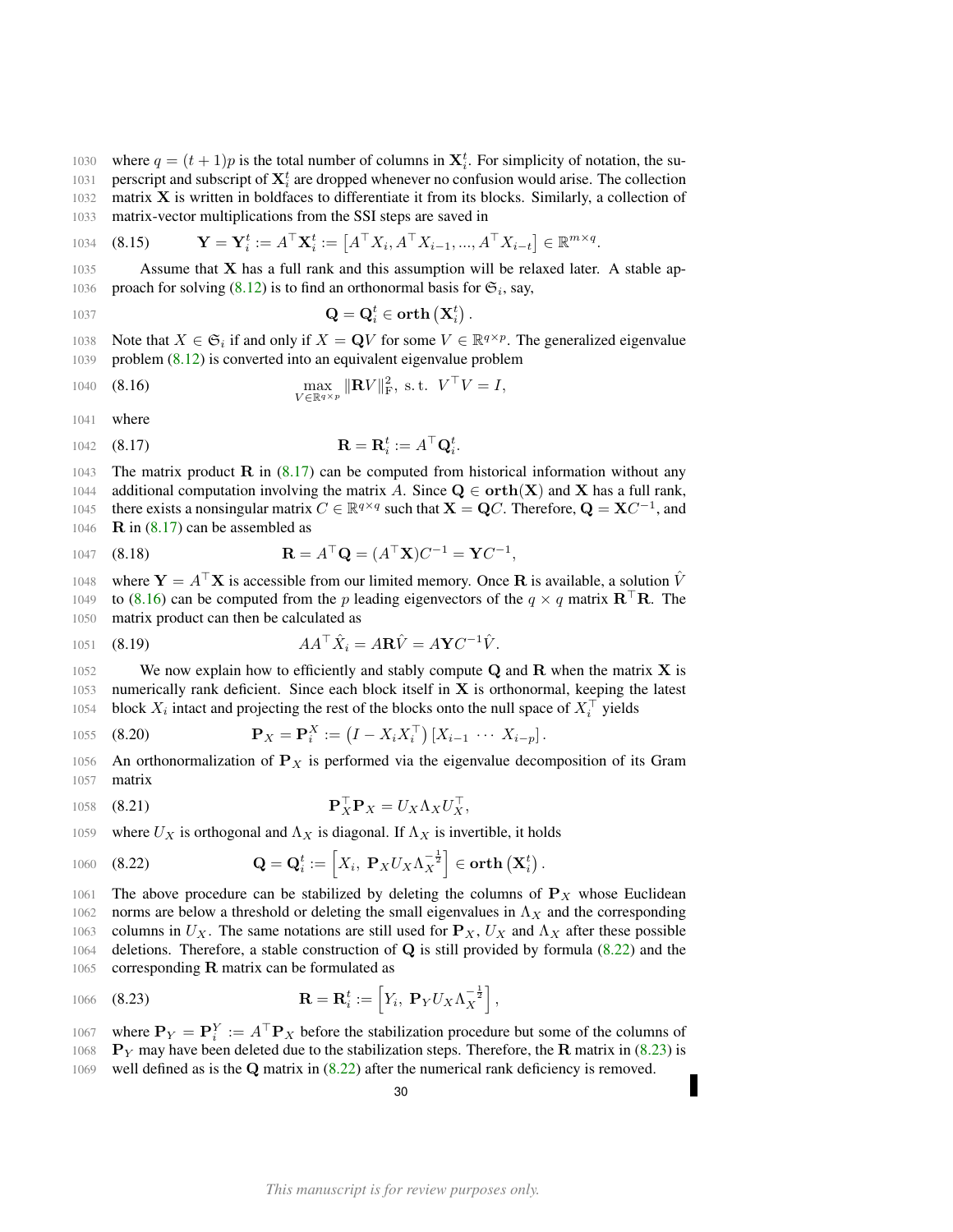1030 where  $q = (t + 1)p$  is the total number of columns in  $\mathbf{X}_{i}^{t}$ . For simplicity of notation, the su-1031 perscript and subscript of  $X_i^t$  are dropped whenever no confusion would arise. The collection

 $1032$  matrix **X** is written in boldfaces to differentiate it from its blocks. Similarly, a collection of 1033 matrix-vector multiplications from the SSI steps are saved in

1034 **(8.15)** 
$$
\mathbf{Y} = \mathbf{Y}_i^t := A^\top \mathbf{X}_i^t := \left[A^\top X_i, A^\top X_{i-1}, ..., A^\top X_{i-t}\right] \in \mathbb{R}^{m \times q}.
$$

 $1035$  Assume that **X** has a full rank and this assumption will be relaxed later. A stable ap-1036 proach for solving [\(8.12\)](#page-28-1) is to find an orthonormal basis for  $\mathfrak{S}_i$ , say,

Q = Q<sup>t</sup> <sup>i</sup> ∈ orth Xt i 1037 .

1038 Note that  $X \in \mathfrak{S}_i$  if and only if  $X = \mathbf{Q}V$  for some  $V \in \mathbb{R}^{q \times p}$ . The generalized eigenvalue 1039 problem [\(8.12\)](#page-28-1) is converted into an equivalent eigenvalue problem

<span id="page-29-1"></span>1040 (8.16) 
$$
\max_{V \in \mathbb{R}^{q \times p}} \|\mathbf{R}V\|_{\mathbf{F}}^2, \text{ s.t. } V^{\top}V = I,
$$

1041 where

<span id="page-29-0"></span>
$$
1042 \quad (8.17) \qquad \mathbf{R} = \mathbf{R}_i^t := A^\top \mathbf{Q}_i^t.
$$

1043 The matrix product R in  $(8.17)$  can be computed from historical information without any 1044 additional computation involving the matrix A. Since  $Q \in \text{orth}(X)$  and X has a full rank, 1045 there exists a nonsingular matrix  $C \in \mathbb{R}^{q \times q}$  such that  $X = QC$ . Therefore,  $Q = XC^{-1}$ , and 1046  $\overline{\mathbf{R}}$  in [\(8.17\)](#page-29-0) can be assembled as

1047 (8.18) 
$$
\mathbf{R} = A^{\top} \mathbf{Q} = (A^{\top} \mathbf{X}) C^{-1} = \mathbf{Y} C^{-1},
$$

1048 where  $Y = A^{\top}X$  is accessible from our limited memory. Once R is available, a solution  $\hat{V}$ 1049 to [\(8.16\)](#page-29-1) can be computed from the p leading eigenvectors of the  $q \times q$  matrix  $\mathbf{R}^\top \mathbf{R}$ . The 1050 matrix product can then be calculated as

$$
1051 \quad \textbf{(8.19)} \qquad \qquad AA^\top \hat{X}_i = A\mathbf{R}\hat{V} = A\mathbf{Y}C^{-1}\hat{V}.
$$

1052 We now explain how to efficiently and stably compute  $Q$  and  $R$  when the matrix  $X$  is  $1053$  numerically rank deficient. Since each block itself in **X** is orthonormal, keeping the latest 1054 block  $X_i$  intact and projecting the rest of the blocks onto the null space of  $X_i^{\top}$  yields

1055 (8.20) 
$$
\mathbf{P}_X = \mathbf{P}_i^X := (I - X_i X_i^{\top}) [X_{i-1} \cdots X_{i-p}].
$$

1056 An orthonormalization of  $P<sub>X</sub>$  is performed via the eigenvalue decomposition of its Gram 1057 matrix

$$
\mathbf{P}_{X}^{\top}\mathbf{P}_{X} = U_{X}\Lambda_{X}U_{X}^{\top},
$$

1059 where  $U_X$  is orthogonal and  $\Lambda_X$  is diagonal. If  $\Lambda_X$  is invertible, it holds

<span id="page-29-2"></span>1060 (8.22) 
$$
\mathbf{Q} = \mathbf{Q}_i^t := \left[ X_i, \ \mathbf{P}_X U_X \Lambda_X^{-\frac{1}{2}} \right] \in \text{orth} \left( \mathbf{X}_i^t \right).
$$

1061 The above procedure can be stabilized by deleting the columns of  $P_X$  whose Euclidean 1062 norms are below a threshold or deleting the small eigenvalues in  $\Lambda_X$  and the corresponding 1063 columns in  $U_X$ . The same notations are still used for  $P_X$ ,  $U_X$  and  $\Lambda_X$  after these possible 1064 deletions. Therefore, a stable construction of  $Q$  is still provided by formula [\(8.22\)](#page-29-2) and the 1065 corresponding  $\bf R$  matrix can be formulated as

<span id="page-29-3"></span>1066 (8.23) 
$$
\mathbf{R} = \mathbf{R}_i^t := \left[ Y_i, \ \mathbf{P}_Y U_X \Lambda_X^{-\frac{1}{2}} \right],
$$

1067 where  $P_Y = P_i^Y := A^T P_X$  before the stabilization procedure but some of the columns of 1068 P<sub>Y</sub> may have been deleted due to the stabilization steps. Therefore, the R matrix in [\(8.23\)](#page-29-3) is

1069 well defined as is the  $Q$  matrix in  $(8.22)$  after the numerical rank deficiency is removed.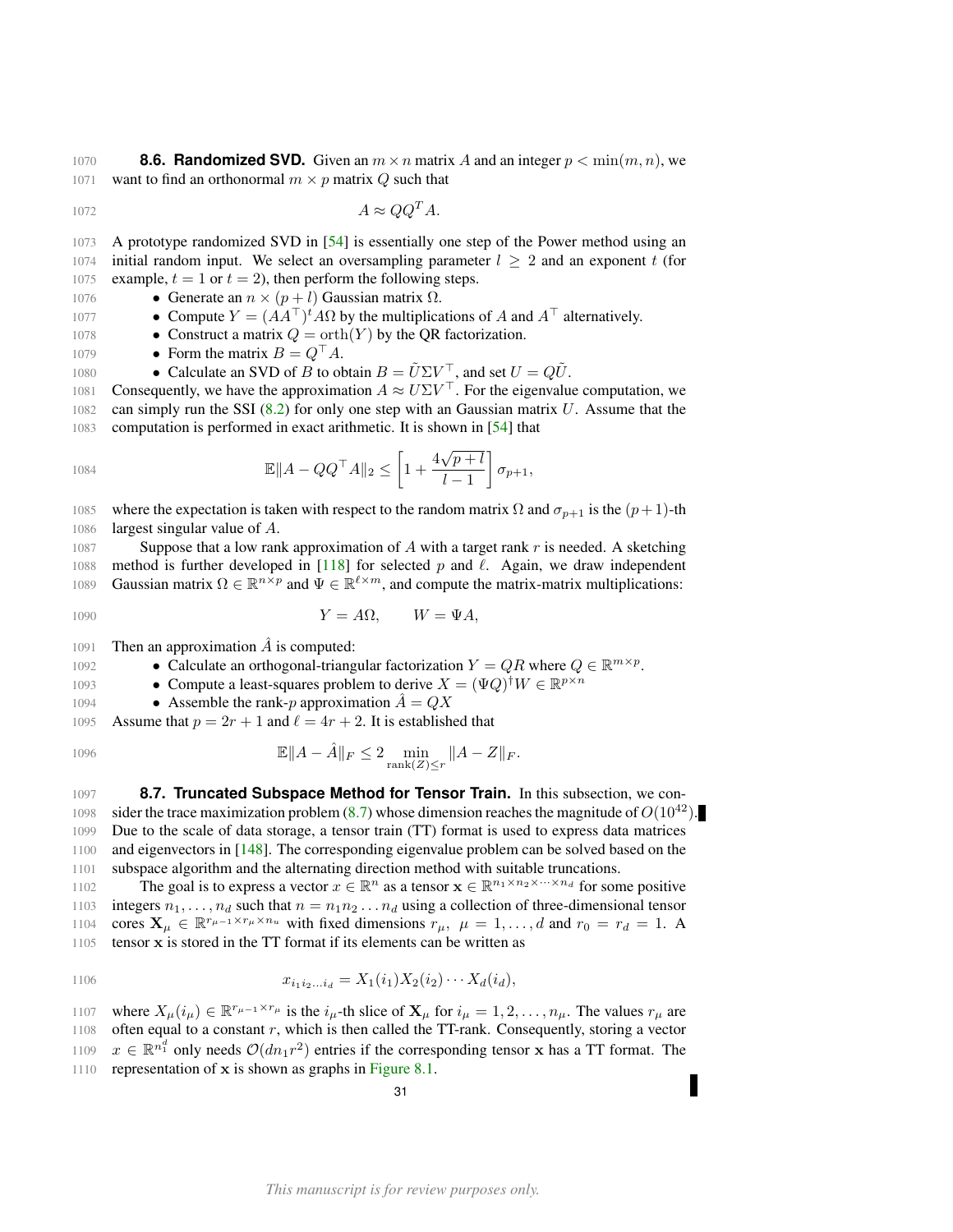<span id="page-30-0"></span>1070 **8.6. Randomized SVD.** Given an  $m \times n$  matrix A and an integer  $p < \min(m, n)$ , we 1071 want to find an orthonormal  $m \times p$  matrix Q such that

$$
A \approx QQ^T A.
$$

1073 A prototype randomized SVD in [\[54\]](#page-50-17) is essentially one step of the Power method using an 1074 initial random input. We select an oversampling parameter  $l \geq 2$  and an exponent t (for 1075 example,  $t = 1$  or  $t = 2$ ), then perform the following steps.

- 1076 Generate an  $n \times (p+l)$  Gaussian matrix Ω.
- 1077 ► Compute  $Y = (AA^{\top})^t AΩ$  by the multiplications of A and  $A^{\top}$  alternatively.
- 1078 Construct a matrix  $Q = \operatorname{orth}(Y)$  by the QR factorization.
- 1079 Form the matrix  $B = Q^{\top} A$ .
- 1080 Calculate an SVD of B to obtain  $B = \tilde{U} \Sigma V^{\top}$ , and set  $U = Q\tilde{U}$ .

1081 Consequently, we have the approximation  $A \approx U \Sigma V^{\top}$ . For the eigenvalue computation, we  $1082$  can simply run the SSI [\(8.2\)](#page-26-2) for only one step with an Gaussian matrix U. Assume that the 1083 computation is performed in exact arithmetic. It is shown in [\[54\]](#page-50-17) that

1084 
$$
\mathbb{E} \|A - QQ^{\top}A\|_2 \le \left[1 + \frac{4\sqrt{p+l}}{l-1}\right] \sigma_{p+1},
$$

1085 where the expectation is taken with respect to the random matrix  $\Omega$  and  $\sigma_{p+1}$  is the  $(p+1)$ -th 1086 largest singular value of A.

1087 Suppose that a low rank approximation of  $A$  with a target rank  $r$  is needed. A sketching 1088 method is further developed in [\[118\]](#page-52-8) for selected p and  $\ell$ . Again, we draw independent 1089 Gaussian matrix  $\Omega \in \mathbb{R}^{n \times p}$  and  $\Psi \in \mathbb{R}^{\ell \times m}$ , and compute the matrix-matrix multiplications:

$$
Y = A\Omega, \qquad W = \Psi A,
$$

1091 Then an approximation  $\overline{A}$  is computed:

1092 ► Calculate an orthogonal-triangular factorization  $Y = QR$  where  $Q \in \mathbb{R}^{m \times p}$ .

- 1093 Compute a least-squares problem to derive  $X = (\Psi Q)^{\dagger} W \in \mathbb{R}^{p \times n}$
- 1094 ► Assemble the rank-p approximation  $\ddot{A} = QX$

1095 Assume that  $p = 2r + 1$  and  $\ell = 4r + 2$ . It is established that

1096 
$$
\mathbb{E} \|A - \hat{A}\|_F \leq 2 \min_{\text{rank}(Z) \leq r} \|A - Z\|_F.
$$

<span id="page-30-1"></span>1097 **8.7. Truncated Subspace Method for Tensor Train.** In this subsection, we con-1098 sider the trace maximization problem [\(8.7\)](#page-27-2) whose dimension reaches the magnitude of  $O(10^{42})$ . 1099 Due to the scale of data storage, a tensor train (TT) format is used to express data matrices 1100 and eigenvectors in  $[148]$ . The corresponding eigenvalue problem can be solved based on the 1101 subspace algorithm and the alternating direction method with suitable truncations.

1102 The goal is to express a vector  $x \in \mathbb{R}^n$  as a tensor  $\mathbf{x} \in \mathbb{R}^{n_1 \times n_2 \times \cdots \times n_d}$  for some positive 1103 integers  $n_1, \ldots, n_d$  such that  $n = n_1 n_2 \ldots n_d$  using a collection of three-dimensional tensor 1104 cores  $\mathbf{X}_{\mu} \in \mathbb{R}^{r_{\mu-1} \times r_{\mu} \times n_u}$  with fixed dimensions  $r_{\mu}$ ,  $\mu = 1, \dots, d$  and  $r_0 = r_d = 1$ . A 1105 tensor x is stored in the TT format if its elements can be written as

1106 
$$
x_{i_1 i_2 \ldots i_d} = X_1(i_1) X_2(i_2) \cdots X_d(i_d),
$$

1107 where  $X_\mu(i_\mu) \in \mathbb{R}^{r_{\mu-1} \times r_{\mu}}$  is the  $i_\mu$ -th slice of  $\mathbf{X}_\mu$  for  $i_\mu = 1, 2, \ldots, n_{\mu}$ . The values  $r_{\mu}$  are 1108 often equal to a constant  $r$ , which is then called the TT-rank. Consequently, storing a vector 1109  $x \in \mathbb{R}^{n_1^d}$  only needs  $\mathcal{O}(dn_1r^2)$  entries if the corresponding tensor x has a TT format. The 1110 representation of x is shown as graphs in [Figure 8.1.](#page-31-0)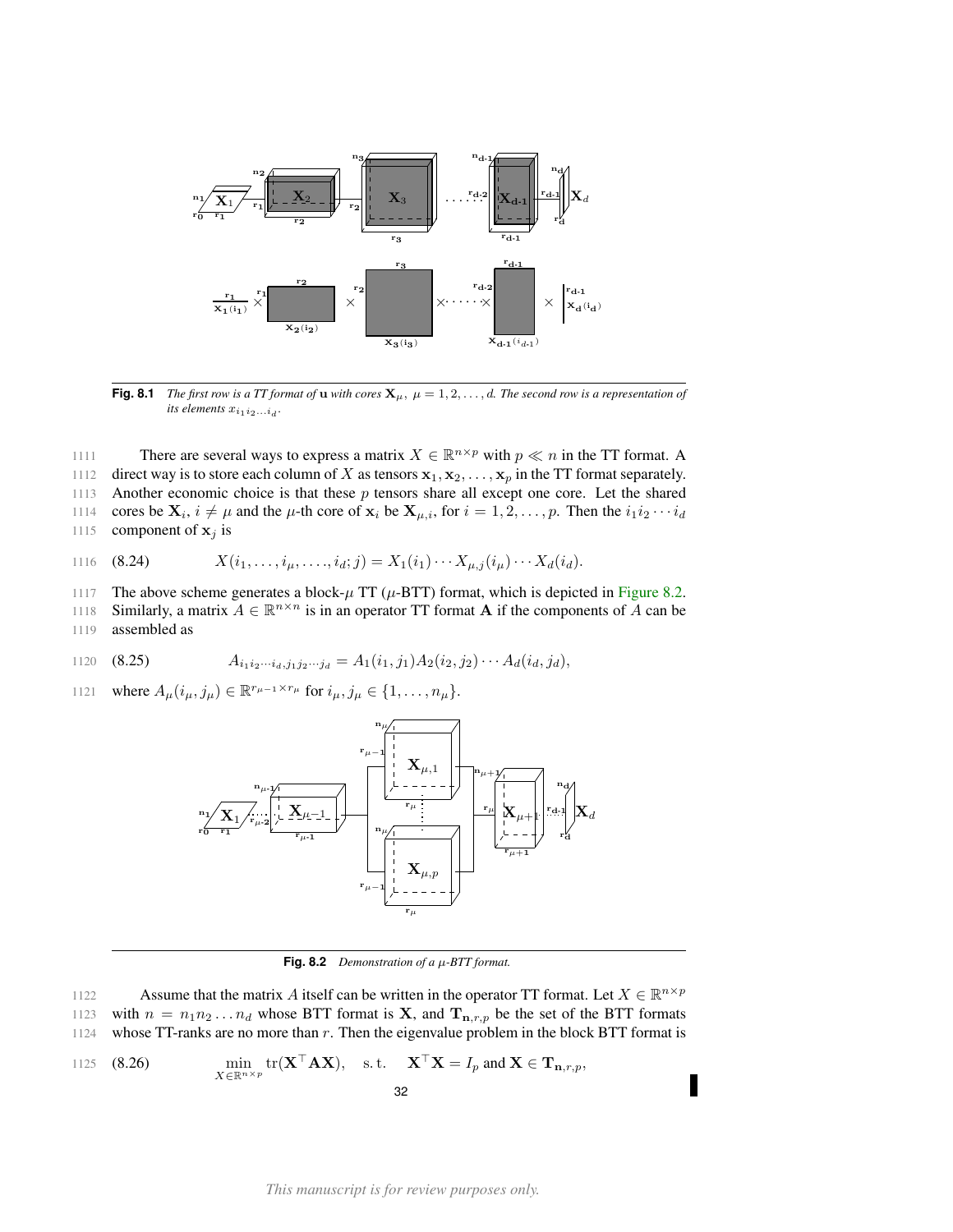<span id="page-31-0"></span>

**Fig. 8.1** *The first row is a TT format of* **u** *with cores*  $\mathbf{X}_{\mu}$ ,  $\mu = 1, 2, ..., d$ *. The second row is a representation of its elements*  $x_{i_1 i_2 \ldots i_d}$ .

1111 There are several ways to express a matrix  $X \in \mathbb{R}^{n \times p}$  with  $p \ll n$  in the TT format. A

1112 direct way is to store each column of X as tensors  $x_1, x_2, \ldots, x_p$  in the TT format separately.

1113 Another economic choice is that these  $p$  tensors share all except one core. Let the shared

1114 cores be  $\mathbf{X}_i$ ,  $i \neq \mu$  and the  $\mu$ -th core of  $\mathbf{x}_i$  be  $\mathbf{X}_{\mu,i}$ , for  $i = 1, 2, \ldots, p$ . Then the  $i_1 i_2 \cdots i_d$ 1115 component of  $x_j$  is

1116 (8.24) 
$$
X(i_1,\ldots,i_\mu,\ldots,i_d;j) = X_1(i_1)\cdots X_{\mu,j}(i_\mu)\cdots X_d(i_d).
$$

1117 The above scheme generates a block- $\mu$  TT ( $\mu$ -BTT) format, which is depicted in [Figure 8.2.](#page-31-1)

1118 Similarly, a matrix  $A \in \mathbb{R}^{n \times n}$  is in an operator TT format A if the components of A can be 1119 assembled as

1120 (8.25) 
$$
A_{i_1 i_2 \cdots i_d, j_1 j_2 \cdots j_d} = A_1(i_1, j_1) A_2(i_2, j_2) \cdots A_d(i_d, j_d),
$$

<span id="page-31-1"></span>1121 where  $A_{\mu}(i_{\mu}, j_{\mu}) \in \mathbb{R}^{r_{\mu-1} \times r_{\mu}}$  for  $i_{\mu}, j_{\mu} \in \{1, ..., n_{\mu}\}.$ 



**Fig. 8.2** *Demonstration of a* µ*-BTT format.*

Assume that the matrix A itself can be written in the operator TT format. Let  $X \in \mathbb{R}^{n \times p}$ 1122

1123 with  $n = n_1 n_2 ... n_d$  whose BTT format is **X**, and  $\mathbf{T}_{\mathbf{n},r,p}$  be the set of the BTT formats 1124 whose TT-ranks are no more than  $r$ . Then the eigenvalue problem in the block BTT format is

1125 (8.26) 
$$
\min_{X \in \mathbb{R}^{n \times p}} tr(\mathbf{X}^\top \mathbf{A} \mathbf{X}), \text{ s.t. } \mathbf{X}^\top \mathbf{X} = I_p \text{ and } \mathbf{X} \in \mathbf{T}_{\mathbf{n},r,p},
$$
32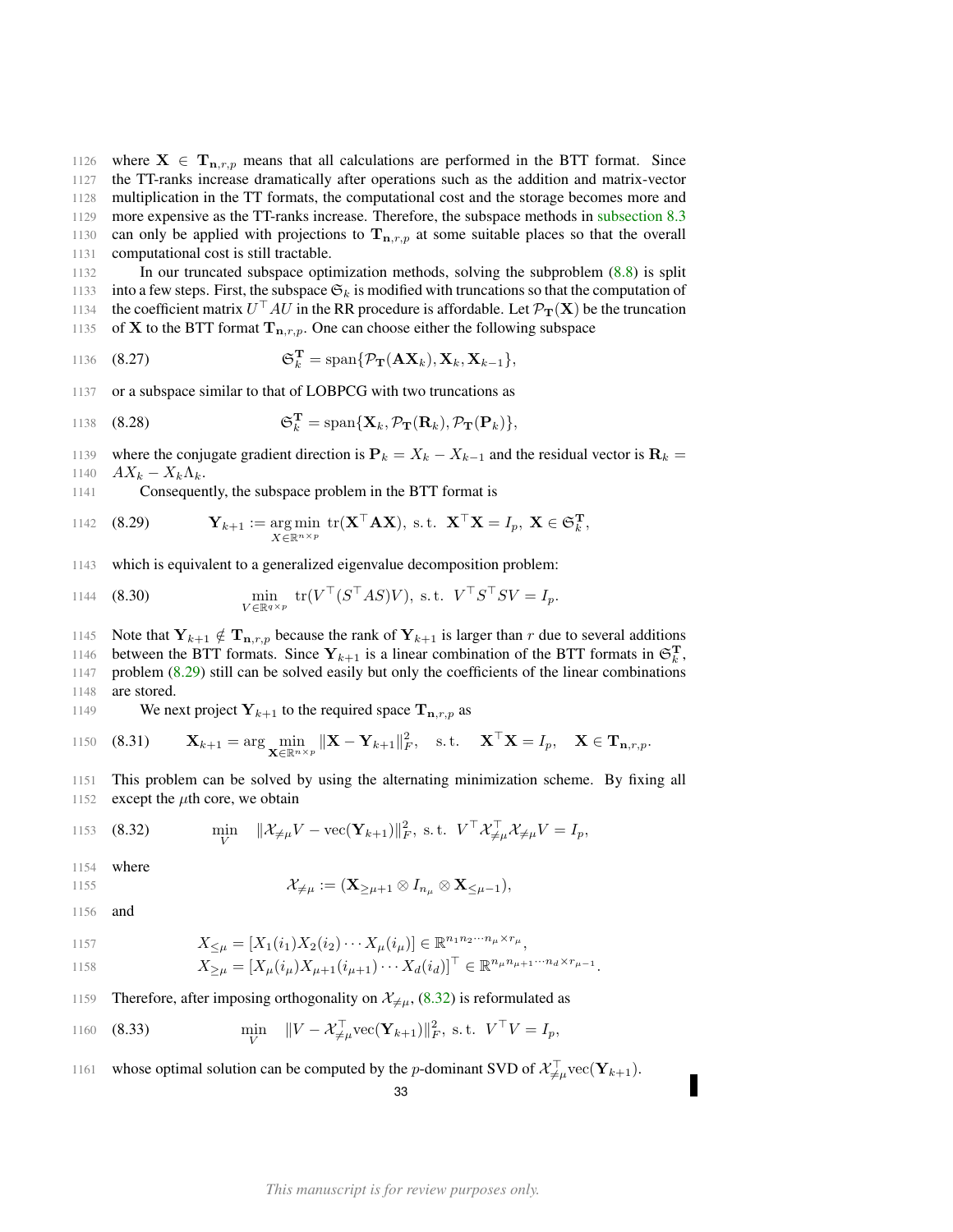1126 where  $X \in T_{n,r,p}$  means that all calculations are performed in the BTT format. Since the TT-ranks increase dramatically after operations such as the addition and matrix-vector multiplication in the TT formats, the computational cost and the storage becomes more and more expensive as the TT-ranks increase. Therefore, the subspace methods in [subsection 8.3](#page-27-0) 1130 can only be applied with projections to  $T_{n,r,p}$  at some suitable places so that the overall computational cost is still tractable.

1132 In our truncated subspace optimization methods, solving the subproblem [\(8.8\)](#page-27-3) is split 1133 into a few steps. First, the subspace  $\mathfrak{S}_k$  is modified with truncations so that the computation of 1134 the coefficient matrix  $U^\top A U$  in the RR procedure is affordable. Let  $\mathcal{P}_{\mathbf{T}}(\mathbf{X})$  be the truncation 1135 of **X** to the BTT format  $T_{n,r,p}$ . One can choose either the following subspace

1136 (8.27) 
$$
\mathfrak{S}_k^{\mathbf{T}} = \mathrm{span}\{\mathcal{P}_{\mathbf{T}}(\mathbf{A}\mathbf{X}_k), \mathbf{X}_k, \mathbf{X}_{k-1}\},\
$$

1137 or a subspace similar to that of LOBPCG with two truncations as

1138 (8.28) 
$$
\mathfrak{S}_k^{\mathbf{T}} = \mathrm{span}\{\mathbf{X}_k, \mathcal{P}_{\mathbf{T}}(\mathbf{R}_k), \mathcal{P}_{\mathbf{T}}(\mathbf{P}_k)\},
$$

1139 where the conjugate gradient direction is  $P_k = X_k - X_{k-1}$  and the residual vector is  $R_k =$ 1140  $AX_k - X_k\Lambda_k$ .

1141 Consequently, the subspace problem in the BTT format is

<span id="page-32-0"></span>1142 (8.29) 
$$
\mathbf{Y}_{k+1} := \underset{X \in \mathbb{R}^{n \times p}}{\arg \min} \text{ tr}(\mathbf{X}^{\top} \mathbf{A} \mathbf{X}), \text{ s.t. } \mathbf{X}^{\top} \mathbf{X} = I_p, \ \mathbf{X} \in \mathfrak{S}_k^{\mathbf{T}},
$$

1143 which is equivalent to a generalized eigenvalue decomposition problem:

1144 (8.30) 
$$
\min_{V \in \mathbb{R}^{q \times p}} tr(V^\top (S^\top AS)V), \text{ s.t. } V^\top S^\top SV = I_p.
$$

1145 Note that  $Y_{k+1} \notin T_{n,r,p}$  because the rank of  $Y_{k+1}$  is larger than r due to several additions

1146 between the BTT formats. Since  $Y_{k+1}$  is a linear combination of the BTT formats in  $\mathfrak{S}_k^{\mathbf{T}}$ , 1147 problem [\(8.29\)](#page-32-0) still can be solved easily but only the coefficients of the linear combinations 1148 are stored.

1149 We next project  $Y_{k+1}$  to the required space  $T_{n,r,p}$  as

1150 (8.31) 
$$
\mathbf{X}_{k+1} = \arg \min_{\mathbf{X} \in \mathbb{R}^{n \times p}} ||\mathbf{X} - \mathbf{Y}_{k+1}||_F^2, \text{ s.t. } \mathbf{X}^\top \mathbf{X} = I_p, \mathbf{X} \in \mathbf{T}_{\mathbf{n},r,p}.
$$

1151 This problem can be solved by using the alternating minimization scheme. By fixing all 1152 except the  $\mu$ th core, we obtain

<span id="page-32-1"></span>1153 (8.32) 
$$
\min_{V} \quad \|\mathcal{X}_{\neq \mu} V - \text{vec}(\mathbf{Y}_{k+1})\|_{F}^{2}, \text{ s.t. } V^{\top} \mathcal{X}_{\neq \mu}^{\top} \mathcal{X}_{\neq \mu} V = I_{p},
$$

1154 where

1155 
$$
\mathcal{X}_{\neq \mu} := (\mathbf{X}_{\geq \mu+1} \otimes I_{n_{\mu}} \otimes \mathbf{X}_{\leq \mu-1}),
$$

1156 and

1157  
\n
$$
X_{\leq \mu} = [X_1(i_1)X_2(i_2)\cdots X_{\mu}(i_{\mu})] \in \mathbb{R}^{n_1 n_2 \cdots n_{\mu} \times r_{\mu}},
$$
\n
$$
X_{\geq \mu} = [X_{\mu}(i_{\mu})X_{\mu+1}(i_{\mu+1})\cdots X_d(i_d)]^{\top} \in \mathbb{R}^{n_{\mu} n_{\mu+1} \cdots n_d \times r_{\mu-1}}.
$$

- 1159 Therefore, after imposing orthogonality on  $\mathcal{X}_{\neq\mu}$ , [\(8.32\)](#page-32-1) is reformulated as
- $(8.33)$ 1160 (8.33)  $\min_{V} \|V - \mathcal{X}_{\neq \mu}^{\top} \text{vec}(\mathbf{Y}_{k+1})\|_{F}^{2}, \text{ s.t. } V^{\top}V = I_{p},$
- 1161 whose optimal solution can be computed by the *p*-dominant SVD of  $\mathcal{X}_{\neq\mu}^{\top}$  vec( $\mathbf{Y}_{k+1}$ ).

F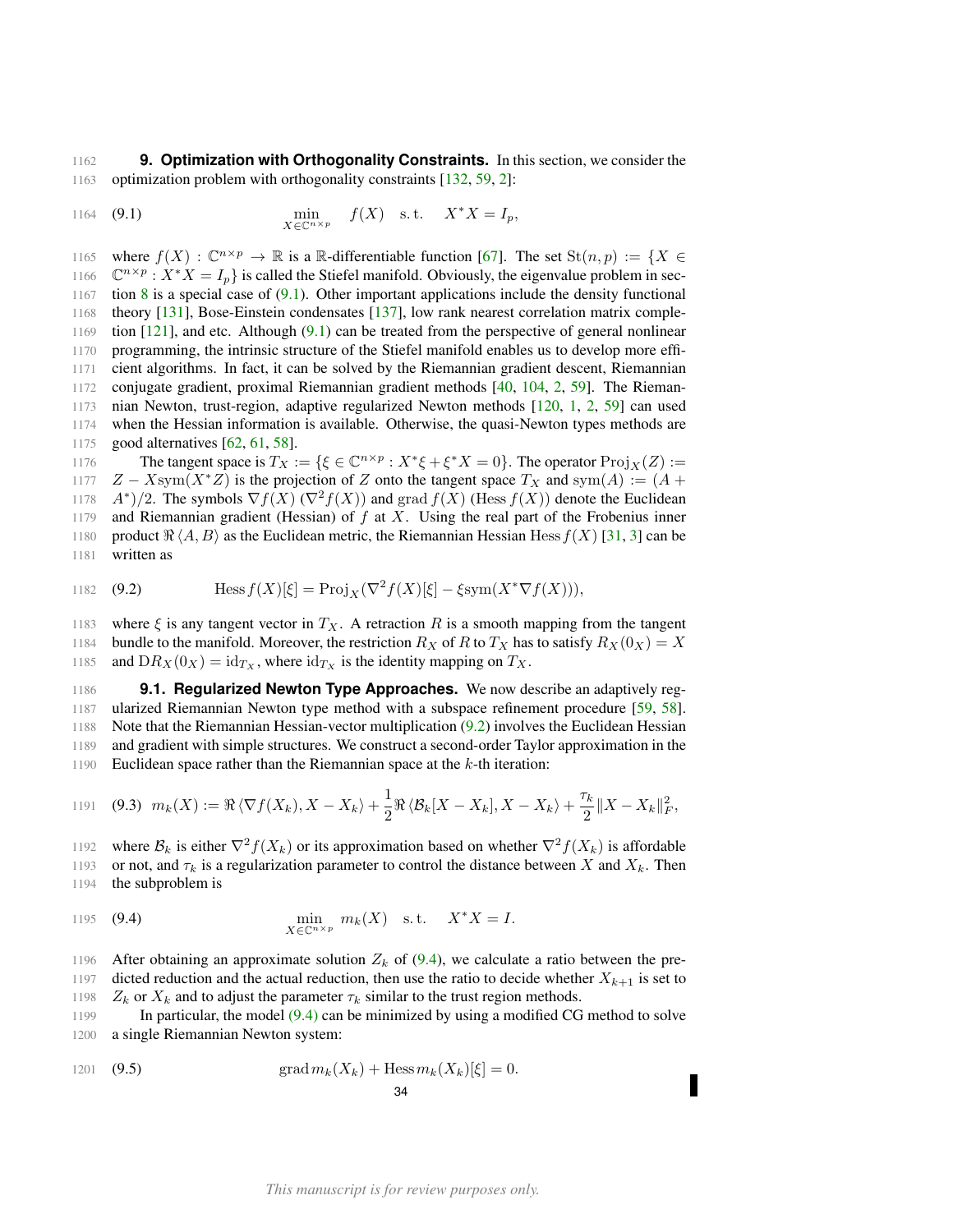<span id="page-33-0"></span>1162 **9. Optimization with Orthogonality Constraints.** In this section, we consider the 1163 optimization problem with orthogonality constraints [\[132,](#page-52-18) [59,](#page-50-18) [2\]](#page-48-18):

<span id="page-33-2"></span>1164 (9.1) 
$$
\min_{X \in \mathbb{C}^{n \times p}} f(X) \text{ s.t. } X^*X = I_p,
$$

1165 where  $f(X) : \mathbb{C}^{n \times p} \to \mathbb{R}$  is a R-differentiable function [\[67\]](#page-50-19). The set  $St(n, p) := \{X \in$  $\mathbb{C}^{n \times p}$  :  $X^*X = I_p$  is called the Stiefel manifold. Obviously, the eigenvalue problem in sec-1167 tion [8](#page-25-0) is a special case of  $(9.1)$ . Other important applications include the density functional theory [\[131\]](#page-52-19), Bose-Einstein condensates [\[137\]](#page-52-20), low rank nearest correlation matrix comple-1169 tion  $[121]$ , and etc. Although  $(9.1)$  can be treated from the perspective of general nonlinear programming, the intrinsic structure of the Stiefel manifold enables us to develop more effi- cient algorithms. In fact, it can be solved by the Riemannian gradient descent, Riemannian conjugate gradient, proximal Riemannian gradient methods [\[40,](#page-49-23) [104,](#page-51-24) [2,](#page-48-18) [59\]](#page-50-18). The Rieman- nian Newton, trust-region, adaptive regularized Newton methods [\[120,](#page-52-22) [1,](#page-48-19) [2,](#page-48-18) [59\]](#page-50-18) can used when the Hessian information is available. Otherwise, the quasi-Newton types methods are good alternatives [\[62,](#page-50-20) [61,](#page-50-21) [58\]](#page-50-9).

1176 The tangent space is  $T_X := \{ \xi \in \mathbb{C}^{n \times p} : X^* \xi + \xi^* X = 0 \}.$  The operator  $\text{Proj}_X(Z) :=$ 1177  $Z - Xsym(X^*Z)$  is the projection of Z onto the tangent space  $T_X$  and sym $(A) := (A +$ 1178  $A^*/2$ . The symbols  $\nabla f(X)$  ( $\nabla^2 f(X)$ ) and grad  $f(X)$  (Hess  $f(X)$ ) denote the Euclidean 1179 and Riemannian gradient (Hessian) of  $f$  at  $X$ . Using the real part of the Frobenius inner 1180 product  $\Re\langle A, B \rangle$  as the Euclidean metric, the Riemannian Hessian Hess  $f(X)$  [\[31,](#page-49-24) [3\]](#page-48-20) can be 1181 written as

<span id="page-33-3"></span>1182 (9.2) 
$$
\qquad \qquad \text{Hess } f(X)[\xi] = \text{Proj}_X(\nabla^2 f(X)[\xi] - \xi \text{sym}(X^* \nabla f(X))),
$$

1183 where  $\xi$  is any tangent vector in  $T_X$ . A retraction R is a smooth mapping from the tangent 1184 bundle to the manifold. Moreover, the restriction  $R_X$  of R to  $T_X$  has to satisfy  $R_X(0_X) = X$ 1185 and  $DR_X(0_X) = id_{T_X}$ , where  $id_{T_X}$  is the identity mapping on  $T_X$ .

<span id="page-33-1"></span> **9.1. Regularized Newton Type Approaches.** We now describe an adaptively reg- ularized Riemannian Newton type method with a subspace refinement procedure [\[59,](#page-50-18) [58\]](#page-50-9). Note that the Riemannian Hessian-vector multiplication [\(9.2\)](#page-33-3) involves the Euclidean Hessian and gradient with simple structures. We construct a second-order Taylor approximation in the 1190 Euclidean space rather than the Riemannian space at the  $k$ -th iteration:

1191 **(9.3)** 
$$
m_k(X) := \Re \langle \nabla f(X_k), X - X_k \rangle + \frac{1}{2} \Re \langle \mathcal{B}_k[X - X_k], X - X_k \rangle + \frac{\tau_k}{2} ||X - X_k||_F^2
$$

1192 where  $\mathcal{B}_k$  is either  $\nabla^2 f(X_k)$  or its approximation based on whether  $\nabla^2 f(X_k)$  is affordable 1193 or not, and  $\tau_k$  is a regularization parameter to control the distance between X and  $X_k$ . Then 1194 the subproblem is

<span id="page-33-4"></span>1195 (9.4) 
$$
\min_{X \in \mathbb{C}^{n \times p}} m_k(X) \text{ s.t. } X^*X = I.
$$

1196 After obtaining an approximate solution  $Z_k$  of [\(9.4\)](#page-33-4), we calculate a ratio between the pre-1197 dicted reduction and the actual reduction, then use the ratio to decide whether  $X_{k+1}$  is set to 1198  $Z_k$  or  $X_k$  and to adjust the parameter  $\tau_k$  similar to the trust region methods.

1199 In particular, the model [\(9.4\)](#page-33-4) can be minimized by using a modified CG method to solve 1200 a single Riemannian Newton system:

(9.5) 
$$
\operatorname{grad} m_k(X_k) + \operatorname{Hess} m_k(X_k)[\xi] = 0.
$$
34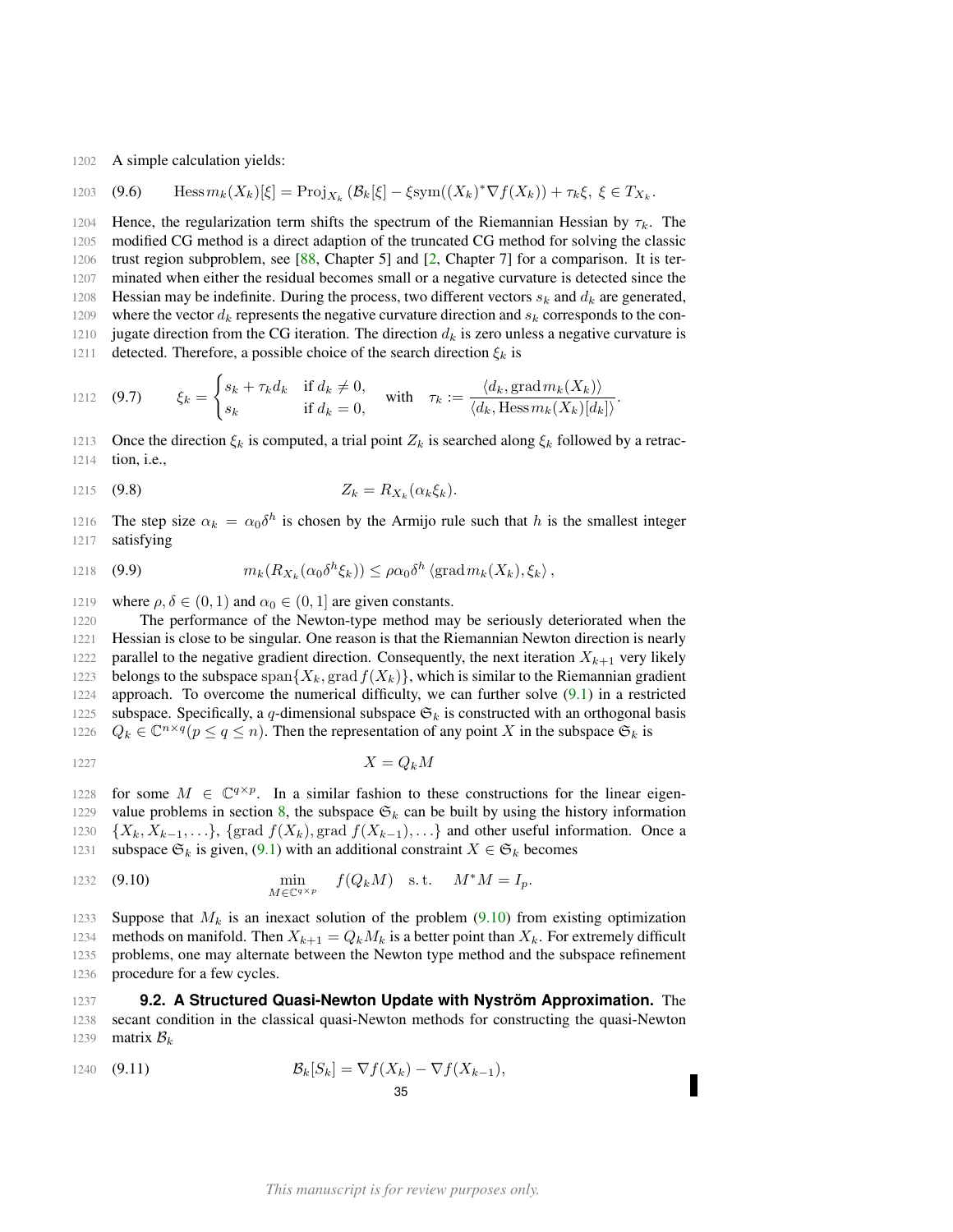1202 A simple calculation yields:

1203 (9.6) 
$$
\text{Hess}\,m_k(X_k)[\xi] = \text{Proj}_{X_k}\left(\mathcal{B}_k[\xi] - \xi\text{sym}((X_k)^*\nabla f(X_k)) + \tau_k\xi, \ \xi \in T_{X_k}.
$$

1204 Hence, the regularization term shifts the spectrum of the Riemannian Hessian by  $\tau_k$ . The 1205 modified CG method is a direct adaption of the truncated CG method for solving the classic 1206 trust region subproblem, see [\[88,](#page-51-1) Chapter 5] and [\[2,](#page-48-18) Chapter 7] for a comparison. It is ter-1207 minated when either the residual becomes small or a negative curvature is detected since the 1208 Hessian may be indefinite. During the process, two different vectors  $s_k$  and  $d_k$  are generated, 1209 where the vector  $d_k$  represents the negative curvature direction and  $s_k$  corresponds to the con-1210 jugate direction from the CG iteration. The direction  $d_k$  is zero unless a negative curvature is 1211 detected. Therefore, a possible choice of the search direction  $\xi_k$  is

1212 (9.7) 
$$
\xi_k = \begin{cases} s_k + \tau_k d_k & \text{if } d_k \neq 0, \\ s_k & \text{if } d_k = 0, \end{cases} \text{ with } \tau_k := \frac{\langle d_k, \text{grad } m_k(X_k) \rangle}{\langle d_k, \text{Hess } m_k(X_k)[d_k] \rangle}.
$$

1213 Once the direction  $\xi_k$  is computed, a trial point  $Z_k$  is searched along  $\xi_k$  followed by a retrac-1214 tion, i.e.,

$$
Z_k = R_{X_k}(\alpha_k \xi_k).
$$

1216 The step size  $\alpha_k = \alpha_0 \delta^h$  is chosen by the Armijo rule such that h is the smallest integer 1217 satisfying

1218 (9.9) 
$$
m_k(R_{X_k}(\alpha_0\delta^h\xi_k)) \leq \rho\alpha_0\delta^h \left(\text{grad}\,m_k(X_k),\xi_k\right),
$$

1219 where  $\rho, \delta \in (0, 1)$  and  $\alpha_0 \in (0, 1]$  are given constants.

1220 The performance of the Newton-type method may be seriously deteriorated when the 1221 Hessian is close to be singular. One reason is that the Riemannian Newton direction is nearly 1222 parallel to the negative gradient direction. Consequently, the next iteration  $X_{k+1}$  very likely 1223 belongs to the subspace span ${X_k, \text{grad } f(X_k)}$ , which is similar to the Riemannian gradient 1224 approach. To overcome the numerical difficulty, we can further solve [\(9.1\)](#page-33-2) in a restricted 1225 subspace. Specifically, a q-dimensional subspace  $\mathfrak{S}_k$  is constructed with an orthogonal basis 1226  $Q_k \in \mathbb{C}^{n \times q} (p \leq q \leq n)$ . Then the representation of any point X in the subspace  $\mathfrak{S}_k$  is

$$
X = Q_k M
$$

1228 for some  $M \in \mathbb{C}^{q \times p}$ . In a similar fashion to these constructions for the linear eigen-1229 value problems in section [8,](#page-25-0) the subspace  $\mathfrak{S}_k$  can be built by using the history information 1230  $\{X_k, X_{k-1}, \ldots\}$ , {grad  $f(X_k)$ , grad  $f(X_{k-1})$ , ...} and other useful information. Once a

1231 subspace  $\mathfrak{S}_k$  is given, [\(9.1\)](#page-33-2) with an additional constraint  $X \in \mathfrak{S}_k$  becomes

<span id="page-34-1"></span>1232 (9.10) 
$$
\min_{M \in \mathbb{C}^{q \times p}} f(Q_k M) \text{ s.t. } M^* M = I_p.
$$

1233 Suppose that  $M_k$  is an inexact solution of the problem [\(9.10\)](#page-34-1) from existing optimization 1234 methods on manifold. Then  $X_{k+1} = Q_k M_k$  is a better point than  $X_k$ . For extremely difficult 1235 problems, one may alternate between the Newton type method and the subspace refinement 1236 procedure for a few cycles.

<span id="page-34-0"></span>1237 **9.2. A Structured Quasi-Newton Update with Nystrom Approximation. ¨** The 1238 secant condition in the classical quasi-Newton methods for constructing the quasi-Newton 1239 matrix  $B_k$ 

<span id="page-34-2"></span>1240 (9.11) 
$$
\mathcal{B}_k[S_k] = \nabla f(X_k) - \nabla f(X_{k-1}),
$$
35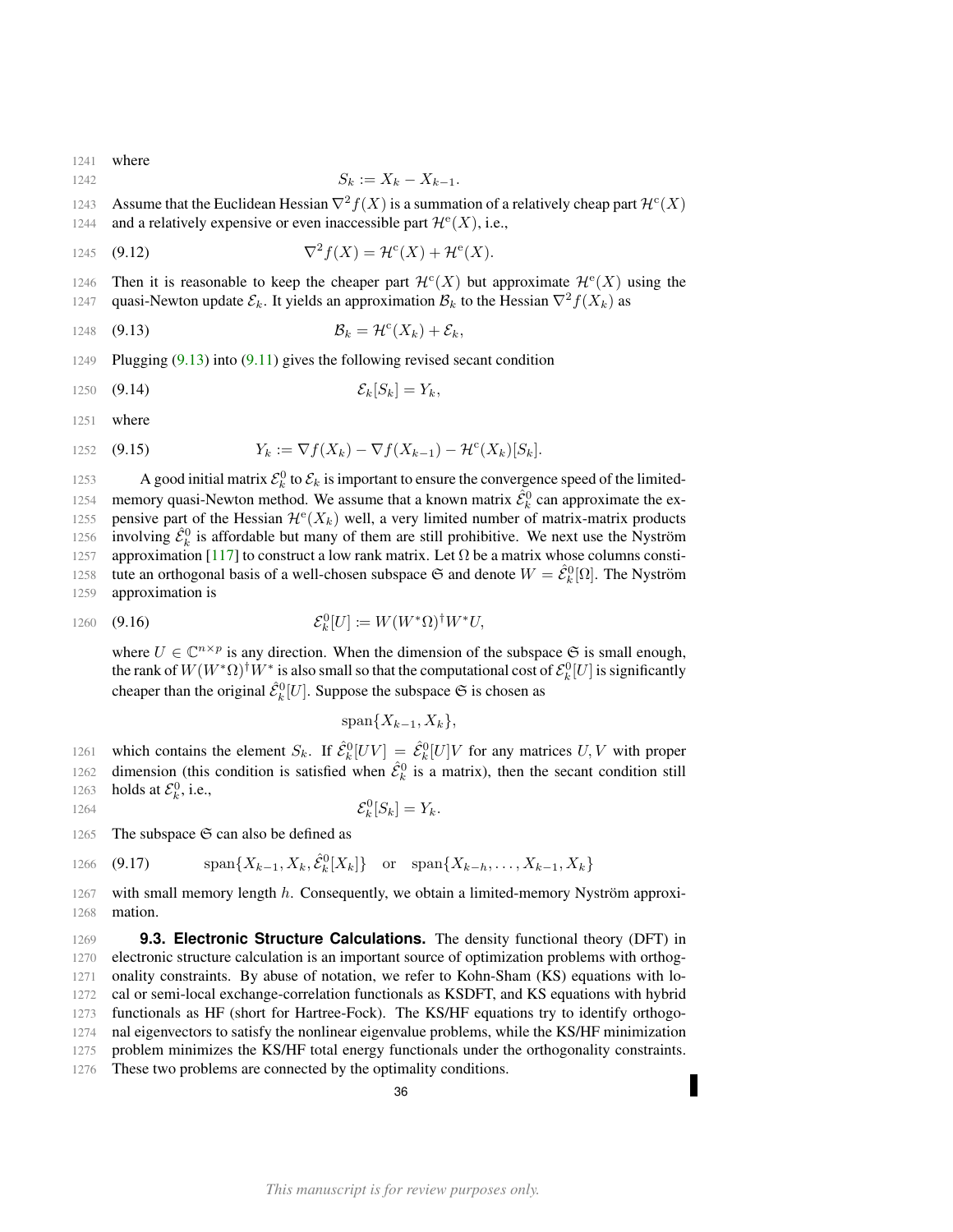1241 where

$$
S_k := X_k - X_{k-1}.
$$

1243 Assume that the Euclidean Hessian  $\nabla^2 f(X)$  is a summation of a relatively cheap part  $\mathcal{H}^c(X)$ 

1244 and a relatively expensive or even inaccessible part  $\mathcal{H}^{e}(X)$ , i.e.,

1245 
$$
\nabla^2 f(X) = \mathcal{H}^c(X) + \mathcal{H}^e(X).
$$

1246 Then it is reasonable to keep the cheaper part  $\mathcal{H}^c(X)$  but approximate  $\mathcal{H}^e(X)$  using the

1247 quasi-Newton update  $\mathcal{E}_k$ . It yields an approximation  $\mathcal{B}_k$  to the Hessian  $\nabla^2 f(X_k)$  as

<span id="page-35-1"></span>
$$
1248 \quad (9.13) \qquad \qquad \mathcal{B}_k = \mathcal{H}^c(X_k) + \mathcal{E}_k,
$$

1249 Plugging [\(9.13\)](#page-35-1) into [\(9.11\)](#page-34-2) gives the following revised secant condition

$$
1250 \quad (9.14) \qquad \qquad \mathcal{E}_k[S_k] = Y_k,
$$

1251 where

1252 (9.15) 
$$
Y_k := \nabla f(X_k) - \nabla f(X_{k-1}) - \mathcal{H}^c(X_k)[S_k].
$$

1253 A good initial matrix  $\mathcal{E}_k^0$  to  $\mathcal{E}_k$  is important to ensure the convergence speed of the limited-1254 memory quasi-Newton method. We assume that a known matrix  $\hat{\mathcal{E}}_k^0$  can approximate the ex-1255 pensive part of the Hessian  $\mathcal{H}^{e}(X_k)$  well, a very limited number of matrix-matrix products 1256 involving  $\hat{\mathcal{E}}_k^0$  is affordable but many of them are still prohibitive. We next use the Nyström 1257 approximation [\[117\]](#page-52-23) to construct a low rank matrix. Let  $\Omega$  be a matrix whose columns consti-1258 tute an orthogonal basis of a well-chosen subspace  $\mathfrak{S}$  and denote  $W = \hat{\mathcal{E}}_k^0[\Omega]$ . The Nyström 1259 approximation is

$$
1260 \quad (9.16) \qquad \qquad \mathcal{E}_k^0[U] \coloneqq W(W^*\Omega)^\dagger W^*U,
$$

where  $U \in \mathbb{C}^{n \times p}$  is any direction. When the dimension of the subspace  $\mathfrak{S}$  is small enough, the rank of  $W(W^*\Omega)^\dagger W^*$  is also small so that the computational cost of  $\mathcal{E}^0_k[U]$  is significantly cheaper than the original  $\hat{\mathcal{E}}_k^0[U]$ . Suppose the subspace  $\mathfrak S$  is chosen as

$$
\mathrm{span}\{X_{k-1}, X_k\},\
$$

1261 which contains the element  $S_k$ . If  $\hat{\mathcal{E}}_k^0[UV] = \hat{\mathcal{E}}_k^0[U]V$  for any matrices  $U, V$  with proper 1262 dimension (this condition is satisfied when  $\hat{\mathcal{E}}_k^0$  is a matrix), then the secant condition still 1263 holds at  $\mathcal{E}_k^0$ , i.e.,

$$
\mathcal{E}_k^0[S_k] = Y_k.
$$

1265 The subspace  $\mathfrak S$  can also be defined as

1266 (9.17) 
$$
\text{span}\{X_{k-1}, X_k, \hat{\mathcal{E}}_k^0[X_k]\} \text{ or } \text{span}\{X_{k-h}, \ldots, X_{k-1}, X_k\}
$$

 $1267$  with small memory length h. Consequently, we obtain a limited-memory Nyström approxi-1268 mation.

<span id="page-35-0"></span> **9.3. Electronic Structure Calculations.** The density functional theory (DFT) in electronic structure calculation is an important source of optimization problems with orthog- onality constraints. By abuse of notation, we refer to Kohn-Sham (KS) equations with lo- cal or semi-local exchange-correlation functionals as KSDFT, and KS equations with hybrid functionals as HF (short for Hartree-Fock). The KS/HF equations try to identify orthogo- nal eigenvectors to satisfy the nonlinear eigenvalue problems, while the KS/HF minimization problem minimizes the KS/HF total energy functionals under the orthogonality constraints. 1276 These two problems are connected by the optimality conditions.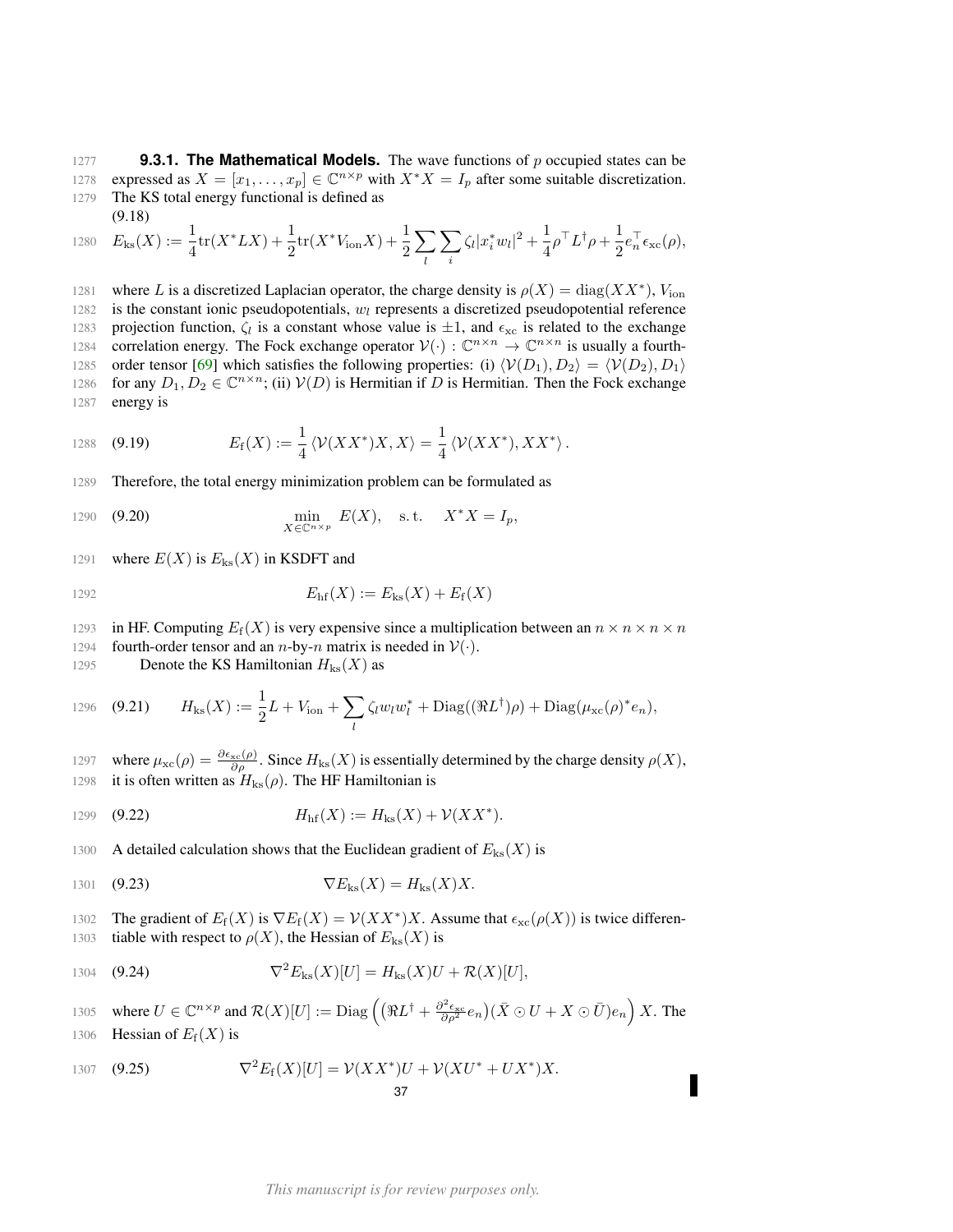<span id="page-36-0"></span>1277 **9.3.1. The Mathematical Models.** The wave functions of p occupied states can be 1278 expressed as  $X = [x_1, \ldots, x_p] \in \mathbb{C}^{n \times p}$  with  $X^*X = I_p$  after some suitable discretization. 1279 The KS total energy functional is defined as (9.18)

1280 
$$
E_{\text{ks}}(X) := \frac{1}{4} \text{tr}(X^* L X) + \frac{1}{2} \text{tr}(X^* V_{\text{ion}} X) + \frac{1}{2} \sum_{l} \sum_{i} \zeta_l |x_i^* w_l|^2 + \frac{1}{4} \rho^\top L^\dagger \rho + \frac{1}{2} e_n^\top \epsilon_{\text{xc}}(\rho),
$$

1281 where L is a discretized Laplacian operator, the charge density is  $\rho(X) = \text{diag}(XX^*)$ ,  $V_{\text{ion}}$ 1282 is the constant ionic pseudopotentials,  $w_l$  represents a discretized pseudopotential reference 1283 projection function,  $\zeta_l$  is a constant whose value is  $\pm 1$ , and  $\epsilon_{\rm xc}$  is related to the exchange 1284 correlation energy. The Fock exchange operator  $V(\cdot) : \mathbb{C}^{n \times n} \to \mathbb{C}^{n \times n}$  is usually a fourth-1285 order tensor [\[69\]](#page-50-22) which satisfies the following properties: (i)  $\langle V(D_1), D_2 \rangle = \langle V(D_2), D_1 \rangle$ 1286 for any  $D_1, D_2 \in \mathbb{C}^{n \times n}$ ; (ii)  $V(D)$  is Hermitian if D is Hermitian. Then the Fock exchange 1287 energy is

1288 (9.19) 
$$
E_{\rm f}(X) := \frac{1}{4} \langle \mathcal{V}(XX^*)X, X \rangle = \frac{1}{4} \langle \mathcal{V}(XX^*), XX^* \rangle.
$$

1289 Therefore, the total energy minimization problem can be formulated as

<span id="page-36-4"></span>1290 (9.20) 
$$
\min_{X \in \mathbb{C}^{n \times p}} E(X), \text{ s.t. } X^*X = I_p,
$$

1291 where  $E(X)$  is  $E_{ks}(X)$  in KSDFT and

$$
E_{\rm hf}(X) := E_{\rm ks}(X) + E_{\rm f}(X)
$$

1293 in HF. Computing  $E_f(X)$  is very expensive since a multiplication between an  $n \times n \times n \times n$ 

1294 fourth-order tensor and an *n*-by-*n* matrix is needed in  $V(.)$ .

1295 Denote the KS Hamiltonian  $H_{\text{ks}}(X)$  as

<span id="page-36-1"></span>1296 (9.21) 
$$
H_{\text{ks}}(X) := \frac{1}{2}L + V_{\text{ion}} + \sum_{l} \zeta_{l} w_{l} w_{l}^{*} + \text{Diag}((\Re L^{\dagger})\rho) + \text{Diag}(\mu_{\text{xc}}(\rho)^{*}e_{n}),
$$

1297 where  $\mu_{\rm xc}(\rho) = \frac{\partial \epsilon_{\rm xc}(\rho)}{\partial \rho}$ . Since  $H_{\rm ks}(X)$  is essentially determined by the charge density  $\rho(X)$ , 1298 it is often written as  $H_{\text{ks}}(\rho)$ . The HF Hamiltonian is

<span id="page-36-2"></span>1299 (9.22) 
$$
H_{\text{hf}}(X) := H_{\text{ks}}(X) + \mathcal{V}(XX^*).
$$

1300 A detailed calculation shows that the Euclidean gradient of  $E_{\text{ks}}(X)$  is

$$
1301 \quad (9.23) \qquad \qquad \nabla E_{\text{ks}}(X) = H_{\text{ks}}(X)X.
$$

1302 The gradient of  $E_f(X)$  is  $\nabla E_f(X) = \mathcal{V}(XX^*)X$ . Assume that  $\epsilon_{\rm xc}(\rho(X))$  is twice differen-1303 tiable with respect to  $\rho(X)$ , the Hessian of  $E_{\text{ks}}(X)$  is

<span id="page-36-3"></span>1304 (9.24) 
$$
\nabla^2 E_{\rm ks}(X)[U] = H_{\rm ks}(X)U + \mathcal{R}(X)[U],
$$

1305 where  $U \in \mathbb{C}^{n \times p}$  and  $\mathcal{R}(X)[U] := \text{Diag}\left( \left( \Re L^{\dagger} + \frac{\partial^2 \epsilon_{\rm xc}}{\partial \rho^2} e_n \right) (\bar{X} \odot U + X \odot \bar{U}) e_n \right) X$ . The 1306 Hessian of  $E_f(X)$  is

1307 (9.25) 
$$
\nabla^2 E_f(X)[U] = \mathcal{V}(XX^*)U + \mathcal{V}(XU^* + UX^*)X.
$$
37

Г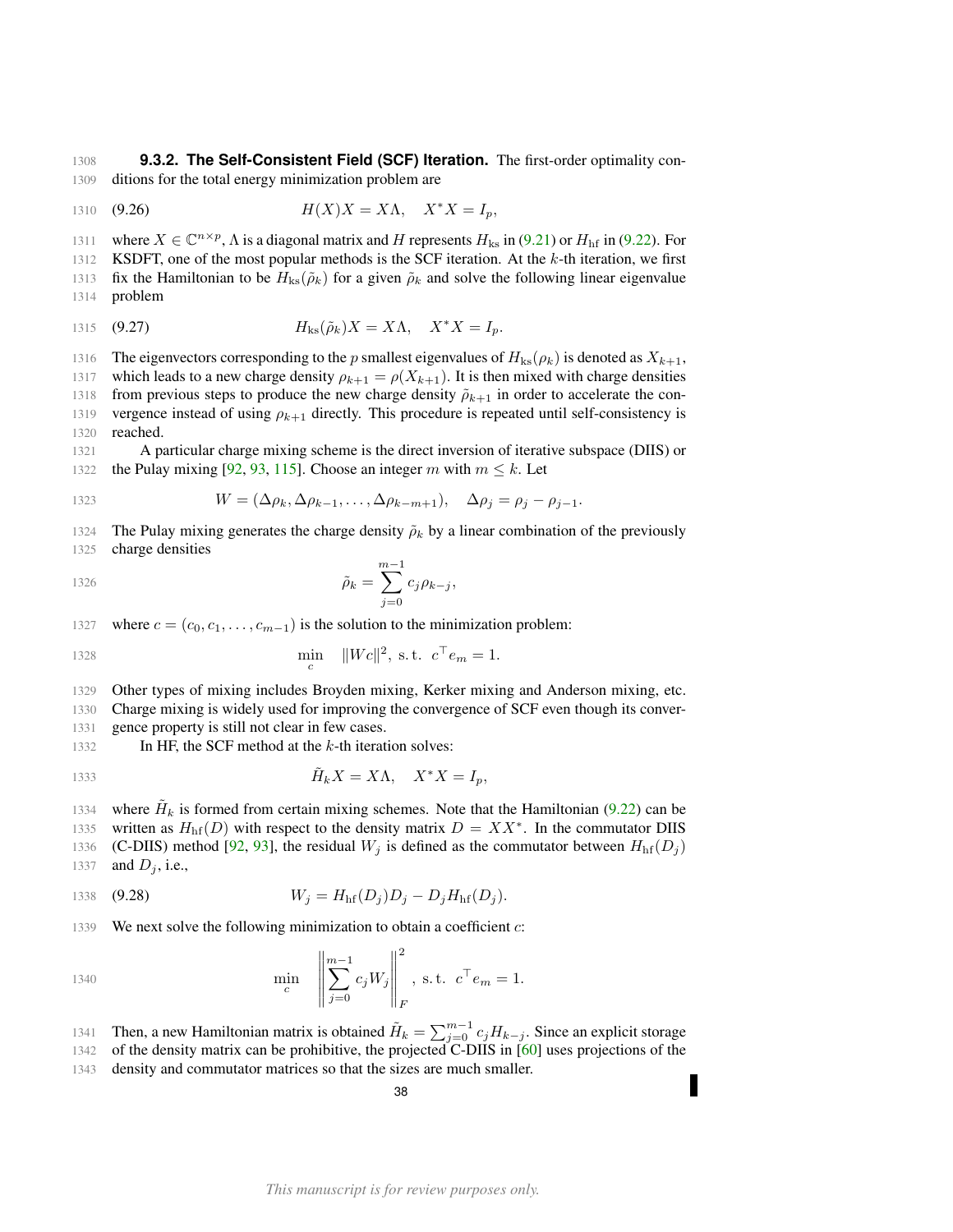<span id="page-37-0"></span>1308 **9.3.2. The Self-Consistent Field (SCF) Iteration.** The first-order optimality con-1309 ditions for the total energy minimization problem are

<span id="page-37-1"></span>1310 (9.26) 
$$
H(X)X = X\Lambda, \quad X^*X = I_p,
$$

1311 where  $X \in \mathbb{C}^{n \times p}$ ,  $\Lambda$  is a diagonal matrix and H represents  $H_{\text{ks}}$  in [\(9.21\)](#page-36-1) or  $H_{\text{hf}}$  in [\(9.22\)](#page-36-2). For 1312 KSDFT, one of the most popular methods is the SCF iteration. At the  $k$ -th iteration, we first 1313 fix the Hamiltonian to be  $H_{ks}(\tilde{\rho}_k)$  for a given  $\tilde{\rho}_k$  and solve the following linear eigenvalue 1314 problem

$$
H_{\text{ks}}(\tilde{\rho}_k)X = X\Lambda, \quad X^*X = I_p.
$$

1316 The eigenvectors corresponding to the p smallest eigenvalues of  $H_{\text{ks}}(\rho_k)$  is denoted as  $X_{k+1}$ , 1317 which leads to a new charge density  $\rho_{k+1} = \rho(X_{k+1})$ . It is then mixed with charge densities 1318 from previous steps to produce the new charge density  $\tilde{\rho}_{k+1}$  in order to accelerate the con-1319 vergence instead of using  $\rho_{k+1}$  directly. This procedure is repeated until self-consistency is 1320 reached.

1321 A particular charge mixing scheme is the direct inversion of iterative subspace (DIIS) or 1322 the Pulay mixing [\[92,](#page-51-6) [93,](#page-51-7) [115\]](#page-52-5). Choose an integer m with  $m \leq k$ . Let

1323 
$$
W = (\Delta \rho_k, \Delta \rho_{k-1}, \dots, \Delta \rho_{k-m+1}), \quad \Delta \rho_j = \rho_j - \rho_{j-1}.
$$

1324 The Pulay mixing generates the charge density  $\tilde{\rho}_k$  by a linear combination of the previously 1325 charge densities

1326 
$$
\tilde{\rho}_k = \sum_{j=0}^{m-1} c_j \rho_{k-j},
$$

1327 where  $c = (c_0, c_1, \ldots, c_{m-1})$  is the solution to the minimization problem:

1328 
$$
\min_{c} \|Wc\|^2, \text{ s.t. } c^{\top}e_m = 1.
$$

1329 Other types of mixing includes Broyden mixing, Kerker mixing and Anderson mixing, etc.

1330 Charge mixing is widely used for improving the convergence of SCF even though its conver-1331 gence property is still not clear in few cases.

1332 In HF, the SCF method at the  $k$ -th iteration solves:

$$
\tilde{H}_k X = X \Lambda, \quad X^* X = I_p,
$$

1334 where  $H_k$  is formed from certain mixing schemes. Note that the Hamiltonian [\(9.22\)](#page-36-2) can be 1335 written as  $H<sub>hf</sub>(D)$  with respect to the density matrix  $D = XX^*$ . In the commutator DIIS 1336 (C-DIIS) method [\[92,](#page-51-6) [93\]](#page-51-7), the residual  $W_j$  is defined as the commutator between  $H<sub>hf</sub>(D_j)$ 1337 and  $D_i$ , i.e.,

1338 (9.28) 
$$
W_j = H_{\text{hf}}(D_j)D_j - D_j H_{\text{hf}}(D_j).
$$

1339 We next solve the following minimization to obtain a coefficient  $c$ :

1340 
$$
\min_{c} \left\| \sum_{j=0}^{m-1} c_j W_j \right\|_F^2, \text{ s.t. } c^{\top} e_m = 1.
$$

1341 Then, a new Hamiltonian matrix is obtained  $\tilde{H}_k = \sum_{j=0}^{m-1} c_j H_{k-j}$ . Since an explicit storage 1342 of the density matrix can be prohibitive, the projected C-DIIS in [\[60\]](#page-50-23) uses projections of the 1343 density and commutator matrices so that the sizes are much smaller.

38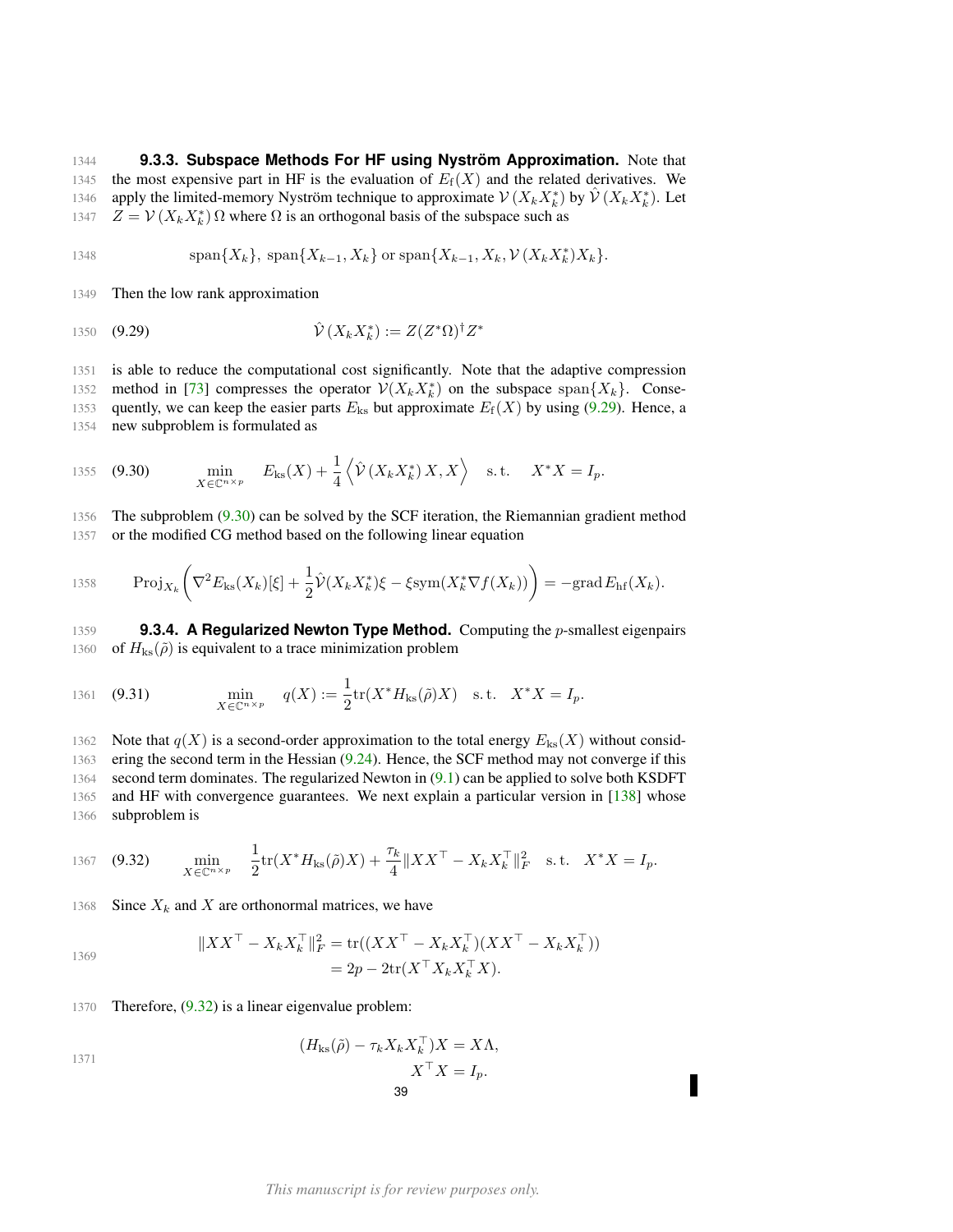<span id="page-38-0"></span>1344 **9.3.3. Subspace Methods For HF using Nyström Approximation.** Note that 1345 the most expensive part in HF is the evaluation of  $E_f(X)$  and the related derivatives. We 1346 apply the limited-memory Nyström technique to approximate  $V(X_k X_k^*)$  by  $\hat{V}(X_k X_k^*)$ . Let 1347  $Z = V(X_k X_k^*) \Omega$  where  $\Omega$  is an orthogonal basis of the subspace such as

1348 
$$
\text{span}\{X_k\},\ \text{span}\{X_{k-1},X_k\}\ \text{or}\ \text{span}\{X_{k-1},X_k,\mathcal{V}(X_kX_k^*)X_k\}.
$$

1349 Then the low rank approximation

<span id="page-38-2"></span>1350 **(9.29)** 
$$
\hat{\mathcal{V}}(X_k X_k^*) := Z(Z^* \Omega)^{\dagger} Z^*
$$

1351 is able to reduce the computational cost significantly. Note that the adaptive compression 1352 method in [\[73\]](#page-50-24) compresses the operator  $V(X_k X_k^*)$  on the subspace span $\{X_k\}$ . Conse-

1353 quently, we can keep the easier parts  $E_{ks}$  but approximate  $E_f(X)$  by using [\(9.29\)](#page-38-2). Hence, a 1354 new subproblem is formulated as

<span id="page-38-3"></span>1355 (9.30) 
$$
\min_{X \in \mathbb{C}^{n \times p}} E_{\text{ks}}(X) + \frac{1}{4} \left\langle \hat{\mathcal{V}}\left(X_k X_k^*\right) X, X \right\rangle \quad \text{s.t.} \quad X^* X = I_p.
$$

1356 The subproblem [\(9.30\)](#page-38-3) can be solved by the SCF iteration, the Riemannian gradient method 1357 or the modified CG method based on the following linear equation

$$
\text{Proj}_{X_k} \bigg( \nabla^2 E_{\text{ks}}(X_k)[\xi] + \frac{1}{2} \hat{\mathcal{V}}(X_k X_k^*) \xi - \xi \text{sym}(X_k^* \nabla f(X_k)) \bigg) = -\text{grad}\, E_{\text{hf}}(X_k).
$$

<span id="page-38-1"></span>1359 **9.3.4. A Regularized Newton Type Method.** Computing the p-smallest eigenpairs 1360 of  $H_{\text{ks}}(\tilde{\rho})$  is equivalent to a trace minimization problem

1361 (9.31) 
$$
\min_{X \in \mathbb{C}^{n \times p}} q(X) := \frac{1}{2} \text{tr}(X^* H_{\text{ks}}(\tilde{\rho}) X) \text{ s.t. } X^* X = I_p.
$$

1362 Note that  $q(X)$  is a second-order approximation to the total energy  $E_{\text{ks}}(X)$  without consid- ering the second term in the Hessian [\(9.24\)](#page-36-3). Hence, the SCF method may not converge if this second term dominates. The regularized Newton in [\(9.1\)](#page-33-1) can be applied to solve both KSDFT and HF with convergence guarantees. We next explain a particular version in [\[138\]](#page-52-24) whose subproblem is

1367 (9.32) 
$$
\min_{X \in \mathbb{C}^{n \times p}} \quad \frac{1}{2} \text{tr}(X^* H_{\text{ks}}(\tilde{\rho}) X) + \frac{\tau_k}{4} \|XX^{\top} - X_k X_k^{\top} \|_F^2 \quad \text{s.t.} \quad X^* X = I_p.
$$

1368 Since  $X_k$  and X are orthonormal matrices, we have

<span id="page-38-4"></span>
$$
||XX^{\top} - X_k X_k^{\top}||_F^2 = \text{tr}((XX^{\top} - X_k X_k^{\top})(XX^{\top} - X_k X_k^{\top}))
$$
  
= 2p - 2\text{tr}(X^{\top} X\_k X\_k^{\top} X).

1369

1370 Therefore, 
$$
(9.32)
$$
 is a linear eigenvalue problem:

$$
(H_{\text{ks}}(\tilde{\rho}) - \tau_k X_k X_k^{\top}) X = X \Lambda,
$$
  

$$
X^{\top} X = I_p.
$$
  
39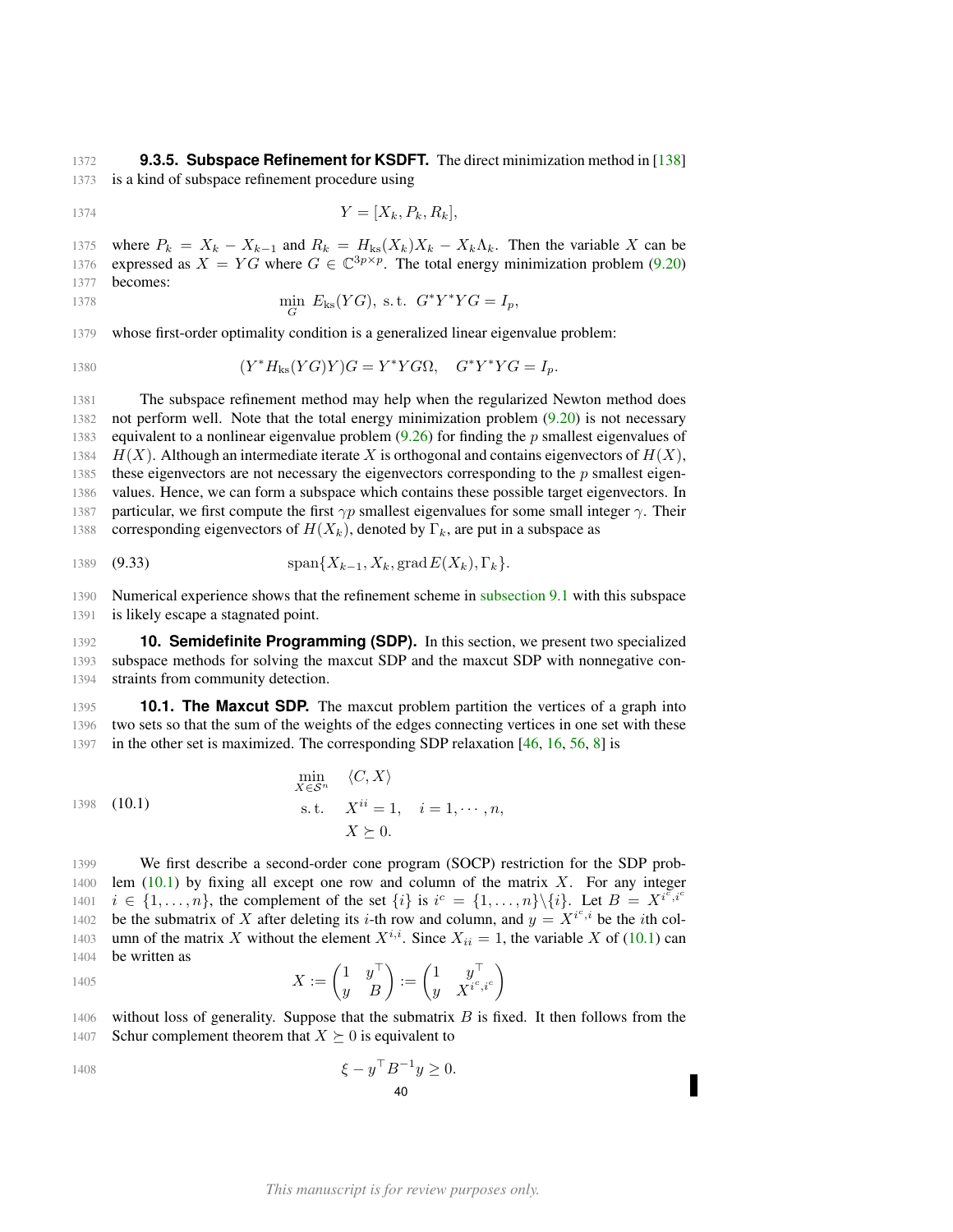<span id="page-39-0"></span>1372 **9.3.5. Subspace Refinement for KSDFT.** The direct minimization method in [\[138\]](#page-52-24) 1373 is a kind of subspace refinement procedure using

$$
Y = [X_k, P_k, R_k],
$$

1375 where  $P_k = X_k - X_{k-1}$  and  $R_k = H_{ks}(X_k)X_k - X_k\Lambda_k$ . Then the variable X can be 1376 expressed as  $X = YG$  where  $G \in \mathbb{C}^{3p \times p}$ . The total energy minimization problem [\(9.20\)](#page-36-4) 1377 becomes:

$$
\min_{G} E_{\text{ks}}(YG), \text{ s.t. } G^*Y^*YG = I_p,
$$

1379 whose first-order optimality condition is a generalized linear eigenvalue problem:

$$
(Y^*H_{\text{ks}}(YG)Y)G = Y^*YG\Omega, \quad G^*Y^*YG = I_p.
$$

1381 The subspace refinement method may help when the regularized Newton method does 1382 not perform well. Note that the total energy minimization problem [\(9.20\)](#page-36-4) is not necessary 1383 equivalent to a nonlinear eigenvalue problem  $(9.26)$  for finding the p smallest eigenvalues of 1384  $H(X)$ . Although an intermediate iterate X is orthogonal and contains eigenvectors of  $H(X)$ , 1385 these eigenvectors are not necessary the eigenvectors corresponding to the  $p$  smallest eigen-1386 values. Hence, we can form a subspace which contains these possible target eigenvectors. In 1387 particular, we first compute the first  $\gamma p$  smallest eigenvalues for some small integer  $\gamma$ . Their 1388 corresponding eigenvectors of  $H(X_k)$ , denoted by  $\Gamma_k$ , are put in a subspace as

1389 (9.33) 
$$
\text{span}\{X_{k-1}, X_k, \text{grad}\,E(X_k), \Gamma_k\}.
$$

1390 Numerical experience shows that the refinement scheme in [subsection 9.1](#page-33-1) with this subspace 1391 is likely escape a stagnated point.

<span id="page-39-1"></span>1392 **10. Semidefinite Programming (SDP).** In this section, we present two specialized 1393 subspace methods for solving the maxcut SDP and the maxcut SDP with nonnegative con-1394 straints from community detection.

<span id="page-39-2"></span>1395 **10.1. The Maxcut SDP.** The maxcut problem partition the vertices of a graph into 1396 two sets so that the sum of the weights of the edges connecting vertices in one set with these 1397 in the other set is maximized. The corresponding SDP relaxation [\[46,](#page-49-25) [16,](#page-48-21) [56,](#page-50-25) [8\]](#page-48-22) is

<span id="page-39-3"></span>
$$
\min_{X \in \mathcal{S}^n} \langle C, X \rangle
$$
  
1398 (10.1)  
s.t. 
$$
X^{ii} = 1, \quad i = 1, \cdots, n,
$$

$$
X \succeq 0.
$$

1399 We first describe a second-order cone program (SOCP) restriction for the SDP prob-1400 lem  $(10.1)$  by fixing all except one row and column of the matrix X. For any integer  $i \in \{1, \ldots, n\}$ , the complement of the set  $\{i\}$  is  $i^c = \{1, \ldots, n\} \setminus \{i\}$ . Let  $B = X^{i \tilde{c}, i^c}$ 1401 1402 be the submatrix of X after deleting its *i*-th row and column, and  $y = X^{i^c, i}$  be the *i*th col-1403 umn of the matrix X without the element  $X^{i,i}$ . Since  $X_{ii} = 1$ , the variable X of [\(10.1\)](#page-39-3) can 1404 be written as

1405 
$$
X := \begin{pmatrix} 1 & y^{\top} \\ y & B \end{pmatrix} := \begin{pmatrix} 1 & y^{\top} \\ y & X^{i^c, i^c} \end{pmatrix}
$$

 $1406$  without loss of generality. Suppose that the submatrix B is fixed. It then follows from the 1407 Schur complement theorem that  $X \succeq 0$  is equivalent to

$$
\xi - y^{\top} B^{-1} y \ge 0.
$$
  
40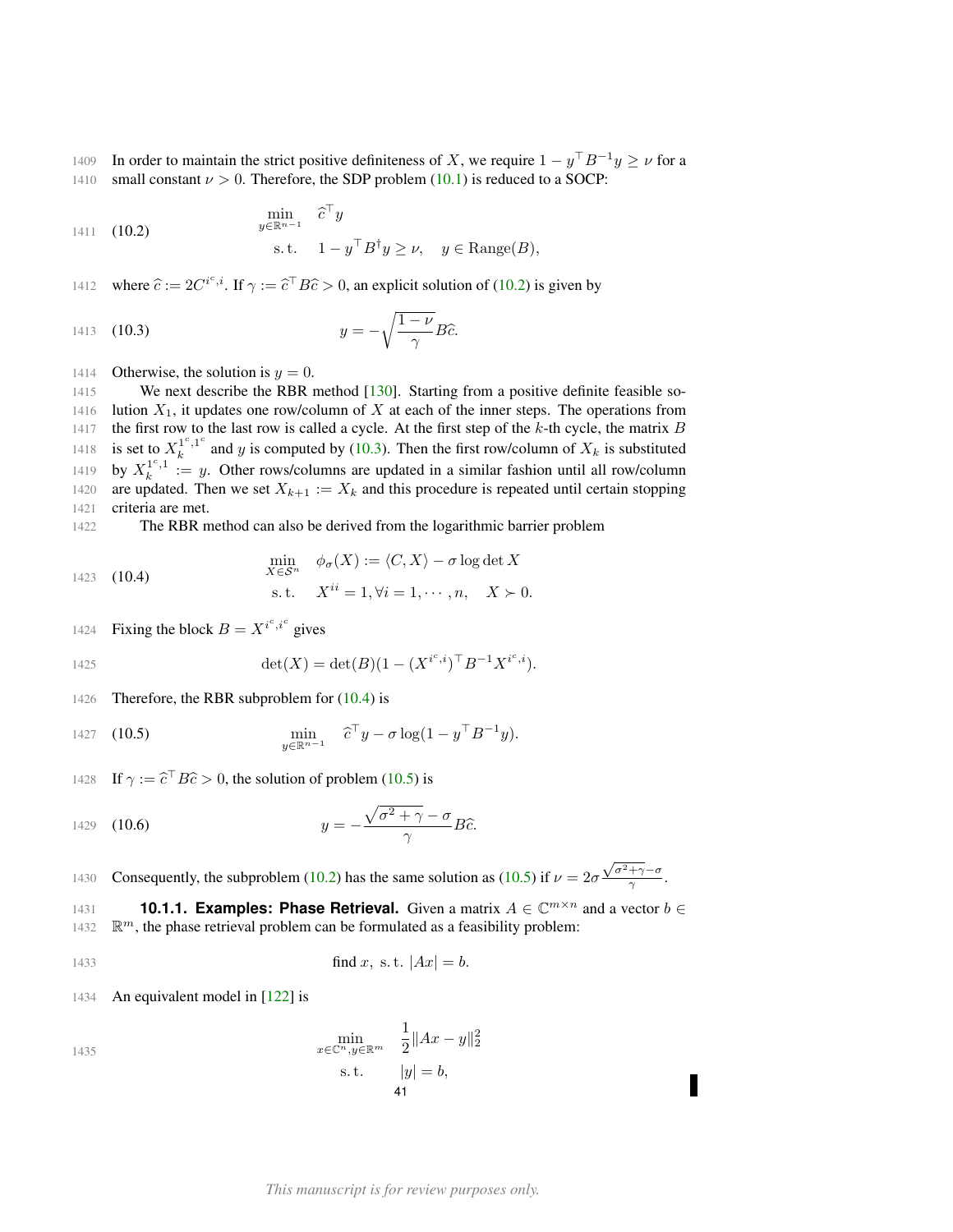1409 In order to maintain the strict positive definiteness of X, we require  $1 - y^{\top}B^{-1}y \ge v$  for a 1410 small constant  $\nu > 0$ . Therefore, the SDP problem [\(10.1\)](#page-39-3) is reduced to a SOCP:

<span id="page-40-1"></span>1411 (10.2) 
$$
\min_{y \in \mathbb{R}^{n-1}} \hat{c}^\top y
$$
  
s.t.  $1 - y^\top B^\dagger y \ge \nu$ ,  $y \in \text{Range}(B)$ ,

1412 where  $\hat{c} := 2C^{i^c, i}$ . If  $\gamma := \hat{c}^\top B \hat{c} > 0$ , an explicit solution of [\(10.2\)](#page-40-1) is given by

<span id="page-40-2"></span>
$$
y = -\sqrt{\frac{1-\nu}{\gamma}}B\hat{c}.
$$

1414 Otherwise, the solution is  $y = 0$ .

1415 We next describe the RBR method [\[130\]](#page-52-25). Starting from a positive definite feasible so-1416 lution  $X_1$ , it updates one row/column of X at each of the inner steps. The operations from 1417 the first row to the last row is called a cycle. At the first step of the  $k$ -th cycle, the matrix  $B$ is set to  $X_k^{1^c,1^c}$ 1418 is set to  $X_k^{1,1}$  and y is computed by [\(10.3\)](#page-40-2). Then the first row/column of  $X_k$  is substituted 1419 by  $X_k^{1^c,1} := y$ . Other rows/columns are updated in a similar fashion until all row/column 1420 are updated. Then we set  $X_{k+1} := X_k$  and this procedure is repeated until certain stopping 1421 criteria are met.

1422 The RBR method can also be derived from the logarithmic barrier problem

<span id="page-40-3"></span>1423 (10.4)  
\n
$$
\min_{X \in S^n} \phi_{\sigma}(X) := \langle C, X \rangle - \sigma \log \det X
$$
\n
$$
\text{s.t.} \quad X^{ii} = 1, \forall i = 1, \dots, n, \quad X \succ 0.
$$

1424 Fixing the block  $B = X^{i^c, i^c}$  gives

1425 
$$
\det(X) = \det(B)(1 - (X^{i^c,i})^{\top}B^{-1}X^{i^c,i}).
$$

1426 Therefore, the RBR subproblem for  $(10.4)$  is

<span id="page-40-4"></span>1427 (10.5) 
$$
\min_{y \in \mathbb{R}^{n-1}} \hat{c}^\top y - \sigma \log(1 - y^\top B^{-1} y).
$$

1428 If  $\gamma := \hat{c}^\top B \hat{c} > 0$ , the solution of problem [\(10.5\)](#page-40-4) is

$$
y = -\frac{\sqrt{\sigma^2 + \gamma} - \sigma}{\gamma} B\hat{c}.
$$

Consequently, the subproblem [\(10.2\)](#page-40-1) has the same solution as [\(10.5\)](#page-40-4) if  $\nu = 2\sigma$  $\sqrt{\sigma^2 + \gamma} - \sigma$ 1430 Consequently, the subproblem (10.2) has the same solution as (10.5) if  $\nu = 2\sigma \frac{\sqrt{v^2 + v^2}}{\gamma}$ .

<span id="page-40-0"></span>**1431 10.1.1. Examples: Phase Retrieval.** Given a matrix  $A \in \mathbb{C}^{m \times n}$  and a vector  $b \in$  $1432 \, \mathbb{R}^m$ , the phase retrieval problem can be formulated as a feasibility problem:

1433 find x, s. t. 
$$
|Ax| = b
$$
.

1434 An equivalent model in [\[122\]](#page-52-26) is

1435  
\n
$$
\min_{x \in \mathbb{C}^n, y \in \mathbb{R}^m} \quad \frac{1}{2} \|Ax - y\|_2^2
$$
\ns.t. 
$$
|y| = b,
$$
\n41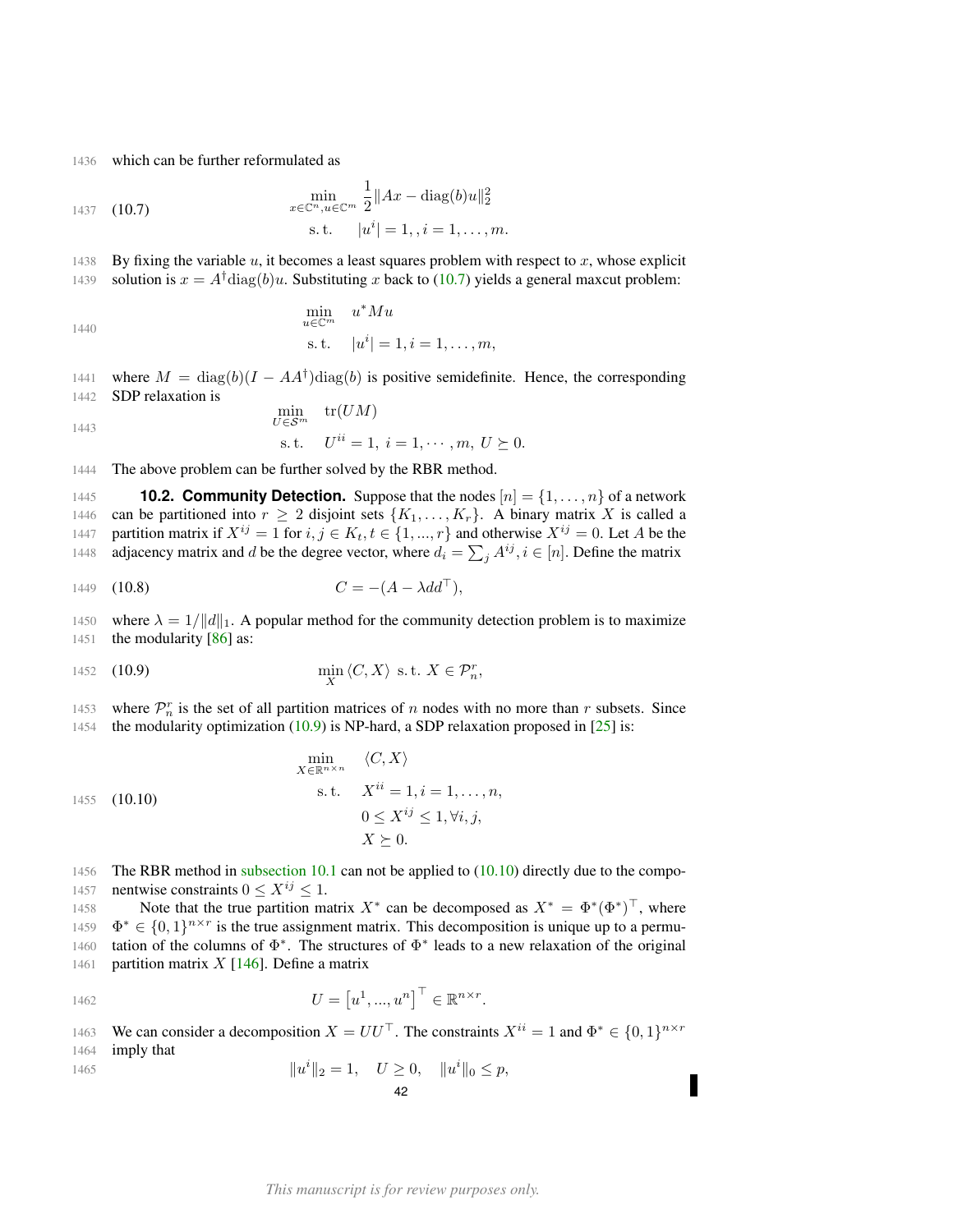1436 which can be further reformulated as

<span id="page-41-1"></span>1437 (10.7) 
$$
\min_{x \in \mathbb{C}^n, u \in \mathbb{C}^m} \frac{1}{2} \|Ax - \text{diag}(b)u\|_2^2
$$
  
s.t.  $|u^i| = 1, i = 1, ..., m.$ 

1438 By fixing the variable  $u$ , it becomes a least squares problem with respect to  $x$ , whose explicit 1439 solution is  $x = A^{\dagger}$ diag(b)u. Substituting x back to [\(10.7\)](#page-41-1) yields a general maxcut problem:

$$
\min_{u \in \mathbb{C}^m} u^* M u
$$
  
s.t.  $|u^i| = 1, i = 1, ..., m,$ 

1441 where  $M = \text{diag}(b)(I - AA^{\dagger})\text{diag}(b)$  is positive semidefinite. Hence, the corresponding 1442 SDP relaxation is

$$
\min_{U \in \mathcal{S}^m} \quad \text{tr}(UM)
$$
\n
$$
\text{s.t.} \quad U^{ii} = 1, \, i = 1, \cdots, m, \, U \succeq 0.
$$

1444 The above problem can be further solved by the RBR method.

<span id="page-41-0"></span>1445 **10.2. Community Detection.** Suppose that the nodes  $[n] = \{1, \ldots, n\}$  of a network 1446 can be partitioned into  $r \geq 2$  disjoint sets  $\{K_1, \ldots, K_r\}$ . A binary matrix X is called a 1447 partition matrix if  $X^{ij} = 1$  for  $i, j \in K_t, t \in \{1, ..., r\}$  and otherwise  $X^{ij} = 0$ . Let A be the 1448 adjacency matrix and d be the degree vector, where  $d_i = \sum_j A^{ij}$ ,  $i \in [n]$ . Define the matrix

<span id="page-41-4"></span>1449 (10.8) 
$$
C = -(A - \lambda dd^{\top}),
$$

1450 where  $\lambda = 1/||d||_1$ . A popular method for the community detection problem is to maximize 1451 the modularity [\[86\]](#page-51-25) as:

<span id="page-41-2"></span>
$$
\min_{X} \langle C, X \rangle \text{ s.t. } X \in \mathcal{P}_n^r,
$$

1453 where  $\mathcal{P}_n^r$  is the set of all partition matrices of n nodes with no more than r subsets. Since 1454 the modularity optimization [\(10.9\)](#page-41-2) is NP-hard, a SDP relaxation proposed in [\[25\]](#page-48-23) is:

<span id="page-41-3"></span>
$$
\min_{X \in \mathbb{R}^{n \times n}} \langle C, X \rangle
$$
\n
$$
\text{s.t.} \quad X^{ii} = 1, i = 1, \dots, n,
$$
\n
$$
0 \le X^{ij} \le 1, \forall i, j,
$$
\n
$$
X \succeq 0.
$$

1456 The RBR method in [subsection 10.1](#page-39-2) can not be applied to [\(10.10\)](#page-41-3) directly due to the compo-1457 nentwise constraints  $0 \le X^{ij} \le 1$ .

1458 Note that the true partition matrix  $X^*$  can be decomposed as  $X^* = \Phi^*(\Phi^*)^\top$ , where 1459  $\Phi^* \in \{0,1\}^{n \times r}$  is the true assignment matrix. This decomposition is unique up to a permu-1460 tation of the columns of  $\Phi^*$ . The structures of  $\Phi^*$  leads to a new relaxation of the original 1461 partition matrix  $X$  [\[146\]](#page-53-7). Define a matrix

$$
U = \left[u^1, ..., u^n\right]^\top \in \mathbb{R}^{n \times r}.
$$

We can consider a decomposition  $X = U U^{\top}$ . The constraints  $X^{ii} = 1$  and  $\Phi^* \in \{0, 1\}^{n \times r}$ 1463 1464 imply that

$$
||u^i||_2 = 1, \quad U \ge 0, \quad ||u^i||_0 \le p,
$$
  
42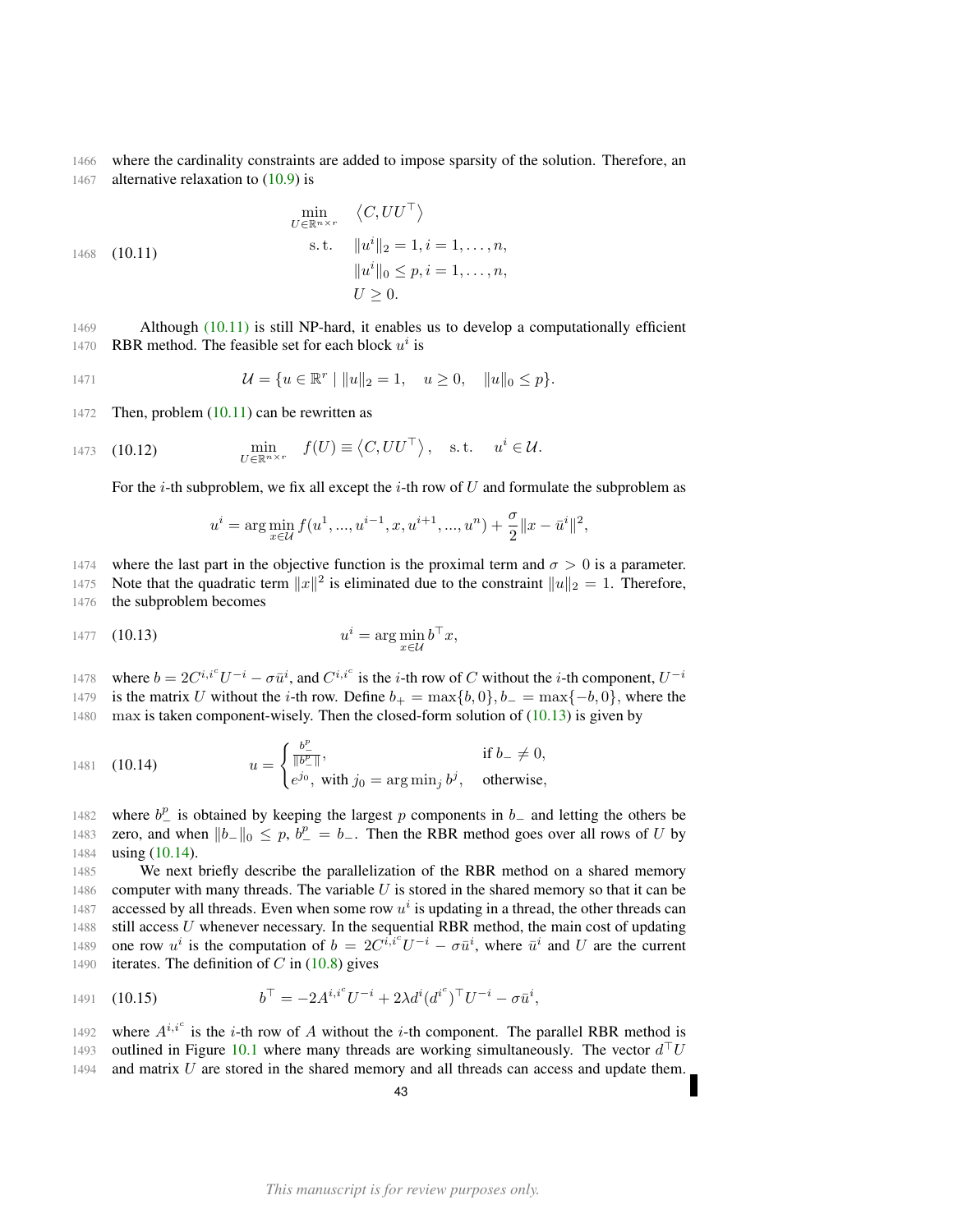1466 where the cardinality constraints are added to impose sparsity of the solution. Therefore, an 1467 alternative relaxation to  $(10.9)$  is

<span id="page-42-0"></span>
$$
\min_{U \in \mathbb{R}^{n \times r}} \langle C, UU^{\top} \rangle
$$
\n1468 (10.11)  
\n
$$
\text{s.t. } \|u^i\|_2 = 1, i = 1, ..., n,
$$
\n
$$
\|u^i\|_0 \le p, i = 1, ..., n,
$$
\n
$$
U \ge 0.
$$

1469 Although [\(10.11\)](#page-42-0) is still NP-hard, it enables us to develop a computationally efficient 1470 RBR method. The feasible set for each block  $u^i$  is

1471 
$$
\mathcal{U} = \{ u \in \mathbb{R}^r \mid ||u||_2 = 1, \quad u \ge 0, \quad ||u||_0 \le p \}.
$$

1472 Then, problem  $(10.11)$  can be rewritten as

$$
\text{1473} \quad (10.12) \qquad \qquad \min_{U \in \mathbb{R}^{n \times r}} \quad f(U) \equiv \left\langle C, U U^{\top} \right\rangle, \quad \text{s.t.} \quad u^i \in \mathcal{U}.
$$

For the *i*-th subproblem, we fix all except the *i*-th row of U and formulate the subproblem as

<span id="page-42-1"></span>
$$
u^i = \arg\min_{x \in \mathcal{U}} f(u^1, ..., u^{i-1}, x, u^{i+1}, ..., u^n) + \frac{\sigma}{2} ||x - \bar{u}^i||^2,
$$

1474 where the last part in the objective function is the proximal term and  $\sigma > 0$  is a parameter.

1475 Note that the quadratic term  $||x||^2$  is eliminated due to the constraint  $||u||_2 = 1$ . Therefore, 1476 the subproblem becomes

$$
u^{i} = \arg\min_{x \in \mathcal{U}} b^{\top} x,
$$

where  $b = 2C^{i,i^c}U^{-i} - \sigma \bar{u}^i$ , and  $C^{i,i^c}$  is the *i*-th row of C without the *i*-th component,  $U^{-i}$ 1478 1479 is the matrix U without the i-th row. Define  $b_{+} = \max\{b, 0\}$ ,  $b_{-} = \max\{-b, 0\}$ , where the  $1480$  max is taken component-wisely. Then the closed-form solution of [\(10.13\)](#page-42-1) is given by

<span id="page-42-2"></span>1481 (10.14) 
$$
u = \begin{cases} \frac{b^{\underline{p}}}{\|b^{\underline{p}}\|}, & \text{if } b = \neq 0, \\ e^{j_0}, \text{ with } j_0 = \arg \min_j b^j, & \text{otherwise,} \end{cases}
$$

1482 – where  $b_{-}^{p}$  is obtained by keeping the largest p components in  $b_{-}$  and letting the others be 1483 zero, and when  $||b_||_0 \leq p$ ,  $b^p_-= b_-.$  Then the RBR method goes over all rows of U by 1484 **using [\(10.14\)](#page-42-2).** 

1485 We next briefly describe the parallelization of the RBR method on a shared memory 1486 computer with many threads. The variable  $U$  is stored in the shared memory so that it can be 1487 accessed by all threads. Even when some row  $u^i$  is updating in a thread, the other threads can 1488 still access  $U$  whenever necessary. In the sequential RBR method, the main cost of updating 1489 one row  $u^i$  is the computation of  $b = 2C^{i,i^c}U^{-i} - \sigma \bar{u}^i$ , where  $\bar{u}^i$  and U are the current 1490 iterates. The definition of  $C$  in [\(10.8\)](#page-41-4) gives

1491 (10.15) 
$$
b^{\top} = -2A^{i,i^{c}}U^{-i} + 2\lambda d^{i}(d^{i^{c}})^{\top}U^{-i} - \sigma\bar{u}^{i},
$$

1492 where  $A^{i,i^c}$  is the *i*-th row of A without the *i*-th component. The parallel RBR method is 1493 outlined in Figure [10.1](#page-43-2) where many threads are working simultaneously. The vector  $d^{\top}U$  $1494$  and matrix  $U$  are stored in the shared memory and all threads can access and update them.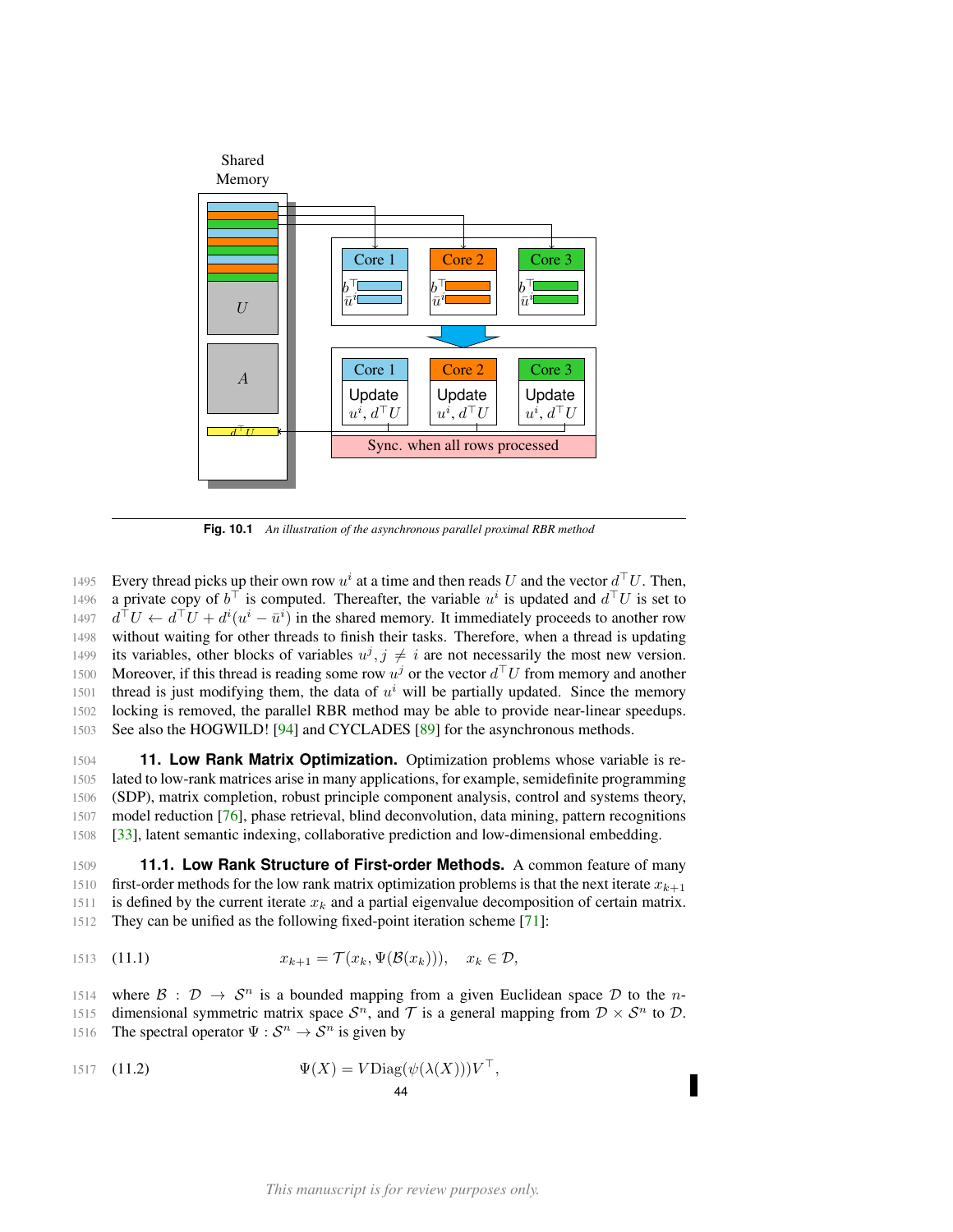<span id="page-43-2"></span>

**Fig. 10.1** *An illustration of the asynchronous parallel proximal RBR method*

1495 Every thread picks up their own row  $u^i$  at a time and then reads U and the vector  $d^{\top}U$ . Then, 1496 a private copy of  $b^{\top}$  is computed. Thereafter, the variable  $u^{i}$  is updated and  $d^{\top}U$  is set to 1497  $d^{\top}U \leftarrow d^{\top}U + d^i(u^i - \bar{u}^i)$  in the shared memory. It immediately proceeds to another row 1498 without waiting for other threads to finish their tasks. Therefore, when a thread is updating 1499 its variables, other blocks of variables  $u^j$ ,  $j \neq i$  are not necessarily the most new version. 1500 Moreover, if this thread is reading some row  $u^j$  or the vector  $d^{\top}U$  from memory and another 1501 thread is just modifying them, the data of  $u^i$  will be partially updated. Since the memory 1502 locking is removed, the parallel RBR method may be able to provide near-linear speedups. 1503 See also the HOGWILD! [\[94\]](#page-51-26) and CYCLADES [\[89\]](#page-51-27) for the asynchronous methods.

<span id="page-43-0"></span> **11. Low Rank Matrix Optimization.** Optimization problems whose variable is re- lated to low-rank matrices arise in many applications, for example, semidefinite programming (SDP), matrix completion, robust principle component analysis, control and systems theory, model reduction [\[76\]](#page-50-26), phase retrieval, blind deconvolution, data mining, pattern recognitions [\[33\]](#page-49-26), latent semantic indexing, collaborative prediction and low-dimensional embedding.

<span id="page-43-1"></span>1509 **11.1. Low Rank Structure of First-order Methods.** A common feature of many 1510 first-order methods for the low rank matrix optimization problems is that the next iterate  $x_{k+1}$ 1511 is defined by the current iterate  $x_k$  and a partial eigenvalue decomposition of certain matrix. 1512 They can be unified as the following fixed-point iteration scheme [\[71\]](#page-50-27):

<span id="page-43-3"></span>
$$
x_{k+1} = \mathcal{T}(x_k, \Psi(\mathcal{B}(x_k))), \quad x_k \in \mathcal{D},
$$

1514 where  $\mathcal{B}: \mathcal{D} \to \mathcal{S}^n$  is a bounded mapping from a given Euclidean space  $\mathcal{D}$  to the n-1515 dimensional symmetric matrix space  $S<sup>n</sup>$ , and T is a general mapping from  $D \times S<sup>n</sup>$  to D. 1516 The spectral operator  $\Psi : \mathcal{S}^n \to \mathcal{S}^n$  is given by

$$
\Psi(X) = V \text{Diag}(\psi(\lambda(X))) V^{\top},
$$
\n
$$
\mathbf{44}
$$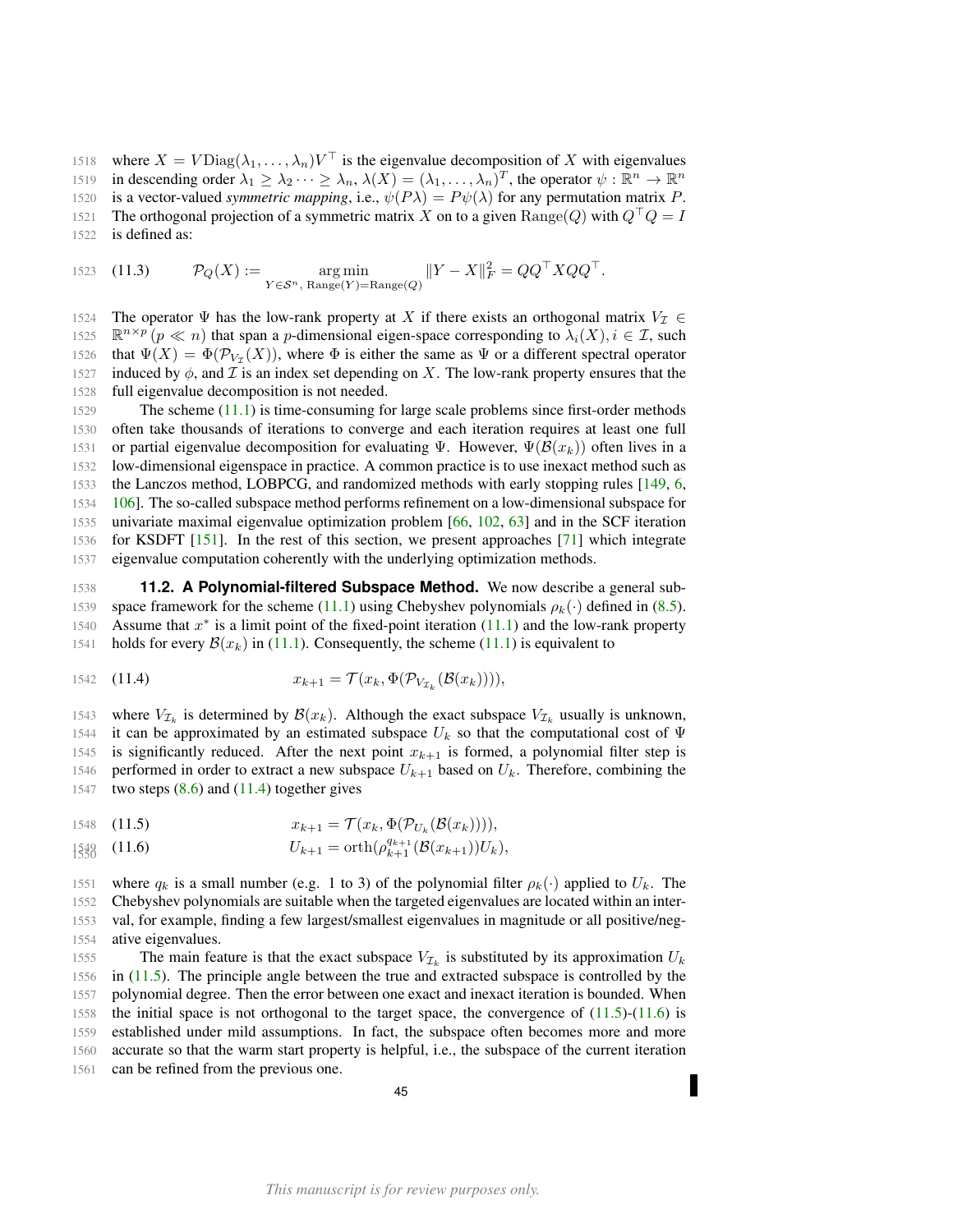1518 where  $X = V \text{Diag}(\lambda_1, \dots, \lambda_n) V^\top$  is the eigenvalue decomposition of X with eigenvalues 1519 in descending order  $\lambda_1 \geq \lambda_2 \cdots \geq \lambda_n$ ,  $\lambda(X) = (\lambda_1, \ldots, \lambda_n)^T$ , the operator  $\psi : \mathbb{R}^n \to \mathbb{R}^n$ 1520 is a vector-valued *symmetric mapping*, i.e.,  $\psi(P\lambda) = P\psi(\lambda)$  for any permutation matrix P. 1521 The orthogonal projection of a symmetric matrix X on to a given  $\text{Range}(Q)$  with  $Q^\top Q = I$ 

1522 is defined as:

1523 (11.3) 
$$
\mathcal{P}_Q(X) := \underset{Y \in \mathcal{S}^n, \text{ Range}(Y) = \text{Range}(Q)}{\arg \min} \|Y - X\|_F^2 = QQ^\top XQQ^\top.
$$

1524 The operator  $\Psi$  has the low-rank property at X if there exists an orthogonal matrix  $V_I \in$ 1525  $\mathbb{R}^{n \times p}$   $(p \ll n)$  that span a p-dimensional eigen-space corresponding to  $\lambda_i(X)$ ,  $i \in \mathcal{I}$ , such 1526 that  $\Psi(X) = \Phi(\mathcal{P}_{V_{\mathcal{I}}}(X))$ , where  $\Phi$  is either the same as  $\Psi$  or a different spectral operator 1527 induced by  $\phi$ , and  $\mathcal I$  is an index set depending on X. The low-rank property ensures that the 1528 full eigenvalue decomposition is not needed.

 The scheme [\(11.1\)](#page-43-3) is time-consuming for large scale problems since first-order methods often take thousands of iterations to converge and each iteration requires at least one full 1531 or partial eigenvalue decomposition for evaluating  $\Psi$ . However,  $\Psi(\mathcal{B}(x_k))$  often lives in a low-dimensional eigenspace in practice. A common practice is to use inexact method such as the Lanczos method, LOBPCG, and randomized methods with early stopping rules [\[149,](#page-53-8) [6,](#page-48-24) [106\]](#page-51-28). The so-called subspace method performs refinement on a low-dimensional subspace for univariate maximal eigenvalue optimization problem [\[66,](#page-50-28) [102,](#page-51-29) [63\]](#page-50-29) and in the SCF iteration for KSDFT [\[151\]](#page-53-9). In the rest of this section, we present approaches [\[71\]](#page-50-27) which integrate eigenvalue computation coherently with the underlying optimization methods.

<span id="page-44-0"></span>1538 **11.2. A Polynomial-filtered Subspace Method.** We now describe a general sub-1539 space framework for the scheme [\(11.1\)](#page-43-3) using Chebyshev polynomials  $\rho_k(\cdot)$  defined in [\(8.5\)](#page-26-3). 1540 Assume that  $x^*$  is a limit point of the fixed-point iteration [\(11.1\)](#page-43-3) and the low-rank property 1541 holds for every  $\mathcal{B}(x_k)$  in [\(11.1\)](#page-43-3). Consequently, the scheme (11.1) is equivalent to

<span id="page-44-1"></span>1542 (11.4) 
$$
x_{k+1} = \mathcal{T}(x_k, \Phi(\mathcal{P}_{V_{\mathcal{I}_k}}(\mathcal{B}(x_k))))
$$

1543 where  $V_{\mathcal{I}_k}$  is determined by  $\mathcal{B}(x_k)$ . Although the exact subspace  $V_{\mathcal{I}_k}$  usually is unknown, 1544 it can be approximated by an estimated subspace  $U_k$  so that the computational cost of  $\Psi$ 1545 is significantly reduced. After the next point  $x_{k+1}$  is formed, a polynomial filter step is 1546 performed in order to extract a new subspace  $U_{k+1}$  based on  $U_k$ . Therefore, combining the 1547 two steps  $(8.6)$  and  $(11.4)$  together gives

<span id="page-44-2"></span>1548 (11.5) 
$$
x_{k+1} = \mathcal{T}(x_k, \Phi(\mathcal{P}_{U_k}(\mathcal{B}(x_k))))
$$

<span id="page-44-3"></span>
$$
\text{1530} \quad (11.6) \qquad \qquad U_{k+1} = \text{orth}(\rho_{k+1}^{q_{k+1}}(\mathcal{B}(x_{k+1}))U_k),
$$

1551 where  $q_k$  is a small number (e.g. 1 to 3) of the polynomial filter  $\rho_k(\cdot)$  applied to  $U_k$ . The Chebyshev polynomials are suitable when the targeted eigenvalues are located within an inter- val, for example, finding a few largest/smallest eigenvalues in magnitude or all positive/neg-ative eigenvalues.

1555 The main feature is that the exact subspace  $V_{\mathcal{I}_k}$  is substituted by its approximation  $U_k$  in [\(11.5\)](#page-44-2). The principle angle between the true and extracted subspace is controlled by the polynomial degree. Then the error between one exact and inexact iteration is bounded. When 1558 the initial space is not orthogonal to the target space, the convergence of  $(11.5)-(11.6)$  $(11.5)-(11.6)$  $(11.5)-(11.6)$  is established under mild assumptions. In fact, the subspace often becomes more and more accurate so that the warm start property is helpful, i.e., the subspace of the current iteration can be refined from the previous one.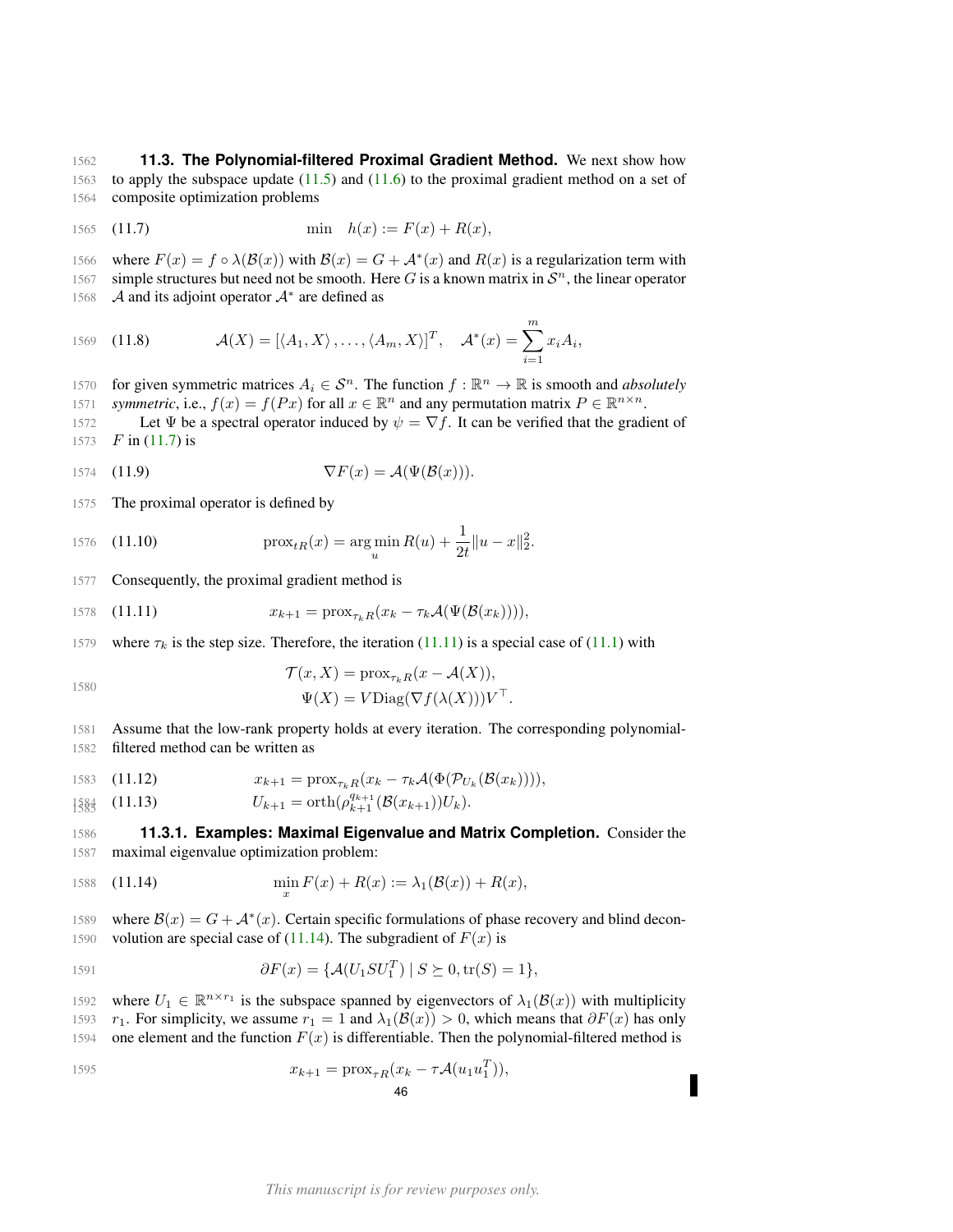<span id="page-45-0"></span>1562 **11.3. The Polynomial-filtered Proximal Gradient Method.** We next show how 1563 to apply the subspace update [\(11.5\)](#page-44-2) and [\(11.6\)](#page-44-3) to the proximal gradient method on a set of 1564 composite optimization problems

<span id="page-45-2"></span>1565 (11.7) 
$$
\min \quad h(x) := F(x) + R(x),
$$

1566 where  $F(x) = f \circ \lambda(\mathcal{B}(x))$  with  $\mathcal{B}(x) = G + \mathcal{A}^*(x)$  and  $R(x)$  is a regularization term with 1567 simple structures but need not be smooth. Here G is a known matrix in  $S<sup>n</sup>$ , the linear operator 1568  $\mathcal A$  and its adjoint operator  $\mathcal A^*$  are defined as

<span id="page-45-5"></span>1569 (11.8) 
$$
\mathcal{A}(X) = [\langle A_1, X \rangle, \dots, \langle A_m, X \rangle]^T, \quad \mathcal{A}^*(x) = \sum_{i=1}^m x_i A_i,
$$

- for given symmetric matrices  $A_i \in \mathcal{S}^n$ . The function  $f : \mathbb{R}^n \to \mathbb{R}$  is smooth and *absolutely*
- *symmetric*, i.e.,  $f(x) = f(Px)$  for all  $x \in \mathbb{R}^n$  and any permutation matrix  $P \in \mathbb{R}^{n \times n}$ .
- 1572 Let  $\Psi$  be a spectral operator induced by  $\psi = \nabla f$ . It can be verified that the gradient of 1573  $F$  in [\(11.7\)](#page-45-2) is

1574 (11.9) 
$$
\nabla F(x) = \mathcal{A}(\Psi(\mathcal{B}(x))).
$$

1575 The proximal operator is defined by

1576 (11.10) 
$$
\operatorname{prox}_{tR}(x) = \arg\min_u R(u) + \frac{1}{2t} ||u - x||_2^2.
$$

1577 Consequently, the proximal gradient method is

<span id="page-45-3"></span>1578 (11.11) 
$$
x_{k+1} = \text{prox}_{\tau_k R}(x_k - \tau_k \mathcal{A}(\Psi(\mathcal{B}(x_k))))
$$

1579 where  $\tau_k$  is the step size. Therefore, the iteration [\(11.11\)](#page-45-3) is a special case of [\(11.1\)](#page-43-3) with

$$
\mathcal{T}(x, X) = \text{prox}_{\tau_k R}(x - \mathcal{A}(X)),
$$
  

$$
\Psi(X) = V \text{Diag}(\nabla f(\lambda(X))) V^{\top}.
$$

1581 Assume that the low-rank property holds at every iteration. The corresponding polynomial-1582 filtered method can be written as

1583 (11.12)  $x_{k+1} = \text{prox}_{\tau_k R}(x_k - \tau_k \mathcal{A}(\Phi(\mathcal{P}_{U_k}(\mathcal{B}(x_k))))),$ 

$$
\text{1583} \quad (11.13) \qquad \qquad U_{k+1} = \text{orth}(\rho_{k+1}^{q_{k+1}}(\mathcal{B}(x_{k+1}))U_k).
$$

<span id="page-45-1"></span>1586 **11.3.1. Examples: Maximal Eigenvalue and Matrix Completion.** Consider the 1587 maximal eigenvalue optimization problem:

<span id="page-45-4"></span>1588 (11.14) 
$$
\min_x F(x) + R(x) := \lambda_1(\mathcal{B}(x)) + R(x),
$$

1589 where  $\mathcal{B}(x) = G + \mathcal{A}^*(x)$ . Certain specific formulations of phase recovery and blind decon-1590 volution are special case of [\(11.14\)](#page-45-4). The subgradient of  $F(x)$  is

$$
0F(x) = \{ \mathcal{A}(U_1SU_1^T) \mid S \succeq 0, \text{tr}(S) = 1 \},
$$

1592 where  $U_1 \in \mathbb{R}^{n \times r_1}$  is the subspace spanned by eigenvectors of  $\lambda_1(\mathcal{B}(x))$  with multiplicity 1593  $r_1$ . For simplicity, we assume  $r_1 = 1$  and  $\lambda_1(\mathcal{B}(x)) > 0$ , which means that  $\partial F(x)$  has only 1594 one element and the function  $F(x)$  is differentiable. Then the polynomial-filtered method is

$$
x_{k+1} = \text{prox}_{\tau R}(x_k - \tau \mathcal{A}(u_1 u_1^T)),
$$
  
46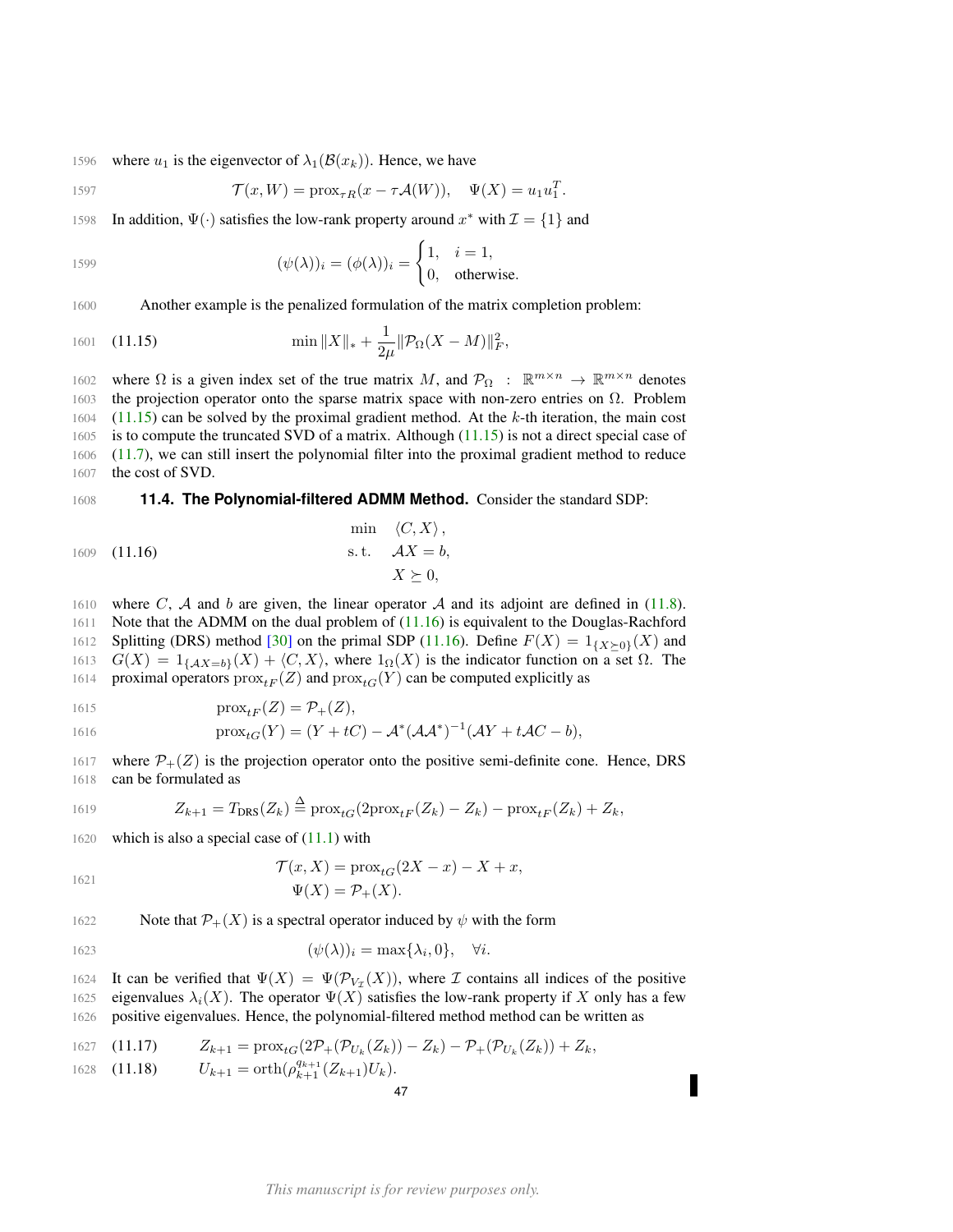1596 where  $u_1$  is the eigenvector of  $\lambda_1(\mathcal{B}(x_k))$ . Hence, we have

$$
\mathcal{T}(x, W) = \text{prox}_{\tau R}(x - \tau \mathcal{A}(W)), \quad \Psi(X) = u_1 u_1^T.
$$

1598 In addition,  $\Psi(\cdot)$  satisfies the low-rank property around  $x^*$  with  $\mathcal{I} = \{1\}$  and

1599 
$$
(\psi(\lambda))_i = (\phi(\lambda))_i = \begin{cases} 1, & i = 1, \\ 0, & \text{otherwise.} \end{cases}
$$

1600 Another example is the penalized formulation of the matrix completion problem:

<span id="page-46-1"></span>1601 (11.15) 
$$
\min \|X\|_{*} + \frac{1}{2\mu} \|\mathcal{P}_{\Omega}(X - M)\|_{F}^{2},
$$

1602 where Ω is a given index set of the true matrix M, and  $\mathcal{P}_{\Omega}$  :  $\mathbb{R}^{m \times n} \to \mathbb{R}^{m \times n}$  denotes 1603 the projection operator onto the sparse matrix space with non-zero entries on  $Ω$ . Problem [\(11.15\)](#page-46-1) can be solved by the proximal gradient method. At the k-th iteration, the main cost is to compute the truncated SVD of a matrix. Although [\(11.15\)](#page-46-1) is not a direct special case of [\(11.7\)](#page-45-2), we can still insert the polynomial filter into the proximal gradient method to reduce the cost of SVD.

## <span id="page-46-0"></span>1608 **11.4. The Polynomial-filtered ADMM Method.** Consider the standard SDP:

$$
\min (C, X),
$$
  
1609 (11.16)  
s.t.  $\mathcal{A}X = b,$   
 $X \succeq 0,$ 

1610 where C, A and b are given, the linear operator A and its adjoint are defined in [\(11.8\)](#page-45-5).

<span id="page-46-2"></span> $\overline{M}$ 

1611 Note that the ADMM on the dual problem of [\(11.16\)](#page-46-2) is equivalent to the Douglas-Rachford 1612 Splitting (DRS) method [\[30\]](#page-49-27) on the primal SDP [\(11.16\)](#page-46-2). Define  $F(X) = 1_{\{X\geq 0\}}(X)$  and 1613  $G(X) = 1_{\{AX=b\}}(X) + \langle C, X \rangle$ , where  $1_{\Omega}(X)$  is the indicator function on a set  $\Omega$ . The 1614 proximal operators  $prox_{tF}(Z)$  and  $prox_{tG}(Y)$  can be computed explicitly as

$$
1615 \qquad \qquad \text{prox}_{tF}(Z) = \mathcal{P}_+(Z),
$$

1616 
$$
\text{prox}_{tG}(Y) = (Y + tC) - \mathcal{A}^*(\mathcal{A}\mathcal{A}^*)^{-1}(\mathcal{A}Y + t\mathcal{A}C - b),
$$

1617 where  $\mathcal{P}_+(Z)$  is the projection operator onto the positive semi-definite cone. Hence, DRS 1618 can be formulated as

1619 
$$
Z_{k+1} = T_{\text{DRS}}(Z_k) \stackrel{\Delta}{=} \text{prox}_{tG}(2\text{prox}_{tF}(Z_k) - Z_k) - \text{prox}_{tF}(Z_k) + Z_k,
$$

1620 which is also a special case of  $(11.1)$  with

1621

$$
\mathcal{T}(x, X) = \text{prox}_{tG}(2X - x) - X + x,
$$

$$
\Psi(X) = \mathcal{P}_+(X).
$$

1622 Note that  $\mathcal{P}_+(X)$  is a spectral operator induced by  $\psi$  with the form

$$
1623 \qquad (\psi(\lambda))_i = \max\{\lambda_i, 0\}, \quad \forall i.
$$

1624 It can be verified that  $\Psi(X) = \Psi(\mathcal{P}_{V_{\mathcal{I}}}(X))$ , where  $\mathcal I$  contains all indices of the positive 1625 eigenvalues  $\lambda_i(X)$ . The operator  $\Psi(X)$  satisfies the low-rank property if X only has a few 1626 positive eigenvalues. Hence, the polynomial-filtered method method can be written as

1627 (11.17) 
$$
Z_{k+1} = \text{prox}_{tG}(2\mathcal{P}_+(\mathcal{P}_{U_k}(Z_k)) - Z_k) - \mathcal{P}_+(\mathcal{P}_{U_k}(Z_k)) + Z_k,
$$

1628 (11.18) 
$$
U_{k+1} = \operatorname{orth}(\rho_{k+1}^{q_{k+1}}(Z_{k+1})U_k).
$$

$$
^{47}
$$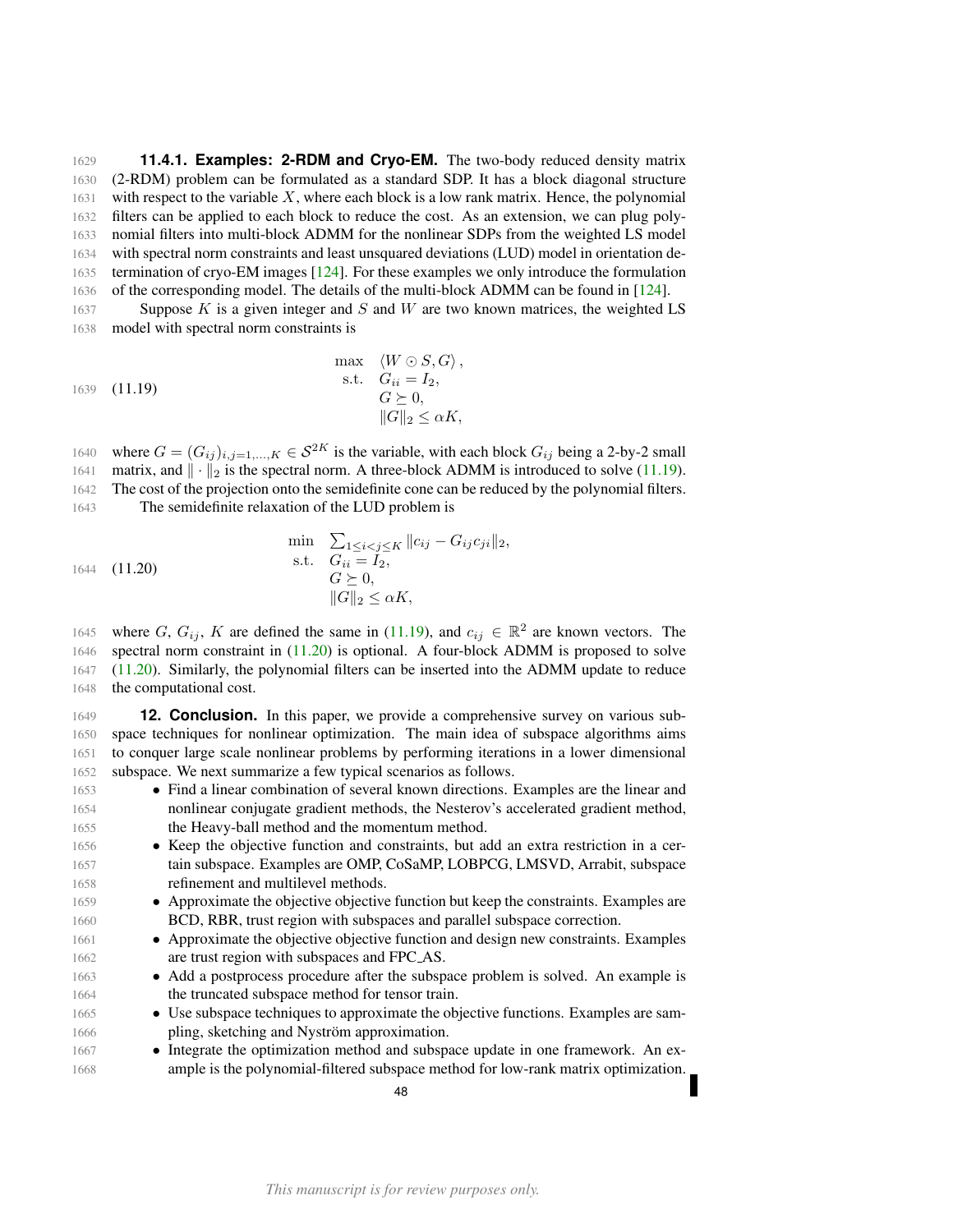<span id="page-47-0"></span> **11.4.1. Examples: 2-RDM and Cryo-EM.** The two-body reduced density matrix (2-RDM) problem can be formulated as a standard SDP. It has a block diagonal structure with respect to the variable X, where each block is a low rank matrix. Hence, the polynomial filters can be applied to each block to reduce the cost. As an extension, we can plug poly- nomial filters into multi-block ADMM for the nonlinear SDPs from the weighted LS model with spectral norm constraints and least unsquared deviations (LUD) model in orientation de-1635 termination of cryo-EM images [\[124\]](#page-52-27). For these examples we only introduce the formulation of the corresponding model. The details of the multi-block ADMM can be found in [\[124\]](#page-52-27).

1637 Suppose K is a given integer and S and W are two known matrices, the weighted LS model with spectral norm constraints is

<span id="page-47-2"></span>max 
$$
\langle W \odot S, G \rangle
$$
,  
\ns.t.  $G_{ii} = I_2$ ,  
\n $G \succeq 0$ ,  
\n $||G||_2 \leq \alpha K$ ,

1640 where  $G = (G_{ij})_{i,j=1,...,K} \in \mathcal{S}^{2K}$  is the variable, with each block  $G_{ij}$  being a 2-by-2 small 1641 matrix, and  $\|\cdot\|_2$  is the spectral norm. A three-block ADMM is introduced to solve [\(11.19\)](#page-47-2). The cost of the projection onto the semidefinite cone can be reduced by the polynomial filters. The semidefinite relaxation of the LUD problem is

<span id="page-47-3"></span>
$$
\min \sum_{1 \le i < j \le K} \|c_{ij} - G_{ij}c_{ji}\|_2,
$$
\n
$$
\text{s.t.} \quad G_{ii} = I_2,
$$
\n
$$
G \succeq 0,
$$
\n
$$
\|G\|_2 \le \alpha K,
$$

1645 where G,  $G_{ij}$ , K are defined the same in [\(11.19\)](#page-47-2), and  $c_{ij} \in \mathbb{R}^2$  are known vectors. The spectral norm constraint in [\(11.20\)](#page-47-3) is optional. A four-block ADMM is proposed to solve [\(11.20\)](#page-47-3). Similarly, the polynomial filters can be inserted into the ADMM update to reduce the computational cost.

<span id="page-47-1"></span> **12. Conclusion.** In this paper, we provide a comprehensive survey on various sub- space techniques for nonlinear optimization. The main idea of subspace algorithms aims to conquer large scale nonlinear problems by performing iterations in a lower dimensional subspace. We next summarize a few typical scenarios as follows.

- Find a linear combination of several known directions. Examples are the linear and nonlinear conjugate gradient methods, the Nesterov's accelerated gradient method, the Heavy-ball method and the momentum method.
- Keep the objective function and constraints, but add an extra restriction in a cer- tain subspace. Examples are OMP, CoSaMP, LOBPCG, LMSVD, Arrabit, subspace refinement and multilevel methods.
- Approximate the objective objective function but keep the constraints. Examples are BCD, RBR, trust region with subspaces and parallel subspace correction.
- Approximate the objective objective function and design new constraints. Examples are trust region with subspaces and FPC AS.
- Add a postprocess procedure after the subspace problem is solved. An example is 1664 the truncated subspace method for tensor train.
- Use subspace techniques to approximate the objective functions. Examples are sam-1666 pling, sketching and Nyström approximation.
- Integrate the optimization method and subspace update in one framework. An ex-ample is the polynomial-filtered subspace method for low-rank matrix optimization.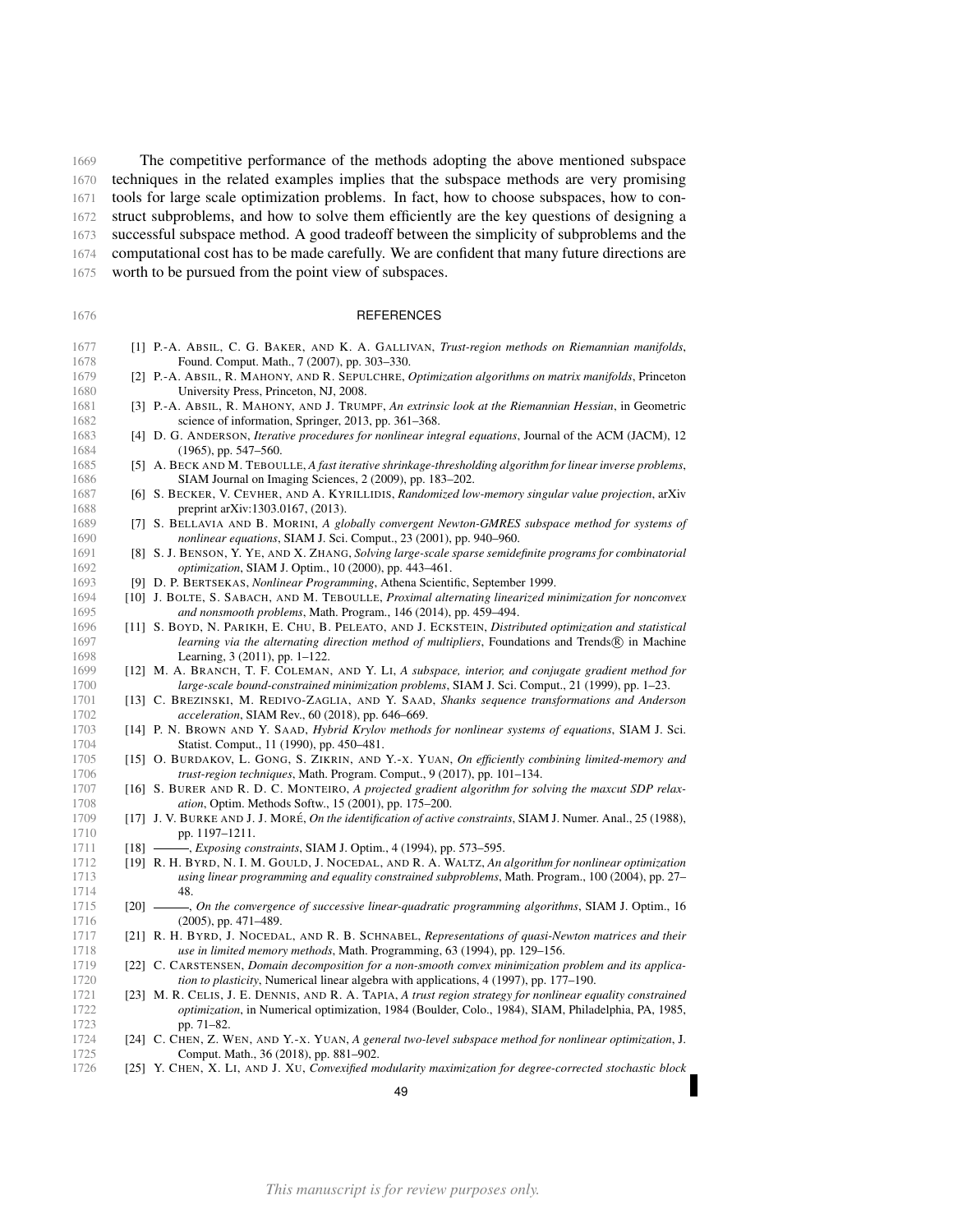The competitive performance of the methods adopting the above mentioned subspace techniques in the related examples implies that the subspace methods are very promising tools for large scale optimization problems. In fact, how to choose subspaces, how to con- struct subproblems, and how to solve them efficiently are the key questions of designing a successful subspace method. A good tradeoff between the simplicity of subproblems and the computational cost has to be made carefully. We are confident that many future directions are

worth to be pursued from the point view of subspaces.

<span id="page-48-24"></span><span id="page-48-22"></span><span id="page-48-20"></span><span id="page-48-19"></span><span id="page-48-18"></span><span id="page-48-14"></span><span id="page-48-10"></span><span id="page-48-8"></span><span id="page-48-0"></span>

| 1676         | <b>REFERENCES</b>                                                                                                                                            |
|--------------|--------------------------------------------------------------------------------------------------------------------------------------------------------------|
| 1677         | [1] P.-A. ABSIL, C. G. BAKER, AND K. A. GALLIVAN, Trust-region methods on Riemannian manifolds,                                                              |
| 1678         | Found. Comput. Math., 7 (2007), pp. 303–330.                                                                                                                 |
| 1679         | [2] P.-A. ABSIL, R. MAHONY, AND R. SEPULCHRE, Optimization algorithms on matrix manifolds, Princeton                                                         |
| 1680         | University Press, Princeton, NJ, 2008.                                                                                                                       |
| 1681<br>1682 | [3] P.-A. ABSIL, R. MAHONY, AND J. TRUMPF, An extrinsic look at the Riemannian Hessian, in Geometric<br>science of information, Springer, 2013, pp. 361–368. |
| 1683         | [4] D. G. ANDERSON, <i>Iterative procedures for nonlinear integral equations</i> , Journal of the ACM (JACM), 12                                             |
| 1684         | $(1965)$ , pp. 547-560.                                                                                                                                      |
| 1685         | [5] A. BECK AND M. TEBOULLE, A fast iterative shrinkage-thresholding algorithm for linear inverse problems,                                                  |
| 1686         | SIAM Journal on Imaging Sciences, 2 (2009), pp. 183–202.                                                                                                     |
| 1687         | [6] S. BECKER, V. CEVHER, AND A. KYRILLIDIS, Randomized low-memory singular value projection, arXiv                                                          |
| 1688         | preprint arXiv:1303.0167, (2013).                                                                                                                            |
| 1689         | [7] S. BELLAVIA AND B. MORINI, A globally convergent Newton-GMRES subspace method for systems of                                                             |
| 1690         | nonlinear equations, SIAM J. Sci. Comput., 23 (2001), pp. 940-960.                                                                                           |
| 1691         | [8] S. J. BENSON, Y. YE, AND X. ZHANG, Solving large-scale sparse semidefinite programs for combinatorial                                                    |
| 1692         | optimization, SIAM J. Optim., 10 (2000), pp. 443-461.                                                                                                        |
| 1693         | [9] D. P. BERTSEKAS, <i>Nonlinear Programming</i> , Athena Scientific, September 1999.                                                                       |
| 1694         | [10] J. BOLTE, S. SABACH, AND M. TEBOULLE, Proximal alternating linearized minimization for nonconvex                                                        |
| 1695         | and nonsmooth problems, Math. Program., 146 (2014), pp. 459-494.                                                                                             |
| 1696         | [11] S. BOYD, N. PARIKH, E. CHU, B. PELEATO, AND J. ECKSTEIN, Distributed optimization and statistical                                                       |
| 1697         | learning via the alternating direction method of multipliers, Foundations and Trends® in Machine                                                             |
| 1698         | Learning, 3 (2011), pp. 1–122.                                                                                                                               |
| 1699         | [12] M. A. BRANCH, T. F. COLEMAN, AND Y. LI, A subspace, interior, and conjugate gradient method for                                                         |
| 1700         | large-scale bound-constrained minimization problems, SIAM J. Sci. Comput., 21 (1999), pp. 1–23.                                                              |
| 1701         | [13] C. BREZINSKI, M. REDIVO-ZAGLIA, AND Y. SAAD, Shanks sequence transformations and Anderson                                                               |
| 1702         | acceleration, SIAM Rev., 60 (2018), pp. 646-669.                                                                                                             |
| 1703<br>1704 | [14] P. N. BROWN AND Y. SAAD, <i>Hybrid Krylov methods for nonlinear systems of equations</i> , SIAM J. Sci.                                                 |
| 1705         | Statist. Comput., 11 (1990), pp. 450–481.<br>[15] O. BURDAKOV, L. GONG, S. ZIKRIN, AND Y.-X. YUAN, On efficiently combining limited-memory and               |
| 1706         | trust-region techniques, Math. Program. Comput., 9 (2017), pp. 101–134.                                                                                      |
| 1707         | [16] S. BURER AND R. D. C. MONTEIRO, A projected gradient algorithm for solving the maxcut SDP relax-                                                        |
| 1708         | <i>ation</i> , Optim. Methods Softw., 15 (2001), pp. 175–200.                                                                                                |
| 1709         | [17] J. V. BURKE AND J. J. MORÉ, On the identification of active constraints, SIAM J. Numer. Anal., 25 (1988),                                               |
| 1710         | pp. 1197-1211.                                                                                                                                               |
| 1711         | [18] - Exposing constraints, SIAM J. Optim., 4 (1994), pp. 573-595.                                                                                          |
|              |                                                                                                                                                              |

- <span id="page-48-21"></span><span id="page-48-17"></span><span id="page-48-13"></span><span id="page-48-12"></span><span id="page-48-7"></span><span id="page-48-5"></span><span id="page-48-4"></span><span id="page-48-3"></span><span id="page-48-2"></span><span id="page-48-1"></span> [19] R. H. BYRD, N. I. M. GOULD, J. NOCEDAL, AND R. A. WALTZ, *An algorithm for nonlinear optimization using linear programming and equality constrained subproblems*, Math. Program., 100 (2004), pp. 27– 48.
- <span id="page-48-6"></span> [20] , *On the convergence of successive linear-quadratic programming algorithms*, SIAM J. Optim., 16 1716 (2005), pp. 471–489.
- <span id="page-48-11"></span> [21] R. H. BYRD, J. NOCEDAL, AND R. B. SCHNABEL, *Representations of quasi-Newton matrices and their* 1718 *use in limited memory methods*, Math. Programming, 63 (1994), pp. 129–156.<br>1719 **1221 C. CARSTENSEN**, *Domain decomposition for a non-smooth convex minimization p*
- <span id="page-48-9"></span>[22] C. CARSTENSEN, *Domain decomposition for a non-smooth convex minimization problem and its applica-*1720 *tion to plasticity*, Numerical linear algebra with applications, 4 (1997), pp. 177–190.<br>1721 **1231** M. R. CELIS, J. E. DENNIS, AND R. A. TAPIA, A trust region strategy for nonlinear eq.
- <span id="page-48-16"></span> [23] M. R. CELIS, J. E. DENNIS, AND R. A. TAPIA, *A trust region strategy for nonlinear equality constrained optimization*, in Numerical optimization, 1984 (Boulder, Colo., 1984), SIAM, Philadelphia, PA, 1985, 1723 pp. 71–82.<br>1724 [24] C. CHEN, Z. W
- <span id="page-48-15"></span> [24] C. CHEN, Z. WEN, AND Y.-X. YUAN, *A general two-level subspace method for nonlinear optimization*, J. 1725 **Comput. Math., 36 (2018), pp. 881–902.**<br>1726 **[25] Y. CHEN, X. LI, AND J. XU, Convexified m**
- <span id="page-48-23"></span>[25] Y. CHEN, X. LI, AND J. XU, *Convexified modularity maximization for degree-corrected stochastic block*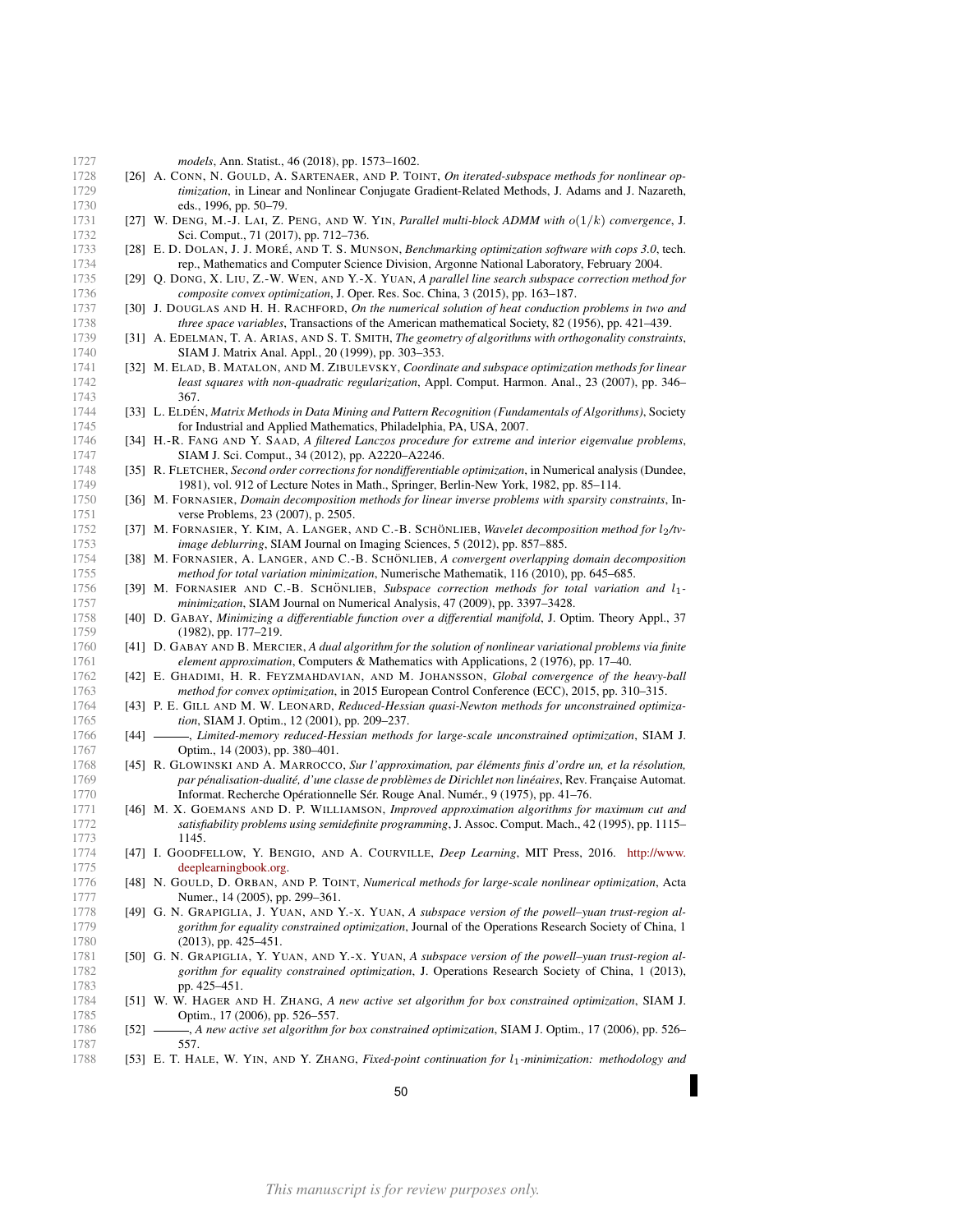<span id="page-49-27"></span><span id="page-49-26"></span><span id="page-49-24"></span><span id="page-49-23"></span><span id="page-49-22"></span><span id="page-49-19"></span><span id="page-49-18"></span><span id="page-49-11"></span><span id="page-49-10"></span><span id="page-49-9"></span><span id="page-49-8"></span><span id="page-49-7"></span><span id="page-49-6"></span><span id="page-49-2"></span><span id="page-49-1"></span>

| eds., 1996, pp. 50-79.<br>[27] W. DENG, M.-J. LAI, Z. PENG, AND W. YIN, Parallel multi-block ADMM with $o(1/k)$ convergence, J.<br>1731<br>1732<br>Sci. Comput., 71 (2017), pp. 712–736.<br>[28] E. D. DOLAN, J. J. MORÉ, AND T. S. MUNSON, Benchmarking optimization software with cops 3.0, tech.<br>1733<br>1734<br>rep., Mathematics and Computer Science Division, Argonne National Laboratory, February 2004.<br>1735<br>[29] Q. DONG, X. LIU, Z.-W. WEN, AND Y.-X. YUAN, A parallel line search subspace correction method for<br>composite convex optimization, J. Oper. Res. Soc. China, 3 (2015), pp. 163-187.<br>1736<br>[30] J. DOUGLAS AND H. H. RACHFORD, On the numerical solution of heat conduction problems in two and<br>1737<br>1738<br><i>three space variables</i> , Transactions of the American mathematical Society, 82 (1956), pp. 421–439.<br>1739<br>[31] A. EDELMAN, T. A. ARIAS, AND S. T. SMITH, The geometry of algorithms with orthogonality constraints,<br>1740<br>SIAM J. Matrix Anal. Appl., 20 (1999), pp. 303-353.<br>1741<br>[32] M. ELAD, B. MATALON, AND M. ZIBULEVSKY, Coordinate and subspace optimization methods for linear<br>1742<br>least squares with non-quadratic regularization, Appl. Comput. Harmon. Anal., 23 (2007), pp. 346–<br>1743<br>367.<br>1744<br>[33] L. ELDÉN, Matrix Methods in Data Mining and Pattern Recognition (Fundamentals of Algorithms), Society<br>1745<br>for Industrial and Applied Mathematics, Philadelphia, PA, USA, 2007.<br>[34] H.-R. FANG AND Y. SAAD, A filtered Lanczos procedure for extreme and interior eigenvalue problems,<br>1746<br>1747<br>SIAM J. Sci. Comput., 34 (2012), pp. A2220–A2246.<br>[35] R. FLETCHER, Second order corrections for nondifferentiable optimization, in Numerical analysis (Dundee,<br>1748<br>1749<br>1981), vol. 912 of Lecture Notes in Math., Springer, Berlin-New York, 1982, pp. 85–114.<br>[36] M. FORNASIER, Domain decomposition methods for linear inverse problems with sparsity constraints, In-<br>1750<br>1751<br>verse Problems, 23 (2007), p. 2505.<br>1752<br>[37] M. FORNASIER, Y. KIM, A. LANGER, AND C.-B. SCHÖNLIEB, Wavelet decomposition method for l2/tv-<br>1753<br>image deblurring, SIAM Journal on Imaging Sciences, 5 (2012), pp. 857–885.<br>1754<br>[38] M. FORNASIER, A. LANGER, AND C.-B. SCHÖNLIEB, A convergent overlapping domain decomposition<br>1755<br>method for total variation minimization, Numerische Mathematik, 116 (2010), pp. 645–685.<br>1756<br>[39] M. FORNASIER AND C.-B. SCHÖNLIEB, Subspace correction methods for total variation and $l_1$ -<br>1757<br><i>minimization</i> , SIAM Journal on Numerical Analysis, 47 (2009), pp. 3397–3428.<br>1758<br>[40] D. GABAY, Minimizing a differentiable function over a differential manifold, J. Optim. Theory Appl., 37<br>1759<br>$(1982)$ , pp. 177–219.<br>1760<br>[41] D. GABAY AND B. MERCIER, A dual algorithm for the solution of nonlinear variational problems via finite<br>1761<br>element approximation, Computers & Mathematics with Applications, 2 (1976), pp. 17–40.<br>[42] E. GHADIMI, H. R. FEYZMAHDAVIAN, AND M. JOHANSSON, Global convergence of the heavy-ball<br>1762<br>method for convex optimization, in 2015 European Control Conference (ECC), 2015, pp. 310–315.<br>1763<br>[43] P. E. GILL AND M. W. LEONARD, Reduced-Hessian quasi-Newton methods for unconstrained optimiza-<br>1764<br>1765<br><i>tion</i> , SIAM J. Optim., 12 (2001), pp. 209–237.<br>[44] - Limited-memory reduced-Hessian methods for large-scale unconstrained optimization, SIAM J.<br>1766<br>Optim., 14 (2003), pp. 380-401.<br>1767<br>[45] R. GLOWINSKI AND A. MARROCCO, Sur l'approximation, par éléments finis d'ordre un, et la résolution,<br>1768<br>par pénalisation-dualité, d'une classe de problèmes de Dirichlet non linéaires, Rev. Française Automat.<br>1769<br>Informat. Recherche Opérationnelle Sér. Rouge Anal. Numér., 9 (1975), pp. 41–76.<br>1770<br>1771<br>[46] M. X. GOEMANS AND D. P. WILLIAMSON, Improved approximation algorithms for maximum cut and<br>1772<br>satisfiability problems using semidefinite programming, J. Assoc. Comput. Mach., 42 (1995), pp. 1115-<br>1773<br>1145.<br>1774<br>[47] I. GOODFELLOW, Y. BENGIO, AND A. COURVILLE, Deep Learning, MIT Press, 2016. http://www.<br>1775<br>deeplearningbook.org.<br>[48] N. GOULD, D. ORBAN, AND P. TOINT, Numerical methods for large-scale nonlinear optimization, Acta<br>1776<br>1777<br>Numer., 14 (2005), pp. 299-361.<br>1778<br>[49] G. N. GRAPIGLIA, J. YUAN, AND Y.-X. YUAN, A subspace version of the powell-yuan trust-region al- | [26] A. CONN, N. GOULD, A. SARTENAER, AND P. TOINT, On iterated-subspace methods for nonlinear op-<br>1728<br>1729<br>1730 |
|-----------------------------------------------------------------------------------------------------------------------------------------------------------------------------------------------------------------------------------------------------------------------------------------------------------------------------------------------------------------------------------------------------------------------------------------------------------------------------------------------------------------------------------------------------------------------------------------------------------------------------------------------------------------------------------------------------------------------------------------------------------------------------------------------------------------------------------------------------------------------------------------------------------------------------------------------------------------------------------------------------------------------------------------------------------------------------------------------------------------------------------------------------------------------------------------------------------------------------------------------------------------------------------------------------------------------------------------------------------------------------------------------------------------------------------------------------------------------------------------------------------------------------------------------------------------------------------------------------------------------------------------------------------------------------------------------------------------------------------------------------------------------------------------------------------------------------------------------------------------------------------------------------------------------------------------------------------------------------------------------------------------------------------------------------------------------------------------------------------------------------------------------------------------------------------------------------------------------------------------------------------------------------------------------------------------------------------------------------------------------------------------------------------------------------------------------------------------------------------------------------------------------------------------------------------------------------------------------------------------------------------------------------------------------------------------------------------------------------------------------------------------------------------------------------------------------------------------------------------------------------------------------------------------------------------------------------------------------------------------------------------------------------------------------------------------------------------------------------------------------------------------------------------------------------------------------------------------------------------------------------------------------------------------------------------------------------------------------------------------------------------------------------------------------------------------------------------------------------------------------------------------------------------------------------------------------------------------------------------------------------------------------------------------------------------------------------------------------------------------------------------------------------------------------------------------------------------------------------------------------------------------------------------------------------------------------------------------------------------------------------------------------------------------------------------------------------------------------------------------------------------------------------------------------------------------------------------------------------------------------------------------------------------------------------------------------------------------------------------------------------------------------------------------------------------------------------------------------------------------------------------------------------------------------------------------------------------------------------------------------------------------------------------------------------------|----------------------------------------------------------------------------------------------------------------------------|
|                                                                                                                                                                                                                                                                                                                                                                                                                                                                                                                                                                                                                                                                                                                                                                                                                                                                                                                                                                                                                                                                                                                                                                                                                                                                                                                                                                                                                                                                                                                                                                                                                                                                                                                                                                                                                                                                                                                                                                                                                                                                                                                                                                                                                                                                                                                                                                                                                                                                                                                                                                                                                                                                                                                                                                                                                                                                                                                                                                                                                                                                                                                                                                                                                                                                                                                                                                                                                                                                                                                                                                                                                                                                                                                                                                                                                                                                                                                                                                                                                                                                                                                                                                                                                                                                                                                                                                                                                                                                                                                                                                                                                                                                                   |                                                                                                                            |
|                                                                                                                                                                                                                                                                                                                                                                                                                                                                                                                                                                                                                                                                                                                                                                                                                                                                                                                                                                                                                                                                                                                                                                                                                                                                                                                                                                                                                                                                                                                                                                                                                                                                                                                                                                                                                                                                                                                                                                                                                                                                                                                                                                                                                                                                                                                                                                                                                                                                                                                                                                                                                                                                                                                                                                                                                                                                                                                                                                                                                                                                                                                                                                                                                                                                                                                                                                                                                                                                                                                                                                                                                                                                                                                                                                                                                                                                                                                                                                                                                                                                                                                                                                                                                                                                                                                                                                                                                                                                                                                                                                                                                                                                                   |                                                                                                                            |
|                                                                                                                                                                                                                                                                                                                                                                                                                                                                                                                                                                                                                                                                                                                                                                                                                                                                                                                                                                                                                                                                                                                                                                                                                                                                                                                                                                                                                                                                                                                                                                                                                                                                                                                                                                                                                                                                                                                                                                                                                                                                                                                                                                                                                                                                                                                                                                                                                                                                                                                                                                                                                                                                                                                                                                                                                                                                                                                                                                                                                                                                                                                                                                                                                                                                                                                                                                                                                                                                                                                                                                                                                                                                                                                                                                                                                                                                                                                                                                                                                                                                                                                                                                                                                                                                                                                                                                                                                                                                                                                                                                                                                                                                                   |                                                                                                                            |
|                                                                                                                                                                                                                                                                                                                                                                                                                                                                                                                                                                                                                                                                                                                                                                                                                                                                                                                                                                                                                                                                                                                                                                                                                                                                                                                                                                                                                                                                                                                                                                                                                                                                                                                                                                                                                                                                                                                                                                                                                                                                                                                                                                                                                                                                                                                                                                                                                                                                                                                                                                                                                                                                                                                                                                                                                                                                                                                                                                                                                                                                                                                                                                                                                                                                                                                                                                                                                                                                                                                                                                                                                                                                                                                                                                                                                                                                                                                                                                                                                                                                                                                                                                                                                                                                                                                                                                                                                                                                                                                                                                                                                                                                                   |                                                                                                                            |
|                                                                                                                                                                                                                                                                                                                                                                                                                                                                                                                                                                                                                                                                                                                                                                                                                                                                                                                                                                                                                                                                                                                                                                                                                                                                                                                                                                                                                                                                                                                                                                                                                                                                                                                                                                                                                                                                                                                                                                                                                                                                                                                                                                                                                                                                                                                                                                                                                                                                                                                                                                                                                                                                                                                                                                                                                                                                                                                                                                                                                                                                                                                                                                                                                                                                                                                                                                                                                                                                                                                                                                                                                                                                                                                                                                                                                                                                                                                                                                                                                                                                                                                                                                                                                                                                                                                                                                                                                                                                                                                                                                                                                                                                                   |                                                                                                                            |
|                                                                                                                                                                                                                                                                                                                                                                                                                                                                                                                                                                                                                                                                                                                                                                                                                                                                                                                                                                                                                                                                                                                                                                                                                                                                                                                                                                                                                                                                                                                                                                                                                                                                                                                                                                                                                                                                                                                                                                                                                                                                                                                                                                                                                                                                                                                                                                                                                                                                                                                                                                                                                                                                                                                                                                                                                                                                                                                                                                                                                                                                                                                                                                                                                                                                                                                                                                                                                                                                                                                                                                                                                                                                                                                                                                                                                                                                                                                                                                                                                                                                                                                                                                                                                                                                                                                                                                                                                                                                                                                                                                                                                                                                                   |                                                                                                                            |
|                                                                                                                                                                                                                                                                                                                                                                                                                                                                                                                                                                                                                                                                                                                                                                                                                                                                                                                                                                                                                                                                                                                                                                                                                                                                                                                                                                                                                                                                                                                                                                                                                                                                                                                                                                                                                                                                                                                                                                                                                                                                                                                                                                                                                                                                                                                                                                                                                                                                                                                                                                                                                                                                                                                                                                                                                                                                                                                                                                                                                                                                                                                                                                                                                                                                                                                                                                                                                                                                                                                                                                                                                                                                                                                                                                                                                                                                                                                                                                                                                                                                                                                                                                                                                                                                                                                                                                                                                                                                                                                                                                                                                                                                                   |                                                                                                                            |
|                                                                                                                                                                                                                                                                                                                                                                                                                                                                                                                                                                                                                                                                                                                                                                                                                                                                                                                                                                                                                                                                                                                                                                                                                                                                                                                                                                                                                                                                                                                                                                                                                                                                                                                                                                                                                                                                                                                                                                                                                                                                                                                                                                                                                                                                                                                                                                                                                                                                                                                                                                                                                                                                                                                                                                                                                                                                                                                                                                                                                                                                                                                                                                                                                                                                                                                                                                                                                                                                                                                                                                                                                                                                                                                                                                                                                                                                                                                                                                                                                                                                                                                                                                                                                                                                                                                                                                                                                                                                                                                                                                                                                                                                                   |                                                                                                                            |
|                                                                                                                                                                                                                                                                                                                                                                                                                                                                                                                                                                                                                                                                                                                                                                                                                                                                                                                                                                                                                                                                                                                                                                                                                                                                                                                                                                                                                                                                                                                                                                                                                                                                                                                                                                                                                                                                                                                                                                                                                                                                                                                                                                                                                                                                                                                                                                                                                                                                                                                                                                                                                                                                                                                                                                                                                                                                                                                                                                                                                                                                                                                                                                                                                                                                                                                                                                                                                                                                                                                                                                                                                                                                                                                                                                                                                                                                                                                                                                                                                                                                                                                                                                                                                                                                                                                                                                                                                                                                                                                                                                                                                                                                                   |                                                                                                                            |
|                                                                                                                                                                                                                                                                                                                                                                                                                                                                                                                                                                                                                                                                                                                                                                                                                                                                                                                                                                                                                                                                                                                                                                                                                                                                                                                                                                                                                                                                                                                                                                                                                                                                                                                                                                                                                                                                                                                                                                                                                                                                                                                                                                                                                                                                                                                                                                                                                                                                                                                                                                                                                                                                                                                                                                                                                                                                                                                                                                                                                                                                                                                                                                                                                                                                                                                                                                                                                                                                                                                                                                                                                                                                                                                                                                                                                                                                                                                                                                                                                                                                                                                                                                                                                                                                                                                                                                                                                                                                                                                                                                                                                                                                                   |                                                                                                                            |
|                                                                                                                                                                                                                                                                                                                                                                                                                                                                                                                                                                                                                                                                                                                                                                                                                                                                                                                                                                                                                                                                                                                                                                                                                                                                                                                                                                                                                                                                                                                                                                                                                                                                                                                                                                                                                                                                                                                                                                                                                                                                                                                                                                                                                                                                                                                                                                                                                                                                                                                                                                                                                                                                                                                                                                                                                                                                                                                                                                                                                                                                                                                                                                                                                                                                                                                                                                                                                                                                                                                                                                                                                                                                                                                                                                                                                                                                                                                                                                                                                                                                                                                                                                                                                                                                                                                                                                                                                                                                                                                                                                                                                                                                                   |                                                                                                                            |
|                                                                                                                                                                                                                                                                                                                                                                                                                                                                                                                                                                                                                                                                                                                                                                                                                                                                                                                                                                                                                                                                                                                                                                                                                                                                                                                                                                                                                                                                                                                                                                                                                                                                                                                                                                                                                                                                                                                                                                                                                                                                                                                                                                                                                                                                                                                                                                                                                                                                                                                                                                                                                                                                                                                                                                                                                                                                                                                                                                                                                                                                                                                                                                                                                                                                                                                                                                                                                                                                                                                                                                                                                                                                                                                                                                                                                                                                                                                                                                                                                                                                                                                                                                                                                                                                                                                                                                                                                                                                                                                                                                                                                                                                                   |                                                                                                                            |
|                                                                                                                                                                                                                                                                                                                                                                                                                                                                                                                                                                                                                                                                                                                                                                                                                                                                                                                                                                                                                                                                                                                                                                                                                                                                                                                                                                                                                                                                                                                                                                                                                                                                                                                                                                                                                                                                                                                                                                                                                                                                                                                                                                                                                                                                                                                                                                                                                                                                                                                                                                                                                                                                                                                                                                                                                                                                                                                                                                                                                                                                                                                                                                                                                                                                                                                                                                                                                                                                                                                                                                                                                                                                                                                                                                                                                                                                                                                                                                                                                                                                                                                                                                                                                                                                                                                                                                                                                                                                                                                                                                                                                                                                                   |                                                                                                                            |
|                                                                                                                                                                                                                                                                                                                                                                                                                                                                                                                                                                                                                                                                                                                                                                                                                                                                                                                                                                                                                                                                                                                                                                                                                                                                                                                                                                                                                                                                                                                                                                                                                                                                                                                                                                                                                                                                                                                                                                                                                                                                                                                                                                                                                                                                                                                                                                                                                                                                                                                                                                                                                                                                                                                                                                                                                                                                                                                                                                                                                                                                                                                                                                                                                                                                                                                                                                                                                                                                                                                                                                                                                                                                                                                                                                                                                                                                                                                                                                                                                                                                                                                                                                                                                                                                                                                                                                                                                                                                                                                                                                                                                                                                                   |                                                                                                                            |
|                                                                                                                                                                                                                                                                                                                                                                                                                                                                                                                                                                                                                                                                                                                                                                                                                                                                                                                                                                                                                                                                                                                                                                                                                                                                                                                                                                                                                                                                                                                                                                                                                                                                                                                                                                                                                                                                                                                                                                                                                                                                                                                                                                                                                                                                                                                                                                                                                                                                                                                                                                                                                                                                                                                                                                                                                                                                                                                                                                                                                                                                                                                                                                                                                                                                                                                                                                                                                                                                                                                                                                                                                                                                                                                                                                                                                                                                                                                                                                                                                                                                                                                                                                                                                                                                                                                                                                                                                                                                                                                                                                                                                                                                                   |                                                                                                                            |
|                                                                                                                                                                                                                                                                                                                                                                                                                                                                                                                                                                                                                                                                                                                                                                                                                                                                                                                                                                                                                                                                                                                                                                                                                                                                                                                                                                                                                                                                                                                                                                                                                                                                                                                                                                                                                                                                                                                                                                                                                                                                                                                                                                                                                                                                                                                                                                                                                                                                                                                                                                                                                                                                                                                                                                                                                                                                                                                                                                                                                                                                                                                                                                                                                                                                                                                                                                                                                                                                                                                                                                                                                                                                                                                                                                                                                                                                                                                                                                                                                                                                                                                                                                                                                                                                                                                                                                                                                                                                                                                                                                                                                                                                                   |                                                                                                                            |
|                                                                                                                                                                                                                                                                                                                                                                                                                                                                                                                                                                                                                                                                                                                                                                                                                                                                                                                                                                                                                                                                                                                                                                                                                                                                                                                                                                                                                                                                                                                                                                                                                                                                                                                                                                                                                                                                                                                                                                                                                                                                                                                                                                                                                                                                                                                                                                                                                                                                                                                                                                                                                                                                                                                                                                                                                                                                                                                                                                                                                                                                                                                                                                                                                                                                                                                                                                                                                                                                                                                                                                                                                                                                                                                                                                                                                                                                                                                                                                                                                                                                                                                                                                                                                                                                                                                                                                                                                                                                                                                                                                                                                                                                                   |                                                                                                                            |
|                                                                                                                                                                                                                                                                                                                                                                                                                                                                                                                                                                                                                                                                                                                                                                                                                                                                                                                                                                                                                                                                                                                                                                                                                                                                                                                                                                                                                                                                                                                                                                                                                                                                                                                                                                                                                                                                                                                                                                                                                                                                                                                                                                                                                                                                                                                                                                                                                                                                                                                                                                                                                                                                                                                                                                                                                                                                                                                                                                                                                                                                                                                                                                                                                                                                                                                                                                                                                                                                                                                                                                                                                                                                                                                                                                                                                                                                                                                                                                                                                                                                                                                                                                                                                                                                                                                                                                                                                                                                                                                                                                                                                                                                                   |                                                                                                                            |
|                                                                                                                                                                                                                                                                                                                                                                                                                                                                                                                                                                                                                                                                                                                                                                                                                                                                                                                                                                                                                                                                                                                                                                                                                                                                                                                                                                                                                                                                                                                                                                                                                                                                                                                                                                                                                                                                                                                                                                                                                                                                                                                                                                                                                                                                                                                                                                                                                                                                                                                                                                                                                                                                                                                                                                                                                                                                                                                                                                                                                                                                                                                                                                                                                                                                                                                                                                                                                                                                                                                                                                                                                                                                                                                                                                                                                                                                                                                                                                                                                                                                                                                                                                                                                                                                                                                                                                                                                                                                                                                                                                                                                                                                                   |                                                                                                                            |
|                                                                                                                                                                                                                                                                                                                                                                                                                                                                                                                                                                                                                                                                                                                                                                                                                                                                                                                                                                                                                                                                                                                                                                                                                                                                                                                                                                                                                                                                                                                                                                                                                                                                                                                                                                                                                                                                                                                                                                                                                                                                                                                                                                                                                                                                                                                                                                                                                                                                                                                                                                                                                                                                                                                                                                                                                                                                                                                                                                                                                                                                                                                                                                                                                                                                                                                                                                                                                                                                                                                                                                                                                                                                                                                                                                                                                                                                                                                                                                                                                                                                                                                                                                                                                                                                                                                                                                                                                                                                                                                                                                                                                                                                                   |                                                                                                                            |
|                                                                                                                                                                                                                                                                                                                                                                                                                                                                                                                                                                                                                                                                                                                                                                                                                                                                                                                                                                                                                                                                                                                                                                                                                                                                                                                                                                                                                                                                                                                                                                                                                                                                                                                                                                                                                                                                                                                                                                                                                                                                                                                                                                                                                                                                                                                                                                                                                                                                                                                                                                                                                                                                                                                                                                                                                                                                                                                                                                                                                                                                                                                                                                                                                                                                                                                                                                                                                                                                                                                                                                                                                                                                                                                                                                                                                                                                                                                                                                                                                                                                                                                                                                                                                                                                                                                                                                                                                                                                                                                                                                                                                                                                                   |                                                                                                                            |
|                                                                                                                                                                                                                                                                                                                                                                                                                                                                                                                                                                                                                                                                                                                                                                                                                                                                                                                                                                                                                                                                                                                                                                                                                                                                                                                                                                                                                                                                                                                                                                                                                                                                                                                                                                                                                                                                                                                                                                                                                                                                                                                                                                                                                                                                                                                                                                                                                                                                                                                                                                                                                                                                                                                                                                                                                                                                                                                                                                                                                                                                                                                                                                                                                                                                                                                                                                                                                                                                                                                                                                                                                                                                                                                                                                                                                                                                                                                                                                                                                                                                                                                                                                                                                                                                                                                                                                                                                                                                                                                                                                                                                                                                                   |                                                                                                                            |
| 1779<br>gorithm for equality constrained optimization, Journal of the Operations Research Society of China, 1<br>1780<br>$(2013)$ , pp. 425–451.                                                                                                                                                                                                                                                                                                                                                                                                                                                                                                                                                                                                                                                                                                                                                                                                                                                                                                                                                                                                                                                                                                                                                                                                                                                                                                                                                                                                                                                                                                                                                                                                                                                                                                                                                                                                                                                                                                                                                                                                                                                                                                                                                                                                                                                                                                                                                                                                                                                                                                                                                                                                                                                                                                                                                                                                                                                                                                                                                                                                                                                                                                                                                                                                                                                                                                                                                                                                                                                                                                                                                                                                                                                                                                                                                                                                                                                                                                                                                                                                                                                                                                                                                                                                                                                                                                                                                                                                                                                                                                                                  |                                                                                                                            |
| 1781<br>[50] G. N. GRAPIGLIA, Y. YUAN, AND Y.-X. YUAN, A subspace version of the powell-yuan trust-region al-<br>1782<br>gorithm for equality constrained optimization, J. Operations Research Society of China, 1 (2013),                                                                                                                                                                                                                                                                                                                                                                                                                                                                                                                                                                                                                                                                                                                                                                                                                                                                                                                                                                                                                                                                                                                                                                                                                                                                                                                                                                                                                                                                                                                                                                                                                                                                                                                                                                                                                                                                                                                                                                                                                                                                                                                                                                                                                                                                                                                                                                                                                                                                                                                                                                                                                                                                                                                                                                                                                                                                                                                                                                                                                                                                                                                                                                                                                                                                                                                                                                                                                                                                                                                                                                                                                                                                                                                                                                                                                                                                                                                                                                                                                                                                                                                                                                                                                                                                                                                                                                                                                                                        |                                                                                                                            |
| 1783<br>pp. 425–451.<br>1784<br>[51] W. W. HAGER AND H. ZHANG, A new active set algorithm for box constrained optimization, SIAM J.<br>1785<br>Optim., 17 (2006), pp. 526-557.                                                                                                                                                                                                                                                                                                                                                                                                                                                                                                                                                                                                                                                                                                                                                                                                                                                                                                                                                                                                                                                                                                                                                                                                                                                                                                                                                                                                                                                                                                                                                                                                                                                                                                                                                                                                                                                                                                                                                                                                                                                                                                                                                                                                                                                                                                                                                                                                                                                                                                                                                                                                                                                                                                                                                                                                                                                                                                                                                                                                                                                                                                                                                                                                                                                                                                                                                                                                                                                                                                                                                                                                                                                                                                                                                                                                                                                                                                                                                                                                                                                                                                                                                                                                                                                                                                                                                                                                                                                                                                    |                                                                                                                            |
| [52] - A new active set algorithm for box constrained optimization, SIAM J. Optim., 17 (2006), pp. 526-<br>1786<br>1787<br>557.                                                                                                                                                                                                                                                                                                                                                                                                                                                                                                                                                                                                                                                                                                                                                                                                                                                                                                                                                                                                                                                                                                                                                                                                                                                                                                                                                                                                                                                                                                                                                                                                                                                                                                                                                                                                                                                                                                                                                                                                                                                                                                                                                                                                                                                                                                                                                                                                                                                                                                                                                                                                                                                                                                                                                                                                                                                                                                                                                                                                                                                                                                                                                                                                                                                                                                                                                                                                                                                                                                                                                                                                                                                                                                                                                                                                                                                                                                                                                                                                                                                                                                                                                                                                                                                                                                                                                                                                                                                                                                                                                   |                                                                                                                            |

*models*, Ann. Statist., 46 (2018), pp. 1573–1602.

<span id="page-49-25"></span><span id="page-49-21"></span><span id="page-49-20"></span><span id="page-49-17"></span><span id="page-49-16"></span><span id="page-49-15"></span><span id="page-49-14"></span><span id="page-49-13"></span><span id="page-49-12"></span><span id="page-49-5"></span><span id="page-49-4"></span><span id="page-49-3"></span><span id="page-49-0"></span>1788 [53] E. T. HALE, W. YIN, AND Y. ZHANG, *Fixed-point continuation for*  $l_1$ -minimization: methodology and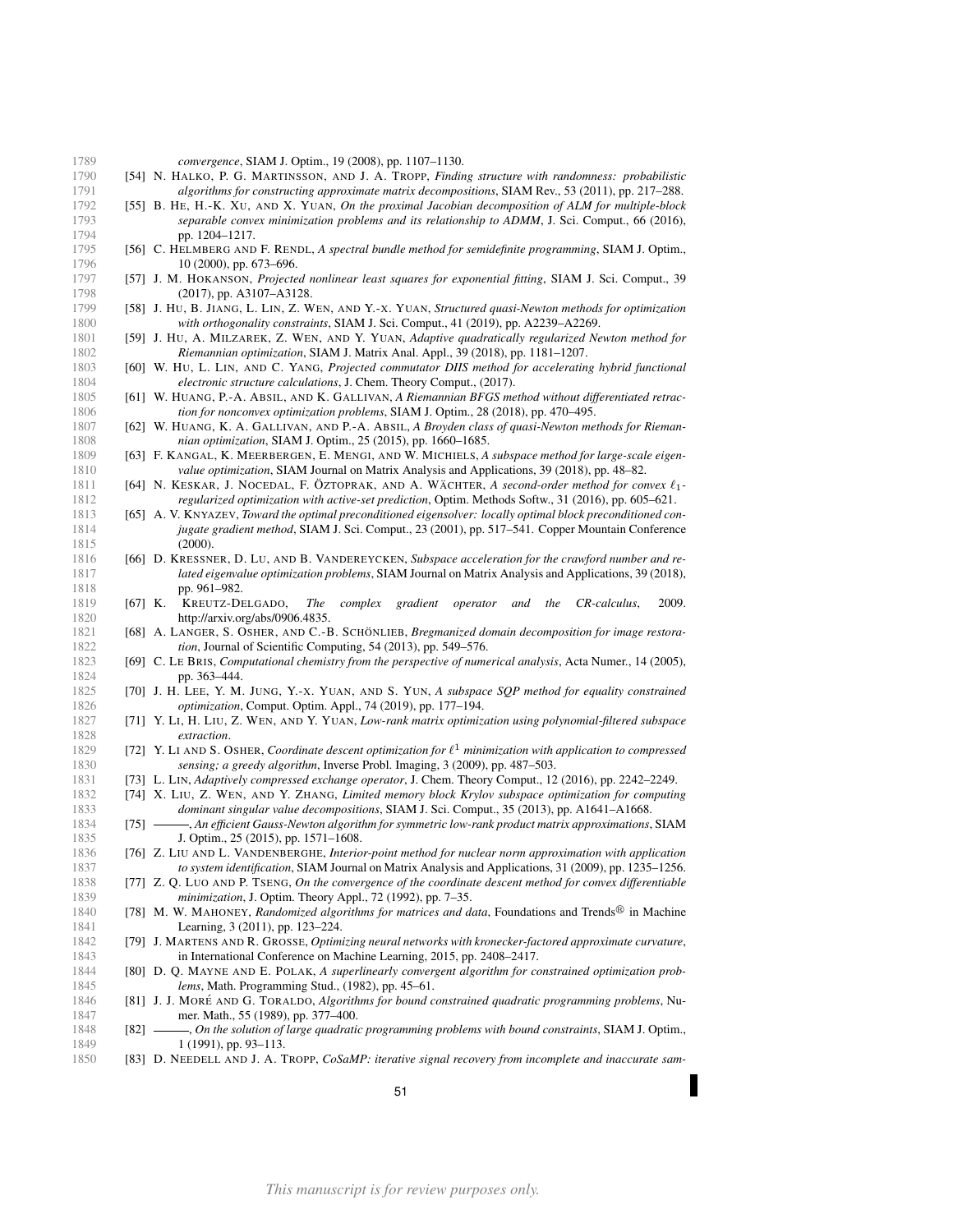- *convergence*, SIAM J. Optim., 19 (2008), pp. 1107–1130.
- <span id="page-50-17"></span> [54] N. HALKO, P. G. MARTINSSON, AND J. A. TROPP, *Finding structure with randomness: probabilistic algorithms for constructing approximate matrix decompositions*, SIAM Rev., 53 (2011), pp. 217–288.
- <span id="page-50-2"></span> [55] B. HE, H.-K. XU, AND X. YUAN, *On the proximal Jacobian decomposition of ALM for multiple-block separable convex minimization problems and its relationship to ADMM*, J. Sci. Comput., 66 (2016), 1794 pp. 1204-1217.
- <span id="page-50-25"></span> [56] C. HELMBERG AND F. RENDL, *A spectral bundle method for semidefinite programming*, SIAM J. Optim., 1796 10 (2000), pp. 673–696.
- <span id="page-50-10"></span> [57] J. M. HOKANSON, *Projected nonlinear least squares for exponential fitting*, SIAM J. Sci. Comput., 39 (2017), pp. A3107–A3128.
- <span id="page-50-9"></span> [58] J. HU, B. JIANG, L. LIN, Z. WEN, AND Y.-X. YUAN, *Structured quasi-Newton methods for optimization with orthogonality constraints*, SIAM J. Sci. Comput., 41 (2019), pp. A2239–A2269.
- <span id="page-50-18"></span> [59] J. HU, A. MILZAREK, Z. WEN, AND Y. YUAN, *Adaptive quadratically regularized Newton method for Riemannian optimization*, SIAM J. Matrix Anal. Appl., 39 (2018), pp. 1181–1207.
- <span id="page-50-23"></span> [60] W. HU, L. LIN, AND C. YANG, *Projected commutator DIIS method for accelerating hybrid functional electronic structure calculations*, J. Chem. Theory Comput., (2017).
- <span id="page-50-21"></span>1805 [61] W. HUANG, P.-A. ABSIL, AND K. GALLIVAN, *A Riemannian BFGS method without differentiated retrac-*<br>1806 *tion for nonconvex optimization problems*, SIAM J. Optim., 28 (2018), pp. 470–495. tion for nonconvex optimization problems, SIAM J. Optim., 28 (2018), pp. 470-495.
- <span id="page-50-20"></span> [62] W. HUANG, K. A. GALLIVAN, AND P.-A. ABSIL, *A Broyden class of quasi-Newton methods for Rieman-nian optimization*, SIAM J. Optim., 25 (2015), pp. 1660–1685.
- <span id="page-50-29"></span> [63] F. KANGAL, K. MEERBERGEN, E. MENGI, AND W. MICHIELS, *A subspace method for large-scale eigen-value optimization*, SIAM Journal on Matrix Analysis and Applications, 39 (2018), pp. 48–82.
- <span id="page-50-5"></span>[64] N. KESKAR, J. NOCEDAL, F. ÖZTOPRAK, AND A. WÄCHTER, A second-order method for convex  $\ell_1$ -*regularized optimization with active-set prediction*, Optim. Methods Softw., 31 (2016), pp. 605–621.
- <span id="page-50-15"></span> [65] A. V. KNYAZEV, *Toward the optimal preconditioned eigensolver: locally optimal block preconditioned con- jugate gradient method*, SIAM J. Sci. Comput., 23 (2001), pp. 517–541. Copper Mountain Conference (2000).
- <span id="page-50-28"></span> [66] D. KRESSNER, D. LU, AND B. VANDEREYCKEN, *Subspace acceleration for the crawford number and re- lated eigenvalue optimization problems*, SIAM Journal on Matrix Analysis and Applications, 39 (2018), pp. 961–982.
- <span id="page-50-19"></span> [67] K. KREUTZ-DELGADO, *The complex gradient operator and the CR-calculus*, 2009. http://arxiv.org/abs/0906.4835.
- <span id="page-50-7"></span>1821 [68] A. LANGER, S. OSHER, AND C.-B. SCHÖNLIEB, *Bregmanized domain decomposition for image restora-tion*, Journal of Scientific Computing, 54 (2013), pp. 549–576.
- <span id="page-50-22"></span> [69] C. LE BRIS, *Computational chemistry from the perspective of numerical analysis*, Acta Numer., 14 (2005), 1824 pp. 363–444.<br>1825 1701 J. H. LEE, Y. M.
- <span id="page-50-13"></span> [70] J. H. LEE, Y. M. JUNG, Y.-X. YUAN, AND S. YUN, *A subspace SQP method for equality constrained* 1826 *optimization*, Comput. Optim. Appl., 74 (2019), pp. 177–194.<br>1827 **1711 Y. Li, H. LIU, Z. WEN. AND Y. YUAN**. *Low-rank matrix ontimiz*
- <span id="page-50-27"></span> [71] Y. LI, H. LIU, Z. WEN, AND Y. YUAN, *Low-rank matrix optimization using polynomial-filtered subspace extraction*.
- <span id="page-50-1"></span>[72] Y. LI AND S. OSHER, *Coordinate descent optimization for* ` <sup>1</sup> *minimization with application to compressed sensing; a greedy algorithm*, Inverse Probl. Imaging, 3 (2009), pp. 487–503.
- <span id="page-50-24"></span>[73] L. LIN, *Adaptively compressed exchange operator*, J. Chem. Theory Comput., 12 (2016), pp. 2242–2249.
- <span id="page-50-6"></span> [74] X. LIU, Z. WEN, AND Y. ZHANG, *Limited memory block Krylov subspace optimization for computing dominant singular value decompositions*, SIAM J. Sci. Comput., 35 (2013), pp. A1641–A1668.
- <span id="page-50-16"></span>1834 [75]  $\longrightarrow$ , *An efficient Gauss-Newton algorithm for symmetric low-rank product matrix approximations*, SIAM<br>1835 **1. Optim., 25 (2015), pp. 1571–1608**. J. Optim., 25 (2015), pp. 1571-1608.
- <span id="page-50-26"></span> [76] Z. LIU AND L. VANDENBERGHE, *Interior-point method for nuclear norm approximation with application to system identification*, SIAM Journal on Matrix Analysis and Applications, 31 (2009), pp. 1235–1256.
- <span id="page-50-0"></span> [77] Z. Q. LUO AND P. TSENG, *On the convergence of the coordinate descent method for convex differentiable minimization*, J. Optim. Theory Appl., 72 (1992), pp. 7–35.
- <span id="page-50-8"></span>1840 [78] M. W. MAHONEY, *Randomized algorithms for matrices and data*, Foundations and Trends<sup>®</sup> in Machine 1841 Learning, 3 (2011), pp. 123–224.
- <span id="page-50-11"></span> [79] J. MARTENS AND R. GROSSE, *Optimizing neural networks with kronecker-factored approximate curvature*, in International Conference on Machine Learning, 2015, pp. 2408–2417.
- <span id="page-50-14"></span> [80] D. Q. MAYNE AND E. POLAK, *A superlinearly convergent algorithm for constrained optimization prob-lems*, Math. Programming Stud., (1982), pp. 45–61.
- <span id="page-50-3"></span>1846 [81] J. J. MORÉ AND G. TORALDO, *Algorithms for bound constrained quadratic programming problems*, Nu-1847 mer. Math., 55 (1989), pp. 377–400.
- <span id="page-50-4"></span>1848 [82]  $\longrightarrow$ , *On the solution of large quadratic programming problems with bound constraints*, SIAM J. Optim., 1849 1 (1991), pp. 93–113.
- <span id="page-50-12"></span>[83] D. NEEDELL AND J. A. TROPP, *CoSaMP: iterative signal recovery from incomplete and inaccurate sam-*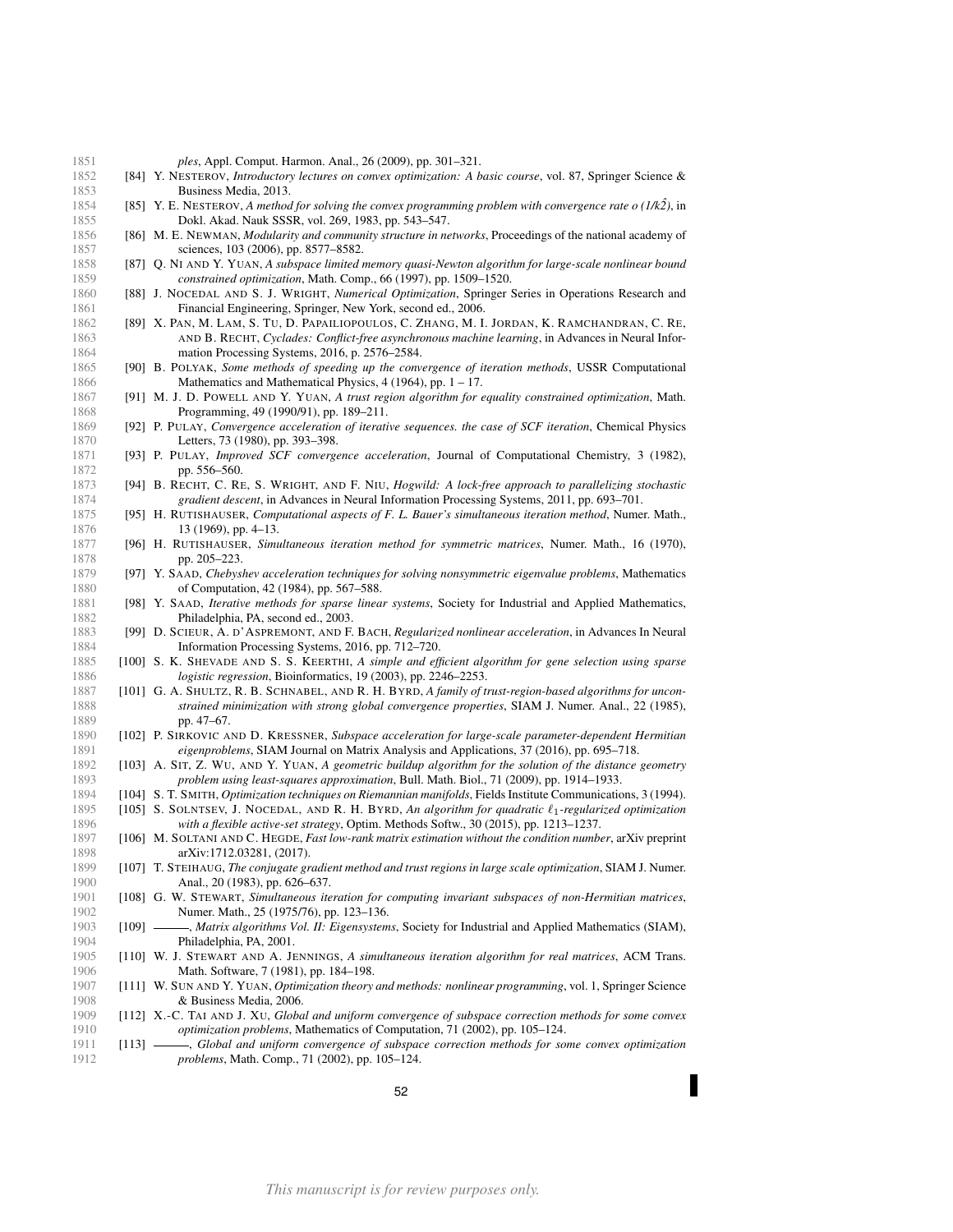- *ples*, Appl. Comput. Harmon. Anal., 26 (2009), pp. 301–321.
- <span id="page-51-2"></span> [84] Y. NESTEROV, *Introductory lectures on convex optimization: A basic course*, vol. 87, Springer Science & Business Media, 2013.
- <span id="page-51-3"></span>1854 [85] Y. E. NESTEROV, *A method for solving the convex programming problem with convergence rate o*  $(1/k2)$ , in Dokl. Akad. Nauk SSSR, vol. 269, 1983, pp. 543–547.
- <span id="page-51-25"></span> [86] M. E. NEWMAN, *Modularity and community structure in networks*, Proceedings of the national academy of 1857 sciences, 103 (2006), pp. 8577–8582.
- <span id="page-51-11"></span> [87] Q. NI AND Y. YUAN, *A subspace limited memory quasi-Newton algorithm for large-scale nonlinear bound constrained optimization*, Math. Comp., 66 (1997), pp. 1509–1520.
- <span id="page-51-1"></span> [88] J. NOCEDAL AND S. J. WRIGHT, *Numerical Optimization*, Springer Series in Operations Research and 1861 Financial Engineering, Springer, New York, second ed., 2006.
- <span id="page-51-27"></span> [89] X. PAN, M. LAM, S. TU, D. PAPAILIOPOULOS, C. ZHANG, M. I. JORDAN, K. RAMCHANDRAN, C. RE, AND B. RECHT, *Cyclades: Conflict-free asynchronous machine learning*, in Advances in Neural Infor-mation Processing Systems, 2016, p. 2576–2584.
- <span id="page-51-4"></span> [90] B. POLYAK, *Some methods of speeding up the convergence of iteration methods*, USSR Computational Mathematics and Mathematical Physics,  $4(1964)$ , pp.  $1 - 17$ .
- <span id="page-51-17"></span> [91] M. J. D. POWELL AND Y. YUAN, *A trust region algorithm for equality constrained optimization*, Math. Programming, 49 (1990/91), pp. 189–211.
- <span id="page-51-6"></span> [92] P. PULAY, *Convergence acceleration of iterative sequences. the case of SCF iteration*, Chemical Physics 1870 Letters, 73 (1980), pp. 393–398.
- <span id="page-51-7"></span> [93] P. PULAY, *Improved SCF convergence acceleration*, Journal of Computational Chemistry, 3 (1982), 1872 pp. 556–560.<br>1873 [94] B. RECHT, C. RE
- <span id="page-51-26"></span> [94] B. RECHT, C. RE, S. WRIGHT, AND F. NIU, *Hogwild: A lock-free approach to parallelizing stochastic gradient descent*, in Advances in Neural Information Processing Systems, 2011, pp. 693–701.
- <span id="page-51-18"></span> [95] H. RUTISHAUSER, *Computational aspects of F. L. Bauer's simultaneous iteration method*, Numer. Math., 1876 13 (1969), pp. 4–13.
- <span id="page-51-19"></span> [96] H. RUTISHAUSER, *Simultaneous iteration method for symmetric matrices*, Numer. Math., 16 (1970), 1878 pp. 205–223.
- <span id="page-51-22"></span> [97] Y. SAAD, *Chebyshev acceleration techniques for solving nonsymmetric eigenvalue problems*, Mathematics of Computation, 42 (1984), pp. 567–588.
- <span id="page-51-14"></span> [98] Y. SAAD, *Iterative methods for sparse linear systems*, Society for Industrial and Applied Mathematics, Philadelphia, PA, second ed., 2003.
- <span id="page-51-8"></span> [99] D. SCIEUR, A. D'ASPREMONT, AND F. BACH, *Regularized nonlinear acceleration*, in Advances In Neural Information Processing Systems, 2016, pp. 712–720.
- <span id="page-51-16"></span> [100] S. K. SHEVADE AND S. S. KEERTHI, *A simple and efficient algorithm for gene selection using sparse* 1886 *logistic regression*, Bioinformatics, 19 (2003), pp. 2246–2253.<br>1887 **11011 G.A. SHULTZ R.B. SCHNABEL, AND R.H. BYRD** A family of t
- <span id="page-51-12"></span> [101] G. A. SHULTZ, R. B. SCHNABEL, AND R. H. BYRD, *A family of trust-region-based algorithms for uncon- strained minimization with strong global convergence properties*, SIAM J. Numer. Anal., 22 (1985), 1889 pp. 47–67.
- <span id="page-51-29"></span> [102] P. SIRKOVIC AND D. KRESSNER, *Subspace acceleration for large-scale parameter-dependent Hermitian eigenproblems*, SIAM Journal on Matrix Analysis and Applications, 37 (2016), pp. 695–718.
- <span id="page-51-10"></span> [103] A. SIT, Z. WU, AND Y. YUAN, *A geometric buildup algorithm for the solution of the distance geometry problem using least-squares approximation*, Bull. Math. Biol., 71 (2009), pp. 1914–1933.
- <span id="page-51-24"></span>[104] S. T. SMITH, *Optimization techniques on Riemannian manifolds*, Fields Institute Communications, 3 (1994).
- <span id="page-51-5"></span> [105] S. SOLNTSEV, J. NOCEDAL, AND R. H. BYRD, *An algorithm for quadratic* `1*-regularized optimization with a flexible active-set strategy*, Optim. Methods Softw., 30 (2015), pp. 1213–1237.
- <span id="page-51-28"></span> [106] M. SOLTANI AND C. HEGDE, *Fast low-rank matrix estimation without the condition number*, arXiv preprint arXiv:1712.03281, (2017).
- <span id="page-51-13"></span> [107] T. STEIHAUG, *The conjugate gradient method and trust regions in large scale optimization*, SIAM J. Numer. 1900 Anal., 20 (1983), pp. 626–637.
- <span id="page-51-20"></span> [108] G. W. STEWART, *Simultaneous iteration for computing invariant subspaces of non-Hermitian matrices*, Numer. Math., 25 (1975/76), pp. 123–136.
- <span id="page-51-23"></span> [109] , *Matrix algorithms Vol. II: Eigensystems*, Society for Industrial and Applied Mathematics (SIAM), 1904 **Philadelphia, PA, 2001.**<br>1905 **[110] W. J. STEWART AND A. JI**
- <span id="page-51-21"></span> [110] W. J. STEWART AND A. JENNINGS, *A simultaneous iteration algorithm for real matrices*, ACM Trans. 1906 Math. Software, 7 (1981), pp. 184-198.
- <span id="page-51-0"></span> [111] W. SUN AND Y. YUAN, *Optimization theory and methods: nonlinear programming*, vol. 1, Springer Science & Business Media, 2006.
- <span id="page-51-9"></span> [112] X.-C. TAI AND J. XU, *Global and uniform convergence of subspace correction methods for some convex optimization problems*, Mathematics of Computation, 71 (2002), pp. 105–124.
- <span id="page-51-15"></span> [113] , *Global and uniform convergence of subspace correction methods for some convex optimization problems*, Math. Comp., 71 (2002), pp. 105–124.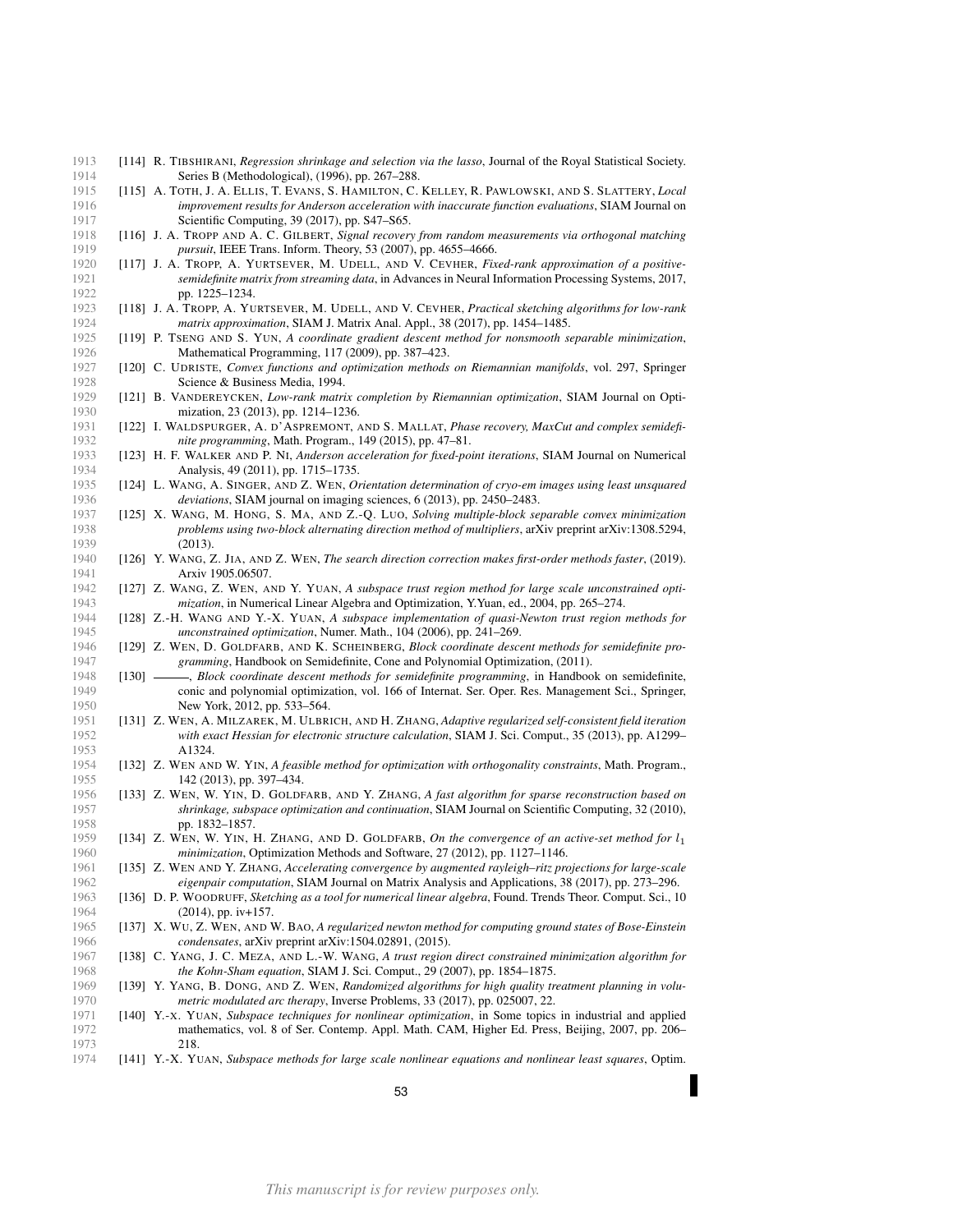- <span id="page-52-14"></span> [114] R. TIBSHIRANI, *Regression shrinkage and selection via the lasso*, Journal of the Royal Statistical Society. Series B (Methodological), (1996), pp. 267–288.
- <span id="page-52-5"></span> [115] A. TOTH, J. A. ELLIS, T. EVANS, S. HAMILTON, C. KELLEY, R. PAWLOWSKI, AND S. SLATTERY, *Local improvement results for Anderson acceleration with inaccurate function evaluations*, SIAM Journal on 1917 Scientific Computing, 39 (2017), pp. S47–S65.
- <span id="page-52-13"></span> [116] J. A. TROPP AND A. C. GILBERT, *Signal recovery from random measurements via orthogonal matching pursuit*, IEEE Trans. Inform. Theory, 53 (2007), pp. 4655–4666.
- <span id="page-52-23"></span> [117] J. A. TROPP, A. YURTSEVER, M. UDELL, AND V. CEVHER, *Fixed-rank approximation of a positive- semidefinite matrix from streaming data*, in Advances in Neural Information Processing Systems, 2017, pp. 1225–1234.
- <span id="page-52-8"></span> [118] J. A. TROPP, A. YURTSEVER, M. UDELL, AND V. CEVHER, *Practical sketching algorithms for low-rank matrix approximation*, SIAM J. Matrix Anal. Appl., 38 (2017), pp. 1454–1485.
- <span id="page-52-16"></span> [119] P. TSENG AND S. YUN, *A coordinate gradient descent method for nonsmooth separable minimization*, Mathematical Programming, 117 (2009), pp. 387–423.
- <span id="page-52-22"></span> [120] C. UDRISTE, *Convex functions and optimization methods on Riemannian manifolds*, vol. 297, Springer Science & Business Media, 1994.
- <span id="page-52-21"></span> [121] B. VANDEREYCKEN, *Low-rank matrix completion by Riemannian optimization*, SIAM Journal on Optimization, 23 (2013), pp. 1214–1236.
- <span id="page-52-26"></span> [122] I. WALDSPURGER, A. D'ASPREMONT, AND S. MALLAT, *Phase recovery, MaxCut and complex semidefi-nite programming*, Math. Program., 149 (2015), pp. 47–81.
- <span id="page-52-4"></span> [123] H. F. WALKER AND P. NI, *Anderson acceleration for fixed-point iterations*, SIAM Journal on Numerical 1934 **Analysis, 49 (2011), pp. 1715–1735.**<br>1935 **[124] L. WANG, A. SINGER, AND Z. WEN, O**
- <span id="page-52-27"></span> [124] L. WANG, A. SINGER, AND Z. WEN, *Orientation determination of cryo-em images using least unsquared deviations*, SIAM journal on imaging sciences, 6 (2013), pp. 2450–2483.
- <span id="page-52-2"></span> [125] X. WANG, M. HONG, S. MA, AND Z.-Q. LUO, *Solving multiple-block separable convex minimization problems using two-block alternating direction method of multipliers*, arXiv preprint arXiv:1308.5294, (2013).
- <span id="page-52-0"></span> [126] Y. WANG, Z. JIA, AND Z. WEN, *The search direction correction makes first-order methods faster*, (2019). Arxiv 1905.06507.
- <span id="page-52-12"></span> [127] Z. WANG, Z. WEN, AND Y. YUAN, *A subspace trust region method for large scale unconstrained opti-mization*, in Numerical Linear Algebra and Optimization, Y.Yuan, ed., 2004, pp. 265–274.
- <span id="page-52-11"></span> [128] Z.-H. WANG AND Y.-X. YUAN, *A subspace implementation of quasi-Newton trust region methods for unconstrained optimization*, Numer. Math., 104 (2006), pp. 241–269.
- <span id="page-52-1"></span> [129] Z. WEN, D. GOLDFARB, AND K. SCHEINBERG, *Block coordinate descent methods for semidefinite pro-*1947 *gramming*, Handbook on Semidefinite, Cone and Polynomial Optimization, (2011).<br>1948 [130] *------, Block coordinate descent methods for semidefinite programming*, in Handboo,
- <span id="page-52-25"></span>1948 [130] *-----, Block coordinate descent methods for semidefinite programming*, in Handbook on semidefinite, conic and polynomial optimization, vol. 166 of Internat Ser Oper Res Management Sci. Springer conic and polynomial optimization, vol. 166 of Internat. Ser. Oper. Res. Management Sci., Springer, **New York, 2012, pp. 533–564.**
- <span id="page-52-19"></span> [131] Z. WEN, A. MILZAREK, M. ULBRICH, AND H. ZHANG, *Adaptive regularized self-consistent field iteration with exact Hessian for electronic structure calculation*, SIAM J. Sci. Comput., 35 (2013), pp. A1299– 1953 **A1324.**<br>1954 **[132] Z. WEN AN**
- <span id="page-52-18"></span> [132] Z. WEN AND W. YIN, *A feasible method for optimization with orthogonality constraints*, Math. Program., 1955 142 (2013), pp. 397–434.<br>1956 11331 Z WEN W YIN D GOLDE
- <span id="page-52-3"></span> [133] Z. WEN, W. YIN, D. GOLDFARB, AND Y. ZHANG, *A fast algorithm for sparse reconstruction based on shrinkage, subspace optimization and continuation*, SIAM Journal on Scientific Computing, 32 (2010), 1958 pp. 1832–1857.<br>1959 [134] Z. WEN, W. YIN, 1
- <span id="page-52-15"></span> [134] Z. WEN, W. YIN, H. ZHANG, AND D. GOLDFARB, *On the convergence of an active-set method for* l<sup>1</sup> *minimization*, Optimization Methods and Software, 27 (2012), pp. 1127-1146.
- <span id="page-52-17"></span> [135] Z. WEN AND Y. ZHANG, *Accelerating convergence by augmented rayleigh–ritz projections for large-scale eigenpair computation*, SIAM Journal on Matrix Analysis and Applications, 38 (2017), pp. 273–296.
- <span id="page-52-7"></span> [136] D. P. WOODRUFF, *Sketching as a tool for numerical linear algebra*, Found. Trends Theor. Comput. Sci., 10 1964 (2014), pp. iv+157.
- <span id="page-52-20"></span> [137] X. WU, Z. WEN, AND W. BAO, *A regularized newton method for computing ground states of Bose-Einstein condensates*, arXiv preprint arXiv:1504.02891, (2015).
- <span id="page-52-24"></span> [138] C. YANG, J. C. MEZA, AND L.-W. WANG, *A trust region direct constrained minimization algorithm for the Kohn-Sham equation*, SIAM J. Sci. Comput., 29 (2007), pp. 1854–1875.
- <span id="page-52-6"></span> [139] Y. YANG, B. DONG, AND Z. WEN, *Randomized algorithms for high quality treatment planning in volu-metric modulated arc therapy*, Inverse Problems, 33 (2017), pp. 025007, 22.
- <span id="page-52-10"></span> [140] Y.-X. YUAN, *Subspace techniques for nonlinear optimization*, in Some topics in industrial and applied mathematics, vol. 8 of Ser. Contemp. Appl. Math. CAM, Higher Ed. Press, Beijing, 2007, pp. 206– 218.
- <span id="page-52-9"></span>[141] Y.-X. YUAN, *Subspace methods for large scale nonlinear equations and nonlinear least squares*, Optim.